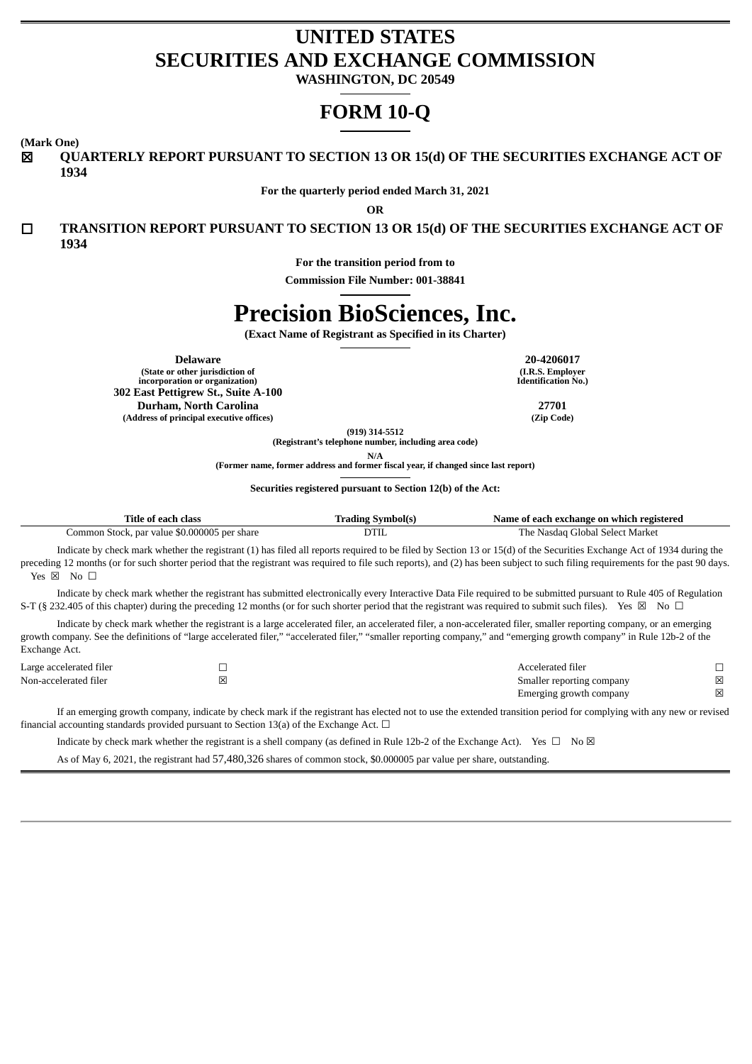# **UNITED STATES SECURITIES AND EXCHANGE COMMISSION**

**WASHINGTON, DC 20549**

## **FORM 10-Q**

**(Mark One)**

☒ **QUARTERLY REPORT PURSUANT TO SECTION 13 OR 15(d) OF THE SECURITIES EXCHANGE ACT OF 1934**

**For the quarterly period ended March 31, 2021**

**OR**

☐ **TRANSITION REPORT PURSUANT TO SECTION 13 OR 15(d) OF THE SECURITIES EXCHANGE ACT OF 1934**

**For the transition period from to**

**Commission File Number: 001-38841**

# **Precision BioSciences, Inc.**

**(Exact Name of Registrant as Specified in its Charter)**

**(State or other jurisdiction of incorporation or organization) 302 East Pettigrew St., Suite A-100 Durham, North Carolina 27701 (Address of principal executive offices) (Zip Code)**

**Delaware 20-4206017 (I.R.S. Employer Identification No.)**

**(919) 314-5512 (Registrant's telephone number, including area code)**

**N/A**

**(Former name, former address and former fiscal year, if changed since last report)**

**Securities registered pursuant to Section 12(b) of the Act:**

| Title of each class                              |   | <b>Trading Symbol(s)</b> | Name of each exchange on which registered                                                                                                                                                                                                                                                                                                                   |        |
|--------------------------------------------------|---|--------------------------|-------------------------------------------------------------------------------------------------------------------------------------------------------------------------------------------------------------------------------------------------------------------------------------------------------------------------------------------------------------|--------|
| Common Stock, par value \$0.000005 per share     |   | <b>DTIL</b>              | The Nasdaq Global Select Market                                                                                                                                                                                                                                                                                                                             |        |
| Yes $\boxtimes$<br>$\overline{\text{No}}$ $\Box$ |   |                          | Indicate by check mark whether the registrant (1) has filed all reports required to be filed by Section 13 or 15(d) of the Securities Exchange Act of 1934 during the<br>preceding 12 months (or for such shorter period that the registrant was required to file such reports), and (2) has been subject to such filing requirements for the past 90 days. |        |
|                                                  |   |                          | Indicate by check mark whether the registrant has submitted electronically every Interactive Data File required to be submitted pursuant to Rule 405 of Regulation<br>S-T (§ 232.405 of this chapter) during the preceding 12 months (or for such shorter period that the registrant was required to submit such files). Yes $\boxtimes$ No $\Box$          |        |
| Exchange Act.                                    |   |                          | Indicate by check mark whether the registrant is a large accelerated filer, an accelerated filer, a non-accelerated filer, smaller reporting company, or an emerging<br>growth company. See the definitions of "large accelerated filer," "accelerated filer," "smaller reporting company," and "emerging growth company" in Rule 12b-2 of the              |        |
| Large accelerated filer                          |   |                          | Accelerated filer                                                                                                                                                                                                                                                                                                                                           |        |
| Non-accelerated filer                            | × |                          | Smaller reporting company<br>Emerging growth company                                                                                                                                                                                                                                                                                                        | ⊠<br>⊠ |
|                                                  |   |                          |                                                                                                                                                                                                                                                                                                                                                             |        |

If an emerging growth company, indicate by check mark if the registrant has elected not to use the extended transition period for complying with any new or revised financial accounting standards provided pursuant to Section 13(a) of the Exchange Act.  $\Box$ 

Indicate by check mark whether the registrant is a shell company (as defined in Rule 12b-2 of the Exchange Act). Yes  $\Box$  No  $\boxtimes$ 

As of May 6, 2021, the registrant had 57,480,326 shares of common stock, \$0.000005 par value per share, outstanding.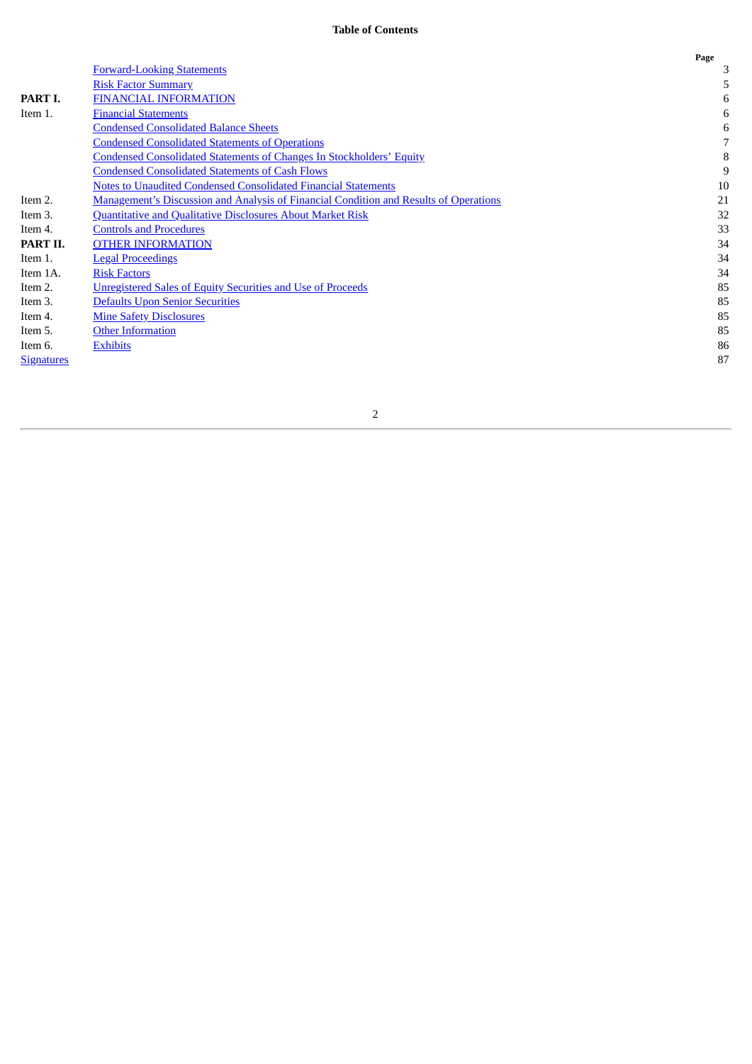## **Table of Contents**

|                   |                                                                                              | Page |
|-------------------|----------------------------------------------------------------------------------------------|------|
|                   | <b>Forward-Looking Statements</b>                                                            |      |
|                   | <b>Risk Factor Summary</b>                                                                   |      |
| PART I.           | <b>FINANCIAL INFORMATION</b>                                                                 | 6    |
| Item 1.           | <b>Financial Statements</b>                                                                  | 6    |
|                   | <b>Condensed Consolidated Balance Sheets</b>                                                 | 6    |
|                   | <b>Condensed Consolidated Statements of Operations</b>                                       |      |
|                   | <b>Condensed Consolidated Statements of Changes In Stockholders' Equity</b>                  | 8    |
|                   | <b>Condensed Consolidated Statements of Cash Flows</b>                                       | 9    |
|                   | Notes to Unaudited Condensed Consolidated Financial Statements                               | 10   |
| Item 2.           | <b>Management's Discussion and Analysis of Financial Condition and Results of Operations</b> | 21   |
| Item 3.           | <b>Quantitative and Qualitative Disclosures About Market Risk</b>                            | 32   |
| Item 4.           | <b>Controls and Procedures</b>                                                               | 33   |
| PART II.          | <b>OTHER INFORMATION</b>                                                                     | 34   |
| Item 1.           | <b>Legal Proceedings</b>                                                                     | 34   |
| Item 1A.          | <b>Risk Factors</b>                                                                          | 34   |
| Item 2.           | <b>Unregistered Sales of Equity Securities and Use of Proceeds</b>                           | 85   |
| Item 3.           | <b>Defaults Upon Senior Securities</b>                                                       | 85   |
| Item 4.           | <b>Mine Safety Disclosures</b>                                                               | 85   |
| Item 5.           | <b>Other Information</b>                                                                     | 85   |
| Item 6.           | <b>Exhibits</b>                                                                              | 86   |
| <b>Signatures</b> |                                                                                              | 87   |
|                   |                                                                                              |      |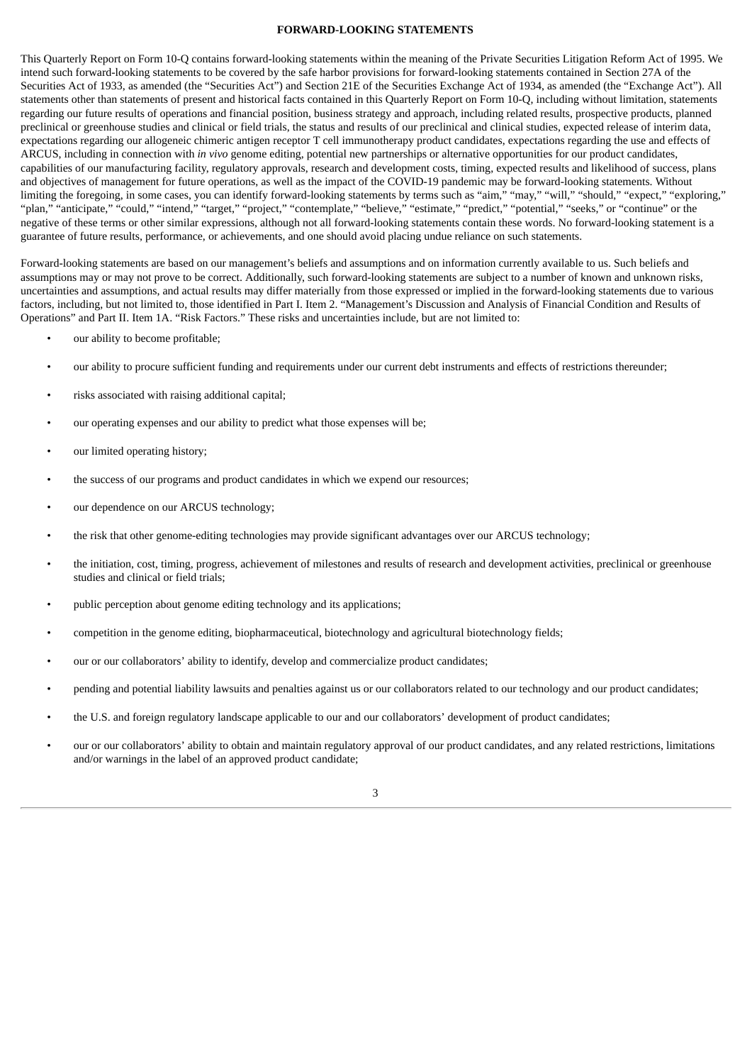#### **FORWARD-LOOKING STATEMENTS**

<span id="page-2-0"></span>This Quarterly Report on Form 10-Q contains forward-looking statements within the meaning of the Private Securities Litigation Reform Act of 1995. We intend such forward-looking statements to be covered by the safe harbor provisions for forward-looking statements contained in Section 27A of the Securities Act of 1933, as amended (the "Securities Act") and Section 21E of the Securities Exchange Act of 1934, as amended (the "Exchange Act"). All statements other than statements of present and historical facts contained in this Quarterly Report on Form 10-Q, including without limitation, statements regarding our future results of operations and financial position, business strategy and approach, including related results, prospective products, planned preclinical or greenhouse studies and clinical or field trials, the status and results of our preclinical and clinical studies, expected release of interim data, expectations regarding our allogeneic chimeric antigen receptor T cell immunotherapy product candidates, expectations regarding the use and effects of ARCUS, including in connection with *in vivo* genome editing, potential new partnerships or alternative opportunities for our product candidates, capabilities of our manufacturing facility, regulatory approvals, research and development costs, timing, expected results and likelihood of success, plans and objectives of management for future operations, as well as the impact of the COVID-19 pandemic may be forward-looking statements. Without limiting the foregoing, in some cases, you can identify forward-looking statements by terms such as "aim," "may," "will," "should," "expect," "exploring," "plan," "anticipate," "could," "intend," "target," "project," "contemplate," "believe," "estimate," "predict," "potential," "seeks," or "continue" or the negative of these terms or other similar expressions, although not all forward-looking statements contain these words. No forward-looking statement is a guarantee of future results, performance, or achievements, and one should avoid placing undue reliance on such statements.

Forward-looking statements are based on our management's beliefs and assumptions and on information currently available to us. Such beliefs and assumptions may or may not prove to be correct. Additionally, such forward-looking statements are subject to a number of known and unknown risks, uncertainties and assumptions, and actual results may differ materially from those expressed or implied in the forward-looking statements due to various factors, including, but not limited to, those identified in Part I. Item 2. "Management's Discussion and Analysis of Financial Condition and Results of Operations" and Part II. Item 1A. "Risk Factors." These risks and uncertainties include, but are not limited to:

- our ability to become profitable;
- our ability to procure sufficient funding and requirements under our current debt instruments and effects of restrictions thereunder;
- risks associated with raising additional capital;
- our operating expenses and our ability to predict what those expenses will be;
- our limited operating history;
- the success of our programs and product candidates in which we expend our resources;
- our dependence on our ARCUS technology;
- the risk that other genome-editing technologies may provide significant advantages over our ARCUS technology;
- the initiation, cost, timing, progress, achievement of milestones and results of research and development activities, preclinical or greenhouse studies and clinical or field trials;
- public perception about genome editing technology and its applications;
- competition in the genome editing, biopharmaceutical, biotechnology and agricultural biotechnology fields;
- our or our collaborators' ability to identify, develop and commercialize product candidates;
- pending and potential liability lawsuits and penalties against us or our collaborators related to our technology and our product candidates;
- the U.S. and foreign regulatory landscape applicable to our and our collaborators' development of product candidates;
- our or our collaborators' ability to obtain and maintain regulatory approval of our product candidates, and any related restrictions, limitations and/or warnings in the label of an approved product candidate;

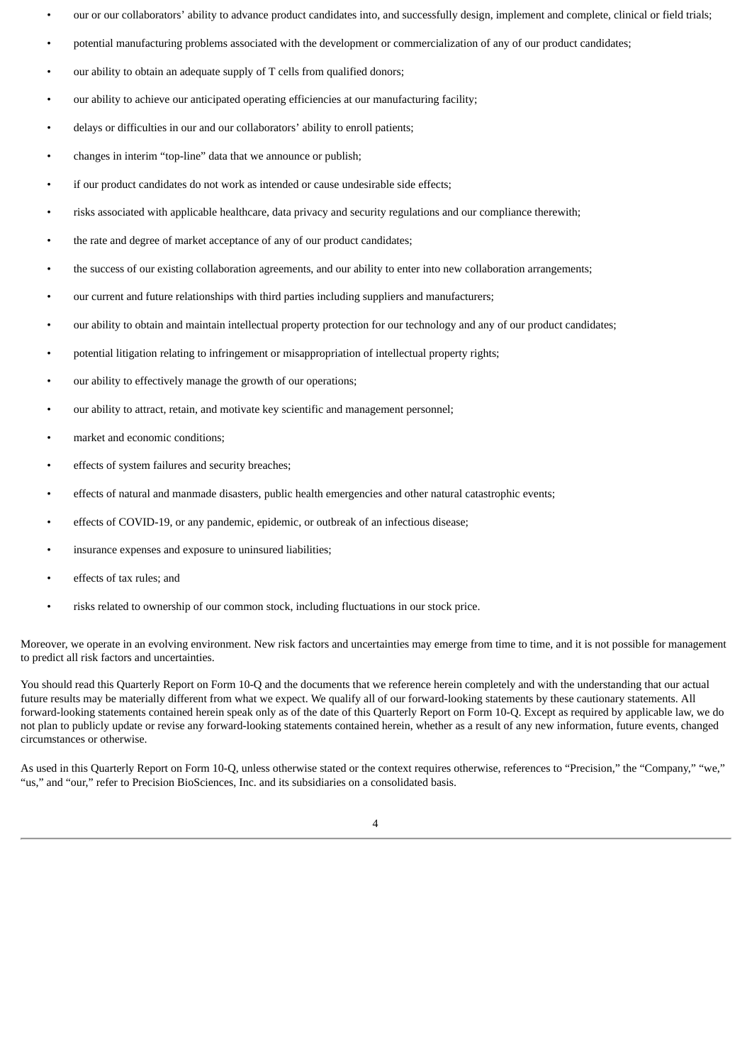- our or our collaborators' ability to advance product candidates into, and successfully design, implement and complete, clinical or field trials;
- potential manufacturing problems associated with the development or commercialization of any of our product candidates;
- our ability to obtain an adequate supply of T cells from qualified donors;
- our ability to achieve our anticipated operating efficiencies at our manufacturing facility;
- delays or difficulties in our and our collaborators' ability to enroll patients;
- changes in interim "top-line" data that we announce or publish;
- if our product candidates do not work as intended or cause undesirable side effects;
- risks associated with applicable healthcare, data privacy and security regulations and our compliance therewith;
- the rate and degree of market acceptance of any of our product candidates;
- the success of our existing collaboration agreements, and our ability to enter into new collaboration arrangements;
- our current and future relationships with third parties including suppliers and manufacturers;
- our ability to obtain and maintain intellectual property protection for our technology and any of our product candidates;
- potential litigation relating to infringement or misappropriation of intellectual property rights;
- our ability to effectively manage the growth of our operations;
- our ability to attract, retain, and motivate key scientific and management personnel;
- market and economic conditions;
- effects of system failures and security breaches;
- effects of natural and manmade disasters, public health emergencies and other natural catastrophic events;
- effects of COVID-19, or any pandemic, epidemic, or outbreak of an infectious disease;
- insurance expenses and exposure to uninsured liabilities;
- effects of tax rules; and
- risks related to ownership of our common stock, including fluctuations in our stock price.

Moreover, we operate in an evolving environment. New risk factors and uncertainties may emerge from time to time, and it is not possible for management to predict all risk factors and uncertainties.

You should read this Quarterly Report on Form 10-Q and the documents that we reference herein completely and with the understanding that our actual future results may be materially different from what we expect. We qualify all of our forward-looking statements by these cautionary statements. All forward-looking statements contained herein speak only as of the date of this Quarterly Report on Form 10-Q. Except as required by applicable law, we do not plan to publicly update or revise any forward-looking statements contained herein, whether as a result of any new information, future events, changed circumstances or otherwise.

As used in this Quarterly Report on Form 10-Q, unless otherwise stated or the context requires otherwise, references to "Precision," the "Company," "we," "us," and "our," refer to Precision BioSciences, Inc. and its subsidiaries on a consolidated basis.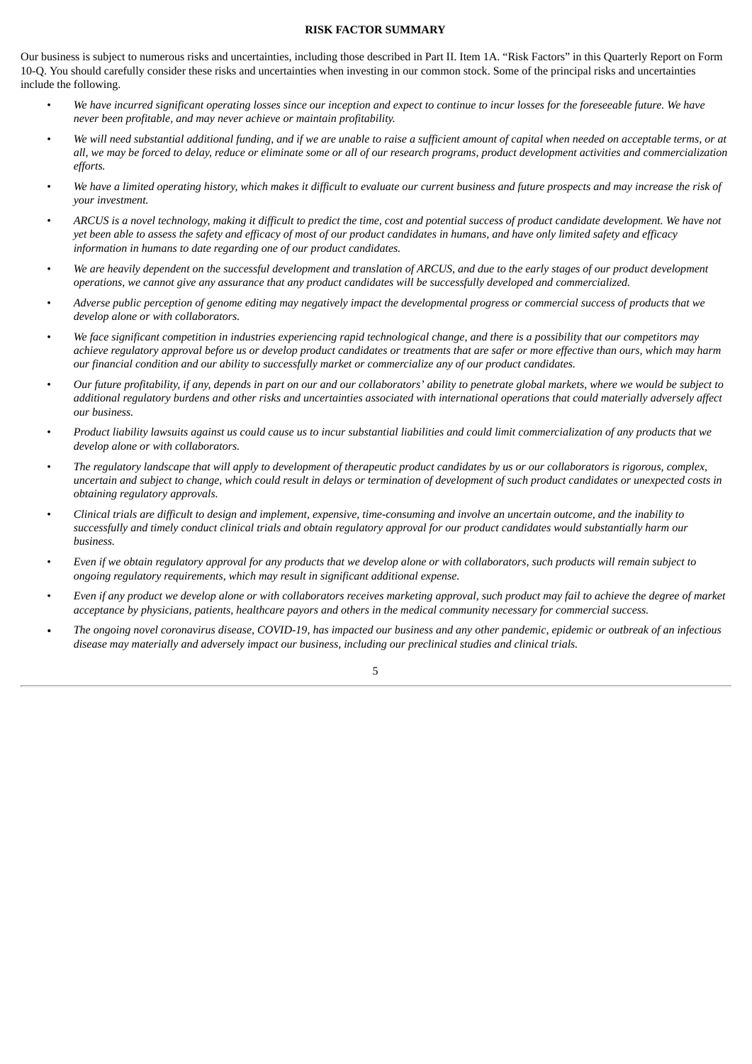#### **RISK FACTOR SUMMARY**

<span id="page-4-0"></span>Our business is subject to numerous risks and uncertainties, including those described in Part II. Item 1A. "Risk Factors" in this Quarterly Report on Form 10-Q. You should carefully consider these risks and uncertainties when investing in our common stock. Some of the principal risks and uncertainties include the following.

- We have incurred significant operating losses since our inception and expect to continue to incur losses for the foreseeable future. We have *never been profitable, and may never achieve or maintain profitability.*
- We will need substantial additional funding, and if we are unable to raise a sufficient amount of capital when needed on acceptable terms, or at all, we may be forced to delay, reduce or eliminate some or all of our research programs, product development activities and commercialization *efforts.*
- We have a limited operating history, which makes it difficult to evaluate our current business and future prospects and may increase the risk of *your investment.*
- ARCUS is a novel technology, making it difficult to predict the time, cost and potential success of product candidate development. We have not yet been able to assess the safety and efficacy of most of our product candidates in humans, and have only limited safety and efficacy *information in humans to date regarding one of our product candidates.*
- We are heavily dependent on the successful development and translation of ARCUS, and due to the early stages of our product development operations, we cannot give any assurance that any product candidates will be successfully developed and commercialized.
- Adverse public perception of genome editing may negatively impact the developmental progress or commercial success of products that we *develop alone or with collaborators.*
- We face significant competition in industries experiencing rapid technological change, and there is a possibility that our competitors may achieve regulatory approval before us or develop product candidates or treatments that are safer or more effective than ours, which may harm *our financial condition and our ability to successfully market or commercialize any of our product candidates.*
- Our future profitability, if any, depends in part on our and our collaborators' ability to penetrate global markets, where we would be subject to additional reaulatory burdens and other risks and uncertainties associated with international operations that could materially adversely affect *our business.*
- Product liability lawsuits against us could cause us to incur substantial liabilities and could limit commercialization of any products that we *develop alone or with collaborators.*
- The regulatory landscape that will apply to development of therapeutic product candidates by us or our collaborators is rigorous, complex, uncertain and subject to change, which could result in delays or termination of development of such product candidates or unexpected costs in *obtaining regulatory approvals.*
- Clinical trials are difficult to design and implement, expensive, time-consuming and involve an uncertain outcome, and the inability to successfully and timely conduct clinical trials and obtain requlatory approval for our product candidates would substantially harm our *business.*
- Even if we obtain reaulatory approval for any products that we develop alone or with collaborators, such products will remain subject to *ongoing regulatory requirements, which may result in significant additional expense.*
- Even if any product we develop alone or with collaborators receives marketina approval, such product may fail to achieve the dearee of market acceptance by physicians, patients, healthcare payors and others in the medical community necessary for commercial success.
- The ongoing novel coronavirus disease, COVID-19, has impacted our business and any other pandemic, epidemic or outbreak of an infectious *disease may materially and adversely impact our business, including our preclinical studies and clinical trials.*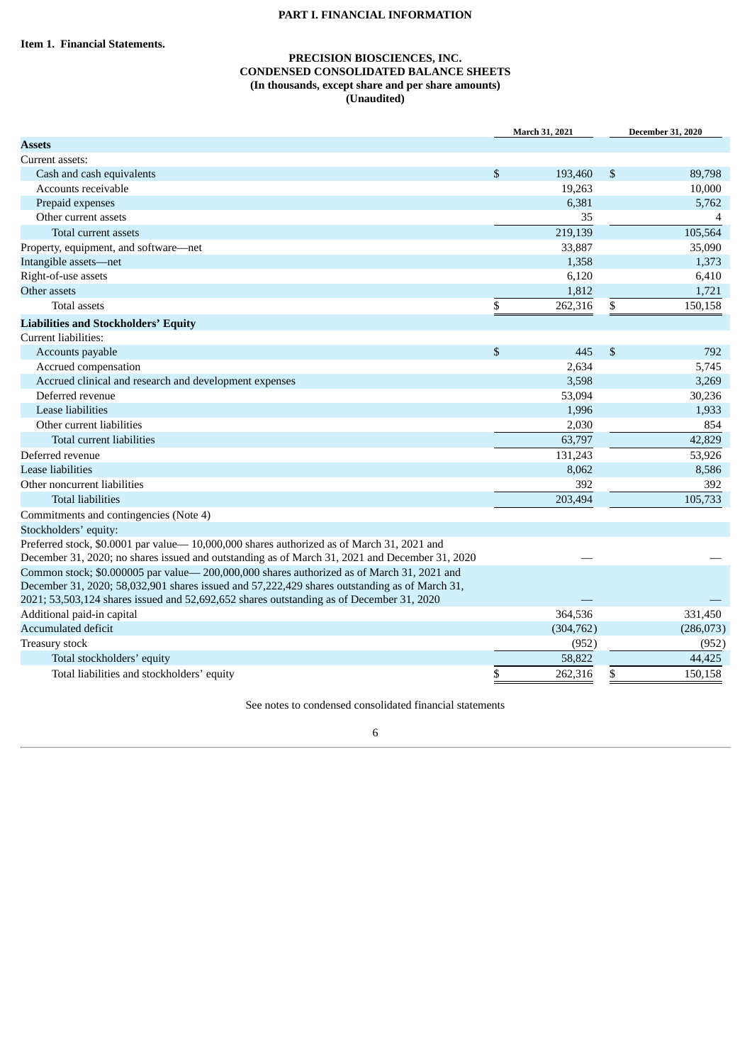## **PART I. FINANCIAL INFORMATION**

## **PRECISION BIOSCIENCES, INC. CONDENSED CONSOLIDATED BALANCE SHEETS (In thousands, except share and per share amounts) (Unaudited)**

<span id="page-5-2"></span><span id="page-5-1"></span><span id="page-5-0"></span>

|                                                                                                | March 31, 2021 | <b>December 31, 2020</b> |
|------------------------------------------------------------------------------------------------|----------------|--------------------------|
| <b>Assets</b>                                                                                  |                |                          |
| Current assets:                                                                                |                |                          |
| Cash and cash equivalents                                                                      | \$<br>193,460  | \$<br>89,798             |
| Accounts receivable                                                                            | 19,263         | 10,000                   |
| Prepaid expenses                                                                               | 6,381          | 5,762                    |
| Other current assets                                                                           | 35             | 4                        |
| Total current assets                                                                           | 219,139        | 105,564                  |
| Property, equipment, and software-net                                                          | 33,887         | 35,090                   |
| Intangible assets-net                                                                          | 1,358          | 1,373                    |
| Right-of-use assets                                                                            | 6,120          | 6,410                    |
| Other assets                                                                                   | 1,812          | 1,721                    |
| <b>Total assets</b>                                                                            | \$<br>262,316  | \$<br>150,158            |
| <b>Liabilities and Stockholders' Equity</b>                                                    |                |                          |
| Current liabilities:                                                                           |                |                          |
| Accounts payable                                                                               | \$<br>445      | \$<br>792                |
| Accrued compensation                                                                           | 2,634          | 5,745                    |
| Accrued clinical and research and development expenses                                         | 3,598          | 3,269                    |
| Deferred revenue                                                                               | 53,094         | 30,236                   |
| Lease liabilities                                                                              | 1,996          | 1,933                    |
| Other current liabilities                                                                      | 2,030          | 854                      |
| Total current liabilities                                                                      | 63,797         | 42,829                   |
| Deferred revenue                                                                               | 131,243        | 53,926                   |
| <b>Lease liabilities</b>                                                                       | 8,062          | 8,586                    |
| Other noncurrent liabilities                                                                   | 392            | 392                      |
| <b>Total liabilities</b>                                                                       | 203,494        | 105,733                  |
| Commitments and contingencies (Note 4)                                                         |                |                          |
| Stockholders' equity:                                                                          |                |                          |
| Preferred stock, \$0.0001 par value-10,000,000 shares authorized as of March 31, 2021 and      |                |                          |
| December 31, 2020; no shares issued and outstanding as of March 31, 2021 and December 31, 2020 |                |                          |
| Common stock; \$0.000005 par value-200,000,000 shares authorized as of March 31, 2021 and      |                |                          |
| December 31, 2020; 58,032,901 shares issued and 57,222,429 shares outstanding as of March 31,  |                |                          |
| 2021; 53,503,124 shares issued and 52,692,652 shares outstanding as of December 31, 2020       |                |                          |
| Additional paid-in capital                                                                     | 364,536        | 331,450                  |
| <b>Accumulated deficit</b>                                                                     | (304, 762)     | (286, 073)               |
| Treasury stock                                                                                 | (952)          | (952)                    |
| Total stockholders' equity                                                                     | 58,822         | 44,425                   |
| Total liabilities and stockholders' equity                                                     | \$<br>262,316  | \$<br>150,158            |

See notes to condensed consolidated financial statements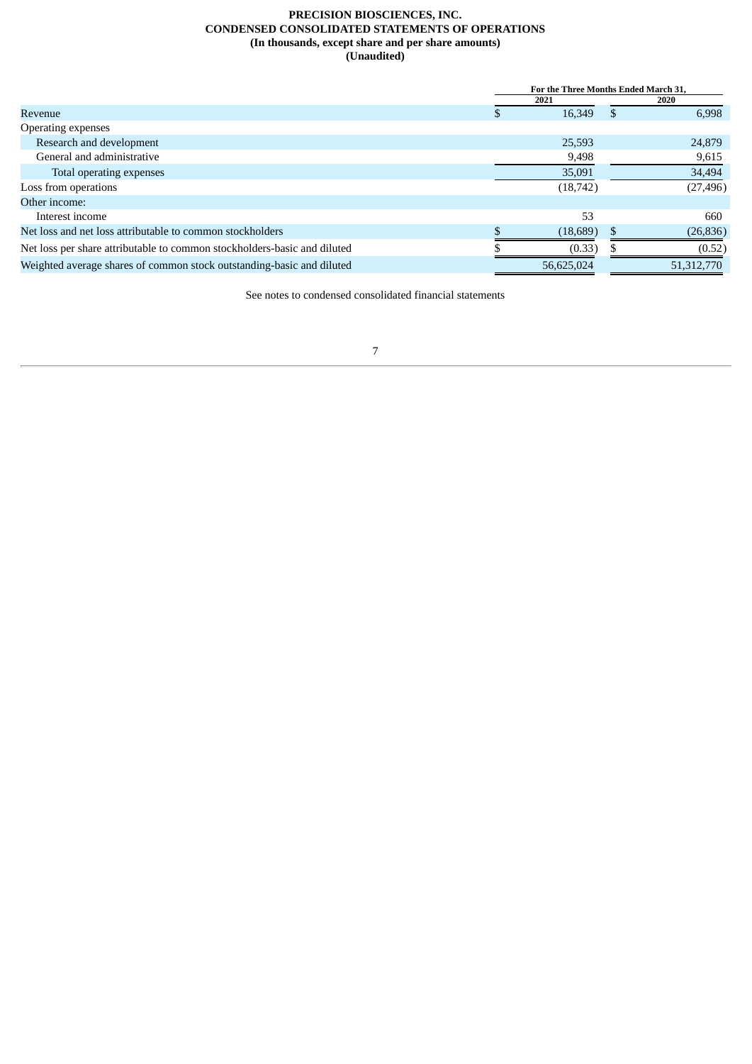## **PRECISION BIOSCIENCES, INC. CONDENSED CONSOLIDATED STATEMENTS OF OPERATIONS (In thousands, except share and per share amounts) (Unaudited)**

<span id="page-6-0"></span>

|                                                                          | For the Three Months Ended March 31. |  |            |
|--------------------------------------------------------------------------|--------------------------------------|--|------------|
|                                                                          | 2021                                 |  | 2020       |
| Revenue                                                                  | 16,349                               |  | 6,998      |
| Operating expenses                                                       |                                      |  |            |
| Research and development                                                 | 25,593                               |  | 24,879     |
| General and administrative                                               | 9,498                                |  | 9,615      |
| Total operating expenses                                                 | 35,091                               |  | 34,494     |
| Loss from operations                                                     | (18, 742)                            |  | (27, 496)  |
| Other income:                                                            |                                      |  |            |
| Interest income                                                          | 53                                   |  | 660        |
| Net loss and net loss attributable to common stockholders                | (18,689)                             |  | (26, 836)  |
| Net loss per share attributable to common stockholders-basic and diluted | (0.33)                               |  | (0.52)     |
| Weighted average shares of common stock outstanding-basic and diluted    | 56,625,024                           |  | 51,312,770 |
|                                                                          |                                      |  |            |

See notes to condensed consolidated financial statements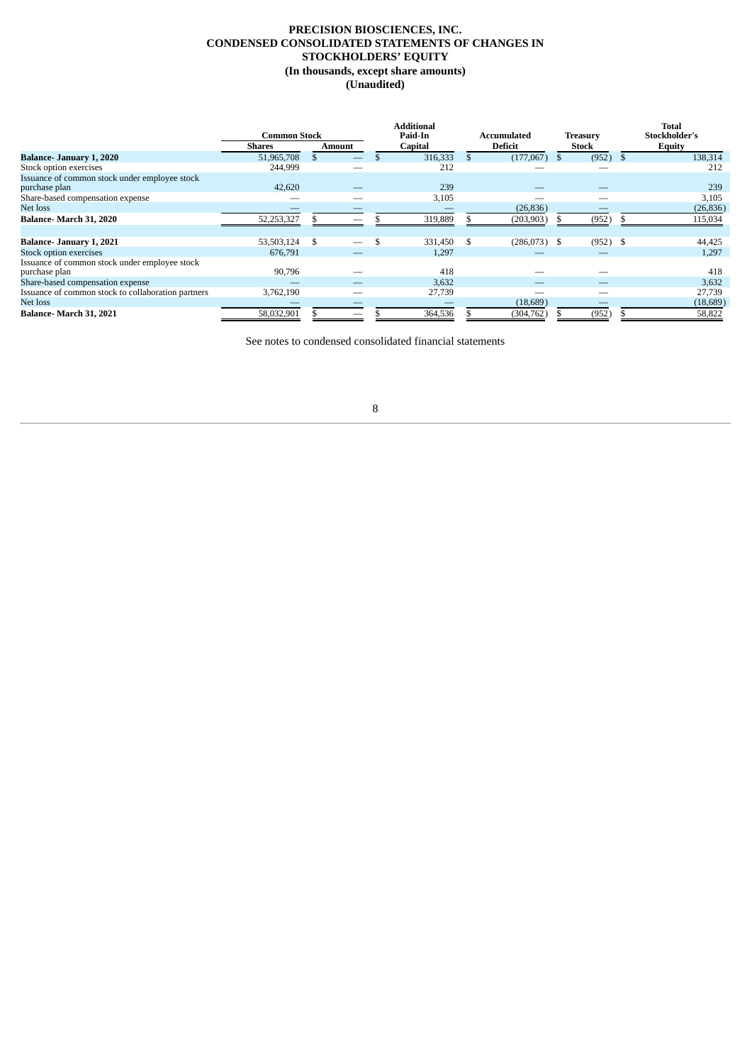## **PRECISION BIOSCIENCES, INC. CONDENSED CONSOLIDATED STATEMENTS OF CHANGES IN STOCKHOLDERS' EQUITY (In thousands, except share amounts) (Unaudited)**

<span id="page-7-0"></span>

|                                                                | <b>Common Stock</b> |    |                          |     | Additional<br>Paid-In |    | Accumulated    | <b>Treasury</b> |    | <b>Total</b><br>Stockholder's |
|----------------------------------------------------------------|---------------------|----|--------------------------|-----|-----------------------|----|----------------|-----------------|----|-------------------------------|
|                                                                | <b>Shares</b>       |    | Amount                   |     | Capital               |    | <b>Deficit</b> | Stock           |    | <b>Equity</b>                 |
| Balance- January 1, 2020                                       | 51,965,708          |    |                          |     | 316,333               |    | (177,067)      | (952)           | -S | 138,314                       |
| Stock option exercises                                         | 244,999             |    |                          |     | 212                   |    |                |                 |    | 212                           |
| Issuance of common stock under employee stock<br>purchase plan | 42,620              |    |                          |     | 239                   |    |                |                 |    | 239                           |
| Share-based compensation expense                               |                     |    |                          |     | 3,105                 |    |                |                 |    | 3,105                         |
| Net loss                                                       |                     |    |                          |     |                       |    | (26, 836)      |                 |    | (26, 836)                     |
| Balance-March 31, 2020                                         | 52,253,327          |    |                          |     | 319,889               |    | (203, 903)     | (952)           |    | 115,034                       |
|                                                                |                     |    |                          |     |                       |    |                |                 |    |                               |
| Balance- January 1, 2021                                       | 53,503,124          | £. | $\overline{\phantom{m}}$ | -\$ | 331,450               | -S | $(286,073)$ \$ | $(952)$ \$      |    | 44,425                        |
| Stock option exercises                                         | 676.791             |    |                          |     | 1,297                 |    |                |                 |    | 1,297                         |
| Issuance of common stock under employee stock<br>purchase plan | 90,796              |    |                          |     | 418                   |    |                |                 |    | 418                           |
| Share-based compensation expense                               |                     |    |                          |     | 3,632                 |    |                |                 |    | 3,632                         |
| Issuance of common stock to collaboration partners             | 3,762,190           |    |                          |     | 27,739                |    |                |                 |    | 27,739                        |
| Net loss                                                       |                     |    |                          |     |                       |    | (18, 689)      |                 |    | (18, 689)                     |
| Balance-March 31, 2021                                         | 58,032,901          |    |                          |     | 364,536               |    | (304, 762)     | (952)           |    | 58,822                        |

See notes to condensed consolidated financial statements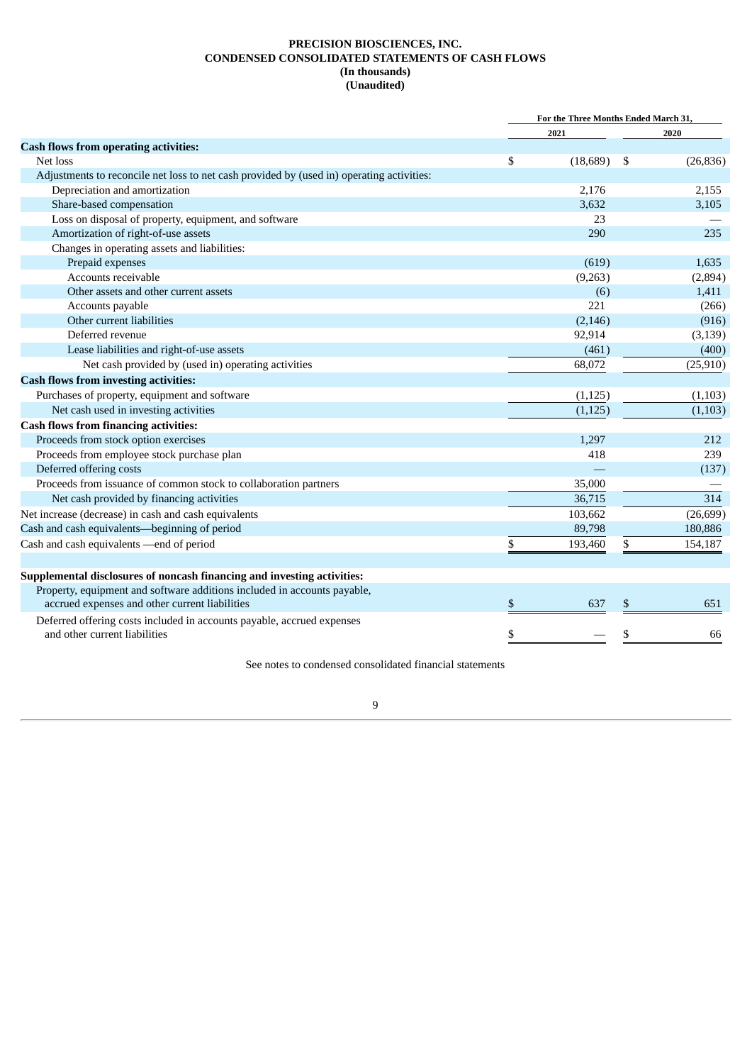## **PRECISION BIOSCIENCES, INC. CONDENSED CONSOLIDATED STATEMENTS OF CASH FLOWS (In thousands) (Unaudited)**

<span id="page-8-0"></span>

|                                                                                           | For the Three Months Ended March 31, |    |           |
|-------------------------------------------------------------------------------------------|--------------------------------------|----|-----------|
|                                                                                           | 2021                                 |    | 2020      |
| <b>Cash flows from operating activities:</b>                                              |                                      |    |           |
| Net loss                                                                                  | \$<br>(18, 689)                      | \$ | (26, 836) |
| Adjustments to reconcile net loss to net cash provided by (used in) operating activities: |                                      |    |           |
| Depreciation and amortization                                                             | 2,176                                |    | 2,155     |
| Share-based compensation                                                                  | 3,632                                |    | 3,105     |
| Loss on disposal of property, equipment, and software                                     | 23                                   |    |           |
| Amortization of right-of-use assets                                                       | 290                                  |    | 235       |
| Changes in operating assets and liabilities:                                              |                                      |    |           |
| Prepaid expenses                                                                          | (619)                                |    | 1,635     |
| Accounts receivable                                                                       | (9,263)                              |    | (2,894)   |
| Other assets and other current assets                                                     | (6)                                  |    | 1,411     |
| Accounts payable                                                                          | 221                                  |    | (266)     |
| Other current liabilities                                                                 | (2, 146)                             |    | (916)     |
| Deferred revenue                                                                          | 92,914                               |    | (3, 139)  |
| Lease liabilities and right-of-use assets                                                 | (461)                                |    | (400)     |
| Net cash provided by (used in) operating activities                                       | 68,072                               |    | (25, 910) |
| <b>Cash flows from investing activities:</b>                                              |                                      |    |           |
| Purchases of property, equipment and software                                             | (1, 125)                             |    | (1, 103)  |
| Net cash used in investing activities                                                     | (1, 125)                             |    | (1,103)   |
| <b>Cash flows from financing activities:</b>                                              |                                      |    |           |
| Proceeds from stock option exercises                                                      | 1,297                                |    | 212       |
| Proceeds from employee stock purchase plan                                                | 418                                  |    | 239       |
| Deferred offering costs                                                                   |                                      |    | (137)     |
| Proceeds from issuance of common stock to collaboration partners                          | 35,000                               |    |           |
| Net cash provided by financing activities                                                 | 36,715                               |    | 314       |
| Net increase (decrease) in cash and cash equivalents                                      | 103,662                              |    | (26, 699) |
| Cash and cash equivalents-beginning of period                                             | 89,798                               |    | 180,886   |
| Cash and cash equivalents -end of period                                                  | \$<br>193,460                        | \$ | 154,187   |
|                                                                                           |                                      |    |           |
| Supplemental disclosures of noncash financing and investing activities:                   |                                      |    |           |
| Property, equipment and software additions included in accounts payable,                  |                                      |    |           |
| accrued expenses and other current liabilities                                            | \$<br>637                            | \$ | 651       |
| Deferred offering costs included in accounts payable, accrued expenses                    |                                      |    |           |
| and other current liabilities                                                             | \$                                   | \$ | 66        |
|                                                                                           |                                      |    |           |
|                                                                                           |                                      |    |           |

See notes to condensed consolidated financial statements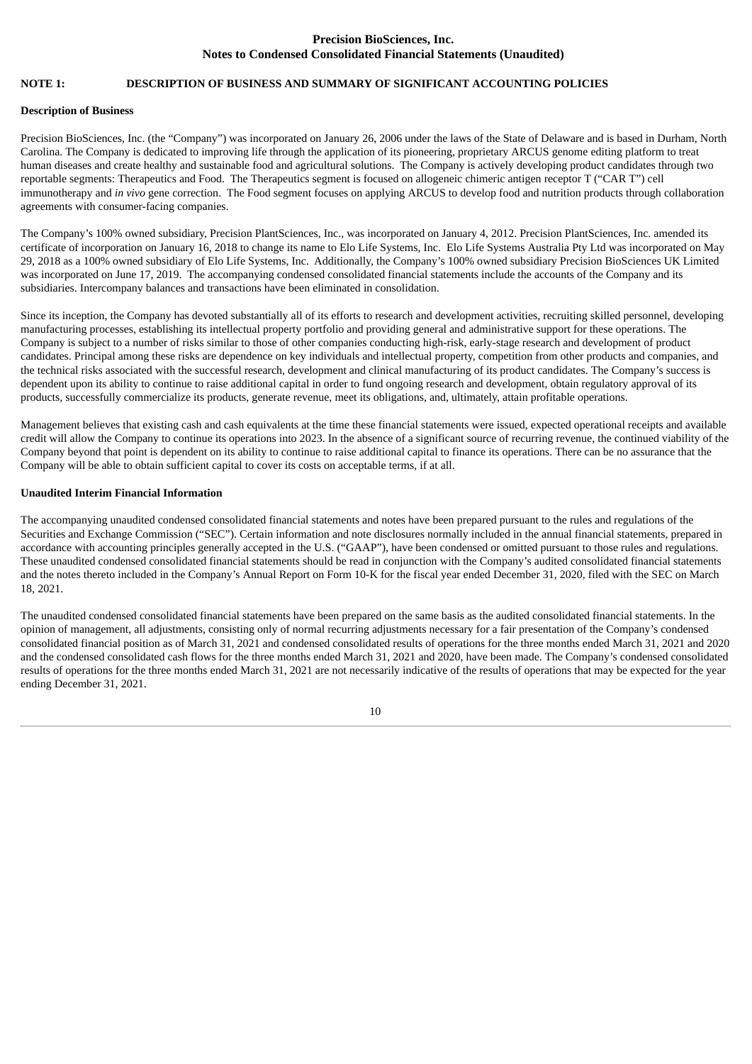## <span id="page-9-0"></span>**Precision BioSciences, Inc. Notes to Condensed Consolidated Financial Statements (Unaudited)**

## **NOTE 1: DESCRIPTION OF BUSINESS AND SUMMARY OF SIGNIFICANT ACCOUNTING POLICIES**

#### **Description of Business**

Precision BioSciences, Inc. (the "Company") was incorporated on January 26, 2006 under the laws of the State of Delaware and is based in Durham, North Carolina. The Company is dedicated to improving life through the application of its pioneering, proprietary ARCUS genome editing platform to treat human diseases and create healthy and sustainable food and agricultural solutions. The Company is actively developing product candidates through two reportable segments: Therapeutics and Food. The Therapeutics segment is focused on allogeneic chimeric antigen receptor T ("CAR T") cell immunotherapy and *in vivo* gene correction. The Food segment focuses on applying ARCUS to develop food and nutrition products through collaboration agreements with consumer-facing companies.

The Company's 100% owned subsidiary, Precision PlantSciences, Inc., was incorporated on January 4, 2012. Precision PlantSciences, Inc. amended its certificate of incorporation on January 16, 2018 to change its name to Elo Life Systems, Inc. Elo Life Systems Australia Pty Ltd was incorporated on May 29, 2018 as a 100% owned subsidiary of Elo Life Systems, Inc. Additionally, the Company's 100% owned subsidiary Precision BioSciences UK Limited was incorporated on June 17, 2019. The accompanying condensed consolidated financial statements include the accounts of the Company and its subsidiaries. Intercompany balances and transactions have been eliminated in consolidation.

Since its inception, the Company has devoted substantially all of its efforts to research and development activities, recruiting skilled personnel, developing manufacturing processes, establishing its intellectual property portfolio and providing general and administrative support for these operations. The Company is subject to a number of risks similar to those of other companies conducting high-risk, early-stage research and development of product candidates. Principal among these risks are dependence on key individuals and intellectual property, competition from other products and companies, and the technical risks associated with the successful research, development and clinical manufacturing of its product candidates. The Company's success is dependent upon its ability to continue to raise additional capital in order to fund ongoing research and development, obtain regulatory approval of its products, successfully commercialize its products, generate revenue, meet its obligations, and, ultimately, attain profitable operations.

Management believes that existing cash and cash equivalents at the time these financial statements were issued, expected operational receipts and available credit will allow the Company to continue its operations into 2023. In the absence of a significant source of recurring revenue, the continued viability of the Company beyond that point is dependent on its ability to continue to raise additional capital to finance its operations. There can be no assurance that the Company will be able to obtain sufficient capital to cover its costs on acceptable terms, if at all.

#### **Unaudited Interim Financial Information**

The accompanying unaudited condensed consolidated financial statements and notes have been prepared pursuant to the rules and regulations of the Securities and Exchange Commission ("SEC"). Certain information and note disclosures normally included in the annual financial statements, prepared in accordance with accounting principles generally accepted in the U.S. ("GAAP"), have been condensed or omitted pursuant to those rules and regulations. These unaudited condensed consolidated financial statements should be read in conjunction with the Company's audited consolidated financial statements and the notes thereto included in the Company's Annual Report on Form 10-K for the fiscal year ended December 31, 2020, filed with the SEC on March 18, 2021.

The unaudited condensed consolidated financial statements have been prepared on the same basis as the audited consolidated financial statements. In the opinion of management, all adjustments, consisting only of normal recurring adjustments necessary for a fair presentation of the Company's condensed consolidated financial position as of March 31, 2021 and condensed consolidated results of operations for the three months ended March 31, 2021 and 2020 and the condensed consolidated cash flows for the three months ended March 31, 2021 and 2020, have been made. The Company's condensed consolidated results of operations for the three months ended March 31, 2021 are not necessarily indicative of the results of operations that may be expected for the year ending December 31, 2021.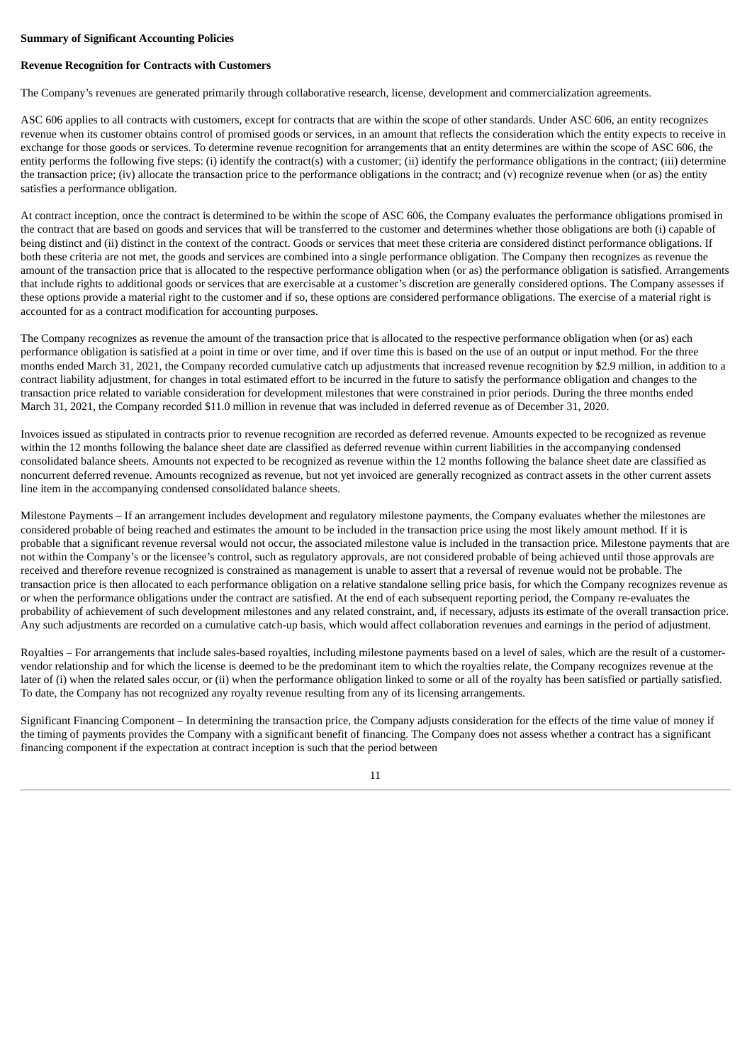#### **Summary of Significant Accounting Policies**

#### **Revenue Recognition for Contracts with Customers**

The Company's revenues are generated primarily through collaborative research, license, development and commercialization agreements.

ASC 606 applies to all contracts with customers, except for contracts that are within the scope of other standards. Under ASC 606, an entity recognizes revenue when its customer obtains control of promised goods or services, in an amount that reflects the consideration which the entity expects to receive in exchange for those goods or services. To determine revenue recognition for arrangements that an entity determines are within the scope of ASC 606, the entity performs the following five steps: (i) identify the contract(s) with a customer; (ii) identify the performance obligations in the contract; (iii) determine the transaction price; (iv) allocate the transaction price to the performance obligations in the contract; and (v) recognize revenue when (or as) the entity satisfies a performance obligation.

At contract inception, once the contract is determined to be within the scope of ASC 606, the Company evaluates the performance obligations promised in the contract that are based on goods and services that will be transferred to the customer and determines whether those obligations are both (i) capable of being distinct and (ii) distinct in the context of the contract. Goods or services that meet these criteria are considered distinct performance obligations. If both these criteria are not met, the goods and services are combined into a single performance obligation. The Company then recognizes as revenue the amount of the transaction price that is allocated to the respective performance obligation when (or as) the performance obligation is satisfied. Arrangements that include rights to additional goods or services that are exercisable at a customer's discretion are generally considered options. The Company assesses if these options provide a material right to the customer and if so, these options are considered performance obligations. The exercise of a material right is accounted for as a contract modification for accounting purposes.

The Company recognizes as revenue the amount of the transaction price that is allocated to the respective performance obligation when (or as) each performance obligation is satisfied at a point in time or over time, and if over time this is based on the use of an output or input method. For the three months ended March 31, 2021, the Company recorded cumulative catch up adjustments that increased revenue recognition by \$2.9 million, in addition to a contract liability adjustment, for changes in total estimated effort to be incurred in the future to satisfy the performance obligation and changes to the transaction price related to variable consideration for development milestones that were constrained in prior periods. During the three months ended March 31, 2021, the Company recorded \$11.0 million in revenue that was included in deferred revenue as of December 31, 2020.

Invoices issued as stipulated in contracts prior to revenue recognition are recorded as deferred revenue. Amounts expected to be recognized as revenue within the 12 months following the balance sheet date are classified as deferred revenue within current liabilities in the accompanying condensed consolidated balance sheets. Amounts not expected to be recognized as revenue within the 12 months following the balance sheet date are classified as noncurrent deferred revenue. Amounts recognized as revenue, but not yet invoiced are generally recognized as contract assets in the other current assets line item in the accompanying condensed consolidated balance sheets.

Milestone Payments – If an arrangement includes development and regulatory milestone payments, the Company evaluates whether the milestones are considered probable of being reached and estimates the amount to be included in the transaction price using the most likely amount method. If it is probable that a significant revenue reversal would not occur, the associated milestone value is included in the transaction price. Milestone payments that are not within the Company's or the licensee's control, such as regulatory approvals, are not considered probable of being achieved until those approvals are received and therefore revenue recognized is constrained as management is unable to assert that a reversal of revenue would not be probable. The transaction price is then allocated to each performance obligation on a relative standalone selling price basis, for which the Company recognizes revenue as or when the performance obligations under the contract are satisfied. At the end of each subsequent reporting period, the Company re-evaluates the probability of achievement of such development milestones and any related constraint, and, if necessary, adjusts its estimate of the overall transaction price. Any such adjustments are recorded on a cumulative catch-up basis, which would affect collaboration revenues and earnings in the period of adjustment.

Royalties – For arrangements that include sales-based royalties, including milestone payments based on a level of sales, which are the result of a customervendor relationship and for which the license is deemed to be the predominant item to which the royalties relate, the Company recognizes revenue at the later of (i) when the related sales occur, or (ii) when the performance obligation linked to some or all of the royalty has been satisfied or partially satisfied. To date, the Company has not recognized any royalty revenue resulting from any of its licensing arrangements.

Significant Financing Component – In determining the transaction price, the Company adjusts consideration for the effects of the time value of money if the timing of payments provides the Company with a significant benefit of financing. The Company does not assess whether a contract has a significant financing component if the expectation at contract inception is such that the period between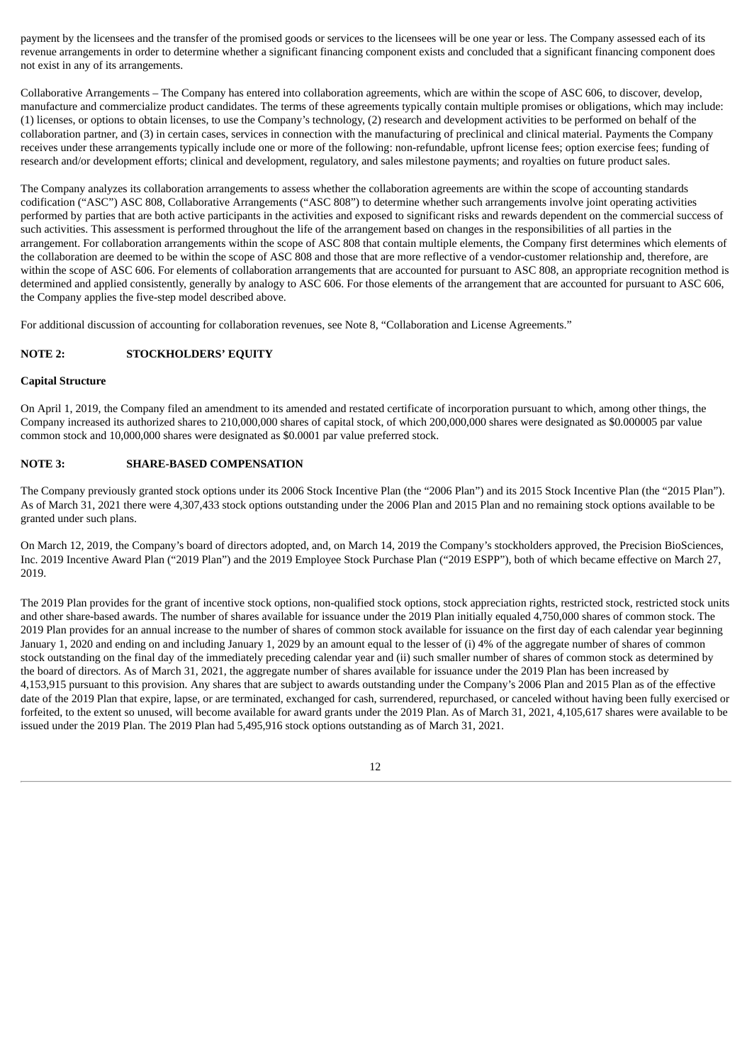payment by the licensees and the transfer of the promised goods or services to the licensees will be one year or less. The Company assessed each of its revenue arrangements in order to determine whether a significant financing component exists and concluded that a significant financing component does not exist in any of its arrangements.

Collaborative Arrangements – The Company has entered into collaboration agreements, which are within the scope of ASC 606, to discover, develop, manufacture and commercialize product candidates. The terms of these agreements typically contain multiple promises or obligations, which may include: (1) licenses, or options to obtain licenses, to use the Company's technology, (2) research and development activities to be performed on behalf of the collaboration partner, and (3) in certain cases, services in connection with the manufacturing of preclinical and clinical material. Payments the Company receives under these arrangements typically include one or more of the following: non-refundable, upfront license fees; option exercise fees; funding of research and/or development efforts; clinical and development, regulatory, and sales milestone payments; and royalties on future product sales.

The Company analyzes its collaboration arrangements to assess whether the collaboration agreements are within the scope of accounting standards codification ("ASC") ASC 808, Collaborative Arrangements ("ASC 808") to determine whether such arrangements involve joint operating activities performed by parties that are both active participants in the activities and exposed to significant risks and rewards dependent on the commercial success of such activities. This assessment is performed throughout the life of the arrangement based on changes in the responsibilities of all parties in the arrangement. For collaboration arrangements within the scope of ASC 808 that contain multiple elements, the Company first determines which elements of the collaboration are deemed to be within the scope of ASC 808 and those that are more reflective of a vendor-customer relationship and, therefore, are within the scope of ASC 606. For elements of collaboration arrangements that are accounted for pursuant to ASC 808, an appropriate recognition method is determined and applied consistently, generally by analogy to ASC 606. For those elements of the arrangement that are accounted for pursuant to ASC 606, the Company applies the five-step model described above.

For additional discussion of accounting for collaboration revenues, see Note 8, "Collaboration and License Agreements."

## **NOTE 2: STOCKHOLDERS' EQUITY**

#### **Capital Structure**

On April 1, 2019, the Company filed an amendment to its amended and restated certificate of incorporation pursuant to which, among other things, the Company increased its authorized shares to 210,000,000 shares of capital stock, of which 200,000,000 shares were designated as \$0.000005 par value common stock and 10,000,000 shares were designated as \$0.0001 par value preferred stock.

## **NOTE 3: SHARE-BASED COMPENSATION**

The Company previously granted stock options under its 2006 Stock Incentive Plan (the "2006 Plan") and its 2015 Stock Incentive Plan (the "2015 Plan"). As of March 31, 2021 there were 4,307,433 stock options outstanding under the 2006 Plan and 2015 Plan and no remaining stock options available to be granted under such plans.

On March 12, 2019, the Company's board of directors adopted, and, on March 14, 2019 the Company's stockholders approved, the Precision BioSciences, Inc. 2019 Incentive Award Plan ("2019 Plan") and the 2019 Employee Stock Purchase Plan ("2019 ESPP"), both of which became effective on March 27, 2019.

The 2019 Plan provides for the grant of incentive stock options, non-qualified stock options, stock appreciation rights, restricted stock, restricted stock units and other share-based awards. The number of shares available for issuance under the 2019 Plan initially equaled 4,750,000 shares of common stock. The 2019 Plan provides for an annual increase to the number of shares of common stock available for issuance on the first day of each calendar year beginning January 1, 2020 and ending on and including January 1, 2029 by an amount equal to the lesser of (i) 4% of the aggregate number of shares of common stock outstanding on the final day of the immediately preceding calendar year and (ii) such smaller number of shares of common stock as determined by the board of directors. As of March 31, 2021, the aggregate number of shares available for issuance under the 2019 Plan has been increased by 4,153,915 pursuant to this provision. Any shares that are subject to awards outstanding under the Company's 2006 Plan and 2015 Plan as of the effective date of the 2019 Plan that expire, lapse, or are terminated, exchanged for cash, surrendered, repurchased, or canceled without having been fully exercised or forfeited, to the extent so unused, will become available for award grants under the 2019 Plan. As of March 31, 2021, 4,105,617 shares were available to be issued under the 2019 Plan. The 2019 Plan had 5,495,916 stock options outstanding as of March 31, 2021.

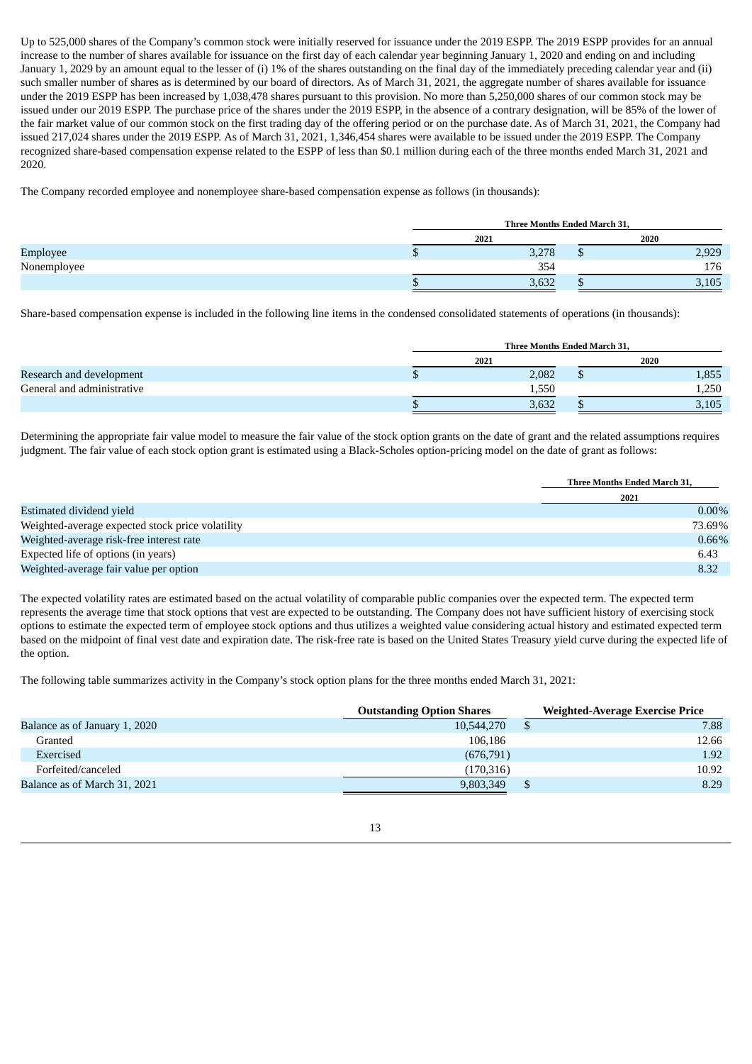Up to 525,000 shares of the Company's common stock were initially reserved for issuance under the 2019 ESPP. The 2019 ESPP provides for an annual increase to the number of shares available for issuance on the first day of each calendar year beginning January 1, 2020 and ending on and including January 1, 2029 by an amount equal to the lesser of (i) 1% of the shares outstanding on the final day of the immediately preceding calendar year and (ii) such smaller number of shares as is determined by our board of directors. As of March 31, 2021, the aggregate number of shares available for issuance under the 2019 ESPP has been increased by 1,038,478 shares pursuant to this provision. No more than 5,250,000 shares of our common stock may be issued under our 2019 ESPP. The purchase price of the shares under the 2019 ESPP, in the absence of a contrary designation, will be 85% of the lower of the fair market value of our common stock on the first trading day of the offering period or on the purchase date. As of March 31, 2021, the Company had issued 217,024 shares under the 2019 ESPP. As of March 31, 2021, 1,346,454 shares were available to be issued under the 2019 ESPP. The Company recognized share-based compensation expense related to the ESPP of less than \$0.1 million during each of the three months ended March 31, 2021 and 2020.

The Company recorded employee and nonemployee share-based compensation expense as follows (in thousands):

|             | Three Months Ended March 31, |       |
|-------------|------------------------------|-------|
|             | 2021                         | 2020  |
| Employee    | 3,278                        | 2,929 |
| Nonemployee | 354                          | 176   |
|             | 3,632                        | 3,105 |

Share-based compensation expense is included in the following line items in the condensed consolidated statements of operations (in thousands):

|                            | Three Months Ended March 31. |  |       |  |  |
|----------------------------|------------------------------|--|-------|--|--|
|                            | 2021                         |  | 2020  |  |  |
| Research and development   | 2,082                        |  | 1,855 |  |  |
| General and administrative | 1,550                        |  | 1,250 |  |  |
|                            | 3,632                        |  | 3,105 |  |  |

Determining the appropriate fair value model to measure the fair value of the stock option grants on the date of grant and the related assumptions requires judgment. The fair value of each stock option grant is estimated using a Black-Scholes option-pricing model on the date of grant as follows:

|                                                  | <b>Three Months Ended March 31.</b> |
|--------------------------------------------------|-------------------------------------|
|                                                  | 2021                                |
| Estimated dividend vield                         | $0.00\%$                            |
| Weighted-average expected stock price volatility | 73.69%                              |
| Weighted-average risk-free interest rate         | 0.66%                               |
| Expected life of options (in years)              | 6.43                                |
| Weighted-average fair value per option           | 8.32                                |

The expected volatility rates are estimated based on the actual volatility of comparable public companies over the expected term. The expected term represents the average time that stock options that vest are expected to be outstanding. The Company does not have sufficient history of exercising stock options to estimate the expected term of employee stock options and thus utilizes a weighted value considering actual history and estimated expected term based on the midpoint of final vest date and expiration date. The risk-free rate is based on the United States Treasury yield curve during the expected life of the option.

The following table summarizes activity in the Company's stock option plans for the three months ended March 31, 2021:

|                               | <b>Outstanding Option Shares</b> | <b>Weighted-Average Exercise Price</b> |       |
|-------------------------------|----------------------------------|----------------------------------------|-------|
| Balance as of January 1, 2020 | 10,544,270                       |                                        | 7.88  |
| Granted                       | 106,186                          |                                        | 12.66 |
| Exercised                     | (676, 791)                       |                                        | 1.92  |
| Forfeited/canceled            | (170, 316)                       |                                        | 10.92 |
| Balance as of March 31, 2021  | 9,803,349                        |                                        | 8.29  |

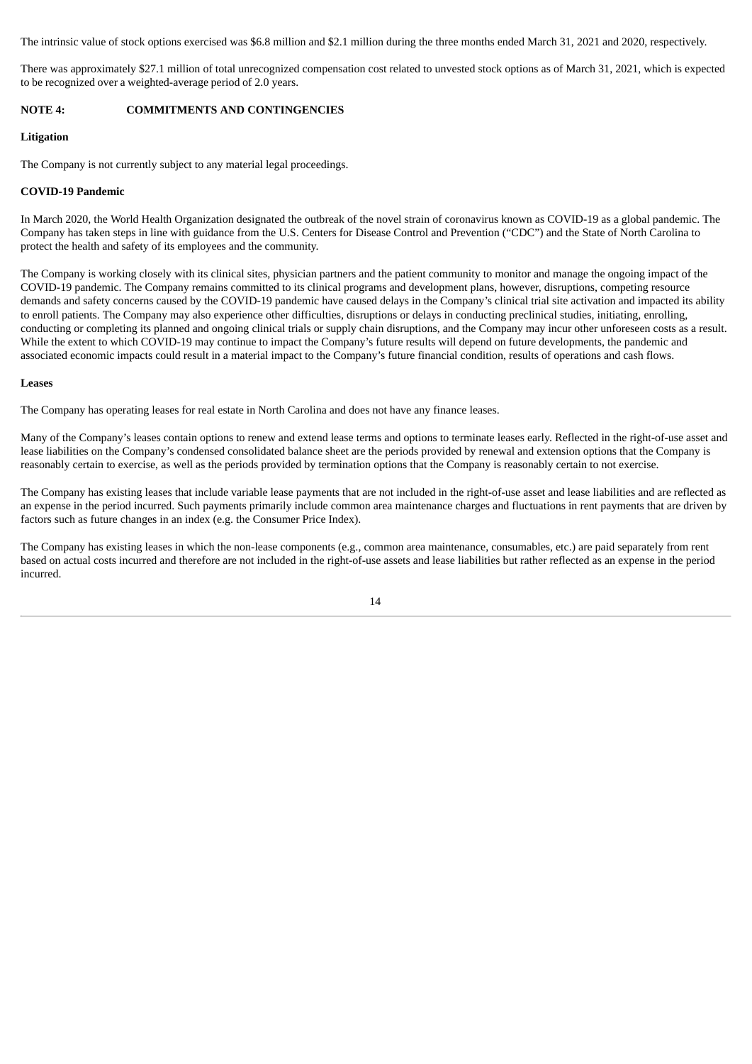The intrinsic value of stock options exercised was \$6.8 million and \$2.1 million during the three months ended March 31, 2021 and 2020, respectively.

There was approximately \$27.1 million of total unrecognized compensation cost related to unvested stock options as of March 31, 2021, which is expected to be recognized over a weighted-average period of 2.0 years.

#### **NOTE 4: COMMITMENTS AND CONTINGENCIES**

#### **Litigation**

The Company is not currently subject to any material legal proceedings.

#### **COVID-19 Pandemic**

In March 2020, the World Health Organization designated the outbreak of the novel strain of coronavirus known as COVID-19 as a global pandemic. The Company has taken steps in line with guidance from the U.S. Centers for Disease Control and Prevention ("CDC") and the State of North Carolina to protect the health and safety of its employees and the community.

The Company is working closely with its clinical sites, physician partners and the patient community to monitor and manage the ongoing impact of the COVID-19 pandemic. The Company remains committed to its clinical programs and development plans, however, disruptions, competing resource demands and safety concerns caused by the COVID-19 pandemic have caused delays in the Company's clinical trial site activation and impacted its ability to enroll patients. The Company may also experience other difficulties, disruptions or delays in conducting preclinical studies, initiating, enrolling, conducting or completing its planned and ongoing clinical trials or supply chain disruptions, and the Company may incur other unforeseen costs as a result. While the extent to which COVID-19 may continue to impact the Company's future results will depend on future developments, the pandemic and associated economic impacts could result in a material impact to the Company's future financial condition, results of operations and cash flows.

#### **Leases**

The Company has operating leases for real estate in North Carolina and does not have any finance leases.

Many of the Company's leases contain options to renew and extend lease terms and options to terminate leases early. Reflected in the right-of-use asset and lease liabilities on the Company's condensed consolidated balance sheet are the periods provided by renewal and extension options that the Company is reasonably certain to exercise, as well as the periods provided by termination options that the Company is reasonably certain to not exercise.

The Company has existing leases that include variable lease payments that are not included in the right-of-use asset and lease liabilities and are reflected as an expense in the period incurred. Such payments primarily include common area maintenance charges and fluctuations in rent payments that are driven by factors such as future changes in an index (e.g. the Consumer Price Index).

The Company has existing leases in which the non-lease components (e.g., common area maintenance, consumables, etc.) are paid separately from rent based on actual costs incurred and therefore are not included in the right-of-use assets and lease liabilities but rather reflected as an expense in the period incurred.

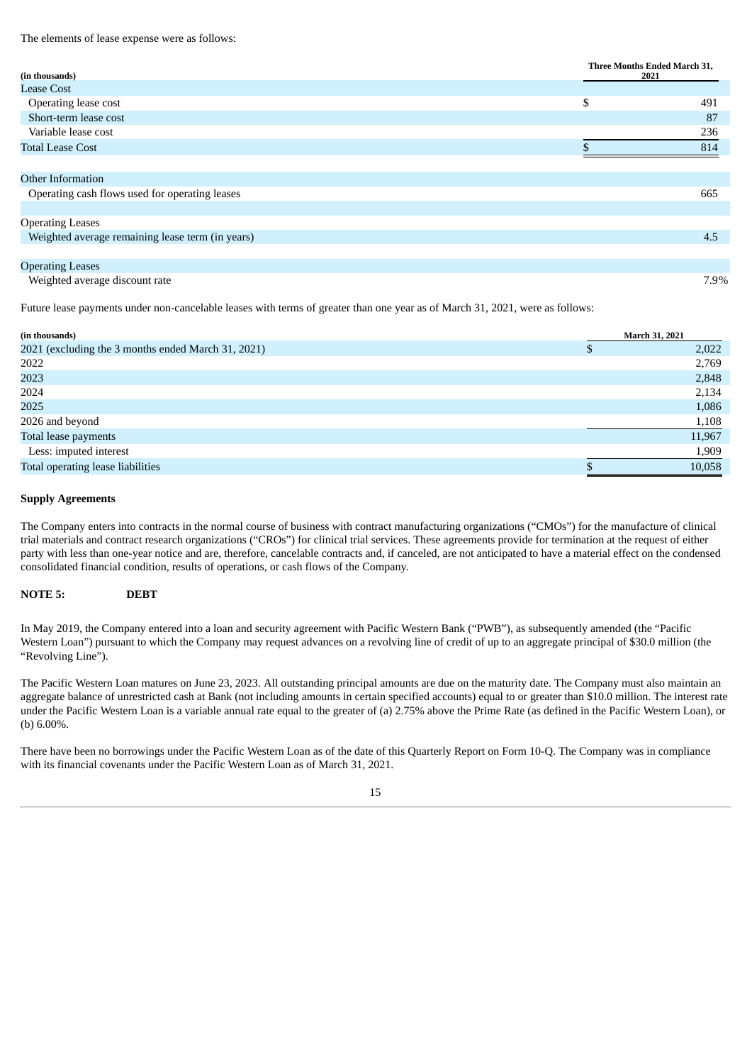The elements of lease expense were as follows:

| (in thousands)                                   | Three Months Ended March 31,<br>2021 |      |
|--------------------------------------------------|--------------------------------------|------|
| <b>Lease Cost</b>                                |                                      |      |
| Operating lease cost                             | \$                                   | 491  |
| Short-term lease cost                            |                                      | 87   |
| Variable lease cost                              |                                      | 236  |
| <b>Total Lease Cost</b>                          |                                      | 814  |
|                                                  |                                      |      |
| Other Information                                |                                      |      |
| Operating cash flows used for operating leases   |                                      | 665  |
|                                                  |                                      |      |
| <b>Operating Leases</b>                          |                                      |      |
| Weighted average remaining lease term (in years) |                                      | 4.5  |
|                                                  |                                      |      |
| <b>Operating Leases</b>                          |                                      |      |
| Weighted average discount rate                   |                                      | 7.9% |

Future lease payments under non-cancelable leases with terms of greater than one year as of March 31, 2021, were as follows:

| (in thousands)                                     | <b>March 31, 2021</b> |        |
|----------------------------------------------------|-----------------------|--------|
| 2021 (excluding the 3 months ended March 31, 2021) |                       | 2,022  |
| 2022                                               |                       | 2,769  |
| 2023                                               |                       | 2,848  |
| 2024                                               |                       | 2,134  |
| 2025                                               |                       | 1,086  |
| 2026 and beyond                                    |                       | 1,108  |
| Total lease payments                               |                       | 11,967 |
| Less: imputed interest                             |                       | 1,909  |
| Total operating lease liabilities                  |                       | 10,058 |

#### **Supply Agreements**

The Company enters into contracts in the normal course of business with contract manufacturing organizations ("CMOs") for the manufacture of clinical trial materials and contract research organizations ("CROs") for clinical trial services. These agreements provide for termination at the request of either party with less than one-year notice and are, therefore, cancelable contracts and, if canceled, are not anticipated to have a material effect on the condensed consolidated financial condition, results of operations, or cash flows of the Company.

## **NOTE 5: DEBT**

In May 2019, the Company entered into a loan and security agreement with Pacific Western Bank ("PWB"), as subsequently amended (the "Pacific Western Loan") pursuant to which the Company may request advances on a revolving line of credit of up to an aggregate principal of \$30.0 million (the "Revolving Line").

The Pacific Western Loan matures on June 23, 2023. All outstanding principal amounts are due on the maturity date. The Company must also maintain an aggregate balance of unrestricted cash at Bank (not including amounts in certain specified accounts) equal to or greater than \$10.0 million. The interest rate under the Pacific Western Loan is a variable annual rate equal to the greater of (a) 2.75% above the Prime Rate (as defined in the Pacific Western Loan), or (b) 6.00%.

There have been no borrowings under the Pacific Western Loan as of the date of this Quarterly Report on Form 10-Q. The Company was in compliance with its financial covenants under the Pacific Western Loan as of March 31, 2021.

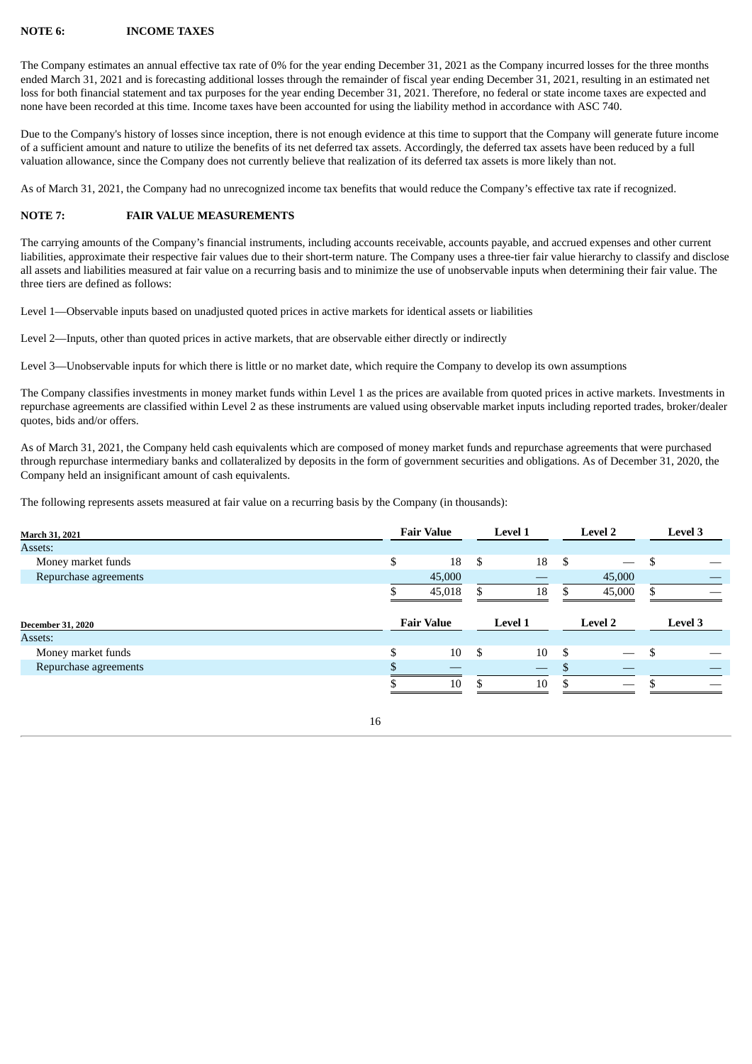#### **NOTE 6: INCOME TAXES**

The Company estimates an annual effective tax rate of 0% for the year ending December 31, 2021 as the Company incurred losses for the three months ended March 31, 2021 and is forecasting additional losses through the remainder of fiscal year ending December 31, 2021, resulting in an estimated net loss for both financial statement and tax purposes for the year ending December 31, 2021. Therefore, no federal or state income taxes are expected and none have been recorded at this time. Income taxes have been accounted for using the liability method in accordance with ASC 740.

Due to the Company's history of losses since inception, there is not enough evidence at this time to support that the Company will generate future income of a sufficient amount and nature to utilize the benefits of its net deferred tax assets. Accordingly, the deferred tax assets have been reduced by a full valuation allowance, since the Company does not currently believe that realization of its deferred tax assets is more likely than not.

As of March 31, 2021, the Company had no unrecognized income tax benefits that would reduce the Company's effective tax rate if recognized.

#### **NOTE 7: FAIR VALUE MEASUREMENTS**

The carrying amounts of the Company's financial instruments, including accounts receivable, accounts payable, and accrued expenses and other current liabilities, approximate their respective fair values due to their short-term nature. The Company uses a three-tier fair value hierarchy to classify and disclose all assets and liabilities measured at fair value on a recurring basis and to minimize the use of unobservable inputs when determining their fair value. The three tiers are defined as follows:

Level 1—Observable inputs based on unadjusted quoted prices in active markets for identical assets or liabilities

Level 2—Inputs, other than quoted prices in active markets, that are observable either directly or indirectly

Level 3—Unobservable inputs for which there is little or no market date, which require the Company to develop its own assumptions

The Company classifies investments in money market funds within Level 1 as the prices are available from quoted prices in active markets. Investments in repurchase agreements are classified within Level 2 as these instruments are valued using observable market inputs including reported trades, broker/dealer quotes, bids and/or offers.

As of March 31, 2021, the Company held cash equivalents which are composed of money market funds and repurchase agreements that were purchased through repurchase intermediary banks and collateralized by deposits in the form of government securities and obligations. As of December 31, 2020, the Company held an insignificant amount of cash equivalents.

The following represents assets measured at fair value on a recurring basis by the Company (in thousands):

|    |        |                                        | <b>Level 1</b> |      | <b>Level 2</b>           | <b>Level 3</b> |
|----|--------|----------------------------------------|----------------|------|--------------------------|----------------|
|    |        |                                        |                |      |                          |                |
| \$ | 18     | -\$                                    | 18             | - \$ | $\overline{\phantom{0}}$ |                |
|    | 45,000 |                                        |                |      | 45,000                   |                |
|    | 45,018 |                                        | 18             |      | 45,000                   |                |
|    |        |                                        | <b>Level 1</b> |      | <b>Level 2</b>           | <b>Level 3</b> |
|    |        |                                        |                |      |                          |                |
| đ  | 10     | S                                      | 10             | - \$ |                          |                |
|    |        |                                        |                |      |                          |                |
|    |        |                                        |                |      |                          |                |
|    |        | <b>Fair Value</b><br><b>Fair Value</b> |                |      |                          |                |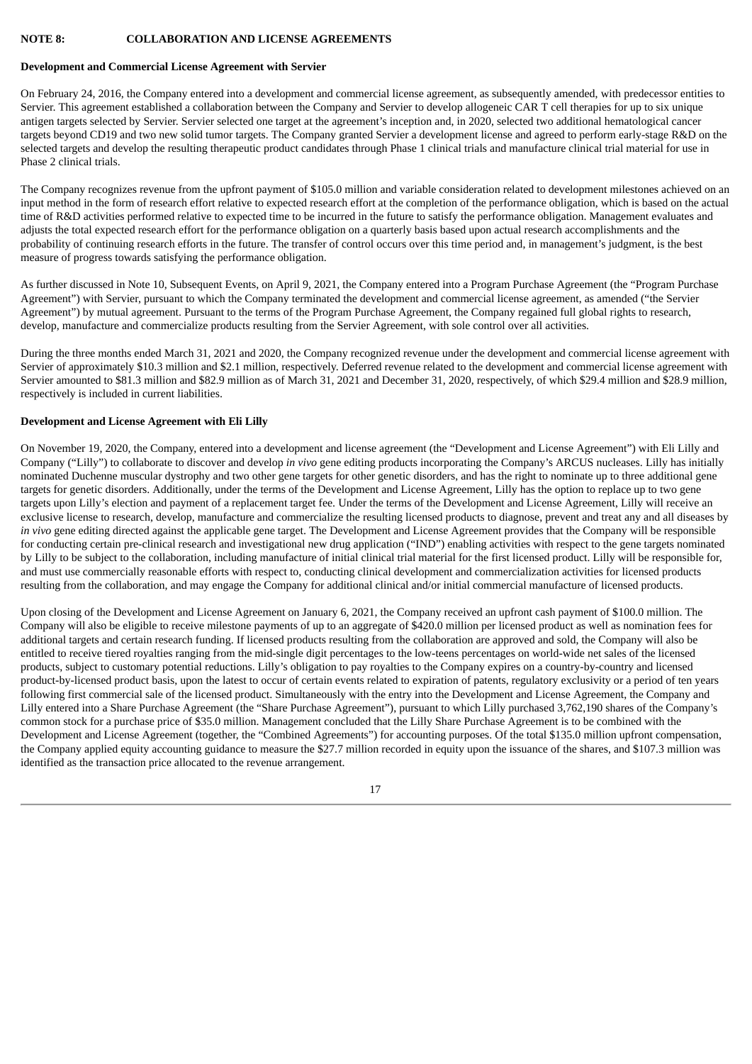## **NOTE 8: COLLABORATION AND LICENSE AGREEMENTS**

#### **Development and Commercial License Agreement with Servier**

On February 24, 2016, the Company entered into a development and commercial license agreement, as subsequently amended, with predecessor entities to Servier. This agreement established a collaboration between the Company and Servier to develop allogeneic CAR T cell therapies for up to six unique antigen targets selected by Servier. Servier selected one target at the agreement's inception and, in 2020, selected two additional hematological cancer targets beyond CD19 and two new solid tumor targets. The Company granted Servier a development license and agreed to perform early-stage R&D on the selected targets and develop the resulting therapeutic product candidates through Phase 1 clinical trials and manufacture clinical trial material for use in Phase 2 clinical trials.

The Company recognizes revenue from the upfront payment of \$105.0 million and variable consideration related to development milestones achieved on an input method in the form of research effort relative to expected research effort at the completion of the performance obligation, which is based on the actual time of R&D activities performed relative to expected time to be incurred in the future to satisfy the performance obligation. Management evaluates and adjusts the total expected research effort for the performance obligation on a quarterly basis based upon actual research accomplishments and the probability of continuing research efforts in the future. The transfer of control occurs over this time period and, in management's judgment, is the best measure of progress towards satisfying the performance obligation.

As further discussed in Note 10, Subsequent Events, on April 9, 2021, the Company entered into a Program Purchase Agreement (the "Program Purchase Agreement") with Servier, pursuant to which the Company terminated the development and commercial license agreement, as amended ("the Servier Agreement") by mutual agreement. Pursuant to the terms of the Program Purchase Agreement, the Company regained full global rights to research, develop, manufacture and commercialize products resulting from the Servier Agreement, with sole control over all activities.

During the three months ended March 31, 2021 and 2020, the Company recognized revenue under the development and commercial license agreement with Servier of approximately \$10.3 million and \$2.1 million, respectively. Deferred revenue related to the development and commercial license agreement with Servier amounted to \$81.3 million and \$82.9 million as of March 31, 2021 and December 31, 2020, respectively, of which \$29.4 million and \$28.9 million, respectively is included in current liabilities.

#### **Development and License Agreement with Eli Lilly**

On November 19, 2020, the Company, entered into a development and license agreement (the "Development and License Agreement") with Eli Lilly and Company ("Lilly") to collaborate to discover and develop *in vivo* gene editing products incorporating the Company's ARCUS nucleases. Lilly has initially nominated Duchenne muscular dystrophy and two other gene targets for other genetic disorders, and has the right to nominate up to three additional gene targets for genetic disorders. Additionally, under the terms of the Development and License Agreement, Lilly has the option to replace up to two gene targets upon Lilly's election and payment of a replacement target fee. Under the terms of the Development and License Agreement, Lilly will receive an exclusive license to research, develop, manufacture and commercialize the resulting licensed products to diagnose, prevent and treat any and all diseases by *in vivo* gene editing directed against the applicable gene target. The Development and License Agreement provides that the Company will be responsible for conducting certain pre-clinical research and investigational new drug application ("IND") enabling activities with respect to the gene targets nominated by Lilly to be subject to the collaboration, including manufacture of initial clinical trial material for the first licensed product. Lilly will be responsible for, and must use commercially reasonable efforts with respect to, conducting clinical development and commercialization activities for licensed products resulting from the collaboration, and may engage the Company for additional clinical and/or initial commercial manufacture of licensed products.

Upon closing of the Development and License Agreement on January 6, 2021, the Company received an upfront cash payment of \$100.0 million. The Company will also be eligible to receive milestone payments of up to an aggregate of \$420.0 million per licensed product as well as nomination fees for additional targets and certain research funding. If licensed products resulting from the collaboration are approved and sold, the Company will also be entitled to receive tiered royalties ranging from the mid-single digit percentages to the low-teens percentages on world-wide net sales of the licensed products, subject to customary potential reductions. Lilly's obligation to pay royalties to the Company expires on a country-by-country and licensed product-by-licensed product basis, upon the latest to occur of certain events related to expiration of patents, regulatory exclusivity or a period of ten years following first commercial sale of the licensed product. Simultaneously with the entry into the Development and License Agreement, the Company and Lilly entered into a Share Purchase Agreement (the "Share Purchase Agreement"), pursuant to which Lilly purchased 3,762,190 shares of the Company's common stock for a purchase price of \$35.0 million. Management concluded that the Lilly Share Purchase Agreement is to be combined with the Development and License Agreement (together, the "Combined Agreements") for accounting purposes. Of the total \$135.0 million upfront compensation, the Company applied equity accounting guidance to measure the \$27.7 million recorded in equity upon the issuance of the shares, and \$107.3 million was identified as the transaction price allocated to the revenue arrangement.

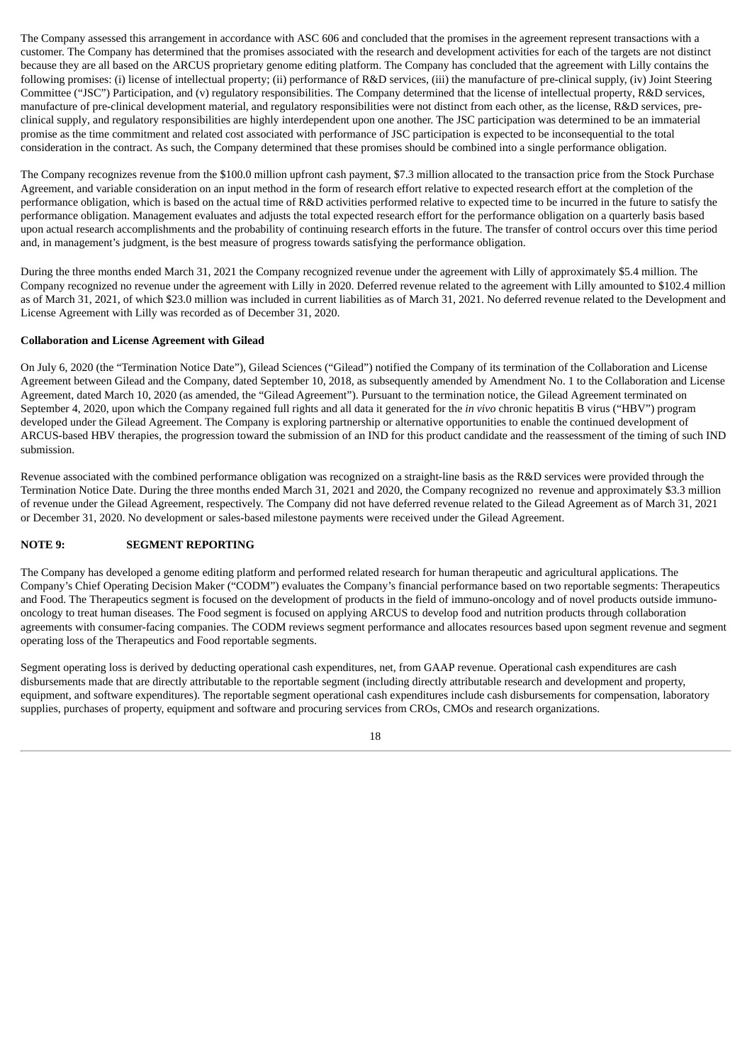The Company assessed this arrangement in accordance with ASC 606 and concluded that the promises in the agreement represent transactions with a customer. The Company has determined that the promises associated with the research and development activities for each of the targets are not distinct because they are all based on the ARCUS proprietary genome editing platform. The Company has concluded that the agreement with Lilly contains the following promises: (i) license of intellectual property; (ii) performance of R&D services, (iii) the manufacture of pre-clinical supply, (iv) Joint Steering Committee ("JSC") Participation, and (v) regulatory responsibilities. The Company determined that the license of intellectual property, R&D services, manufacture of pre-clinical development material, and regulatory responsibilities were not distinct from each other, as the license, R&D services, preclinical supply, and regulatory responsibilities are highly interdependent upon one another. The JSC participation was determined to be an immaterial promise as the time commitment and related cost associated with performance of JSC participation is expected to be inconsequential to the total consideration in the contract. As such, the Company determined that these promises should be combined into a single performance obligation.

The Company recognizes revenue from the \$100.0 million upfront cash payment, \$7.3 million allocated to the transaction price from the Stock Purchase Agreement, and variable consideration on an input method in the form of research effort relative to expected research effort at the completion of the performance obligation, which is based on the actual time of R&D activities performed relative to expected time to be incurred in the future to satisfy the performance obligation. Management evaluates and adjusts the total expected research effort for the performance obligation on a quarterly basis based upon actual research accomplishments and the probability of continuing research efforts in the future. The transfer of control occurs over this time period and, in management's judgment, is the best measure of progress towards satisfying the performance obligation.

During the three months ended March 31, 2021 the Company recognized revenue under the agreement with Lilly of approximately \$5.4 million. The Company recognized no revenue under the agreement with Lilly in 2020. Deferred revenue related to the agreement with Lilly amounted to \$102.4 million as of March 31, 2021, of which \$23.0 million was included in current liabilities as of March 31, 2021. No deferred revenue related to the Development and License Agreement with Lilly was recorded as of December 31, 2020.

## **Collaboration and License Agreement with Gilead**

On July 6, 2020 (the "Termination Notice Date"), Gilead Sciences ("Gilead") notified the Company of its termination of the Collaboration and License Agreement between Gilead and the Company, dated September 10, 2018, as subsequently amended by Amendment No. 1 to the Collaboration and License Agreement, dated March 10, 2020 (as amended, the "Gilead Agreement"). Pursuant to the termination notice, the Gilead Agreement terminated on September 4, 2020, upon which the Company regained full rights and all data it generated for the *in vivo* chronic hepatitis B virus ("HBV") program developed under the Gilead Agreement. The Company is exploring partnership or alternative opportunities to enable the continued development of ARCUS-based HBV therapies, the progression toward the submission of an IND for this product candidate and the reassessment of the timing of such IND submission.

Revenue associated with the combined performance obligation was recognized on a straight-line basis as the R&D services were provided through the Termination Notice Date. During the three months ended March 31, 2021 and 2020, the Company recognized no revenue and approximately \$3.3 million of revenue under the Gilead Agreement, respectively. The Company did not have deferred revenue related to the Gilead Agreement as of March 31, 2021 or December 31, 2020. No development or sales-based milestone payments were received under the Gilead Agreement.

#### **NOTE 9: SEGMENT REPORTING**

The Company has developed a genome editing platform and performed related research for human therapeutic and agricultural applications. The Company's Chief Operating Decision Maker ("CODM") evaluates the Company's financial performance based on two reportable segments: Therapeutics and Food. The Therapeutics segment is focused on the development of products in the field of immuno-oncology and of novel products outside immunooncology to treat human diseases. The Food segment is focused on applying ARCUS to develop food and nutrition products through collaboration agreements with consumer-facing companies. The CODM reviews segment performance and allocates resources based upon segment revenue and segment operating loss of the Therapeutics and Food reportable segments.

Segment operating loss is derived by deducting operational cash expenditures, net, from GAAP revenue. Operational cash expenditures are cash disbursements made that are directly attributable to the reportable segment (including directly attributable research and development and property, equipment, and software expenditures). The reportable segment operational cash expenditures include cash disbursements for compensation, laboratory supplies, purchases of property, equipment and software and procuring services from CROs, CMOs and research organizations.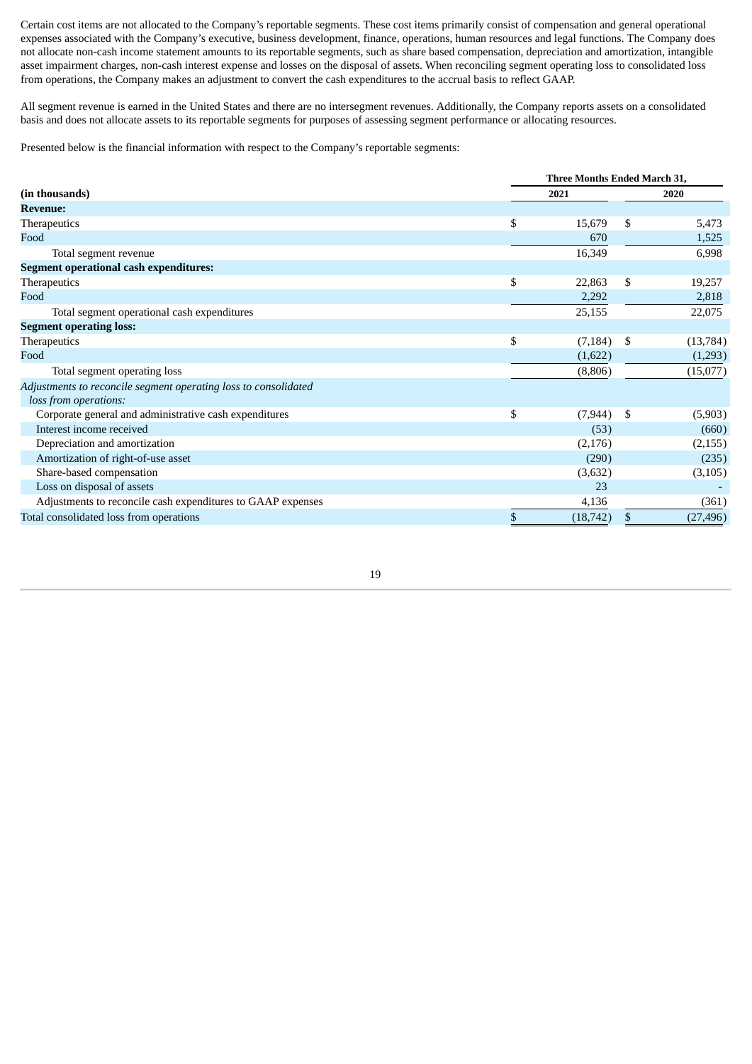Certain cost items are not allocated to the Company's reportable segments. These cost items primarily consist of compensation and general operational expenses associated with the Company's executive, business development, finance, operations, human resources and legal functions. The Company does not allocate non-cash income statement amounts to its reportable segments, such as share based compensation, depreciation and amortization, intangible asset impairment charges, non-cash interest expense and losses on the disposal of assets. When reconciling segment operating loss to consolidated loss from operations, the Company makes an adjustment to convert the cash expenditures to the accrual basis to reflect GAAP.

All segment revenue is earned in the United States and there are no intersegment revenues. Additionally, the Company reports assets on a consolidated basis and does not allocate assets to its reportable segments for purposes of assessing segment performance or allocating resources.

Presented below is the financial information with respect to the Company's reportable segments:

|                                                                                          | Three Months Ended March 31, |      |           |  |
|------------------------------------------------------------------------------------------|------------------------------|------|-----------|--|
| (in thousands)                                                                           | 2021                         | 2020 |           |  |
| <b>Revenue:</b>                                                                          |                              |      |           |  |
| Therapeutics                                                                             | \$<br>15,679                 | \$   | 5,473     |  |
| Food                                                                                     | 670                          |      | 1,525     |  |
| Total segment revenue                                                                    | 16,349                       |      | 6,998     |  |
| <b>Segment operational cash expenditures:</b>                                            |                              |      |           |  |
| <b>Therapeutics</b>                                                                      | \$<br>22,863                 | \$   | 19,257    |  |
| Food                                                                                     | 2,292                        |      | 2,818     |  |
| Total segment operational cash expenditures                                              | 25,155                       |      | 22,075    |  |
| <b>Segment operating loss:</b>                                                           |                              |      |           |  |
| Therapeutics                                                                             | \$<br>(7, 184)               | \$   | (13,784)  |  |
| Food                                                                                     | (1,622)                      |      | (1,293)   |  |
| Total segment operating loss                                                             | (8,806)                      |      | (15,077)  |  |
| Adjustments to reconcile segment operating loss to consolidated<br>loss from operations: |                              |      |           |  |
| Corporate general and administrative cash expenditures                                   | \$<br>(7, 944)               | \$   | (5,903)   |  |
| Interest income received                                                                 | (53)                         |      | (660)     |  |
| Depreciation and amortization                                                            | (2,176)                      |      | (2, 155)  |  |
| Amortization of right-of-use asset                                                       | (290)                        |      | (235)     |  |
| Share-based compensation                                                                 | (3,632)                      |      | (3, 105)  |  |
| Loss on disposal of assets                                                               | 23                           |      |           |  |
| Adjustments to reconcile cash expenditures to GAAP expenses                              | 4,136                        |      | (361)     |  |
| Total consolidated loss from operations                                                  | \$<br>(18,742)               | \$   | (27, 496) |  |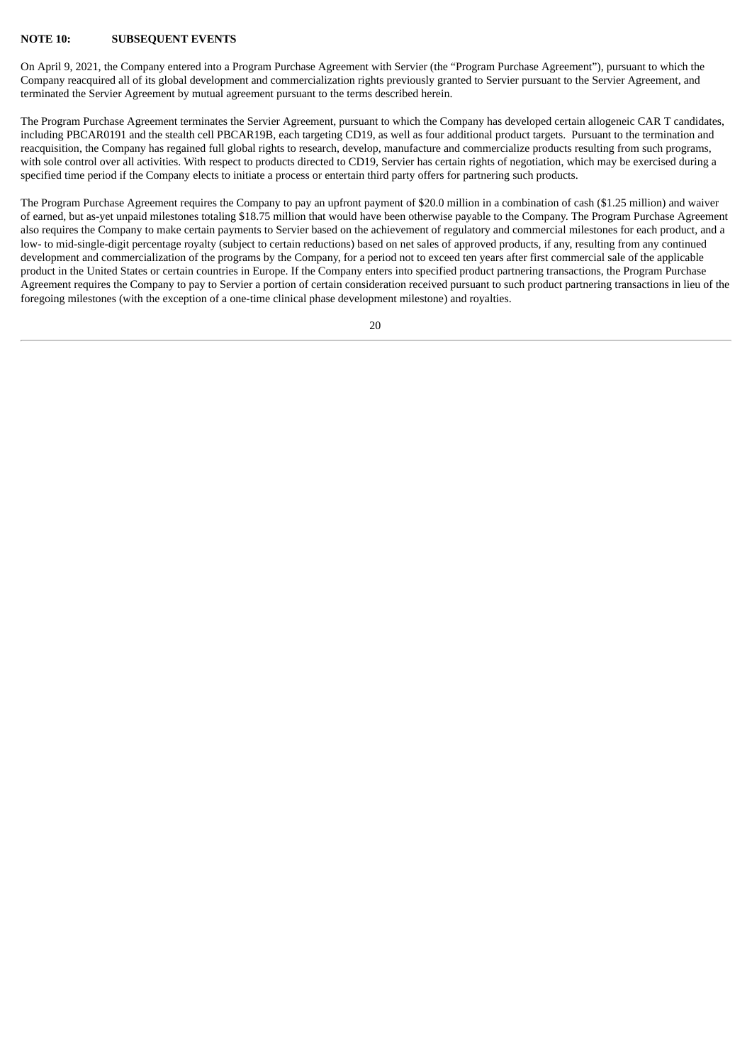## **NOTE 10: SUBSEQUENT EVENTS**

On April 9, 2021, the Company entered into a Program Purchase Agreement with Servier (the "Program Purchase Agreement"), pursuant to which the Company reacquired all of its global development and commercialization rights previously granted to Servier pursuant to the Servier Agreement, and terminated the Servier Agreement by mutual agreement pursuant to the terms described herein.

The Program Purchase Agreement terminates the Servier Agreement, pursuant to which the Company has developed certain allogeneic CAR T candidates, including PBCAR0191 and the stealth cell PBCAR19B, each targeting CD19, as well as four additional product targets. Pursuant to the termination and reacquisition, the Company has regained full global rights to research, develop, manufacture and commercialize products resulting from such programs, with sole control over all activities. With respect to products directed to CD19, Servier has certain rights of negotiation, which may be exercised during a specified time period if the Company elects to initiate a process or entertain third party offers for partnering such products.

The Program Purchase Agreement requires the Company to pay an upfront payment of \$20.0 million in a combination of cash (\$1.25 million) and waiver of earned, but as-yet unpaid milestones totaling \$18.75 million that would have been otherwise payable to the Company. The Program Purchase Agreement also requires the Company to make certain payments to Servier based on the achievement of regulatory and commercial milestones for each product, and a low- to mid-single-digit percentage royalty (subject to certain reductions) based on net sales of approved products, if any, resulting from any continued development and commercialization of the programs by the Company, for a period not to exceed ten years after first commercial sale of the applicable product in the United States or certain countries in Europe. If the Company enters into specified product partnering transactions, the Program Purchase Agreement requires the Company to pay to Servier a portion of certain consideration received pursuant to such product partnering transactions in lieu of the foregoing milestones (with the exception of a one-time clinical phase development milestone) and royalties.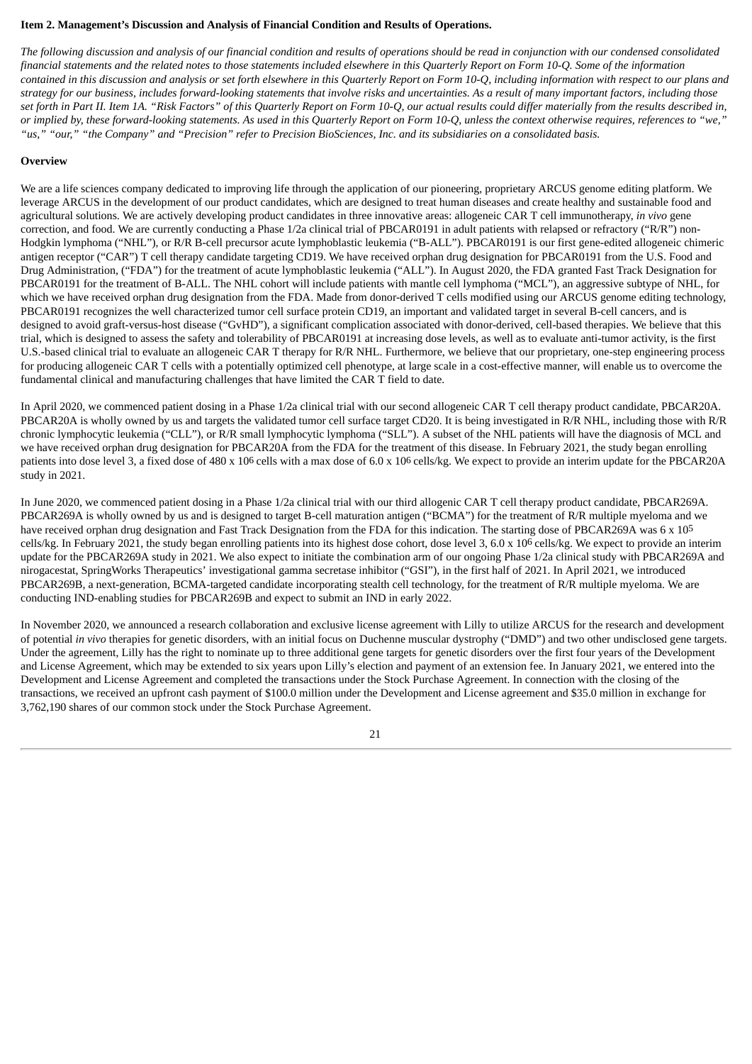#### <span id="page-20-0"></span>**Item 2. Management's Discussion and Analysis of Financial Condition and Results of Operations.**

The following discussion and analysis of our financial condition and results of operations should be read in conjunction with our condensed consolidated financial statements and the related notes to those statements included elsewhere in this Quarterly Report on Form 10-Q. Some of the information contained in this discussion and analysis or set forth elsewhere in this Quarterly Report on Form 10-Q, including information with respect to our plans and strategy for our business, includes forward-looking statements that involve risks and uncertainties. As a result of many important factors, including those set forth in Part II. Item 1A. "Risk Factors" of this Quarterly Report on Form 10-O, our actual results could differ materially from the results described in. or implied by, these forward-looking statements. As used in this Quarterly Report on Form 10-Q, unless the context otherwise requires, references to "we," "us." "our." "the Company" and "Precision" refer to Precision BioSciences. Inc. and its subsidiaries on a consolidated basis.

#### **Overview**

We are a life sciences company dedicated to improving life through the application of our pioneering, proprietary ARCUS genome editing platform. We leverage ARCUS in the development of our product candidates, which are designed to treat human diseases and create healthy and sustainable food and agricultural solutions. We are actively developing product candidates in three innovative areas: allogeneic CAR T cell immunotherapy, *in vivo* gene correction, and food. We are currently conducting a Phase 1/2a clinical trial of PBCAR0191 in adult patients with relapsed or refractory ("R/R") non-Hodgkin lymphoma ("NHL"), or R/R B-cell precursor acute lymphoblastic leukemia ("B-ALL"). PBCAR0191 is our first gene-edited allogeneic chimeric antigen receptor ("CAR") T cell therapy candidate targeting CD19. We have received orphan drug designation for PBCAR0191 from the U.S. Food and Drug Administration, ("FDA") for the treatment of acute lymphoblastic leukemia ("ALL"). In August 2020, the FDA granted Fast Track Designation for PBCAR0191 for the treatment of B-ALL. The NHL cohort will include patients with mantle cell lymphoma ("MCL"), an aggressive subtype of NHL, for which we have received orphan drug designation from the FDA. Made from donor-derived T cells modified using our ARCUS genome editing technology, PBCAR0191 recognizes the well characterized tumor cell surface protein CD19, an important and validated target in several B-cell cancers, and is designed to avoid graft-versus-host disease ("GvHD"), a significant complication associated with donor-derived, cell-based therapies. We believe that this trial, which is designed to assess the safety and tolerability of PBCAR0191 at increasing dose levels, as well as to evaluate anti-tumor activity, is the first U.S.-based clinical trial to evaluate an allogeneic CAR T therapy for R/R NHL. Furthermore, we believe that our proprietary, one-step engineering process for producing allogeneic CAR T cells with a potentially optimized cell phenotype, at large scale in a cost-effective manner, will enable us to overcome the fundamental clinical and manufacturing challenges that have limited the CAR T field to date.

In April 2020, we commenced patient dosing in a Phase 1/2a clinical trial with our second allogeneic CAR T cell therapy product candidate, PBCAR20A. PBCAR20A is wholly owned by us and targets the validated tumor cell surface target CD20. It is being investigated in R/R NHL, including those with R/R chronic lymphocytic leukemia ("CLL"), or R/R small lymphocytic lymphoma ("SLL"). A subset of the NHL patients will have the diagnosis of MCL and we have received orphan drug designation for PBCAR20A from the FDA for the treatment of this disease. In February 2021, the study began enrolling patients into dose level 3, a fixed dose of 480 x 106 cells with a max dose of 6.0 x 106 cells/kg. We expect to provide an interim update for the PBCAR20A study in 2021.

In June 2020, we commenced patient dosing in a Phase 1/2a clinical trial with our third allogenic CAR T cell therapy product candidate, PBCAR269A. PBCAR269A is wholly owned by us and is designed to target B-cell maturation antigen ("BCMA") for the treatment of R/R multiple myeloma and we have received orphan drug designation and Fast Track Designation from the FDA for this indication. The starting dose of PBCAR269A was 6 x 105 cells/kg. In February 2021, the study began enrolling patients into its highest dose cohort, dose level 3, 6.0 x 10<sup>6</sup> cells/kg. We expect to provide an interim update for the PBCAR269A study in 2021. We also expect to initiate the combination arm of our ongoing Phase 1/2a clinical study with PBCAR269A and nirogacestat, SpringWorks Therapeutics' investigational gamma secretase inhibitor ("GSI"), in the first half of 2021. In April 2021, we introduced PBCAR269B, a next-generation, BCMA-targeted candidate incorporating stealth cell technology, for the treatment of R/R multiple myeloma. We are conducting IND-enabling studies for PBCAR269B and expect to submit an IND in early 2022.

In November 2020, we announced a research collaboration and exclusive license agreement with Lilly to utilize ARCUS for the research and development of potential *in vivo* therapies for genetic disorders, with an initial focus on Duchenne muscular dystrophy ("DMD") and two other undisclosed gene targets. Under the agreement, Lilly has the right to nominate up to three additional gene targets for genetic disorders over the first four years of the Development and License Agreement, which may be extended to six years upon Lilly's election and payment of an extension fee. In January 2021, we entered into the Development and License Agreement and completed the transactions under the Stock Purchase Agreement. In connection with the closing of the transactions, we received an upfront cash payment of \$100.0 million under the Development and License agreement and \$35.0 million in exchange for 3,762,190 shares of our common stock under the Stock Purchase Agreement.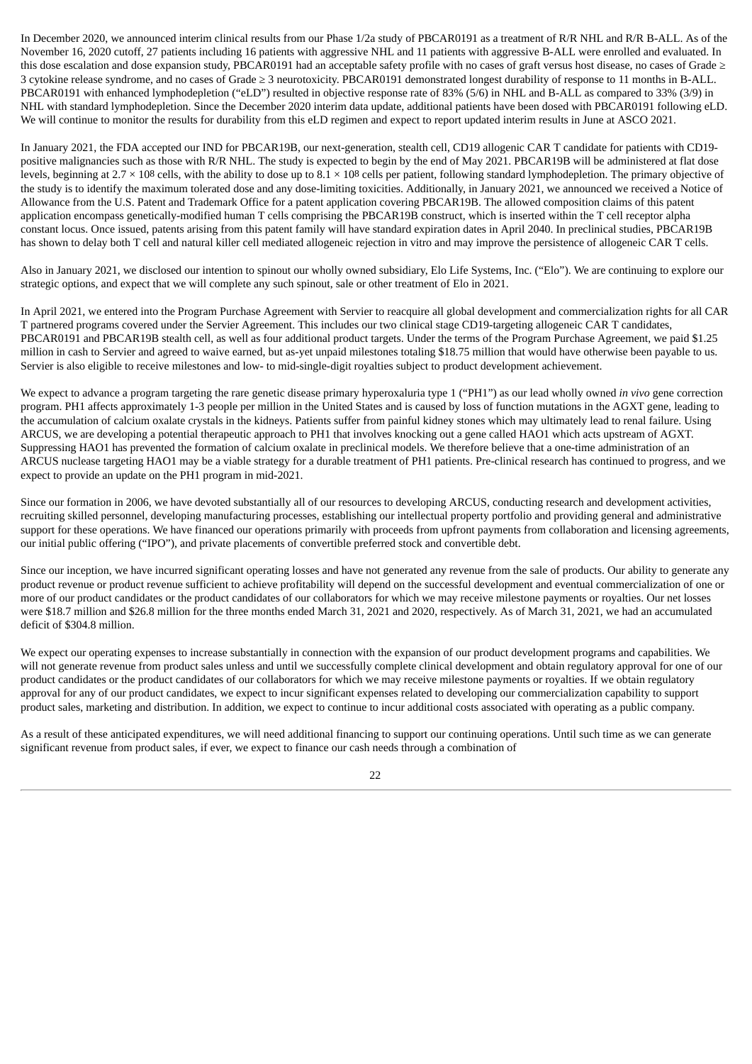In December 2020, we announced interim clinical results from our Phase 1/2a study of PBCAR0191 as a treatment of R/R NHL and R/R B-ALL. As of the November 16, 2020 cutoff, 27 patients including 16 patients with aggressive NHL and 11 patients with aggressive B-ALL were enrolled and evaluated. In this dose escalation and dose expansion study, PBCAR0191 had an acceptable safety profile with no cases of graft versus host disease, no cases of Grade ≥ 3 cytokine release syndrome, and no cases of Grade ≥ 3 neurotoxicity. PBCAR0191 demonstrated longest durability of response to 11 months in B-ALL. PBCAR0191 with enhanced lymphodepletion ("eLD") resulted in objective response rate of 83% (5/6) in NHL and B-ALL as compared to 33% (3/9) in NHL with standard lymphodepletion. Since the December 2020 interim data update, additional patients have been dosed with PBCAR0191 following eLD. We will continue to monitor the results for durability from this eLD regimen and expect to report updated interim results in June at ASCO 2021.

In January 2021, the FDA accepted our IND for PBCAR19B, our next-generation, stealth cell, CD19 allogenic CAR T candidate for patients with CD19 positive malignancies such as those with R/R NHL. The study is expected to begin by the end of May 2021. PBCAR19B will be administered at flat dose levels, beginning at  $2.7 \times 10^8$  cells, with the ability to dose up to  $8.1 \times 10^8$  cells per patient, following standard lymphodepletion. The primary objective of the study is to identify the maximum tolerated dose and any dose-limiting toxicities. Additionally, in January 2021, we announced we received a Notice of Allowance from the U.S. Patent and Trademark Office for a patent application covering PBCAR19B. The allowed composition claims of this patent application encompass genetically-modified human T cells comprising the PBCAR19B construct, which is inserted within the T cell receptor alpha constant locus. Once issued, patents arising from this patent family will have standard expiration dates in April 2040. In preclinical studies, PBCAR19B has shown to delay both T cell and natural killer cell mediated allogeneic rejection in vitro and may improve the persistence of allogeneic CAR T cells.

Also in January 2021, we disclosed our intention to spinout our wholly owned subsidiary, Elo Life Systems, Inc. ("Elo"). We are continuing to explore our strategic options, and expect that we will complete any such spinout, sale or other treatment of Elo in 2021.

In April 2021, we entered into the Program Purchase Agreement with Servier to reacquire all global development and commercialization rights for all CAR T partnered programs covered under the Servier Agreement. This includes our two clinical stage CD19-targeting allogeneic CAR T candidates, PBCAR0191 and PBCAR19B stealth cell, as well as four additional product targets. Under the terms of the Program Purchase Agreement, we paid \$1.25 million in cash to Servier and agreed to waive earned, but as-yet unpaid milestones totaling \$18.75 million that would have otherwise been payable to us. Servier is also eligible to receive milestones and low- to mid-single-digit royalties subject to product development achievement.

We expect to advance a program targeting the rare genetic disease primary hyperoxaluria type 1 ("PH1") as our lead wholly owned *in vivo* gene correction program. PH1 affects approximately 1-3 people per million in the United States and is caused by loss of function mutations in the AGXT gene, leading to the accumulation of calcium oxalate crystals in the kidneys. Patients suffer from painful kidney stones which may ultimately lead to renal failure. Using ARCUS, we are developing a potential therapeutic approach to PH1 that involves knocking out a gene called HAO1 which acts upstream of AGXT. Suppressing HAO1 has prevented the formation of calcium oxalate in preclinical models. We therefore believe that a one-time administration of an ARCUS nuclease targeting HAO1 may be a viable strategy for a durable treatment of PH1 patients. Pre-clinical research has continued to progress, and we expect to provide an update on the PH1 program in mid-2021.

Since our formation in 2006, we have devoted substantially all of our resources to developing ARCUS, conducting research and development activities, recruiting skilled personnel, developing manufacturing processes, establishing our intellectual property portfolio and providing general and administrative support for these operations. We have financed our operations primarily with proceeds from upfront payments from collaboration and licensing agreements, our initial public offering ("IPO"), and private placements of convertible preferred stock and convertible debt.

Since our inception, we have incurred significant operating losses and have not generated any revenue from the sale of products. Our ability to generate any product revenue or product revenue sufficient to achieve profitability will depend on the successful development and eventual commercialization of one or more of our product candidates or the product candidates of our collaborators for which we may receive milestone payments or royalties. Our net losses were \$18.7 million and \$26.8 million for the three months ended March 31, 2021 and 2020, respectively. As of March 31, 2021, we had an accumulated deficit of \$304.8 million.

We expect our operating expenses to increase substantially in connection with the expansion of our product development programs and capabilities. We will not generate revenue from product sales unless and until we successfully complete clinical development and obtain regulatory approval for one of our product candidates or the product candidates of our collaborators for which we may receive milestone payments or royalties. If we obtain regulatory approval for any of our product candidates, we expect to incur significant expenses related to developing our commercialization capability to support product sales, marketing and distribution. In addition, we expect to continue to incur additional costs associated with operating as a public company.

As a result of these anticipated expenditures, we will need additional financing to support our continuing operations. Until such time as we can generate significant revenue from product sales, if ever, we expect to finance our cash needs through a combination of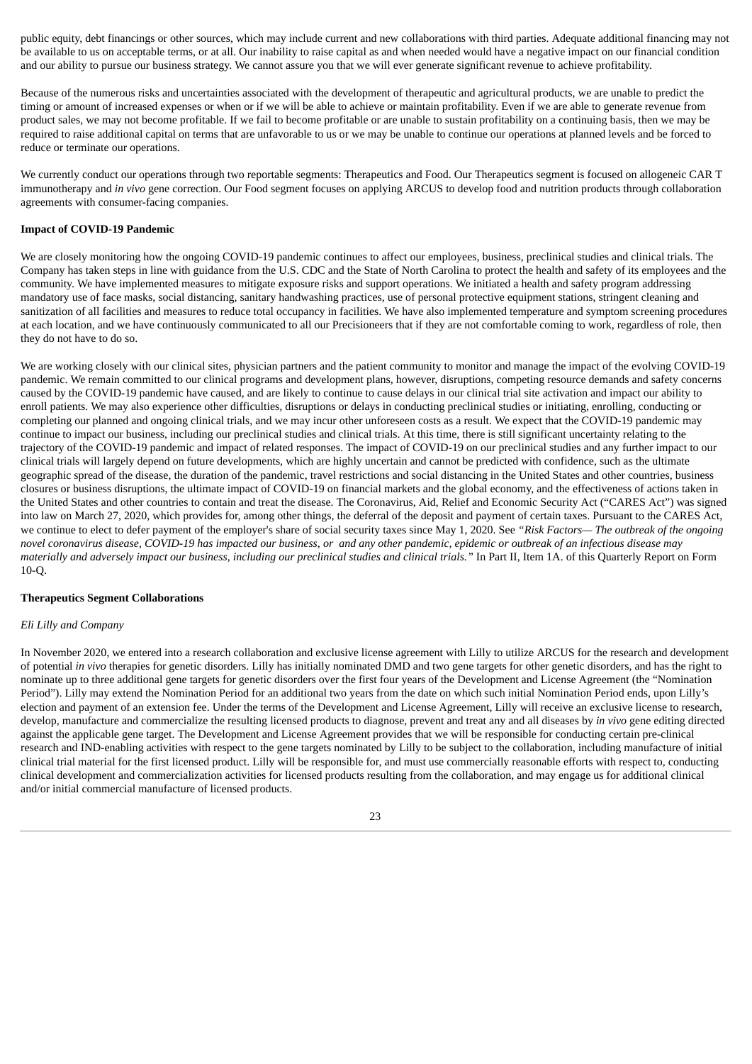public equity, debt financings or other sources, which may include current and new collaborations with third parties. Adequate additional financing may not be available to us on acceptable terms, or at all. Our inability to raise capital as and when needed would have a negative impact on our financial condition and our ability to pursue our business strategy. We cannot assure you that we will ever generate significant revenue to achieve profitability.

Because of the numerous risks and uncertainties associated with the development of therapeutic and agricultural products, we are unable to predict the timing or amount of increased expenses or when or if we will be able to achieve or maintain profitability. Even if we are able to generate revenue from product sales, we may not become profitable. If we fail to become profitable or are unable to sustain profitability on a continuing basis, then we may be required to raise additional capital on terms that are unfavorable to us or we may be unable to continue our operations at planned levels and be forced to reduce or terminate our operations.

We currently conduct our operations through two reportable segments: Therapeutics and Food. Our Therapeutics segment is focused on allogeneic CAR T immunotherapy and *in vivo* gene correction. Our Food segment focuses on applying ARCUS to develop food and nutrition products through collaboration agreements with consumer-facing companies.

#### **Impact of COVID-19 Pandemic**

We are closely monitoring how the ongoing COVID-19 pandemic continues to affect our employees, business, preclinical studies and clinical trials. The Company has taken steps in line with guidance from the U.S. CDC and the State of North Carolina to protect the health and safety of its employees and the community. We have implemented measures to mitigate exposure risks and support operations. We initiated a health and safety program addressing mandatory use of face masks, social distancing, sanitary handwashing practices, use of personal protective equipment stations, stringent cleaning and sanitization of all facilities and measures to reduce total occupancy in facilities. We have also implemented temperature and symptom screening procedures at each location, and we have continuously communicated to all our Precisioneers that if they are not comfortable coming to work, regardless of role, then they do not have to do so.

We are working closely with our clinical sites, physician partners and the patient community to monitor and manage the impact of the evolving COVID-19 pandemic. We remain committed to our clinical programs and development plans, however, disruptions, competing resource demands and safety concerns caused by the COVID-19 pandemic have caused, and are likely to continue to cause delays in our clinical trial site activation and impact our ability to enroll patients. We may also experience other difficulties, disruptions or delays in conducting preclinical studies or initiating, enrolling, conducting or completing our planned and ongoing clinical trials, and we may incur other unforeseen costs as a result. We expect that the COVID-19 pandemic may continue to impact our business, including our preclinical studies and clinical trials. At this time, there is still significant uncertainty relating to the trajectory of the COVID-19 pandemic and impact of related responses. The impact of COVID-19 on our preclinical studies and any further impact to our clinical trials will largely depend on future developments, which are highly uncertain and cannot be predicted with confidence, such as the ultimate geographic spread of the disease, the duration of the pandemic, travel restrictions and social distancing in the United States and other countries, business closures or business disruptions, the ultimate impact of COVID-19 on financial markets and the global economy, and the effectiveness of actions taken in the United States and other countries to contain and treat the disease. The Coronavirus, Aid, Relief and Economic Security Act ("CARES Act") was signed into law on March 27, 2020, which provides for, among other things, the deferral of the deposit and payment of certain taxes. Pursuant to the CARES Act, we continue to elect to defer payment of the employer's share of social security taxes since May 1, 2020. See *"Risk Factors— The outbreak of the ongoing* novel coronavirus disease, COVID-19 has impacted our business, or and any other pandemic, epidemic or outbreak of an infectious disease may materially and adversely impact our business, including our preclinical studies and clinical trials." In Part II, Item 1A. of this Quarterly Report on Form 10-Q.

#### **Therapeutics Segment Collaborations**

#### *Eli Lilly and Company*

In November 2020, we entered into a research collaboration and exclusive license agreement with Lilly to utilize ARCUS for the research and development of potential *in vivo* therapies for genetic disorders. Lilly has initially nominated DMD and two gene targets for other genetic disorders, and has the right to nominate up to three additional gene targets for genetic disorders over the first four years of the Development and License Agreement (the "Nomination Period"). Lilly may extend the Nomination Period for an additional two years from the date on which such initial Nomination Period ends, upon Lilly's election and payment of an extension fee. Under the terms of the Development and License Agreement, Lilly will receive an exclusive license to research, develop, manufacture and commercialize the resulting licensed products to diagnose, prevent and treat any and all diseases by *in vivo* gene editing directed against the applicable gene target. The Development and License Agreement provides that we will be responsible for conducting certain pre-clinical research and IND-enabling activities with respect to the gene targets nominated by Lilly to be subject to the collaboration, including manufacture of initial clinical trial material for the first licensed product. Lilly will be responsible for, and must use commercially reasonable efforts with respect to, conducting clinical development and commercialization activities for licensed products resulting from the collaboration, and may engage us for additional clinical and/or initial commercial manufacture of licensed products.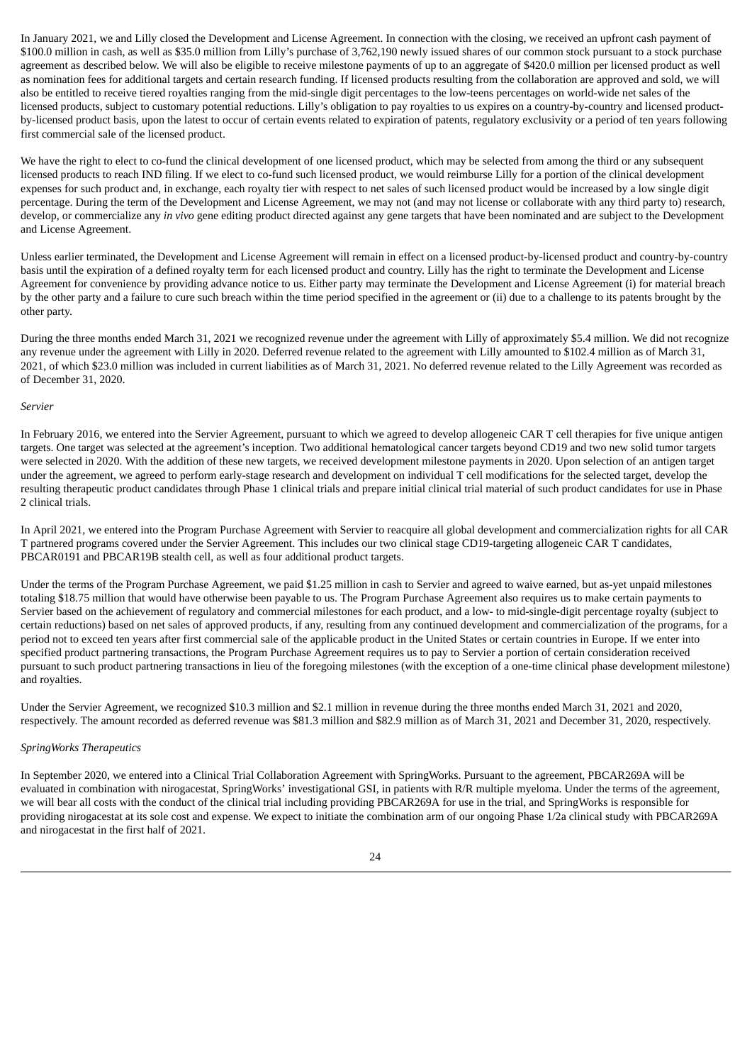In January 2021, we and Lilly closed the Development and License Agreement. In connection with the closing, we received an upfront cash payment of \$100.0 million in cash, as well as \$35.0 million from Lilly's purchase of 3,762,190 newly issued shares of our common stock pursuant to a stock purchase agreement as described below. We will also be eligible to receive milestone payments of up to an aggregate of \$420.0 million per licensed product as well as nomination fees for additional targets and certain research funding. If licensed products resulting from the collaboration are approved and sold, we will also be entitled to receive tiered royalties ranging from the mid-single digit percentages to the low-teens percentages on world-wide net sales of the licensed products, subject to customary potential reductions. Lilly's obligation to pay royalties to us expires on a country-by-country and licensed productby-licensed product basis, upon the latest to occur of certain events related to expiration of patents, regulatory exclusivity or a period of ten years following first commercial sale of the licensed product.

We have the right to elect to co-fund the clinical development of one licensed product, which may be selected from among the third or any subsequent licensed products to reach IND filing. If we elect to co-fund such licensed product, we would reimburse Lilly for a portion of the clinical development expenses for such product and, in exchange, each royalty tier with respect to net sales of such licensed product would be increased by a low single digit percentage. During the term of the Development and License Agreement, we may not (and may not license or collaborate with any third party to) research, develop, or commercialize any *in vivo* gene editing product directed against any gene targets that have been nominated and are subject to the Development and License Agreement.

Unless earlier terminated, the Development and License Agreement will remain in effect on a licensed product-by-licensed product and country-by-country basis until the expiration of a defined royalty term for each licensed product and country. Lilly has the right to terminate the Development and License Agreement for convenience by providing advance notice to us. Either party may terminate the Development and License Agreement (i) for material breach by the other party and a failure to cure such breach within the time period specified in the agreement or (ii) due to a challenge to its patents brought by the other party.

During the three months ended March 31, 2021 we recognized revenue under the agreement with Lilly of approximately \$5.4 million. We did not recognize any revenue under the agreement with Lilly in 2020. Deferred revenue related to the agreement with Lilly amounted to \$102.4 million as of March 31, 2021, of which \$23.0 million was included in current liabilities as of March 31, 2021. No deferred revenue related to the Lilly Agreement was recorded as of December 31, 2020.

#### *Servier*

In February 2016, we entered into the Servier Agreement, pursuant to which we agreed to develop allogeneic CAR T cell therapies for five unique antigen targets. One target was selected at the agreement's inception. Two additional hematological cancer targets beyond CD19 and two new solid tumor targets were selected in 2020. With the addition of these new targets, we received development milestone payments in 2020. Upon selection of an antigen target under the agreement, we agreed to perform early-stage research and development on individual T cell modifications for the selected target, develop the resulting therapeutic product candidates through Phase 1 clinical trials and prepare initial clinical trial material of such product candidates for use in Phase 2 clinical trials.

In April 2021, we entered into the Program Purchase Agreement with Servier to reacquire all global development and commercialization rights for all CAR T partnered programs covered under the Servier Agreement. This includes our two clinical stage CD19-targeting allogeneic CAR T candidates, PBCAR0191 and PBCAR19B stealth cell, as well as four additional product targets.

Under the terms of the Program Purchase Agreement, we paid \$1.25 million in cash to Servier and agreed to waive earned, but as-yet unpaid milestones totaling \$18.75 million that would have otherwise been payable to us. The Program Purchase Agreement also requires us to make certain payments to Servier based on the achievement of regulatory and commercial milestones for each product, and a low- to mid-single-digit percentage royalty (subject to certain reductions) based on net sales of approved products, if any, resulting from any continued development and commercialization of the programs, for a period not to exceed ten years after first commercial sale of the applicable product in the United States or certain countries in Europe. If we enter into specified product partnering transactions, the Program Purchase Agreement requires us to pay to Servier a portion of certain consideration received pursuant to such product partnering transactions in lieu of the foregoing milestones (with the exception of a one-time clinical phase development milestone) and royalties.

Under the Servier Agreement, we recognized \$10.3 million and \$2.1 million in revenue during the three months ended March 31, 2021 and 2020, respectively. The amount recorded as deferred revenue was \$81.3 million and \$82.9 million as of March 31, 2021 and December 31, 2020, respectively.

#### *SpringWorks Therapeutics*

In September 2020, we entered into a Clinical Trial Collaboration Agreement with SpringWorks. Pursuant to the agreement, PBCAR269A will be evaluated in combination with nirogacestat, SpringWorks' investigational GSI, in patients with R/R multiple myeloma. Under the terms of the agreement, we will bear all costs with the conduct of the clinical trial including providing PBCAR269A for use in the trial, and SpringWorks is responsible for providing nirogacestat at its sole cost and expense. We expect to initiate the combination arm of our ongoing Phase 1/2a clinical study with PBCAR269A and nirogacestat in the first half of 2021.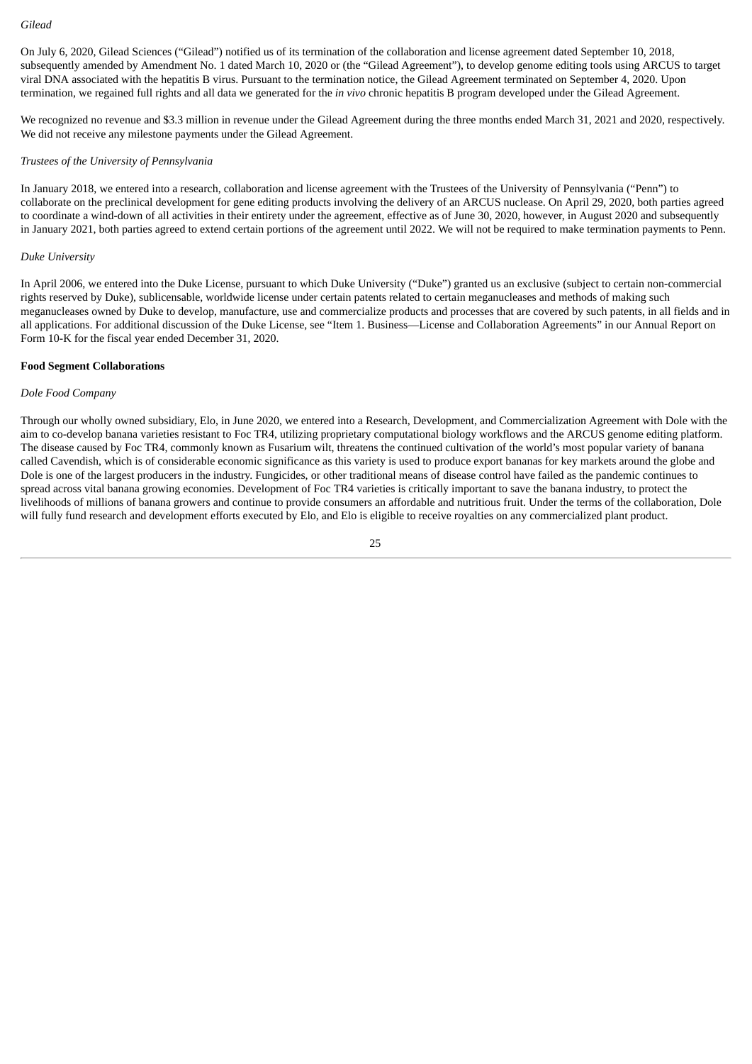#### *Gilead*

On July 6, 2020, Gilead Sciences ("Gilead") notified us of its termination of the collaboration and license agreement dated September 10, 2018, subsequently amended by Amendment No. 1 dated March 10, 2020 or (the "Gilead Agreement"), to develop genome editing tools using ARCUS to target viral DNA associated with the hepatitis B virus. Pursuant to the termination notice, the Gilead Agreement terminated on September 4, 2020. Upon termination, we regained full rights and all data we generated for the *in vivo* chronic hepatitis B program developed under the Gilead Agreement.

We recognized no revenue and \$3.3 million in revenue under the Gilead Agreement during the three months ended March 31, 2021 and 2020, respectively. We did not receive any milestone payments under the Gilead Agreement.

#### *Trustees of the University of Pennsylvania*

In January 2018, we entered into a research, collaboration and license agreement with the Trustees of the University of Pennsylvania ("Penn") to collaborate on the preclinical development for gene editing products involving the delivery of an ARCUS nuclease. On April 29, 2020, both parties agreed to coordinate a wind-down of all activities in their entirety under the agreement, effective as of June 30, 2020, however, in August 2020 and subsequently in January 2021, both parties agreed to extend certain portions of the agreement until 2022. We will not be required to make termination payments to Penn.

#### *Duke University*

In April 2006, we entered into the Duke License, pursuant to which Duke University ("Duke") granted us an exclusive (subject to certain non-commercial rights reserved by Duke), sublicensable, worldwide license under certain patents related to certain meganucleases and methods of making such meganucleases owned by Duke to develop, manufacture, use and commercialize products and processes that are covered by such patents, in all fields and in all applications. For additional discussion of the Duke License, see "Item 1. Business—License and Collaboration Agreements" in our Annual Report on Form 10-K for the fiscal year ended December 31, 2020.

#### **Food Segment Collaborations**

#### *Dole Food Company*

Through our wholly owned subsidiary, Elo, in June 2020, we entered into a Research, Development, and Commercialization Agreement with Dole with the aim to co-develop banana varieties resistant to Foc TR4, utilizing proprietary computational biology workflows and the ARCUS genome editing platform. The disease caused by Foc TR4, commonly known as Fusarium wilt, threatens the continued cultivation of the world's most popular variety of banana called Cavendish, which is of considerable economic significance as this variety is used to produce export bananas for key markets around the globe and Dole is one of the largest producers in the industry. Fungicides, or other traditional means of disease control have failed as the pandemic continues to spread across vital banana growing economies. Development of Foc TR4 varieties is critically important to save the banana industry, to protect the livelihoods of millions of banana growers and continue to provide consumers an affordable and nutritious fruit. Under the terms of the collaboration, Dole will fully fund research and development efforts executed by Elo, and Elo is eligible to receive royalties on any commercialized plant product.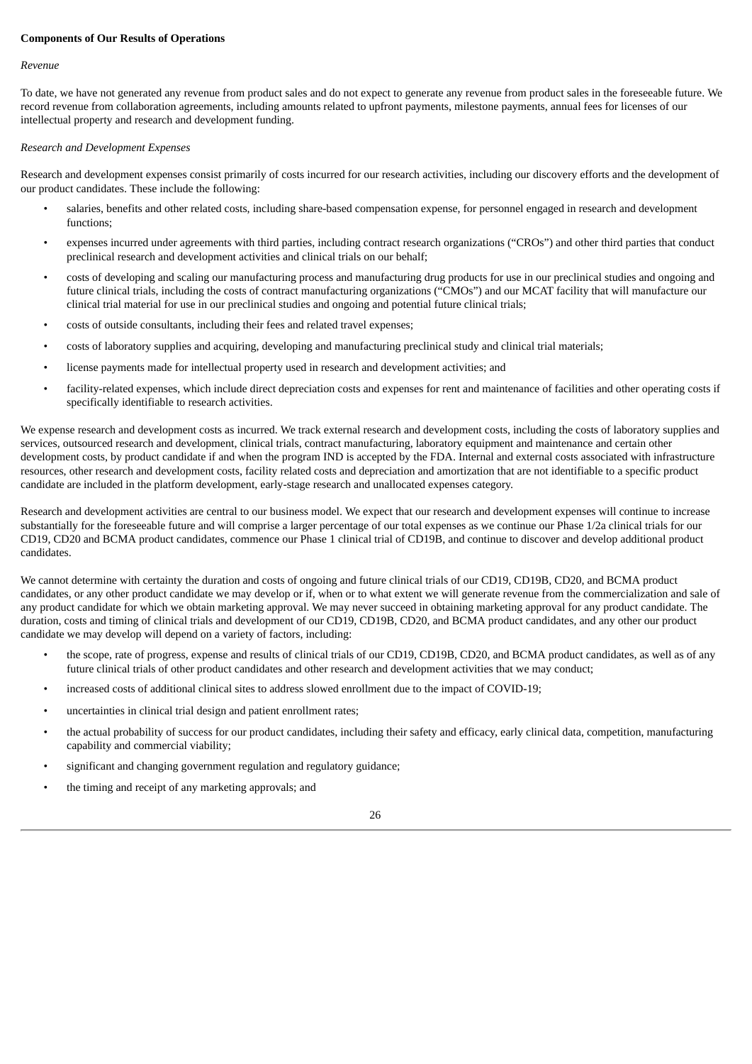#### **Components of Our Results of Operations**

#### *Revenue*

To date, we have not generated any revenue from product sales and do not expect to generate any revenue from product sales in the foreseeable future. We record revenue from collaboration agreements, including amounts related to upfront payments, milestone payments, annual fees for licenses of our intellectual property and research and development funding.

#### *Research and Development Expenses*

Research and development expenses consist primarily of costs incurred for our research activities, including our discovery efforts and the development of our product candidates. These include the following:

- salaries, benefits and other related costs, including share-based compensation expense, for personnel engaged in research and development functions;
- expenses incurred under agreements with third parties, including contract research organizations ("CROs") and other third parties that conduct preclinical research and development activities and clinical trials on our behalf;
- costs of developing and scaling our manufacturing process and manufacturing drug products for use in our preclinical studies and ongoing and future clinical trials, including the costs of contract manufacturing organizations ("CMOs") and our MCAT facility that will manufacture our clinical trial material for use in our preclinical studies and ongoing and potential future clinical trials;
- costs of outside consultants, including their fees and related travel expenses;
- costs of laboratory supplies and acquiring, developing and manufacturing preclinical study and clinical trial materials;
- license payments made for intellectual property used in research and development activities; and
- facility-related expenses, which include direct depreciation costs and expenses for rent and maintenance of facilities and other operating costs if specifically identifiable to research activities.

We expense research and development costs as incurred. We track external research and development costs, including the costs of laboratory supplies and services, outsourced research and development, clinical trials, contract manufacturing, laboratory equipment and maintenance and certain other development costs, by product candidate if and when the program IND is accepted by the FDA. Internal and external costs associated with infrastructure resources, other research and development costs, facility related costs and depreciation and amortization that are not identifiable to a specific product candidate are included in the platform development, early-stage research and unallocated expenses category.

Research and development activities are central to our business model. We expect that our research and development expenses will continue to increase substantially for the foreseeable future and will comprise a larger percentage of our total expenses as we continue our Phase 1/2a clinical trials for our CD19, CD20 and BCMA product candidates, commence our Phase 1 clinical trial of CD19B, and continue to discover and develop additional product candidates.

We cannot determine with certainty the duration and costs of ongoing and future clinical trials of our CD19, CD19B, CD20, and BCMA product candidates, or any other product candidate we may develop or if, when or to what extent we will generate revenue from the commercialization and sale of any product candidate for which we obtain marketing approval. We may never succeed in obtaining marketing approval for any product candidate. The duration, costs and timing of clinical trials and development of our CD19, CD19B, CD20, and BCMA product candidates, and any other our product candidate we may develop will depend on a variety of factors, including:

- the scope, rate of progress, expense and results of clinical trials of our CD19, CD19B, CD20, and BCMA product candidates, as well as of any future clinical trials of other product candidates and other research and development activities that we may conduct;
- increased costs of additional clinical sites to address slowed enrollment due to the impact of COVID-19;
- uncertainties in clinical trial design and patient enrollment rates;
- the actual probability of success for our product candidates, including their safety and efficacy, early clinical data, competition, manufacturing capability and commercial viability;
- significant and changing government regulation and regulatory guidance;
- the timing and receipt of any marketing approvals; and

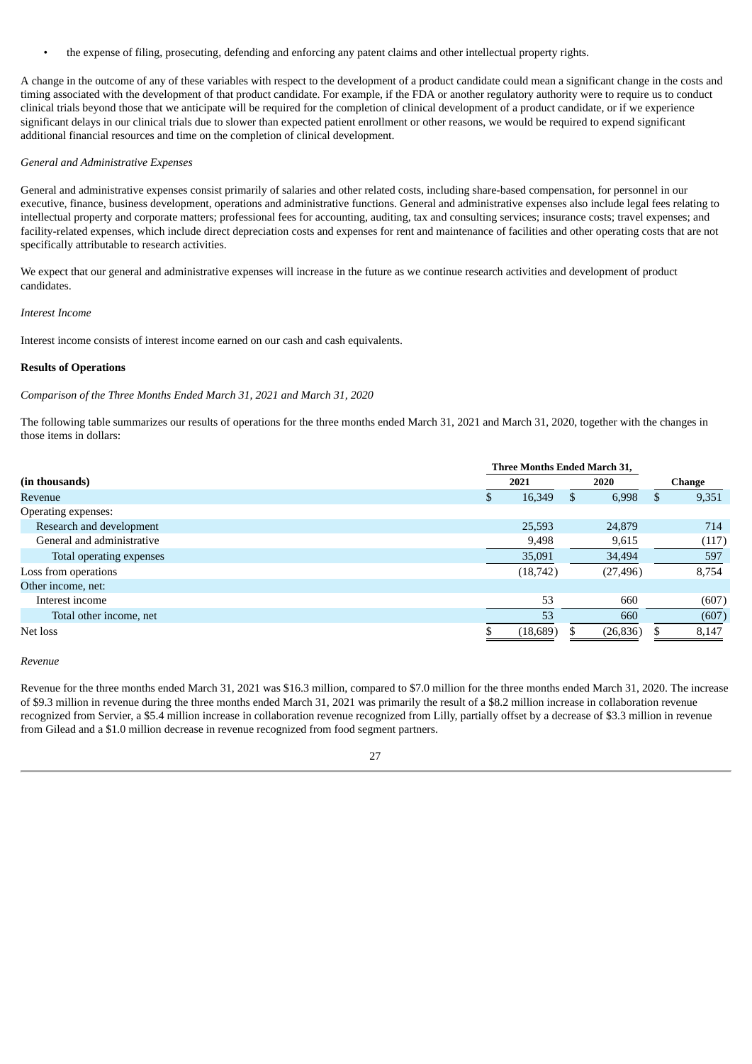• the expense of filing, prosecuting, defending and enforcing any patent claims and other intellectual property rights.

A change in the outcome of any of these variables with respect to the development of a product candidate could mean a significant change in the costs and timing associated with the development of that product candidate. For example, if the FDA or another regulatory authority were to require us to conduct clinical trials beyond those that we anticipate will be required for the completion of clinical development of a product candidate, or if we experience significant delays in our clinical trials due to slower than expected patient enrollment or other reasons, we would be required to expend significant additional financial resources and time on the completion of clinical development.

#### *General and Administrative Expenses*

General and administrative expenses consist primarily of salaries and other related costs, including share-based compensation, for personnel in our executive, finance, business development, operations and administrative functions. General and administrative expenses also include legal fees relating to intellectual property and corporate matters; professional fees for accounting, auditing, tax and consulting services; insurance costs; travel expenses; and facility-related expenses, which include direct depreciation costs and expenses for rent and maintenance of facilities and other operating costs that are not specifically attributable to research activities.

We expect that our general and administrative expenses will increase in the future as we continue research activities and development of product candidates.

#### *Interest Income*

Interest income consists of interest income earned on our cash and cash equivalents.

#### **Results of Operations**

#### *Comparison of the Three Months Ended March 31, 2021 and March 31, 2020*

The following table summarizes our results of operations for the three months ended March 31, 2021 and March 31, 2020, together with the changes in those items in dollars:

|                            | Three Months Ended March 31, |           |     |           |        |       |
|----------------------------|------------------------------|-----------|-----|-----------|--------|-------|
| (in thousands)             | 2021                         |           |     | 2020      | Change |       |
| Revenue                    | D                            | 16,349    | \$. | 6,998     |        | 9,351 |
| Operating expenses:        |                              |           |     |           |        |       |
| Research and development   |                              | 25,593    |     | 24,879    |        | 714   |
| General and administrative |                              | 9,498     |     | 9,615     |        | (117) |
| Total operating expenses   |                              | 35,091    |     | 34,494    |        | 597   |
| Loss from operations       |                              | (18, 742) |     | (27, 496) |        | 8,754 |
| Other income, net:         |                              |           |     |           |        |       |
| Interest income            |                              | 53        |     | 660       |        | (607) |
| Total other income, net    |                              | 53        |     | 660       |        | (607) |
| Net loss                   |                              | (18, 689) |     | (26, 836) |        | 8,147 |

*Revenue*

Revenue for the three months ended March 31, 2021 was \$16.3 million, compared to \$7.0 million for the three months ended March 31, 2020. The increase of \$9.3 million in revenue during the three months ended March 31, 2021 was primarily the result of a \$8.2 million increase in collaboration revenue recognized from Servier, a \$5.4 million increase in collaboration revenue recognized from Lilly, partially offset by a decrease of \$3.3 million in revenue from Gilead and a \$1.0 million decrease in revenue recognized from food segment partners.

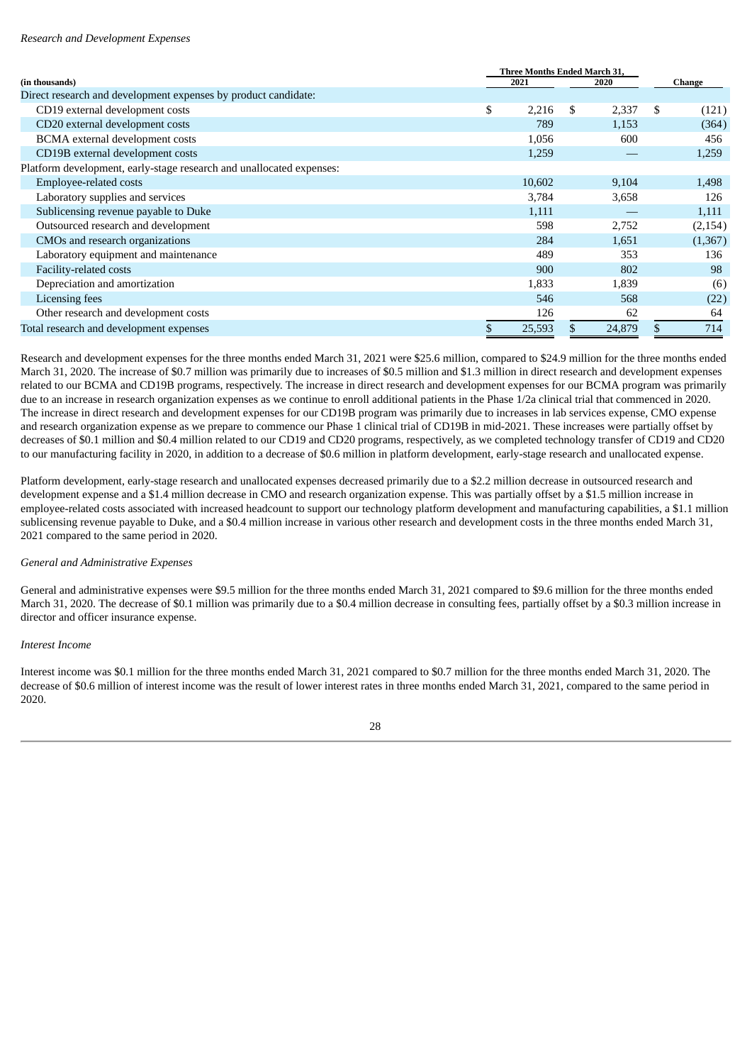|                                                                      | Three Months Ended March 31, |        |    |        |   |          |  |
|----------------------------------------------------------------------|------------------------------|--------|----|--------|---|----------|--|
| (in thousands)                                                       |                              | 2021   |    | 2020   |   | Change   |  |
| Direct research and development expenses by product candidate:       |                              |        |    |        |   |          |  |
| CD19 external development costs                                      | \$                           | 2,216  | \$ | 2,337  | S | (121)    |  |
| CD20 external development costs                                      |                              | 789    |    | 1,153  |   | (364)    |  |
| BCMA external development costs                                      |                              | 1,056  |    | 600    |   | 456      |  |
| CD19B external development costs                                     |                              | 1,259  |    |        |   | 1,259    |  |
| Platform development, early-stage research and unallocated expenses: |                              |        |    |        |   |          |  |
| Employee-related costs                                               |                              | 10,602 |    | 9,104  |   | 1,498    |  |
| Laboratory supplies and services                                     |                              | 3,784  |    | 3,658  |   | 126      |  |
| Sublicensing revenue payable to Duke                                 |                              | 1,111  |    |        |   | 1,111    |  |
| Outsourced research and development                                  |                              | 598    |    | 2,752  |   | (2, 154) |  |
| CMOs and research organizations                                      |                              | 284    |    | 1,651  |   | (1,367)  |  |
| Laboratory equipment and maintenance                                 |                              | 489    |    | 353    |   | 136      |  |
| Facility-related costs                                               |                              | 900    |    | 802    |   | 98       |  |
| Depreciation and amortization                                        |                              | 1,833  |    | 1,839  |   | (6)      |  |
| Licensing fees                                                       |                              | 546    |    | 568    |   | (22)     |  |
| Other research and development costs                                 |                              | 126    |    | 62     |   | 64       |  |
| Total research and development expenses                              | \$                           | 25,593 | \$ | 24,879 |   | 714      |  |

Research and development expenses for the three months ended March 31, 2021 were \$25.6 million, compared to \$24.9 million for the three months ended March 31, 2020. The increase of \$0.7 million was primarily due to increases of \$0.5 million and \$1.3 million in direct research and development expenses related to our BCMA and CD19B programs, respectively. The increase in direct research and development expenses for our BCMA program was primarily due to an increase in research organization expenses as we continue to enroll additional patients in the Phase 1/2a clinical trial that commenced in 2020. The increase in direct research and development expenses for our CD19B program was primarily due to increases in lab services expense, CMO expense and research organization expense as we prepare to commence our Phase 1 clinical trial of CD19B in mid-2021. These increases were partially offset by decreases of \$0.1 million and \$0.4 million related to our CD19 and CD20 programs, respectively, as we completed technology transfer of CD19 and CD20 to our manufacturing facility in 2020, in addition to a decrease of \$0.6 million in platform development, early-stage research and unallocated expense.

Platform development, early-stage research and unallocated expenses decreased primarily due to a \$2.2 million decrease in outsourced research and development expense and a \$1.4 million decrease in CMO and research organization expense. This was partially offset by a \$1.5 million increase in employee-related costs associated with increased headcount to support our technology platform development and manufacturing capabilities, a \$1.1 million sublicensing revenue payable to Duke, and a \$0.4 million increase in various other research and development costs in the three months ended March 31, 2021 compared to the same period in 2020.

#### *General and Administrative Expenses*

General and administrative expenses were \$9.5 million for the three months ended March 31, 2021 compared to \$9.6 million for the three months ended March 31, 2020. The decrease of \$0.1 million was primarily due to a \$0.4 million decrease in consulting fees, partially offset by a \$0.3 million increase in director and officer insurance expense.

#### *Interest Income*

Interest income was \$0.1 million for the three months ended March 31, 2021 compared to \$0.7 million for the three months ended March 31, 2020. The decrease of \$0.6 million of interest income was the result of lower interest rates in three months ended March 31, 2021, compared to the same period in 2020.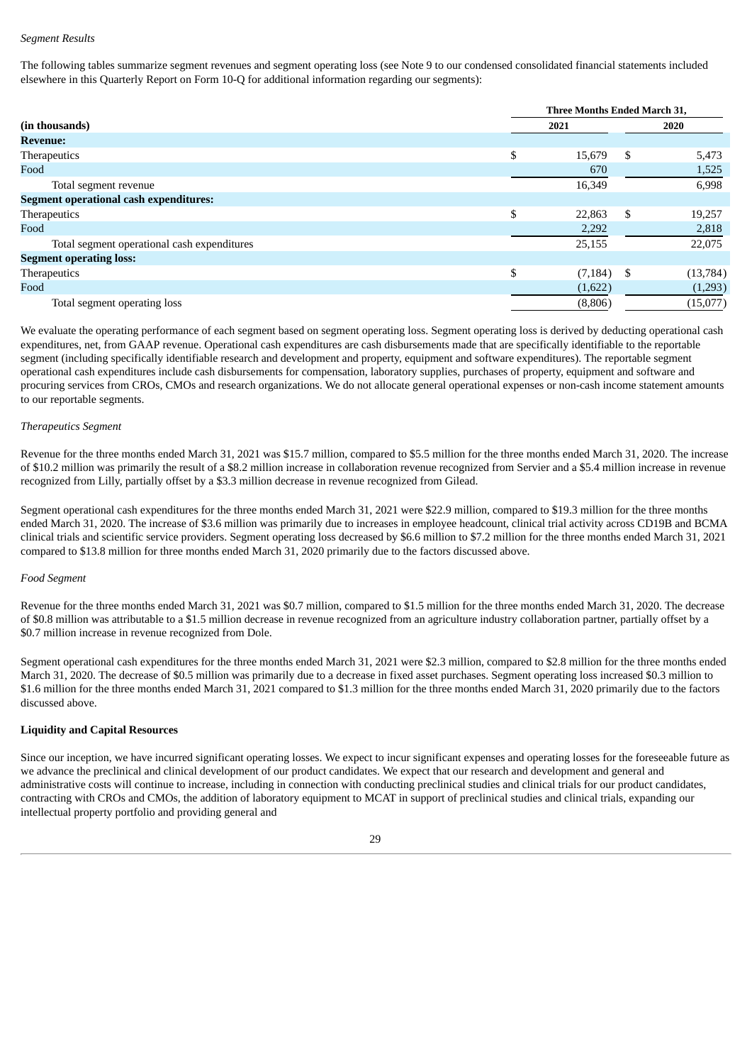#### *Segment Results*

The following tables summarize segment revenues and segment operating loss (see Note 9 to our condensed consolidated financial statements included elsewhere in this Quarterly Report on Form 10-Q for additional information regarding our segments):

|                                               | Three Months Ended March 31, |              |    |          |  |  |
|-----------------------------------------------|------------------------------|--------------|----|----------|--|--|
| (in thousands)                                |                              | 2021         |    | 2020     |  |  |
| <b>Revenue:</b>                               |                              |              |    |          |  |  |
| <b>Therapeutics</b>                           | \$                           | 15,679       | \$ | 5,473    |  |  |
| Food                                          |                              | 670          |    | 1,525    |  |  |
| Total segment revenue                         |                              | 16,349       |    | 6,998    |  |  |
| <b>Segment operational cash expenditures:</b> |                              |              |    |          |  |  |
| Therapeutics                                  | \$                           | 22,863       | \$ | 19,257   |  |  |
| Food                                          |                              | 2,292        |    | 2,818    |  |  |
| Total segment operational cash expenditures   |                              | 25,155       |    | 22,075   |  |  |
| <b>Segment operating loss:</b>                |                              |              |    |          |  |  |
| <b>Therapeutics</b>                           | \$                           | $(7,184)$ \$ |    | (13,784) |  |  |
| Food                                          |                              | (1,622)      |    | (1,293)  |  |  |
| Total segment operating loss                  |                              | (8,806)      |    | (15,077) |  |  |

We evaluate the operating performance of each segment based on segment operating loss. Segment operating loss is derived by deducting operational cash expenditures, net, from GAAP revenue. Operational cash expenditures are cash disbursements made that are specifically identifiable to the reportable segment (including specifically identifiable research and development and property, equipment and software expenditures). The reportable segment operational cash expenditures include cash disbursements for compensation, laboratory supplies, purchases of property, equipment and software and procuring services from CROs, CMOs and research organizations. We do not allocate general operational expenses or non-cash income statement amounts to our reportable segments.

#### *Therapeutics Segment*

Revenue for the three months ended March 31, 2021 was \$15.7 million, compared to \$5.5 million for the three months ended March 31, 2020. The increase of \$10.2 million was primarily the result of a \$8.2 million increase in collaboration revenue recognized from Servier and a \$5.4 million increase in revenue recognized from Lilly, partially offset by a \$3.3 million decrease in revenue recognized from Gilead.

Segment operational cash expenditures for the three months ended March 31, 2021 were \$22.9 million, compared to \$19.3 million for the three months ended March 31, 2020. The increase of \$3.6 million was primarily due to increases in employee headcount, clinical trial activity across CD19B and BCMA clinical trials and scientific service providers. Segment operating loss decreased by \$6.6 million to \$7.2 million for the three months ended March 31, 2021 compared to \$13.8 million for three months ended March 31, 2020 primarily due to the factors discussed above.

#### *Food Segment*

Revenue for the three months ended March 31, 2021 was \$0.7 million, compared to \$1.5 million for the three months ended March 31, 2020. The decrease of \$0.8 million was attributable to a \$1.5 million decrease in revenue recognized from an agriculture industry collaboration partner, partially offset by a \$0.7 million increase in revenue recognized from Dole.

Segment operational cash expenditures for the three months ended March 31, 2021 were \$2.3 million, compared to \$2.8 million for the three months ended March 31, 2020. The decrease of \$0.5 million was primarily due to a decrease in fixed asset purchases. Segment operating loss increased \$0.3 million to \$1.6 million for the three months ended March 31, 2021 compared to \$1.3 million for the three months ended March 31, 2020 primarily due to the factors discussed above.

#### **Liquidity and Capital Resources**

Since our inception, we have incurred significant operating losses. We expect to incur significant expenses and operating losses for the foreseeable future as we advance the preclinical and clinical development of our product candidates. We expect that our research and development and general and administrative costs will continue to increase, including in connection with conducting preclinical studies and clinical trials for our product candidates, contracting with CROs and CMOs, the addition of laboratory equipment to MCAT in support of preclinical studies and clinical trials, expanding our intellectual property portfolio and providing general and

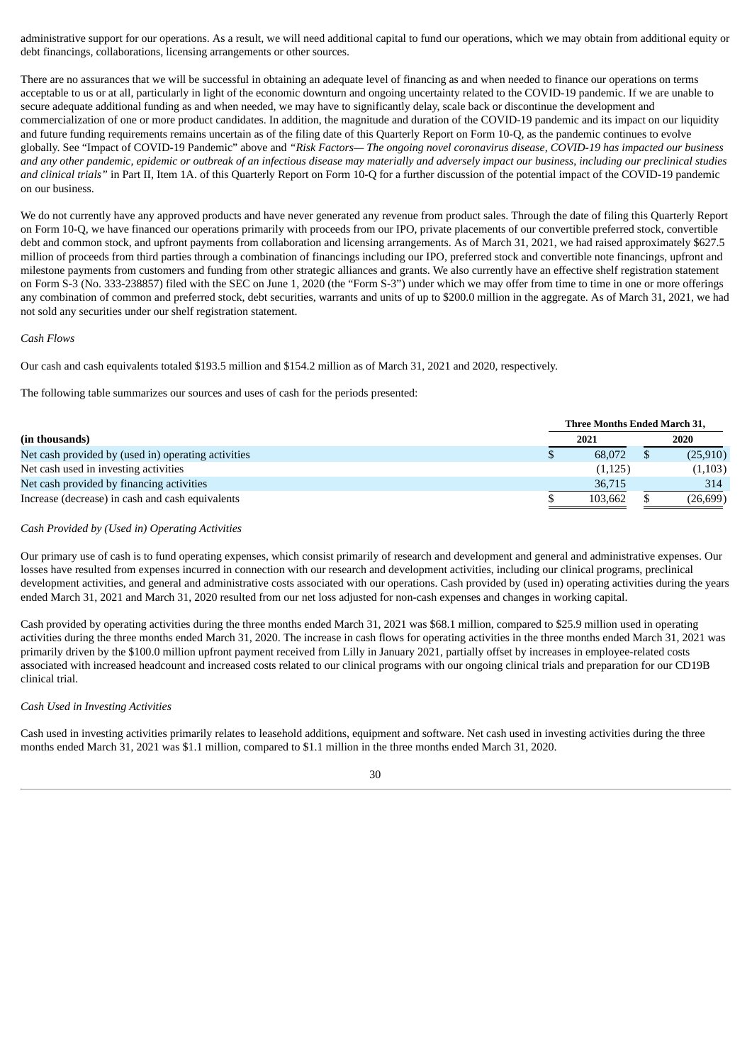administrative support for our operations. As a result, we will need additional capital to fund our operations, which we may obtain from additional equity or debt financings, collaborations, licensing arrangements or other sources.

There are no assurances that we will be successful in obtaining an adequate level of financing as and when needed to finance our operations on terms acceptable to us or at all, particularly in light of the economic downturn and ongoing uncertainty related to the COVID-19 pandemic. If we are unable to secure adequate additional funding as and when needed, we may have to significantly delay, scale back or discontinue the development and commercialization of one or more product candidates. In addition, the magnitude and duration of the COVID-19 pandemic and its impact on our liquidity and future funding requirements remains uncertain as of the filing date of this Quarterly Report on Form 10-Q, as the pandemic continues to evolve globally. See "Impact of COVID-19 Pandemic" above and "Risk Factors— The ongoing novel coronavirus disease, COVID-19 has impacted our business and any other pandemic, epidemic or outbreak of an infectious disease may materially and adversely impact our business, including our preclinical studies *and clinical trials"* in Part II, Item 1A. of this Quarterly Report on Form 10-Q for a further discussion of the potential impact of the COVID-19 pandemic on our business.

We do not currently have any approved products and have never generated any revenue from product sales. Through the date of filing this Quarterly Report on Form 10-Q, we have financed our operations primarily with proceeds from our IPO, private placements of our convertible preferred stock, convertible debt and common stock, and upfront payments from collaboration and licensing arrangements. As of March 31, 2021, we had raised approximately \$627.5 million of proceeds from third parties through a combination of financings including our IPO, preferred stock and convertible note financings, upfront and milestone payments from customers and funding from other strategic alliances and grants. We also currently have an effective shelf registration statement on Form S-3 (No. 333-238857) filed with the SEC on June 1, 2020 (the "Form S-3") under which we may offer from time to time in one or more offerings any combination of common and preferred stock, debt securities, warrants and units of up to \$200.0 million in the aggregate. As of March 31, 2021, we had not sold any securities under our shelf registration statement.

#### *Cash Flows*

Our cash and cash equivalents totaled \$193.5 million and \$154.2 million as of March 31, 2021 and 2020, respectively.

The following table summarizes our sources and uses of cash for the periods presented:

|                                                     |  | Three Months Ended March 31, |  |           |  |  |
|-----------------------------------------------------|--|------------------------------|--|-----------|--|--|
| (in thousands)                                      |  | 2021                         |  | 2020      |  |  |
| Net cash provided by (used in) operating activities |  | 68,072                       |  | (25,910)  |  |  |
| Net cash used in investing activities               |  | (1, 125)                     |  | (1,103)   |  |  |
| Net cash provided by financing activities           |  | 36,715                       |  | 314       |  |  |
| Increase (decrease) in cash and cash equivalents    |  | 103.662                      |  | (26, 699) |  |  |

#### *Cash Provided by (Used in) Operating Activities*

Our primary use of cash is to fund operating expenses, which consist primarily of research and development and general and administrative expenses. Our losses have resulted from expenses incurred in connection with our research and development activities, including our clinical programs, preclinical development activities, and general and administrative costs associated with our operations. Cash provided by (used in) operating activities during the years ended March 31, 2021 and March 31, 2020 resulted from our net loss adjusted for non-cash expenses and changes in working capital.

Cash provided by operating activities during the three months ended March 31, 2021 was \$68.1 million, compared to \$25.9 million used in operating activities during the three months ended March 31, 2020. The increase in cash flows for operating activities in the three months ended March 31, 2021 was primarily driven by the \$100.0 million upfront payment received from Lilly in January 2021, partially offset by increases in employee-related costs associated with increased headcount and increased costs related to our clinical programs with our ongoing clinical trials and preparation for our CD19B clinical trial.

#### *Cash Used in Investing Activities*

Cash used in investing activities primarily relates to leasehold additions, equipment and software. Net cash used in investing activities during the three months ended March 31, 2021 was \$1.1 million, compared to \$1.1 million in the three months ended March 31, 2020.

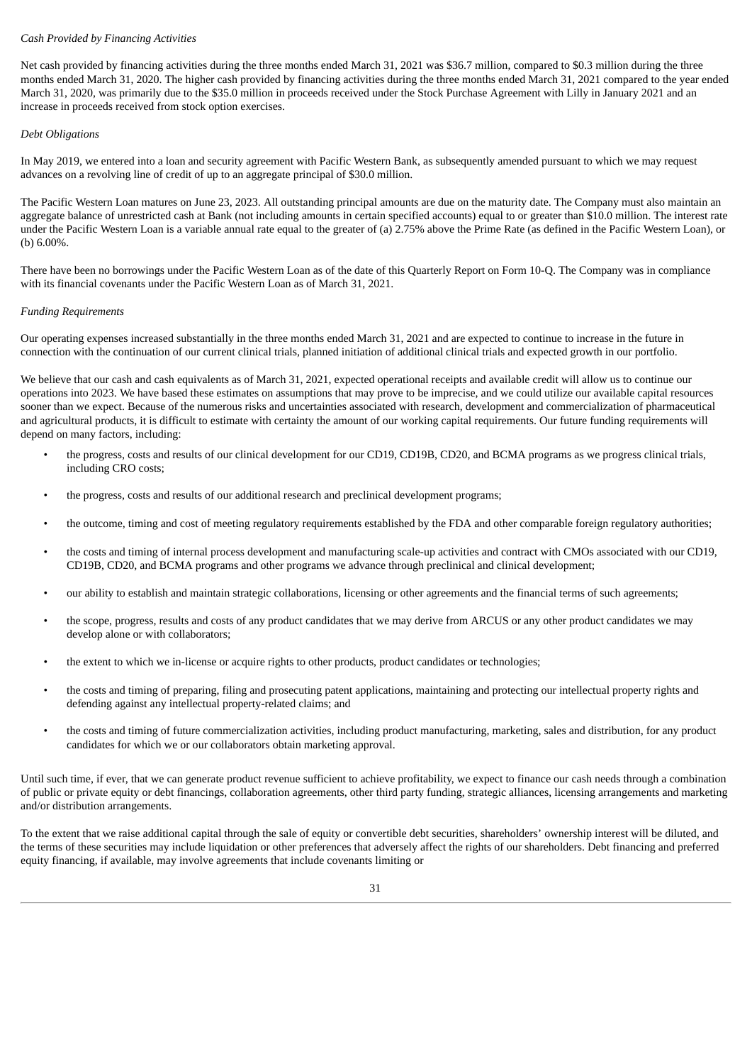#### *Cash Provided by Financing Activities*

Net cash provided by financing activities during the three months ended March 31, 2021 was \$36.7 million, compared to \$0.3 million during the three months ended March 31, 2020. The higher cash provided by financing activities during the three months ended March 31, 2021 compared to the year ended March 31, 2020, was primarily due to the \$35.0 million in proceeds received under the Stock Purchase Agreement with Lilly in January 2021 and an increase in proceeds received from stock option exercises.

#### *Debt Obligations*

In May 2019, we entered into a loan and security agreement with Pacific Western Bank, as subsequently amended pursuant to which we may request advances on a revolving line of credit of up to an aggregate principal of \$30.0 million.

The Pacific Western Loan matures on June 23, 2023. All outstanding principal amounts are due on the maturity date. The Company must also maintain an aggregate balance of unrestricted cash at Bank (not including amounts in certain specified accounts) equal to or greater than \$10.0 million. The interest rate under the Pacific Western Loan is a variable annual rate equal to the greater of (a) 2.75% above the Prime Rate (as defined in the Pacific Western Loan), or (b) 6.00%.

There have been no borrowings under the Pacific Western Loan as of the date of this Quarterly Report on Form 10-Q. The Company was in compliance with its financial covenants under the Pacific Western Loan as of March 31, 2021.

#### *Funding Requirements*

Our operating expenses increased substantially in the three months ended March 31, 2021 and are expected to continue to increase in the future in connection with the continuation of our current clinical trials, planned initiation of additional clinical trials and expected growth in our portfolio.

We believe that our cash and cash equivalents as of March 31, 2021, expected operational receipts and available credit will allow us to continue our operations into 2023. We have based these estimates on assumptions that may prove to be imprecise, and we could utilize our available capital resources sooner than we expect. Because of the numerous risks and uncertainties associated with research, development and commercialization of pharmaceutical and agricultural products, it is difficult to estimate with certainty the amount of our working capital requirements. Our future funding requirements will depend on many factors, including:

- the progress, costs and results of our clinical development for our CD19, CD19B, CD20, and BCMA programs as we progress clinical trials, including CRO costs;
- the progress, costs and results of our additional research and preclinical development programs;
- the outcome, timing and cost of meeting regulatory requirements established by the FDA and other comparable foreign regulatory authorities;
- the costs and timing of internal process development and manufacturing scale-up activities and contract with CMOs associated with our CD19, CD19B, CD20, and BCMA programs and other programs we advance through preclinical and clinical development;
- our ability to establish and maintain strategic collaborations, licensing or other agreements and the financial terms of such agreements;
- the scope, progress, results and costs of any product candidates that we may derive from ARCUS or any other product candidates we may develop alone or with collaborators;
- the extent to which we in-license or acquire rights to other products, product candidates or technologies;
- the costs and timing of preparing, filing and prosecuting patent applications, maintaining and protecting our intellectual property rights and defending against any intellectual property-related claims; and
- the costs and timing of future commercialization activities, including product manufacturing, marketing, sales and distribution, for any product candidates for which we or our collaborators obtain marketing approval.

Until such time, if ever, that we can generate product revenue sufficient to achieve profitability, we expect to finance our cash needs through a combination of public or private equity or debt financings, collaboration agreements, other third party funding, strategic alliances, licensing arrangements and marketing and/or distribution arrangements.

To the extent that we raise additional capital through the sale of equity or convertible debt securities, shareholders' ownership interest will be diluted, and the terms of these securities may include liquidation or other preferences that adversely affect the rights of our shareholders. Debt financing and preferred equity financing, if available, may involve agreements that include covenants limiting or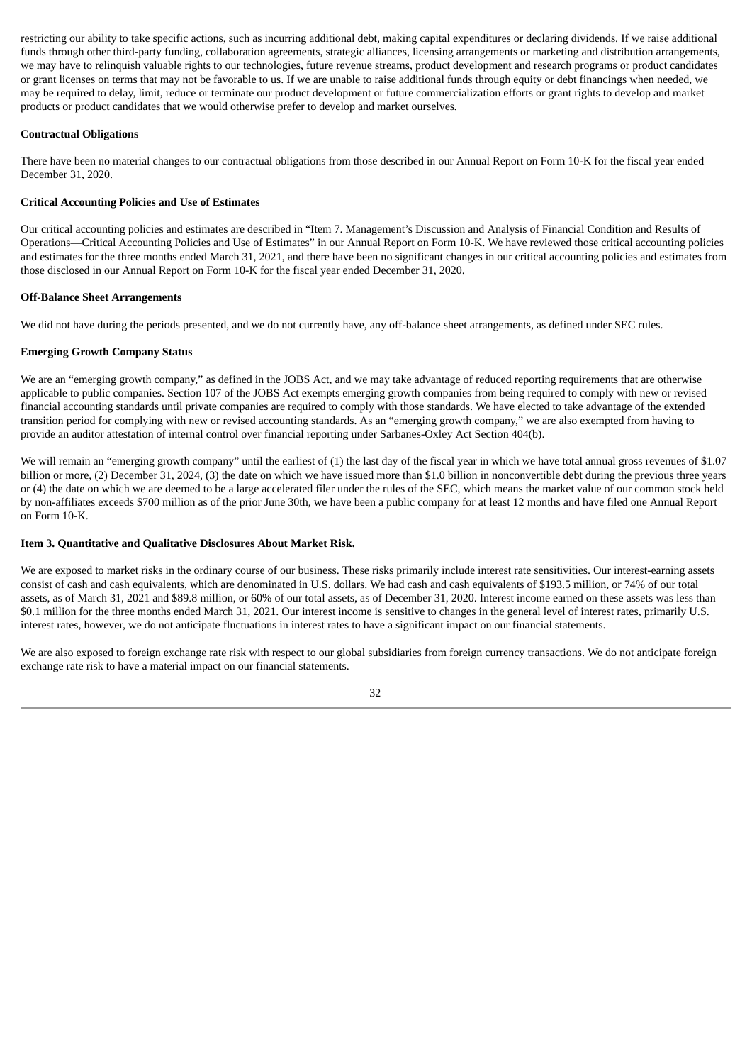restricting our ability to take specific actions, such as incurring additional debt, making capital expenditures or declaring dividends. If we raise additional funds through other third-party funding, collaboration agreements, strategic alliances, licensing arrangements or marketing and distribution arrangements, we may have to relinquish valuable rights to our technologies, future revenue streams, product development and research programs or product candidates or grant licenses on terms that may not be favorable to us. If we are unable to raise additional funds through equity or debt financings when needed, we may be required to delay, limit, reduce or terminate our product development or future commercialization efforts or grant rights to develop and market products or product candidates that we would otherwise prefer to develop and market ourselves*.*

#### **Contractual Obligations**

There have been no material changes to our contractual obligations from those described in our Annual Report on Form 10-K for the fiscal year ended December 31, 2020.

#### **Critical Accounting Policies and Use of Estimates**

Our critical accounting policies and estimates are described in "Item 7. Management's Discussion and Analysis of Financial Condition and Results of Operations—Critical Accounting Policies and Use of Estimates" in our Annual Report on Form 10-K. We have reviewed those critical accounting policies and estimates for the three months ended March 31, 2021, and there have been no significant changes in our critical accounting policies and estimates from those disclosed in our Annual Report on Form 10-K for the fiscal year ended December 31, 2020.

#### **Off-Balance Sheet Arrangements**

We did not have during the periods presented, and we do not currently have, any off-balance sheet arrangements, as defined under SEC rules.

#### **Emerging Growth Company Status**

We are an "emerging growth company," as defined in the JOBS Act, and we may take advantage of reduced reporting requirements that are otherwise applicable to public companies. Section 107 of the JOBS Act exempts emerging growth companies from being required to comply with new or revised financial accounting standards until private companies are required to comply with those standards. We have elected to take advantage of the extended transition period for complying with new or revised accounting standards. As an "emerging growth company," we are also exempted from having to provide an auditor attestation of internal control over financial reporting under Sarbanes-Oxley Act Section 404(b).

We will remain an "emerging growth company" until the earliest of (1) the last day of the fiscal year in which we have total annual gross revenues of \$1.07 billion or more, (2) December 31, 2024, (3) the date on which we have issued more than \$1.0 billion in nonconvertible debt during the previous three years or (4) the date on which we are deemed to be a large accelerated filer under the rules of the SEC, which means the market value of our common stock held by non-affiliates exceeds \$700 million as of the prior June 30th, we have been a public company for at least 12 months and have filed one Annual Report on Form 10-K.

#### <span id="page-31-0"></span>**Item 3. Quantitative and Qualitative Disclosures About Market Risk.**

We are exposed to market risks in the ordinary course of our business. These risks primarily include interest rate sensitivities. Our interest-earning assets consist of cash and cash equivalents, which are denominated in U.S. dollars. We had cash and cash equivalents of \$193.5 million, or 74% of our total assets, as of March 31, 2021 and \$89.8 million, or 60% of our total assets, as of December 31, 2020. Interest income earned on these assets was less than \$0.1 million for the three months ended March 31, 2021. Our interest income is sensitive to changes in the general level of interest rates, primarily U.S. interest rates, however, we do not anticipate fluctuations in interest rates to have a significant impact on our financial statements.

We are also exposed to foreign exchange rate risk with respect to our global subsidiaries from foreign currency transactions. We do not anticipate foreign exchange rate risk to have a material impact on our financial statements.

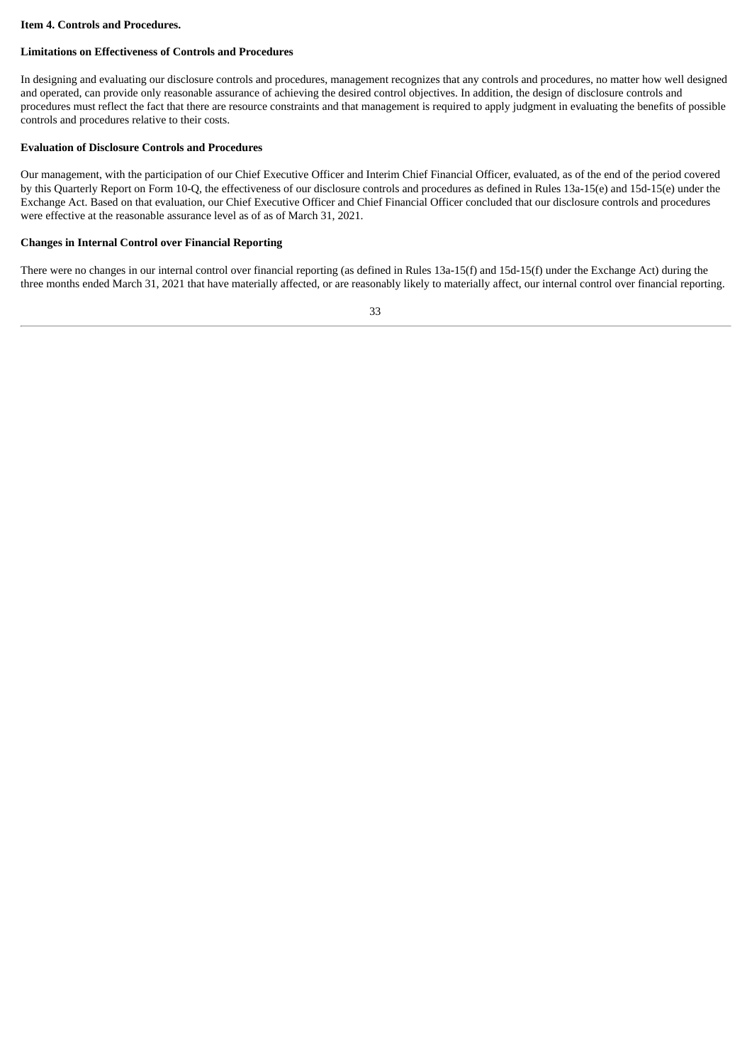#### <span id="page-32-0"></span>**Item 4. Controls and Procedures.**

#### **Limitations on Effectiveness of Controls and Procedures**

In designing and evaluating our disclosure controls and procedures, management recognizes that any controls and procedures, no matter how well designed and operated, can provide only reasonable assurance of achieving the desired control objectives. In addition, the design of disclosure controls and procedures must reflect the fact that there are resource constraints and that management is required to apply judgment in evaluating the benefits of possible controls and procedures relative to their costs.

#### **Evaluation of Disclosure Controls and Procedures**

Our management, with the participation of our Chief Executive Officer and Interim Chief Financial Officer, evaluated, as of the end of the period covered by this Quarterly Report on Form 10-Q, the effectiveness of our disclosure controls and procedures as defined in Rules 13a-15(e) and 15d-15(e) under the Exchange Act. Based on that evaluation, our Chief Executive Officer and Chief Financial Officer concluded that our disclosure controls and procedures were effective at the reasonable assurance level as of as of March 31, 2021.

#### **Changes in Internal Control over Financial Reporting**

There were no changes in our internal control over financial reporting (as defined in Rules 13a-15(f) and 15d-15(f) under the Exchange Act) during the three months ended March 31, 2021 that have materially affected, or are reasonably likely to materially affect, our internal control over financial reporting.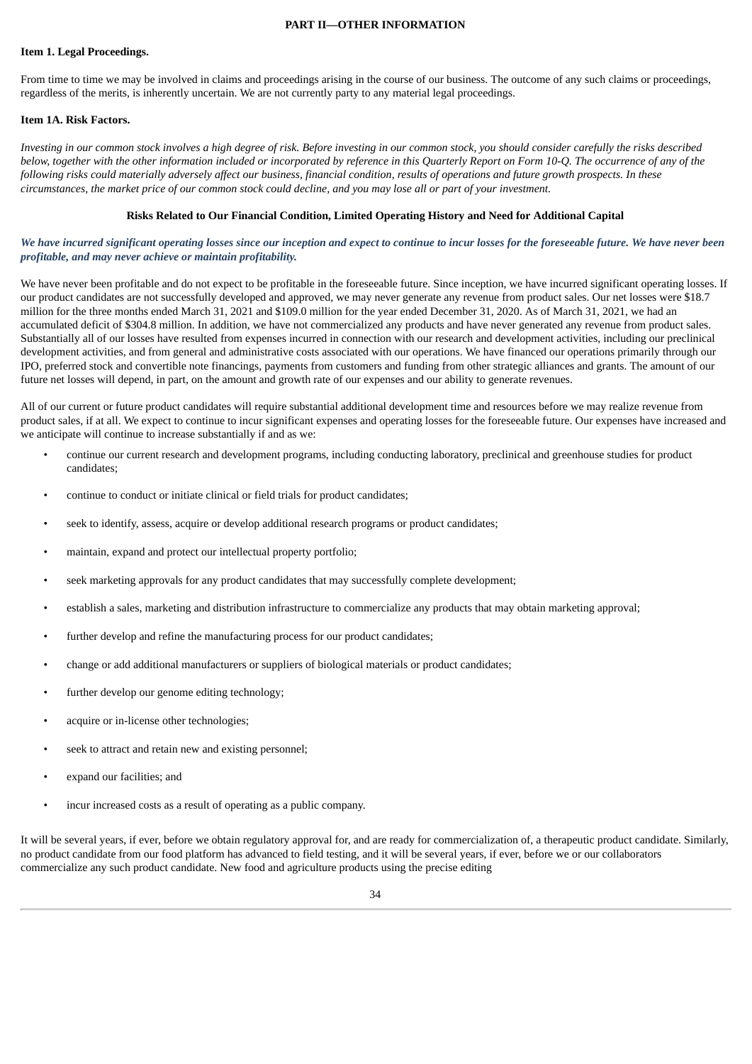#### **PART II—OTHER INFORMATION**

#### <span id="page-33-1"></span><span id="page-33-0"></span>**Item 1. Legal Proceedings.**

From time to time we may be involved in claims and proceedings arising in the course of our business. The outcome of any such claims or proceedings, regardless of the merits, is inherently uncertain. We are not currently party to any material legal proceedings.

#### <span id="page-33-2"></span>**Item 1A. Risk Factors.**

Investing in our common stock involves a high degree of risk. Before investing in our common stock, you should consider carefully the risks described below, together with the other information included or incorporated by reference in this Quarterly Report on Form 10-Q. The occurrence of any of the following risks could materially adversely affect our business, financial condition, results of operations and future growth prospects. In these circumstances, the market price of our common stock could decline, and you may lose all or part of your investment.

#### **Risks Related to Our Financial Condition, Limited Operating History and Need for Additional Capital**

#### We have incurred significant operating losses since our inception and expect to continue to incur losses for the foreseeable future. We have never been *profitable, and may never achieve or maintain profitability.*

We have never been profitable and do not expect to be profitable in the foreseeable future. Since inception, we have incurred significant operating losses. If our product candidates are not successfully developed and approved, we may never generate any revenue from product sales. Our net losses were \$18.7 million for the three months ended March 31, 2021 and \$109.0 million for the year ended December 31, 2020. As of March 31, 2021, we had an accumulated deficit of \$304.8 million. In addition, we have not commercialized any products and have never generated any revenue from product sales. Substantially all of our losses have resulted from expenses incurred in connection with our research and development activities, including our preclinical development activities, and from general and administrative costs associated with our operations. We have financed our operations primarily through our IPO, preferred stock and convertible note financings, payments from customers and funding from other strategic alliances and grants. The amount of our future net losses will depend, in part, on the amount and growth rate of our expenses and our ability to generate revenues.

All of our current or future product candidates will require substantial additional development time and resources before we may realize revenue from product sales, if at all. We expect to continue to incur significant expenses and operating losses for the foreseeable future. Our expenses have increased and we anticipate will continue to increase substantially if and as we:

- continue our current research and development programs, including conducting laboratory, preclinical and greenhouse studies for product candidates;
- continue to conduct or initiate clinical or field trials for product candidates;
- seek to identify, assess, acquire or develop additional research programs or product candidates;
- maintain, expand and protect our intellectual property portfolio;
- seek marketing approvals for any product candidates that may successfully complete development;
- establish a sales, marketing and distribution infrastructure to commercialize any products that may obtain marketing approval;
- further develop and refine the manufacturing process for our product candidates;
- change or add additional manufacturers or suppliers of biological materials or product candidates;
- further develop our genome editing technology;
- acquire or in-license other technologies;
- seek to attract and retain new and existing personnel:
- expand our facilities; and
- incur increased costs as a result of operating as a public company.

It will be several years, if ever, before we obtain regulatory approval for, and are ready for commercialization of, a therapeutic product candidate. Similarly, no product candidate from our food platform has advanced to field testing, and it will be several years, if ever, before we or our collaborators commercialize any such product candidate. New food and agriculture products using the precise editing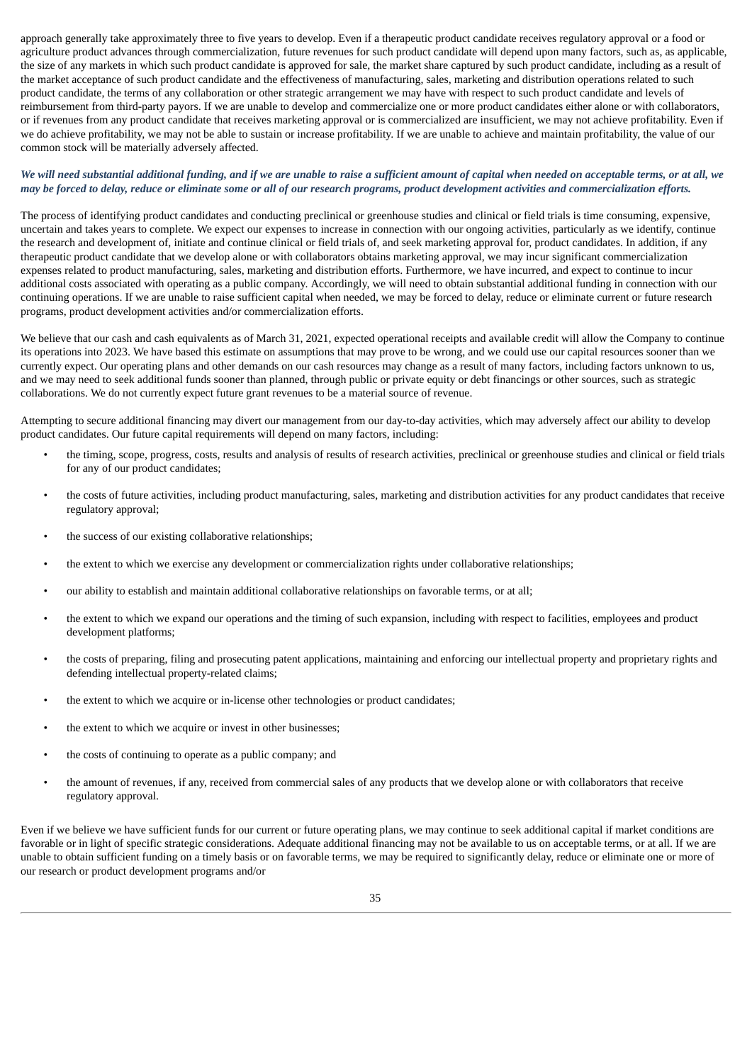approach generally take approximately three to five years to develop. Even if a therapeutic product candidate receives regulatory approval or a food or agriculture product advances through commercialization, future revenues for such product candidate will depend upon many factors, such as, as applicable, the size of any markets in which such product candidate is approved for sale, the market share captured by such product candidate, including as a result of the market acceptance of such product candidate and the effectiveness of manufacturing, sales, marketing and distribution operations related to such product candidate, the terms of any collaboration or other strategic arrangement we may have with respect to such product candidate and levels of reimbursement from third-party payors. If we are unable to develop and commercialize one or more product candidates either alone or with collaborators, or if revenues from any product candidate that receives marketing approval or is commercialized are insufficient, we may not achieve profitability. Even if we do achieve profitability, we may not be able to sustain or increase profitability. If we are unable to achieve and maintain profitability, the value of our common stock will be materially adversely affected.

#### We will need substantial additional funding, and if we are unable to raise a sufficient amount of capital when needed on acceptable terms, or at all, we may be forced to delay, reduce or eliminate some or all of our research programs, product development activities and commercialization efforts.

The process of identifying product candidates and conducting preclinical or greenhouse studies and clinical or field trials is time consuming, expensive, uncertain and takes years to complete. We expect our expenses to increase in connection with our ongoing activities, particularly as we identify, continue the research and development of, initiate and continue clinical or field trials of, and seek marketing approval for, product candidates. In addition, if any therapeutic product candidate that we develop alone or with collaborators obtains marketing approval, we may incur significant commercialization expenses related to product manufacturing, sales, marketing and distribution efforts. Furthermore, we have incurred, and expect to continue to incur additional costs associated with operating as a public company. Accordingly, we will need to obtain substantial additional funding in connection with our continuing operations. If we are unable to raise sufficient capital when needed, we may be forced to delay, reduce or eliminate current or future research programs, product development activities and/or commercialization efforts.

We believe that our cash and cash equivalents as of March 31, 2021, expected operational receipts and available credit will allow the Company to continue its operations into 2023. We have based this estimate on assumptions that may prove to be wrong, and we could use our capital resources sooner than we currently expect. Our operating plans and other demands on our cash resources may change as a result of many factors, including factors unknown to us, and we may need to seek additional funds sooner than planned, through public or private equity or debt financings or other sources, such as strategic collaborations. We do not currently expect future grant revenues to be a material source of revenue.

Attempting to secure additional financing may divert our management from our day-to-day activities, which may adversely affect our ability to develop product candidates. Our future capital requirements will depend on many factors, including:

- the timing, scope, progress, costs, results and analysis of results of research activities, preclinical or greenhouse studies and clinical or field trials for any of our product candidates;
- the costs of future activities, including product manufacturing, sales, marketing and distribution activities for any product candidates that receive regulatory approval;
- the success of our existing collaborative relationships;
- the extent to which we exercise any development or commercialization rights under collaborative relationships;
- our ability to establish and maintain additional collaborative relationships on favorable terms, or at all;
- the extent to which we expand our operations and the timing of such expansion, including with respect to facilities, employees and product development platforms;
- the costs of preparing, filing and prosecuting patent applications, maintaining and enforcing our intellectual property and proprietary rights and defending intellectual property-related claims;
- the extent to which we acquire or in-license other technologies or product candidates;
- the extent to which we acquire or invest in other businesses;
- the costs of continuing to operate as a public company; and
- the amount of revenues, if any, received from commercial sales of any products that we develop alone or with collaborators that receive regulatory approval.

Even if we believe we have sufficient funds for our current or future operating plans, we may continue to seek additional capital if market conditions are favorable or in light of specific strategic considerations. Adequate additional financing may not be available to us on acceptable terms, or at all. If we are unable to obtain sufficient funding on a timely basis or on favorable terms, we may be required to significantly delay, reduce or eliminate one or more of our research or product development programs and/or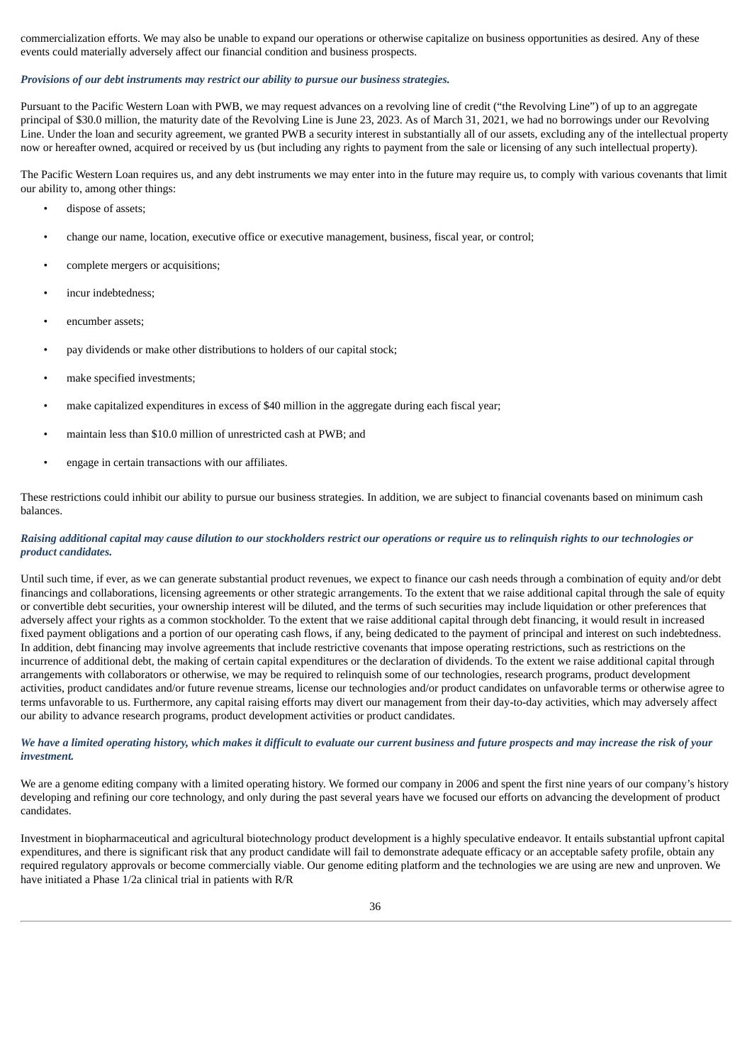commercialization efforts. We may also be unable to expand our operations or otherwise capitalize on business opportunities as desired. Any of these events could materially adversely affect our financial condition and business prospects.

#### *Provisions of our debt instruments may restrict our ability to pursue our business strategies.*

Pursuant to the Pacific Western Loan with PWB, we may request advances on a revolving line of credit ("the Revolving Line") of up to an aggregate principal of \$30.0 million, the maturity date of the Revolving Line is June 23, 2023. As of March 31, 2021, we had no borrowings under our Revolving Line. Under the loan and security agreement, we granted PWB a security interest in substantially all of our assets, excluding any of the intellectual property now or hereafter owned, acquired or received by us (but including any rights to payment from the sale or licensing of any such intellectual property).

The Pacific Western Loan requires us, and any debt instruments we may enter into in the future may require us, to comply with various covenants that limit our ability to, among other things:

- dispose of assets;
- change our name, location, executive office or executive management, business, fiscal year, or control;
- complete mergers or acquisitions;
- incur indebtedness;
- encumber assets;
- pay dividends or make other distributions to holders of our capital stock;
- make specified investments;
- make capitalized expenditures in excess of \$40 million in the aggregate during each fiscal year;
- maintain less than \$10.0 million of unrestricted cash at PWB; and
- engage in certain transactions with our affiliates.

These restrictions could inhibit our ability to pursue our business strategies. In addition, we are subject to financial covenants based on minimum cash balances.

#### Raising additional capital may cause dilution to our stockholders restrict our operations or require us to relinquish rights to our technologies or *product candidates.*

Until such time, if ever, as we can generate substantial product revenues, we expect to finance our cash needs through a combination of equity and/or debt financings and collaborations, licensing agreements or other strategic arrangements. To the extent that we raise additional capital through the sale of equity or convertible debt securities, your ownership interest will be diluted, and the terms of such securities may include liquidation or other preferences that adversely affect your rights as a common stockholder. To the extent that we raise additional capital through debt financing, it would result in increased fixed payment obligations and a portion of our operating cash flows, if any, being dedicated to the payment of principal and interest on such indebtedness. In addition, debt financing may involve agreements that include restrictive covenants that impose operating restrictions, such as restrictions on the incurrence of additional debt, the making of certain capital expenditures or the declaration of dividends. To the extent we raise additional capital through arrangements with collaborators or otherwise, we may be required to relinquish some of our technologies, research programs, product development activities, product candidates and/or future revenue streams, license our technologies and/or product candidates on unfavorable terms or otherwise agree to terms unfavorable to us. Furthermore, any capital raising efforts may divert our management from their day-to-day activities, which may adversely affect our ability to advance research programs, product development activities or product candidates.

## We have a limited operating history, which makes it difficult to evaluate our current business and future prospects and may increase the risk of your *investment.*

We are a genome editing company with a limited operating history. We formed our company in 2006 and spent the first nine years of our company's history developing and refining our core technology, and only during the past several years have we focused our efforts on advancing the development of product candidates.

Investment in biopharmaceutical and agricultural biotechnology product development is a highly speculative endeavor. It entails substantial upfront capital expenditures, and there is significant risk that any product candidate will fail to demonstrate adequate efficacy or an acceptable safety profile, obtain any required regulatory approvals or become commercially viable. Our genome editing platform and the technologies we are using are new and unproven. We have initiated a Phase 1/2a clinical trial in patients with R/R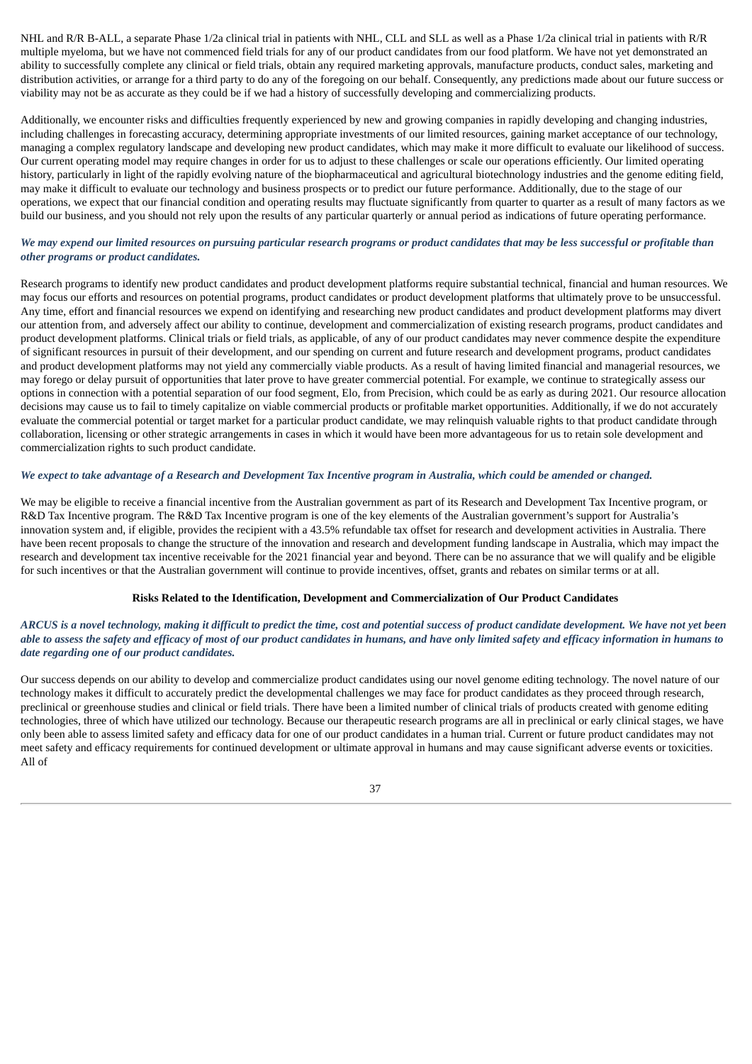NHL and R/R B-ALL, a separate Phase 1/2a clinical trial in patients with NHL, CLL and SLL as well as a Phase 1/2a clinical trial in patients with R/R multiple myeloma, but we have not commenced field trials for any of our product candidates from our food platform. We have not yet demonstrated an ability to successfully complete any clinical or field trials, obtain any required marketing approvals, manufacture products, conduct sales, marketing and distribution activities, or arrange for a third party to do any of the foregoing on our behalf. Consequently, any predictions made about our future success or viability may not be as accurate as they could be if we had a history of successfully developing and commercializing products.

Additionally, we encounter risks and difficulties frequently experienced by new and growing companies in rapidly developing and changing industries, including challenges in forecasting accuracy, determining appropriate investments of our limited resources, gaining market acceptance of our technology, managing a complex regulatory landscape and developing new product candidates, which may make it more difficult to evaluate our likelihood of success. Our current operating model may require changes in order for us to adjust to these challenges or scale our operations efficiently. Our limited operating history, particularly in light of the rapidly evolving nature of the biopharmaceutical and agricultural biotechnology industries and the genome editing field, may make it difficult to evaluate our technology and business prospects or to predict our future performance. Additionally, due to the stage of our operations, we expect that our financial condition and operating results may fluctuate significantly from quarter to quarter as a result of many factors as we build our business, and you should not rely upon the results of any particular quarterly or annual period as indications of future operating performance.

## We may expend our limited resources on pursuing particular research programs or product candidates that may be less successful or profitable than *other programs or product candidates.*

Research programs to identify new product candidates and product development platforms require substantial technical, financial and human resources. We may focus our efforts and resources on potential programs, product candidates or product development platforms that ultimately prove to be unsuccessful. Any time, effort and financial resources we expend on identifying and researching new product candidates and product development platforms may divert our attention from, and adversely affect our ability to continue, development and commercialization of existing research programs, product candidates and product development platforms. Clinical trials or field trials, as applicable, of any of our product candidates may never commence despite the expenditure of significant resources in pursuit of their development, and our spending on current and future research and development programs, product candidates and product development platforms may not yield any commercially viable products. As a result of having limited financial and managerial resources, we may forego or delay pursuit of opportunities that later prove to have greater commercial potential. For example, we continue to strategically assess our options in connection with a potential separation of our food segment, Elo, from Precision, which could be as early as during 2021. Our resource allocation decisions may cause us to fail to timely capitalize on viable commercial products or profitable market opportunities. Additionally, if we do not accurately evaluate the commercial potential or target market for a particular product candidate, we may relinquish valuable rights to that product candidate through collaboration, licensing or other strategic arrangements in cases in which it would have been more advantageous for us to retain sole development and commercialization rights to such product candidate.

## We expect to take advantage of a Research and Development Tax Incentive program in Australia, which could be amended or changed.

We may be eligible to receive a financial incentive from the Australian government as part of its Research and Development Tax Incentive program, or R&D Tax Incentive program. The R&D Tax Incentive program is one of the key elements of the Australian government's support for Australia's innovation system and, if eligible, provides the recipient with a 43.5% refundable tax offset for research and development activities in Australia. There have been recent proposals to change the structure of the innovation and research and development funding landscape in Australia, which may impact the research and development tax incentive receivable for the 2021 financial year and beyond. There can be no assurance that we will qualify and be eligible for such incentives or that the Australian government will continue to provide incentives, offset, grants and rebates on similar terms or at all.

#### **Risks Related to the Identification, Development and Commercialization of Our Product Candidates**

# ARCUS is a novel technology, making it difficult to predict the time, cost and potential success of product candidate development. We have not yet been able to assess the safety and efficacy of most of our product candidates in humans, and have only limited safety and efficacy information in humans to *date regarding one of our product candidates.*

Our success depends on our ability to develop and commercialize product candidates using our novel genome editing technology. The novel nature of our technology makes it difficult to accurately predict the developmental challenges we may face for product candidates as they proceed through research, preclinical or greenhouse studies and clinical or field trials. There have been a limited number of clinical trials of products created with genome editing technologies, three of which have utilized our technology. Because our therapeutic research programs are all in preclinical or early clinical stages, we have only been able to assess limited safety and efficacy data for one of our product candidates in a human trial. Current or future product candidates may not meet safety and efficacy requirements for continued development or ultimate approval in humans and may cause significant adverse events or toxicities. All of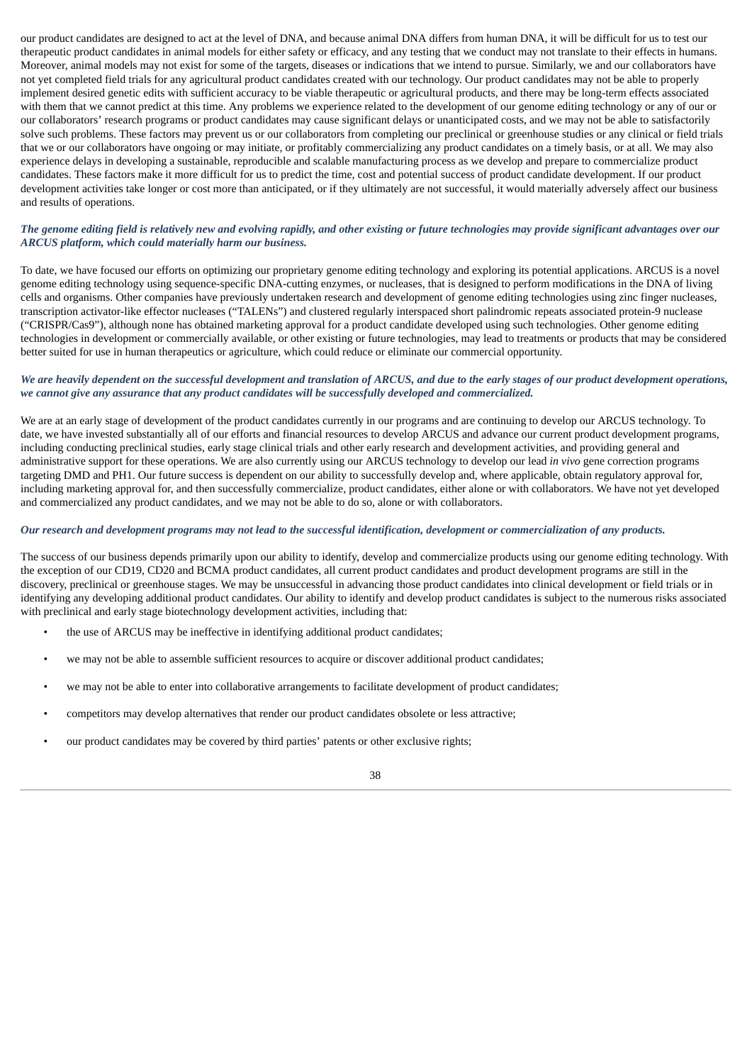our product candidates are designed to act at the level of DNA, and because animal DNA differs from human DNA, it will be difficult for us to test our therapeutic product candidates in animal models for either safety or efficacy, and any testing that we conduct may not translate to their effects in humans. Moreover, animal models may not exist for some of the targets, diseases or indications that we intend to pursue. Similarly, we and our collaborators have not yet completed field trials for any agricultural product candidates created with our technology. Our product candidates may not be able to properly implement desired genetic edits with sufficient accuracy to be viable therapeutic or agricultural products, and there may be long-term effects associated with them that we cannot predict at this time. Any problems we experience related to the development of our genome editing technology or any of our or our collaborators' research programs or product candidates may cause significant delays or unanticipated costs, and we may not be able to satisfactorily solve such problems. These factors may prevent us or our collaborators from completing our preclinical or greenhouse studies or any clinical or field trials that we or our collaborators have ongoing or may initiate, or profitably commercializing any product candidates on a timely basis, or at all. We may also experience delays in developing a sustainable, reproducible and scalable manufacturing process as we develop and prepare to commercialize product candidates. These factors make it more difficult for us to predict the time, cost and potential success of product candidate development. If our product development activities take longer or cost more than anticipated, or if they ultimately are not successful, it would materially adversely affect our business and results of operations.

## The genome editing field is relatively new and evolving rapidly, and other existing or future technologies may provide significant advantages over our *ARCUS platform, which could materially harm our business.*

To date, we have focused our efforts on optimizing our proprietary genome editing technology and exploring its potential applications. ARCUS is a novel genome editing technology using sequence-specific DNA-cutting enzymes, or nucleases, that is designed to perform modifications in the DNA of living cells and organisms. Other companies have previously undertaken research and development of genome editing technologies using zinc finger nucleases, transcription activator-like effector nucleases ("TALENs") and clustered regularly interspaced short palindromic repeats associated protein-9 nuclease ("CRISPR/Cas9"), although none has obtained marketing approval for a product candidate developed using such technologies. Other genome editing technologies in development or commercially available, or other existing or future technologies, may lead to treatments or products that may be considered better suited for use in human therapeutics or agriculture, which could reduce or eliminate our commercial opportunity.

## We are heavily dependent on the successful development and translation of ARCUS, and due to the early stages of our product development operations, *we cannot give any assurance that any product candidates will be successfully developed and commercialized.*

We are at an early stage of development of the product candidates currently in our programs and are continuing to develop our ARCUS technology. To date, we have invested substantially all of our efforts and financial resources to develop ARCUS and advance our current product development programs, including conducting preclinical studies, early stage clinical trials and other early research and development activities, and providing general and administrative support for these operations. We are also currently using our ARCUS technology to develop our lead *in vivo* gene correction programs targeting DMD and PH1. Our future success is dependent on our ability to successfully develop and, where applicable, obtain regulatory approval for, including marketing approval for, and then successfully commercialize, product candidates, either alone or with collaborators. We have not yet developed and commercialized any product candidates, and we may not be able to do so, alone or with collaborators.

# Our research and development programs may not lead to the successful identification, development or commercialization of any products.

The success of our business depends primarily upon our ability to identify, develop and commercialize products using our genome editing technology. With the exception of our CD19, CD20 and BCMA product candidates, all current product candidates and product development programs are still in the discovery, preclinical or greenhouse stages. We may be unsuccessful in advancing those product candidates into clinical development or field trials or in identifying any developing additional product candidates. Our ability to identify and develop product candidates is subject to the numerous risks associated with preclinical and early stage biotechnology development activities, including that:

- the use of ARCUS may be ineffective in identifying additional product candidates;
- we may not be able to assemble sufficient resources to acquire or discover additional product candidates;
- we may not be able to enter into collaborative arrangements to facilitate development of product candidates;
- competitors may develop alternatives that render our product candidates obsolete or less attractive;
- our product candidates may be covered by third parties' patents or other exclusive rights;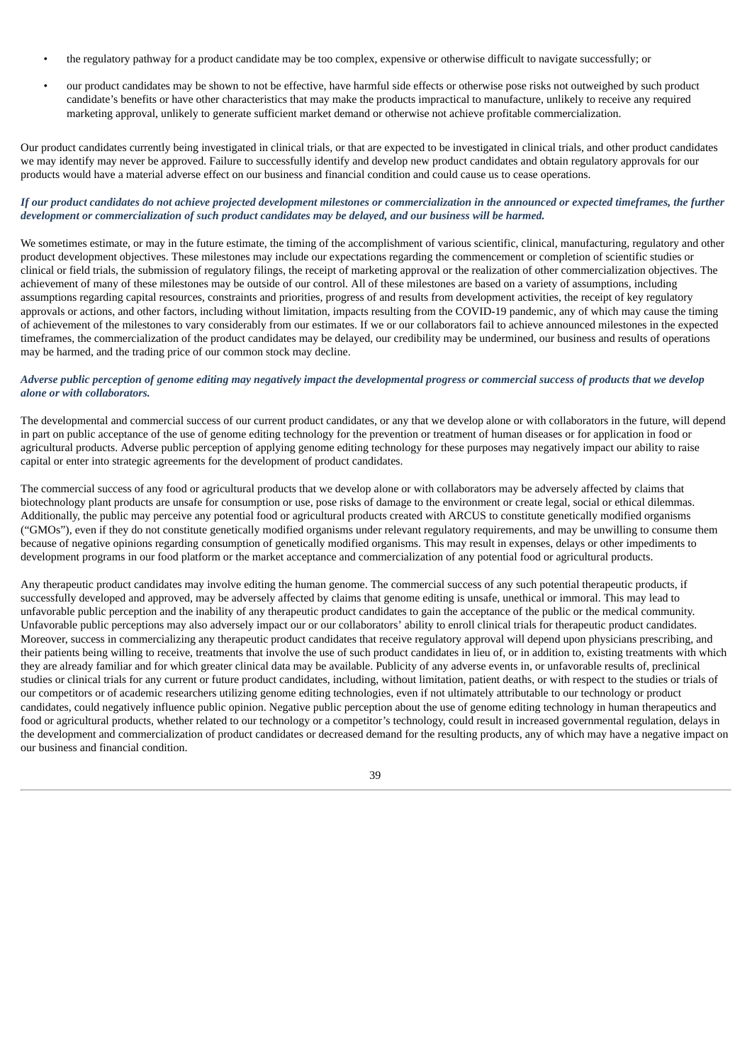- the regulatory pathway for a product candidate may be too complex, expensive or otherwise difficult to navigate successfully; or
- our product candidates may be shown to not be effective, have harmful side effects or otherwise pose risks not outweighed by such product candidate's benefits or have other characteristics that may make the products impractical to manufacture, unlikely to receive any required marketing approval, unlikely to generate sufficient market demand or otherwise not achieve profitable commercialization.

Our product candidates currently being investigated in clinical trials, or that are expected to be investigated in clinical trials, and other product candidates we may identify may never be approved. Failure to successfully identify and develop new product candidates and obtain regulatory approvals for our products would have a material adverse effect on our business and financial condition and could cause us to cease operations.

# If our product candidates do not achieve projected development milestones or commercialization in the announced or expected timeframes, the further *development or commercialization of such product candidates may be delayed, and our business will be harmed.*

We sometimes estimate, or may in the future estimate, the timing of the accomplishment of various scientific, clinical, manufacturing, regulatory and other product development objectives. These milestones may include our expectations regarding the commencement or completion of scientific studies or clinical or field trials, the submission of regulatory filings, the receipt of marketing approval or the realization of other commercialization objectives. The achievement of many of these milestones may be outside of our control. All of these milestones are based on a variety of assumptions, including assumptions regarding capital resources, constraints and priorities, progress of and results from development activities, the receipt of key regulatory approvals or actions, and other factors, including without limitation, impacts resulting from the COVID-19 pandemic, any of which may cause the timing of achievement of the milestones to vary considerably from our estimates. If we or our collaborators fail to achieve announced milestones in the expected timeframes, the commercialization of the product candidates may be delayed, our credibility may be undermined, our business and results of operations may be harmed, and the trading price of our common stock may decline.

# Adverse public perception of genome editing may negatively impact the developmental progress or commercial success of products that we develop *alone or with collaborators.*

The developmental and commercial success of our current product candidates, or any that we develop alone or with collaborators in the future, will depend in part on public acceptance of the use of genome editing technology for the prevention or treatment of human diseases or for application in food or agricultural products. Adverse public perception of applying genome editing technology for these purposes may negatively impact our ability to raise capital or enter into strategic agreements for the development of product candidates.

The commercial success of any food or agricultural products that we develop alone or with collaborators may be adversely affected by claims that biotechnology plant products are unsafe for consumption or use, pose risks of damage to the environment or create legal, social or ethical dilemmas. Additionally, the public may perceive any potential food or agricultural products created with ARCUS to constitute genetically modified organisms ("GMOs"), even if they do not constitute genetically modified organisms under relevant regulatory requirements, and may be unwilling to consume them because of negative opinions regarding consumption of genetically modified organisms. This may result in expenses, delays or other impediments to development programs in our food platform or the market acceptance and commercialization of any potential food or agricultural products.

Any therapeutic product candidates may involve editing the human genome. The commercial success of any such potential therapeutic products, if successfully developed and approved, may be adversely affected by claims that genome editing is unsafe, unethical or immoral. This may lead to unfavorable public perception and the inability of any therapeutic product candidates to gain the acceptance of the public or the medical community. Unfavorable public perceptions may also adversely impact our or our collaborators' ability to enroll clinical trials for therapeutic product candidates. Moreover, success in commercializing any therapeutic product candidates that receive regulatory approval will depend upon physicians prescribing, and their patients being willing to receive, treatments that involve the use of such product candidates in lieu of, or in addition to, existing treatments with which they are already familiar and for which greater clinical data may be available. Publicity of any adverse events in, or unfavorable results of, preclinical studies or clinical trials for any current or future product candidates, including, without limitation, patient deaths, or with respect to the studies or trials of our competitors or of academic researchers utilizing genome editing technologies, even if not ultimately attributable to our technology or product candidates, could negatively influence public opinion. Negative public perception about the use of genome editing technology in human therapeutics and food or agricultural products, whether related to our technology or a competitor's technology, could result in increased governmental regulation, delays in the development and commercialization of product candidates or decreased demand for the resulting products, any of which may have a negative impact on our business and financial condition.

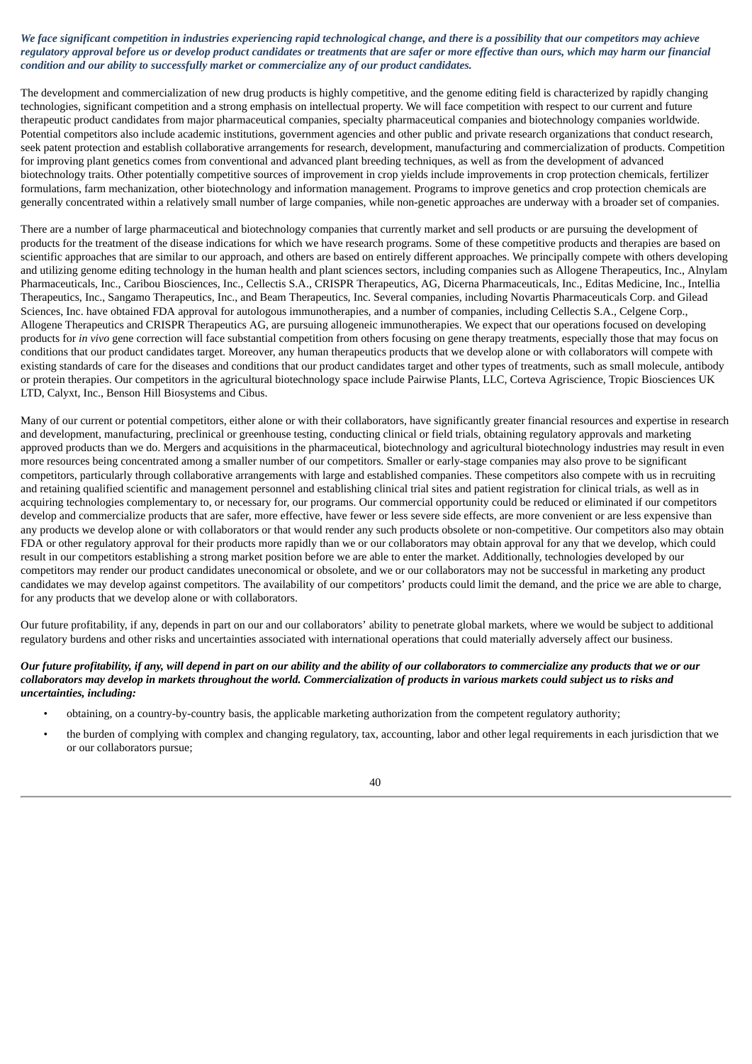# We face significant competition in industries experiencing rapid technological change, and there is a possibility that our competitors may achieve regulatory approval before us or develop product candidates or treatments that are safer or more effective than ours, which may harm our financial *condition and our ability to successfully market or commercialize any of our product candidates.*

The development and commercialization of new drug products is highly competitive, and the genome editing field is characterized by rapidly changing technologies, significant competition and a strong emphasis on intellectual property. We will face competition with respect to our current and future therapeutic product candidates from major pharmaceutical companies, specialty pharmaceutical companies and biotechnology companies worldwide. Potential competitors also include academic institutions, government agencies and other public and private research organizations that conduct research, seek patent protection and establish collaborative arrangements for research, development, manufacturing and commercialization of products. Competition for improving plant genetics comes from conventional and advanced plant breeding techniques, as well as from the development of advanced biotechnology traits. Other potentially competitive sources of improvement in crop yields include improvements in crop protection chemicals, fertilizer formulations, farm mechanization, other biotechnology and information management. Programs to improve genetics and crop protection chemicals are generally concentrated within a relatively small number of large companies, while non-genetic approaches are underway with a broader set of companies.

There are a number of large pharmaceutical and biotechnology companies that currently market and sell products or are pursuing the development of products for the treatment of the disease indications for which we have research programs. Some of these competitive products and therapies are based on scientific approaches that are similar to our approach, and others are based on entirely different approaches. We principally compete with others developing and utilizing genome editing technology in the human health and plant sciences sectors, including companies such as Allogene Therapeutics, Inc., Alnylam Pharmaceuticals, Inc., Caribou Biosciences, Inc., Cellectis S.A., CRISPR Therapeutics, AG, Dicerna Pharmaceuticals, Inc., Editas Medicine, Inc., Intellia Therapeutics, Inc., Sangamo Therapeutics, Inc., and Beam Therapeutics, Inc. Several companies, including Novartis Pharmaceuticals Corp. and Gilead Sciences, Inc. have obtained FDA approval for autologous immunotherapies, and a number of companies, including Cellectis S.A., Celgene Corp., Allogene Therapeutics and CRISPR Therapeutics AG, are pursuing allogeneic immunotherapies. We expect that our operations focused on developing products for *in vivo* gene correction will face substantial competition from others focusing on gene therapy treatments, especially those that may focus on conditions that our product candidates target. Moreover, any human therapeutics products that we develop alone or with collaborators will compete with existing standards of care for the diseases and conditions that our product candidates target and other types of treatments, such as small molecule, antibody or protein therapies. Our competitors in the agricultural biotechnology space include Pairwise Plants, LLC, Corteva Agriscience, Tropic Biosciences UK LTD, Calyxt, Inc., Benson Hill Biosystems and Cibus.

Many of our current or potential competitors, either alone or with their collaborators, have significantly greater financial resources and expertise in research and development, manufacturing, preclinical or greenhouse testing, conducting clinical or field trials, obtaining regulatory approvals and marketing approved products than we do. Mergers and acquisitions in the pharmaceutical, biotechnology and agricultural biotechnology industries may result in even more resources being concentrated among a smaller number of our competitors. Smaller or early-stage companies may also prove to be significant competitors, particularly through collaborative arrangements with large and established companies. These competitors also compete with us in recruiting and retaining qualified scientific and management personnel and establishing clinical trial sites and patient registration for clinical trials, as well as in acquiring technologies complementary to, or necessary for, our programs. Our commercial opportunity could be reduced or eliminated if our competitors develop and commercialize products that are safer, more effective, have fewer or less severe side effects, are more convenient or are less expensive than any products we develop alone or with collaborators or that would render any such products obsolete or non-competitive. Our competitors also may obtain FDA or other regulatory approval for their products more rapidly than we or our collaborators may obtain approval for any that we develop, which could result in our competitors establishing a strong market position before we are able to enter the market. Additionally, technologies developed by our competitors may render our product candidates uneconomical or obsolete, and we or our collaborators may not be successful in marketing any product candidates we may develop against competitors. The availability of our competitors' products could limit the demand, and the price we are able to charge, for any products that we develop alone or with collaborators.

Our future profitability, if any, depends in part on our and our collaborators' ability to penetrate global markets, where we would be subject to additional regulatory burdens and other risks and uncertainties associated with international operations that could materially adversely affect our business.

# Our future profitability, if any, will depend in part on our ability and the ability of our collaborators to commercialize any products that we or our collaborators may develop in markets throughout the world. Commercialization of products in various markets could subject us to risks and *uncertainties, including:*

- obtaining, on a country-by-country basis, the applicable marketing authorization from the competent regulatory authority;
- the burden of complying with complex and changing regulatory, tax, accounting, labor and other legal requirements in each jurisdiction that we or our collaborators pursue;

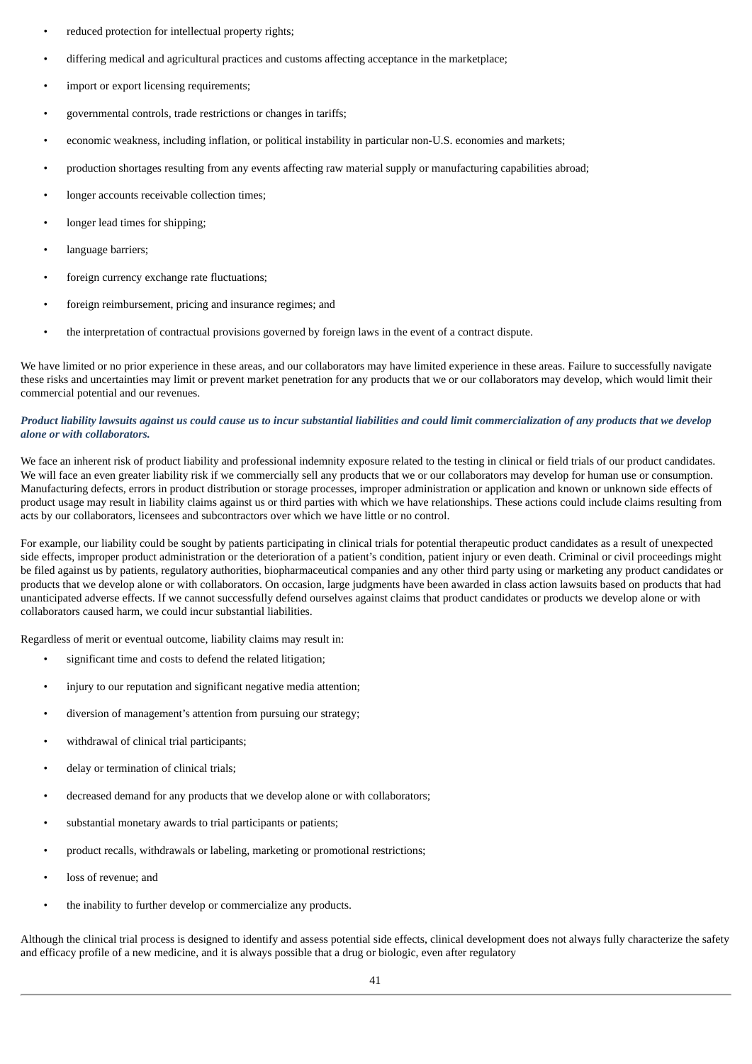- reduced protection for intellectual property rights;
- differing medical and agricultural practices and customs affecting acceptance in the marketplace;
- import or export licensing requirements;
- governmental controls, trade restrictions or changes in tariffs;
- economic weakness, including inflation, or political instability in particular non-U.S. economies and markets;
- production shortages resulting from any events affecting raw material supply or manufacturing capabilities abroad;
- longer accounts receivable collection times;
- longer lead times for shipping;
- language barriers;
- foreign currency exchange rate fluctuations;
- foreign reimbursement, pricing and insurance regimes; and
- the interpretation of contractual provisions governed by foreign laws in the event of a contract dispute.

We have limited or no prior experience in these areas, and our collaborators may have limited experience in these areas. Failure to successfully navigate these risks and uncertainties may limit or prevent market penetration for any products that we or our collaborators may develop, which would limit their commercial potential and our revenues.

## Product liability lawsuits against us could cause us to incur substantial liabilities and could limit commercialization of any products that we develop *alone or with collaborators.*

We face an inherent risk of product liability and professional indemnity exposure related to the testing in clinical or field trials of our product candidates. We will face an even greater liability risk if we commercially sell any products that we or our collaborators may develop for human use or consumption. Manufacturing defects, errors in product distribution or storage processes, improper administration or application and known or unknown side effects of product usage may result in liability claims against us or third parties with which we have relationships. These actions could include claims resulting from acts by our collaborators, licensees and subcontractors over which we have little or no control.

For example, our liability could be sought by patients participating in clinical trials for potential therapeutic product candidates as a result of unexpected side effects, improper product administration or the deterioration of a patient's condition, patient injury or even death. Criminal or civil proceedings might be filed against us by patients, regulatory authorities, biopharmaceutical companies and any other third party using or marketing any product candidates or products that we develop alone or with collaborators. On occasion, large judgments have been awarded in class action lawsuits based on products that had unanticipated adverse effects. If we cannot successfully defend ourselves against claims that product candidates or products we develop alone or with collaborators caused harm, we could incur substantial liabilities.

Regardless of merit or eventual outcome, liability claims may result in:

- significant time and costs to defend the related litigation;
- injury to our reputation and significant negative media attention;
- diversion of management's attention from pursuing our strategy;
- withdrawal of clinical trial participants;
- delay or termination of clinical trials;
- decreased demand for any products that we develop alone or with collaborators;
- substantial monetary awards to trial participants or patients;
- product recalls, withdrawals or labeling, marketing or promotional restrictions;
- loss of revenue; and
- the inability to further develop or commercialize any products.

Although the clinical trial process is designed to identify and assess potential side effects, clinical development does not always fully characterize the safety and efficacy profile of a new medicine, and it is always possible that a drug or biologic, even after regulatory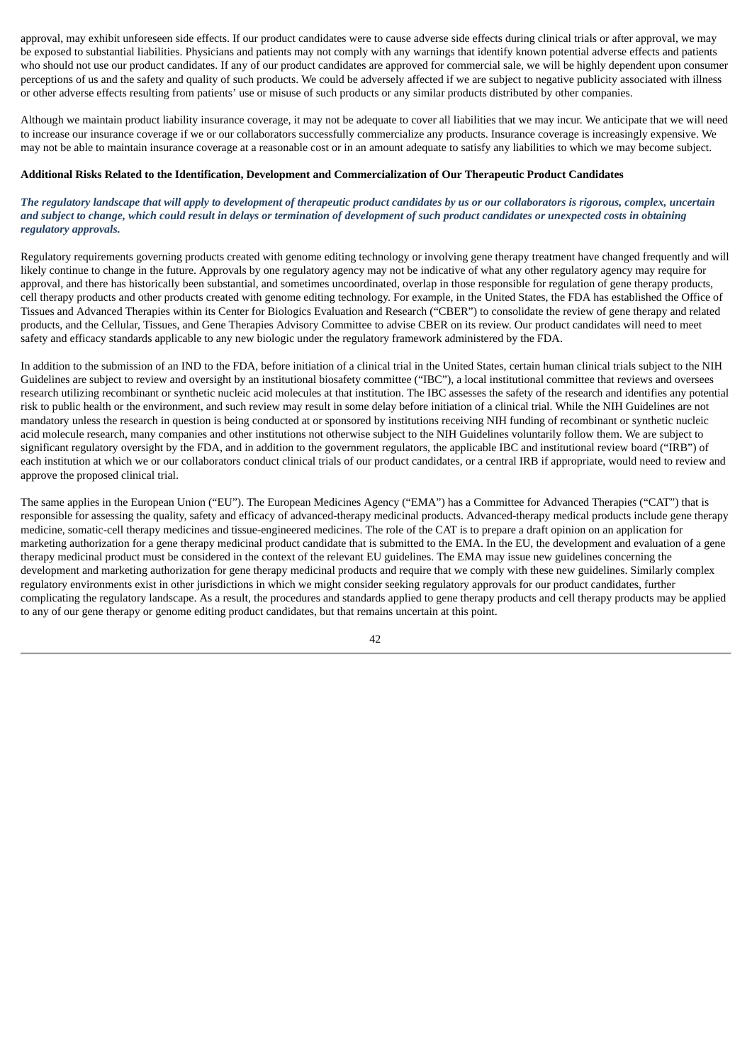approval, may exhibit unforeseen side effects. If our product candidates were to cause adverse side effects during clinical trials or after approval, we may be exposed to substantial liabilities. Physicians and patients may not comply with any warnings that identify known potential adverse effects and patients who should not use our product candidates. If any of our product candidates are approved for commercial sale, we will be highly dependent upon consumer perceptions of us and the safety and quality of such products. We could be adversely affected if we are subject to negative publicity associated with illness or other adverse effects resulting from patients' use or misuse of such products or any similar products distributed by other companies.

Although we maintain product liability insurance coverage, it may not be adequate to cover all liabilities that we may incur. We anticipate that we will need to increase our insurance coverage if we or our collaborators successfully commercialize any products. Insurance coverage is increasingly expensive. We may not be able to maintain insurance coverage at a reasonable cost or in an amount adequate to satisfy any liabilities to which we may become subject.

## **Additional Risks Related to the Identification, Development and Commercialization of Our Therapeutic Product Candidates**

# The regulatory landscape that will apply to development of therapeutic product candidates by us or our collaborators is rigorous, complex, uncertain and subject to change, which could result in delays or termination of development of such product candidates or unexpected costs in obtaining *regulatory approvals.*

Regulatory requirements governing products created with genome editing technology or involving gene therapy treatment have changed frequently and will likely continue to change in the future. Approvals by one regulatory agency may not be indicative of what any other regulatory agency may require for approval, and there has historically been substantial, and sometimes uncoordinated, overlap in those responsible for regulation of gene therapy products, cell therapy products and other products created with genome editing technology. For example, in the United States, the FDA has established the Office of Tissues and Advanced Therapies within its Center for Biologics Evaluation and Research ("CBER") to consolidate the review of gene therapy and related products, and the Cellular, Tissues, and Gene Therapies Advisory Committee to advise CBER on its review. Our product candidates will need to meet safety and efficacy standards applicable to any new biologic under the regulatory framework administered by the FDA.

In addition to the submission of an IND to the FDA, before initiation of a clinical trial in the United States, certain human clinical trials subject to the NIH Guidelines are subject to review and oversight by an institutional biosafety committee ("IBC"), a local institutional committee that reviews and oversees research utilizing recombinant or synthetic nucleic acid molecules at that institution. The IBC assesses the safety of the research and identifies any potential risk to public health or the environment, and such review may result in some delay before initiation of a clinical trial. While the NIH Guidelines are not mandatory unless the research in question is being conducted at or sponsored by institutions receiving NIH funding of recombinant or synthetic nucleic acid molecule research, many companies and other institutions not otherwise subject to the NIH Guidelines voluntarily follow them. We are subject to significant regulatory oversight by the FDA, and in addition to the government regulators, the applicable IBC and institutional review board ("IRB") of each institution at which we or our collaborators conduct clinical trials of our product candidates, or a central IRB if appropriate, would need to review and approve the proposed clinical trial.

The same applies in the European Union ("EU"). The European Medicines Agency ("EMA") has a Committee for Advanced Therapies ("CAT") that is responsible for assessing the quality, safety and efficacy of advanced-therapy medicinal products. Advanced-therapy medical products include gene therapy medicine, somatic-cell therapy medicines and tissue-engineered medicines. The role of the CAT is to prepare a draft opinion on an application for marketing authorization for a gene therapy medicinal product candidate that is submitted to the EMA. In the EU, the development and evaluation of a gene therapy medicinal product must be considered in the context of the relevant EU guidelines. The EMA may issue new guidelines concerning the development and marketing authorization for gene therapy medicinal products and require that we comply with these new guidelines. Similarly complex regulatory environments exist in other jurisdictions in which we might consider seeking regulatory approvals for our product candidates, further complicating the regulatory landscape. As a result, the procedures and standards applied to gene therapy products and cell therapy products may be applied to any of our gene therapy or genome editing product candidates, but that remains uncertain at this point.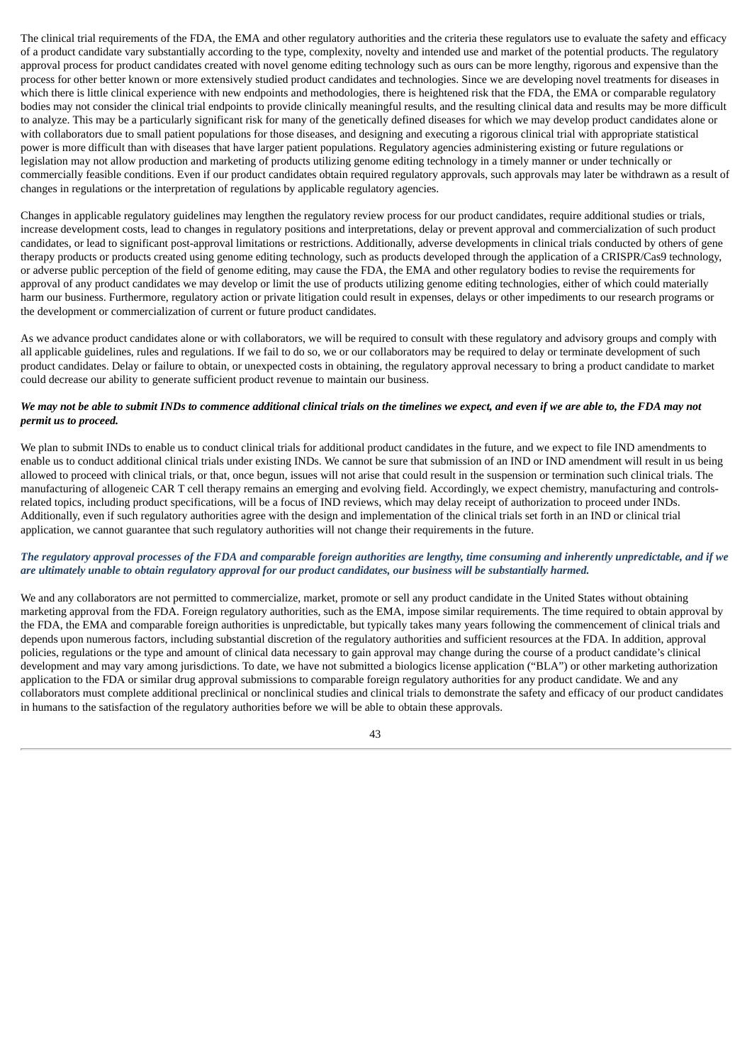The clinical trial requirements of the FDA, the EMA and other regulatory authorities and the criteria these regulators use to evaluate the safety and efficacy of a product candidate vary substantially according to the type, complexity, novelty and intended use and market of the potential products. The regulatory approval process for product candidates created with novel genome editing technology such as ours can be more lengthy, rigorous and expensive than the process for other better known or more extensively studied product candidates and technologies. Since we are developing novel treatments for diseases in which there is little clinical experience with new endpoints and methodologies, there is heightened risk that the FDA, the EMA or comparable regulatory bodies may not consider the clinical trial endpoints to provide clinically meaningful results, and the resulting clinical data and results may be more difficult to analyze. This may be a particularly significant risk for many of the genetically defined diseases for which we may develop product candidates alone or with collaborators due to small patient populations for those diseases, and designing and executing a rigorous clinical trial with appropriate statistical power is more difficult than with diseases that have larger patient populations. Regulatory agencies administering existing or future regulations or legislation may not allow production and marketing of products utilizing genome editing technology in a timely manner or under technically or commercially feasible conditions. Even if our product candidates obtain required regulatory approvals, such approvals may later be withdrawn as a result of changes in regulations or the interpretation of regulations by applicable regulatory agencies.

Changes in applicable regulatory guidelines may lengthen the regulatory review process for our product candidates, require additional studies or trials, increase development costs, lead to changes in regulatory positions and interpretations, delay or prevent approval and commercialization of such product candidates, or lead to significant post-approval limitations or restrictions. Additionally, adverse developments in clinical trials conducted by others of gene therapy products or products created using genome editing technology, such as products developed through the application of a CRISPR/Cas9 technology, or adverse public perception of the field of genome editing, may cause the FDA, the EMA and other regulatory bodies to revise the requirements for approval of any product candidates we may develop or limit the use of products utilizing genome editing technologies, either of which could materially harm our business. Furthermore, regulatory action or private litigation could result in expenses, delays or other impediments to our research programs or the development or commercialization of current or future product candidates.

As we advance product candidates alone or with collaborators, we will be required to consult with these regulatory and advisory groups and comply with all applicable guidelines, rules and regulations. If we fail to do so, we or our collaborators may be required to delay or terminate development of such product candidates. Delay or failure to obtain, or unexpected costs in obtaining, the regulatory approval necessary to bring a product candidate to market could decrease our ability to generate sufficient product revenue to maintain our business.

## We may not be able to submit INDs to commence additional clinical trials on the timelines we expect, and even if we are able to, the FDA may not *permit us to proceed.*

We plan to submit INDs to enable us to conduct clinical trials for additional product candidates in the future, and we expect to file IND amendments to enable us to conduct additional clinical trials under existing INDs. We cannot be sure that submission of an IND or IND amendment will result in us being allowed to proceed with clinical trials, or that, once begun, issues will not arise that could result in the suspension or termination such clinical trials. The manufacturing of allogeneic CAR T cell therapy remains an emerging and evolving field. Accordingly, we expect chemistry, manufacturing and controlsrelated topics, including product specifications, will be a focus of IND reviews, which may delay receipt of authorization to proceed under INDs. Additionally, even if such regulatory authorities agree with the design and implementation of the clinical trials set forth in an IND or clinical trial application, we cannot guarantee that such regulatory authorities will not change their requirements in the future.

# The regulatory approval processes of the FDA and comparable foreign authorities are lengthy, time consuming and inherently unpredictable, and if we are ultimately unable to obtain regulatory approval for our product candidates, our business will be substantially harmed.

We and any collaborators are not permitted to commercialize, market, promote or sell any product candidate in the United States without obtaining marketing approval from the FDA. Foreign regulatory authorities, such as the EMA, impose similar requirements. The time required to obtain approval by the FDA, the EMA and comparable foreign authorities is unpredictable, but typically takes many years following the commencement of clinical trials and depends upon numerous factors, including substantial discretion of the regulatory authorities and sufficient resources at the FDA. In addition, approval policies, regulations or the type and amount of clinical data necessary to gain approval may change during the course of a product candidate's clinical development and may vary among jurisdictions. To date, we have not submitted a biologics license application ("BLA") or other marketing authorization application to the FDA or similar drug approval submissions to comparable foreign regulatory authorities for any product candidate. We and any collaborators must complete additional preclinical or nonclinical studies and clinical trials to demonstrate the safety and efficacy of our product candidates in humans to the satisfaction of the regulatory authorities before we will be able to obtain these approvals.

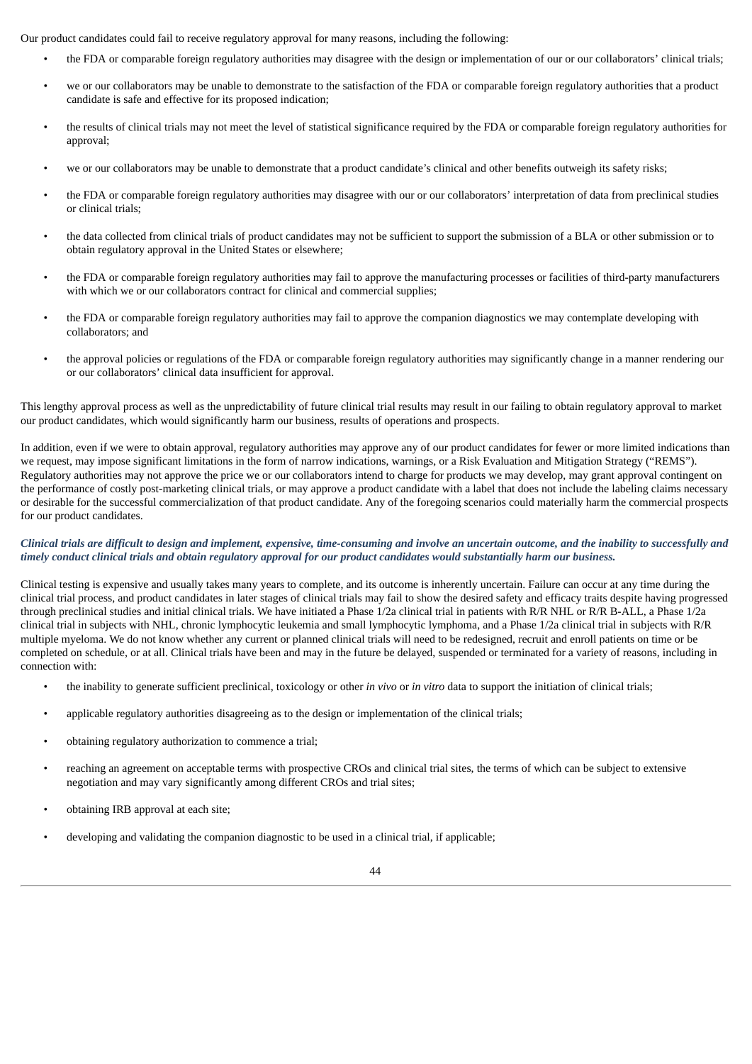Our product candidates could fail to receive regulatory approval for many reasons, including the following:

- the FDA or comparable foreign regulatory authorities may disagree with the design or implementation of our or our collaborators' clinical trials;
- we or our collaborators may be unable to demonstrate to the satisfaction of the FDA or comparable foreign regulatory authorities that a product candidate is safe and effective for its proposed indication;
- the results of clinical trials may not meet the level of statistical significance required by the FDA or comparable foreign regulatory authorities for approval;
- we or our collaborators may be unable to demonstrate that a product candidate's clinical and other benefits outweigh its safety risks;
- the FDA or comparable foreign regulatory authorities may disagree with our or our collaborators' interpretation of data from preclinical studies or clinical trials;
- the data collected from clinical trials of product candidates may not be sufficient to support the submission of a BLA or other submission or to obtain regulatory approval in the United States or elsewhere;
- the FDA or comparable foreign regulatory authorities may fail to approve the manufacturing processes or facilities of third-party manufacturers with which we or our collaborators contract for clinical and commercial supplies;
- the FDA or comparable foreign regulatory authorities may fail to approve the companion diagnostics we may contemplate developing with collaborators; and
- the approval policies or regulations of the FDA or comparable foreign regulatory authorities may significantly change in a manner rendering our or our collaborators' clinical data insufficient for approval.

This lengthy approval process as well as the unpredictability of future clinical trial results may result in our failing to obtain regulatory approval to market our product candidates, which would significantly harm our business, results of operations and prospects.

In addition, even if we were to obtain approval, regulatory authorities may approve any of our product candidates for fewer or more limited indications than we request, may impose significant limitations in the form of narrow indications, warnings, or a Risk Evaluation and Mitigation Strategy ("REMS"). Regulatory authorities may not approve the price we or our collaborators intend to charge for products we may develop, may grant approval contingent on the performance of costly post-marketing clinical trials, or may approve a product candidate with a label that does not include the labeling claims necessary or desirable for the successful commercialization of that product candidate. Any of the foregoing scenarios could materially harm the commercial prospects for our product candidates.

# Clinical trials are difficult to design and implement, expensive, time-consuming and involve an uncertain outcome, and the inability to successfully and timely conduct clinical trials and obtain regulatory approval for our product candidates would substantially harm our business.

Clinical testing is expensive and usually takes many years to complete, and its outcome is inherently uncertain. Failure can occur at any time during the clinical trial process, and product candidates in later stages of clinical trials may fail to show the desired safety and efficacy traits despite having progressed through preclinical studies and initial clinical trials. We have initiated a Phase 1/2a clinical trial in patients with R/R NHL or R/R B-ALL, a Phase 1/2a clinical trial in subjects with NHL, chronic lymphocytic leukemia and small lymphocytic lymphoma, and a Phase 1/2a clinical trial in subjects with R/R multiple myeloma. We do not know whether any current or planned clinical trials will need to be redesigned, recruit and enroll patients on time or be completed on schedule, or at all. Clinical trials have been and may in the future be delayed, suspended or terminated for a variety of reasons, including in connection with:

- the inability to generate sufficient preclinical, toxicology or other *in vivo* or *in vitro* data to support the initiation of clinical trials;
- applicable regulatory authorities disagreeing as to the design or implementation of the clinical trials;
- obtaining regulatory authorization to commence a trial;
- reaching an agreement on acceptable terms with prospective CROs and clinical trial sites, the terms of which can be subject to extensive negotiation and may vary significantly among different CROs and trial sites;
- obtaining IRB approval at each site;
- developing and validating the companion diagnostic to be used in a clinical trial, if applicable;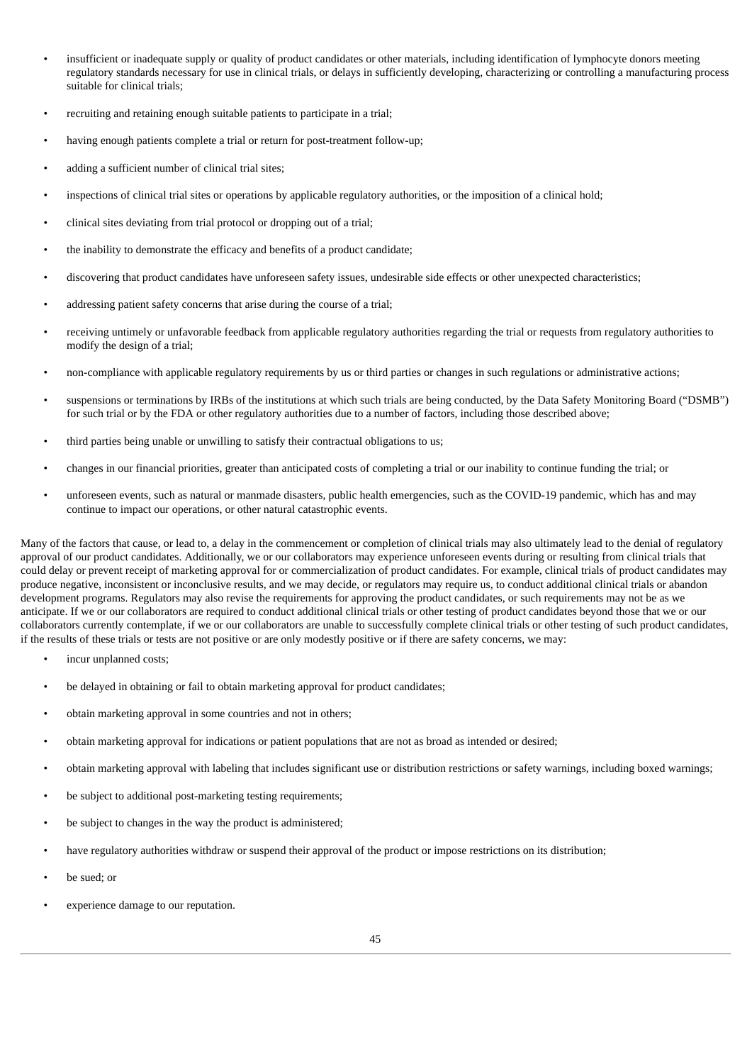- insufficient or inadequate supply or quality of product candidates or other materials, including identification of lymphocyte donors meeting regulatory standards necessary for use in clinical trials, or delays in sufficiently developing, characterizing or controlling a manufacturing process suitable for clinical trials;
- recruiting and retaining enough suitable patients to participate in a trial;
- having enough patients complete a trial or return for post-treatment follow-up;
- adding a sufficient number of clinical trial sites:
- inspections of clinical trial sites or operations by applicable regulatory authorities, or the imposition of a clinical hold;
- clinical sites deviating from trial protocol or dropping out of a trial;
- the inability to demonstrate the efficacy and benefits of a product candidate;
- discovering that product candidates have unforeseen safety issues, undesirable side effects or other unexpected characteristics;
- addressing patient safety concerns that arise during the course of a trial;
- receiving untimely or unfavorable feedback from applicable regulatory authorities regarding the trial or requests from regulatory authorities to modify the design of a trial;
- non-compliance with applicable regulatory requirements by us or third parties or changes in such regulations or administrative actions;
- suspensions or terminations by IRBs of the institutions at which such trials are being conducted, by the Data Safety Monitoring Board ("DSMB") for such trial or by the FDA or other regulatory authorities due to a number of factors, including those described above;
- third parties being unable or unwilling to satisfy their contractual obligations to us;
- changes in our financial priorities, greater than anticipated costs of completing a trial or our inability to continue funding the trial; or
- unforeseen events, such as natural or manmade disasters, public health emergencies, such as the COVID-19 pandemic, which has and may continue to impact our operations, or other natural catastrophic events.

Many of the factors that cause, or lead to, a delay in the commencement or completion of clinical trials may also ultimately lead to the denial of regulatory approval of our product candidates. Additionally, we or our collaborators may experience unforeseen events during or resulting from clinical trials that could delay or prevent receipt of marketing approval for or commercialization of product candidates. For example, clinical trials of product candidates may produce negative, inconsistent or inconclusive results, and we may decide, or regulators may require us, to conduct additional clinical trials or abandon development programs. Regulators may also revise the requirements for approving the product candidates, or such requirements may not be as we anticipate. If we or our collaborators are required to conduct additional clinical trials or other testing of product candidates beyond those that we or our collaborators currently contemplate, if we or our collaborators are unable to successfully complete clinical trials or other testing of such product candidates, if the results of these trials or tests are not positive or are only modestly positive or if there are safety concerns, we may:

- incur unplanned costs;
- be delayed in obtaining or fail to obtain marketing approval for product candidates;
- obtain marketing approval in some countries and not in others;
- obtain marketing approval for indications or patient populations that are not as broad as intended or desired;
- obtain marketing approval with labeling that includes significant use or distribution restrictions or safety warnings, including boxed warnings;
- be subject to additional post-marketing testing requirements;
- be subject to changes in the way the product is administered;
- have regulatory authorities withdraw or suspend their approval of the product or impose restrictions on its distribution;
- be sued; or
- experience damage to our reputation.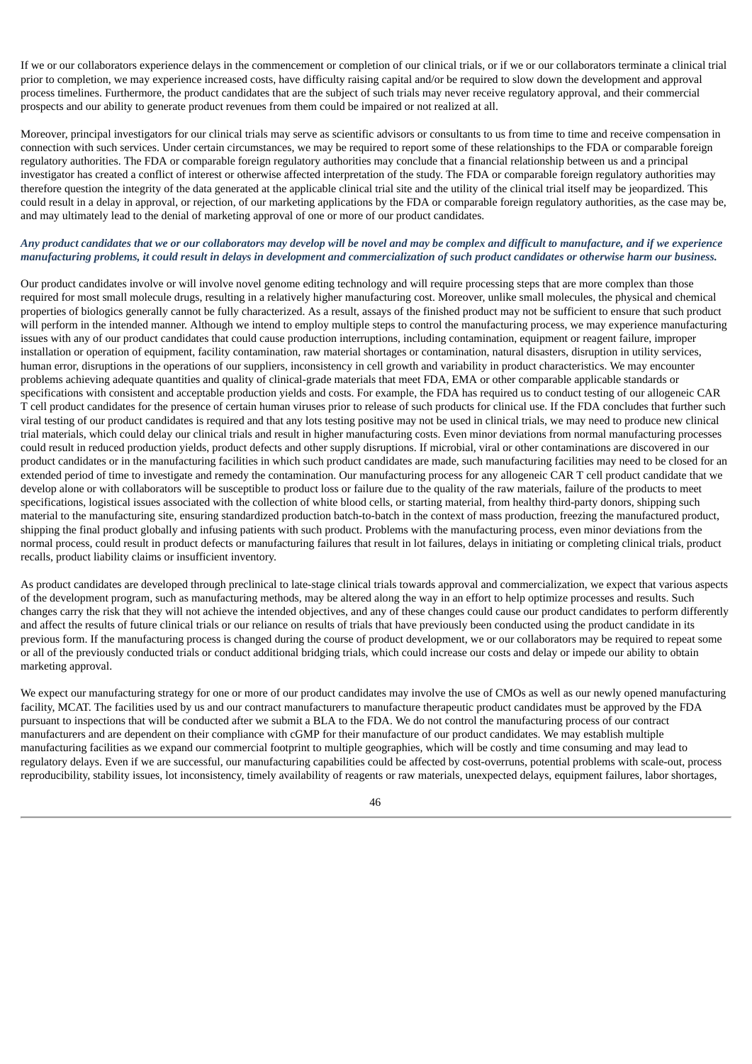If we or our collaborators experience delays in the commencement or completion of our clinical trials, or if we or our collaborators terminate a clinical trial prior to completion, we may experience increased costs, have difficulty raising capital and/or be required to slow down the development and approval process timelines. Furthermore, the product candidates that are the subject of such trials may never receive regulatory approval, and their commercial prospects and our ability to generate product revenues from them could be impaired or not realized at all.

Moreover, principal investigators for our clinical trials may serve as scientific advisors or consultants to us from time to time and receive compensation in connection with such services. Under certain circumstances, we may be required to report some of these relationships to the FDA or comparable foreign regulatory authorities. The FDA or comparable foreign regulatory authorities may conclude that a financial relationship between us and a principal investigator has created a conflict of interest or otherwise affected interpretation of the study. The FDA or comparable foreign regulatory authorities may therefore question the integrity of the data generated at the applicable clinical trial site and the utility of the clinical trial itself may be jeopardized. This could result in a delay in approval, or rejection, of our marketing applications by the FDA or comparable foreign regulatory authorities, as the case may be, and may ultimately lead to the denial of marketing approval of one or more of our product candidates.

## Any product candidates that we or our collaborators may develop will be novel and may be complex and difficult to manufacture, and if we experience manufacturing problems, it could result in delays in development and commercialization of such product candidates or otherwise harm our business.

Our product candidates involve or will involve novel genome editing technology and will require processing steps that are more complex than those required for most small molecule drugs, resulting in a relatively higher manufacturing cost. Moreover, unlike small molecules, the physical and chemical properties of biologics generally cannot be fully characterized. As a result, assays of the finished product may not be sufficient to ensure that such product will perform in the intended manner. Although we intend to employ multiple steps to control the manufacturing process, we may experience manufacturing issues with any of our product candidates that could cause production interruptions, including contamination, equipment or reagent failure, improper installation or operation of equipment, facility contamination, raw material shortages or contamination, natural disasters, disruption in utility services, human error, disruptions in the operations of our suppliers, inconsistency in cell growth and variability in product characteristics. We may encounter problems achieving adequate quantities and quality of clinical-grade materials that meet FDA, EMA or other comparable applicable standards or specifications with consistent and acceptable production yields and costs. For example, the FDA has required us to conduct testing of our allogeneic CAR T cell product candidates for the presence of certain human viruses prior to release of such products for clinical use. If the FDA concludes that further such viral testing of our product candidates is required and that any lots testing positive may not be used in clinical trials, we may need to produce new clinical trial materials, which could delay our clinical trials and result in higher manufacturing costs. Even minor deviations from normal manufacturing processes could result in reduced production yields, product defects and other supply disruptions. If microbial, viral or other contaminations are discovered in our product candidates or in the manufacturing facilities in which such product candidates are made, such manufacturing facilities may need to be closed for an extended period of time to investigate and remedy the contamination. Our manufacturing process for any allogeneic CAR T cell product candidate that we develop alone or with collaborators will be susceptible to product loss or failure due to the quality of the raw materials, failure of the products to meet specifications, logistical issues associated with the collection of white blood cells, or starting material, from healthy third-party donors, shipping such material to the manufacturing site, ensuring standardized production batch-to-batch in the context of mass production, freezing the manufactured product, shipping the final product globally and infusing patients with such product. Problems with the manufacturing process, even minor deviations from the normal process, could result in product defects or manufacturing failures that result in lot failures, delays in initiating or completing clinical trials, product recalls, product liability claims or insufficient inventory.

As product candidates are developed through preclinical to late-stage clinical trials towards approval and commercialization, we expect that various aspects of the development program, such as manufacturing methods, may be altered along the way in an effort to help optimize processes and results. Such changes carry the risk that they will not achieve the intended objectives, and any of these changes could cause our product candidates to perform differently and affect the results of future clinical trials or our reliance on results of trials that have previously been conducted using the product candidate in its previous form. If the manufacturing process is changed during the course of product development, we or our collaborators may be required to repeat some or all of the previously conducted trials or conduct additional bridging trials, which could increase our costs and delay or impede our ability to obtain marketing approval.

We expect our manufacturing strategy for one or more of our product candidates may involve the use of CMOs as well as our newly opened manufacturing facility, MCAT. The facilities used by us and our contract manufacturers to manufacture therapeutic product candidates must be approved by the FDA pursuant to inspections that will be conducted after we submit a BLA to the FDA. We do not control the manufacturing process of our contract manufacturers and are dependent on their compliance with cGMP for their manufacture of our product candidates. We may establish multiple manufacturing facilities as we expand our commercial footprint to multiple geographies, which will be costly and time consuming and may lead to regulatory delays. Even if we are successful, our manufacturing capabilities could be affected by cost-overruns, potential problems with scale-out, process reproducibility, stability issues, lot inconsistency, timely availability of reagents or raw materials, unexpected delays, equipment failures, labor shortages,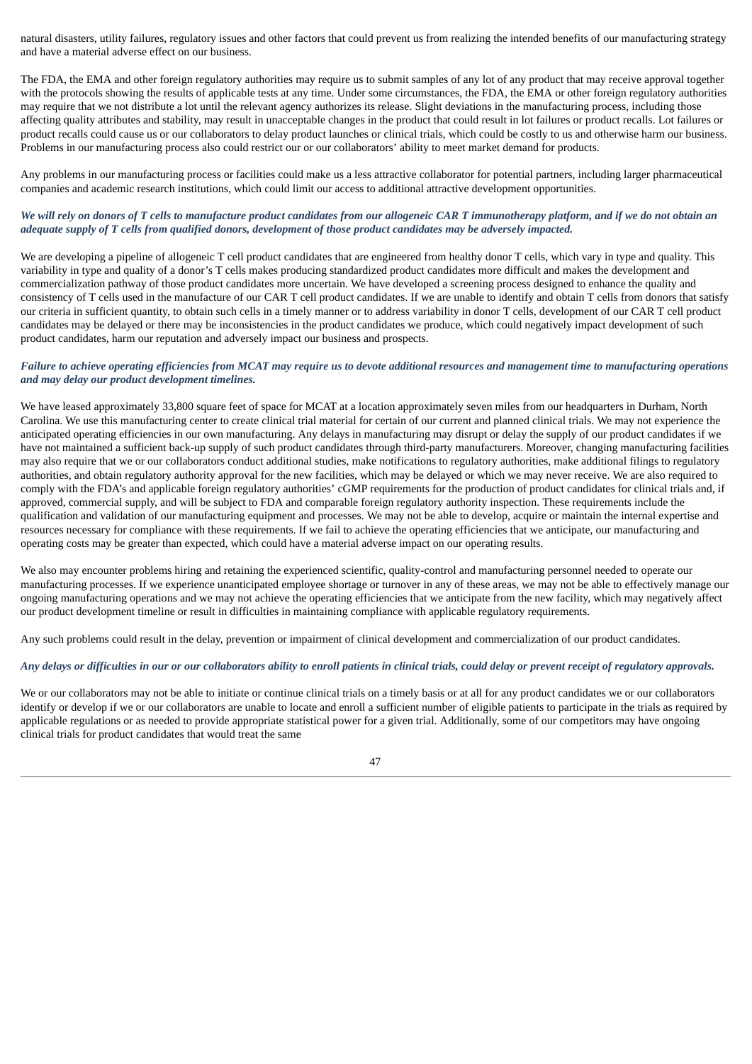natural disasters, utility failures, regulatory issues and other factors that could prevent us from realizing the intended benefits of our manufacturing strategy and have a material adverse effect on our business.

The FDA, the EMA and other foreign regulatory authorities may require us to submit samples of any lot of any product that may receive approval together with the protocols showing the results of applicable tests at any time. Under some circumstances, the FDA, the EMA or other foreign regulatory authorities may require that we not distribute a lot until the relevant agency authorizes its release. Slight deviations in the manufacturing process, including those affecting quality attributes and stability, may result in unacceptable changes in the product that could result in lot failures or product recalls. Lot failures or product recalls could cause us or our collaborators to delay product launches or clinical trials, which could be costly to us and otherwise harm our business. Problems in our manufacturing process also could restrict our or our collaborators' ability to meet market demand for products.

Any problems in our manufacturing process or facilities could make us a less attractive collaborator for potential partners, including larger pharmaceutical companies and academic research institutions, which could limit our access to additional attractive development opportunities.

# We will rely on donors of T cells to manufacture product candidates from our allogeneic CAR T immunotherapy platform, and if we do not obtain an adequate supply of T cells from qualified donors, development of those product candidates may be adversely impacted.

We are developing a pipeline of allogeneic T cell product candidates that are engineered from healthy donor T cells, which vary in type and quality. This variability in type and quality of a donor's T cells makes producing standardized product candidates more difficult and makes the development and commercialization pathway of those product candidates more uncertain. We have developed a screening process designed to enhance the quality and consistency of T cells used in the manufacture of our CAR T cell product candidates. If we are unable to identify and obtain T cells from donors that satisfy our criteria in sufficient quantity, to obtain such cells in a timely manner or to address variability in donor T cells, development of our CAR T cell product candidates may be delayed or there may be inconsistencies in the product candidates we produce, which could negatively impact development of such product candidates, harm our reputation and adversely impact our business and prospects.

# Failure to achieve operating efficiencies from MCAT may require us to devote additional resources and management time to manufacturing operations *and may delay our product development timelines.*

We have leased approximately 33,800 square feet of space for MCAT at a location approximately seven miles from our headquarters in Durham, North Carolina. We use this manufacturing center to create clinical trial material for certain of our current and planned clinical trials. We may not experience the anticipated operating efficiencies in our own manufacturing. Any delays in manufacturing may disrupt or delay the supply of our product candidates if we have not maintained a sufficient back-up supply of such product candidates through third-party manufacturers. Moreover, changing manufacturing facilities may also require that we or our collaborators conduct additional studies, make notifications to regulatory authorities, make additional filings to regulatory authorities, and obtain regulatory authority approval for the new facilities, which may be delayed or which we may never receive. We are also required to comply with the FDA's and applicable foreign regulatory authorities' cGMP requirements for the production of product candidates for clinical trials and, if approved, commercial supply, and will be subject to FDA and comparable foreign regulatory authority inspection. These requirements include the qualification and validation of our manufacturing equipment and processes. We may not be able to develop, acquire or maintain the internal expertise and resources necessary for compliance with these requirements. If we fail to achieve the operating efficiencies that we anticipate, our manufacturing and operating costs may be greater than expected, which could have a material adverse impact on our operating results.

We also may encounter problems hiring and retaining the experienced scientific, quality-control and manufacturing personnel needed to operate our manufacturing processes. If we experience unanticipated employee shortage or turnover in any of these areas, we may not be able to effectively manage our ongoing manufacturing operations and we may not achieve the operating efficiencies that we anticipate from the new facility, which may negatively affect our product development timeline or result in difficulties in maintaining compliance with applicable regulatory requirements.

Any such problems could result in the delay, prevention or impairment of clinical development and commercialization of our product candidates.

#### Any delays or difficulties in our or our collaborators ability to enroll patients in clinical trials, could delay or prevent receipt of regulatory approvals.

We or our collaborators may not be able to initiate or continue clinical trials on a timely basis or at all for any product candidates we or our collaborators identify or develop if we or our collaborators are unable to locate and enroll a sufficient number of eligible patients to participate in the trials as required by applicable regulations or as needed to provide appropriate statistical power for a given trial. Additionally, some of our competitors may have ongoing clinical trials for product candidates that would treat the same

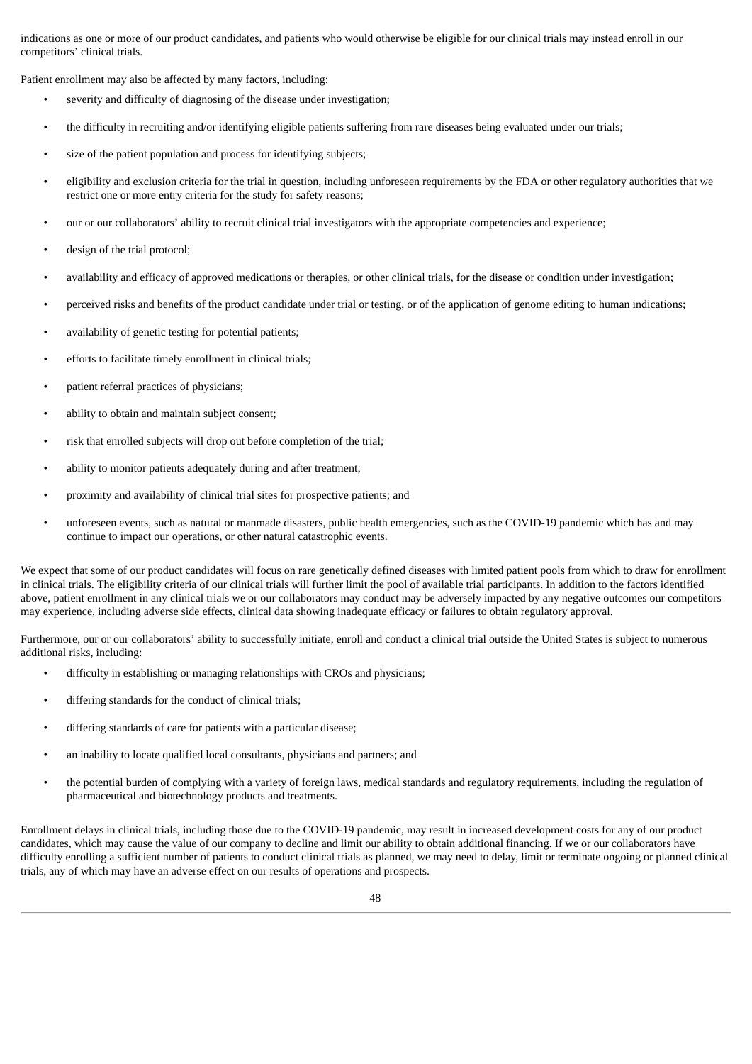indications as one or more of our product candidates, and patients who would otherwise be eligible for our clinical trials may instead enroll in our competitors' clinical trials.

Patient enrollment may also be affected by many factors, including:

- severity and difficulty of diagnosing of the disease under investigation;
- the difficulty in recruiting and/or identifying eligible patients suffering from rare diseases being evaluated under our trials;
- size of the patient population and process for identifying subjects;
- eligibility and exclusion criteria for the trial in question, including unforeseen requirements by the FDA or other regulatory authorities that we restrict one or more entry criteria for the study for safety reasons;
- our or our collaborators' ability to recruit clinical trial investigators with the appropriate competencies and experience;
- design of the trial protocol;
- availability and efficacy of approved medications or therapies, or other clinical trials, for the disease or condition under investigation;
- perceived risks and benefits of the product candidate under trial or testing, or of the application of genome editing to human indications;
- availability of genetic testing for potential patients;
- efforts to facilitate timely enrollment in clinical trials;
- patient referral practices of physicians;
- ability to obtain and maintain subject consent;
- risk that enrolled subjects will drop out before completion of the trial;
- ability to monitor patients adequately during and after treatment;
- proximity and availability of clinical trial sites for prospective patients; and
- unforeseen events, such as natural or manmade disasters, public health emergencies, such as the COVID-19 pandemic which has and may continue to impact our operations, or other natural catastrophic events.

We expect that some of our product candidates will focus on rare genetically defined diseases with limited patient pools from which to draw for enrollment in clinical trials. The eligibility criteria of our clinical trials will further limit the pool of available trial participants. In addition to the factors identified above, patient enrollment in any clinical trials we or our collaborators may conduct may be adversely impacted by any negative outcomes our competitors may experience, including adverse side effects, clinical data showing inadequate efficacy or failures to obtain regulatory approval.

Furthermore, our or our collaborators' ability to successfully initiate, enroll and conduct a clinical trial outside the United States is subject to numerous additional risks, including:

- difficulty in establishing or managing relationships with CROs and physicians;
- differing standards for the conduct of clinical trials;
- differing standards of care for patients with a particular disease;
- an inability to locate qualified local consultants, physicians and partners; and
- the potential burden of complying with a variety of foreign laws, medical standards and regulatory requirements, including the regulation of pharmaceutical and biotechnology products and treatments.

Enrollment delays in clinical trials, including those due to the COVID-19 pandemic, may result in increased development costs for any of our product candidates, which may cause the value of our company to decline and limit our ability to obtain additional financing. If we or our collaborators have difficulty enrolling a sufficient number of patients to conduct clinical trials as planned, we may need to delay, limit or terminate ongoing or planned clinical trials, any of which may have an adverse effect on our results of operations and prospects.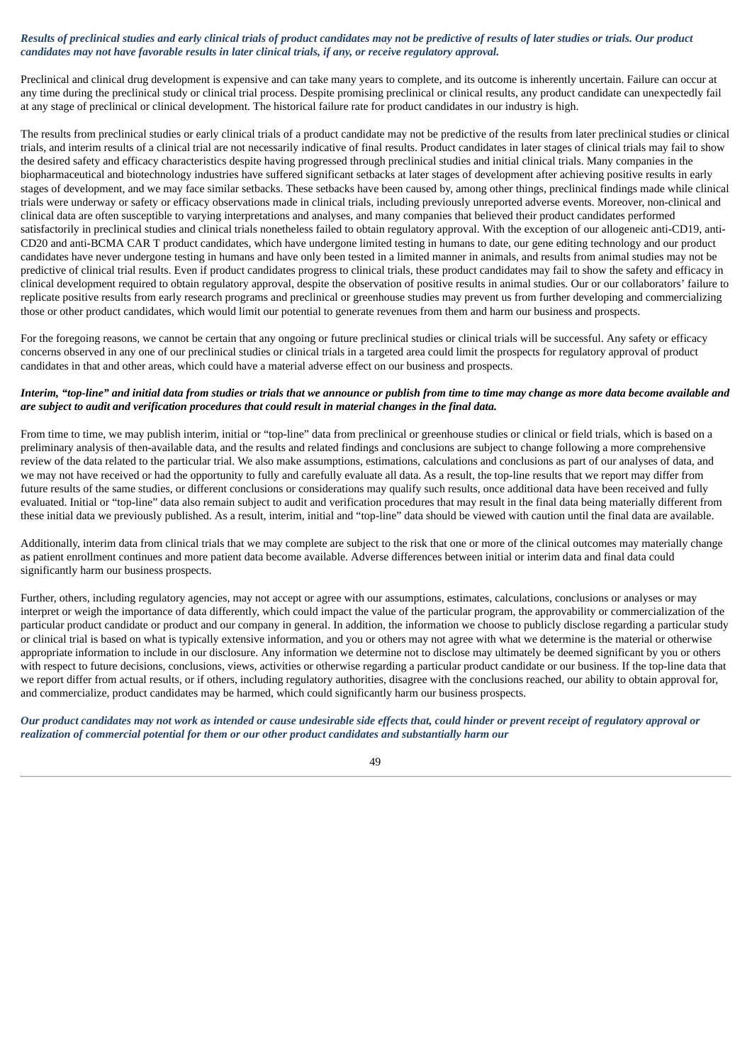# Results of preclinical studies and early clinical trials of product candidates may not be predictive of results of later studies or trials. Our product *candidates may not have favorable results in later clinical trials, if any, or receive regulatory approval.*

Preclinical and clinical drug development is expensive and can take many years to complete, and its outcome is inherently uncertain. Failure can occur at any time during the preclinical study or clinical trial process. Despite promising preclinical or clinical results, any product candidate can unexpectedly fail at any stage of preclinical or clinical development. The historical failure rate for product candidates in our industry is high.

The results from preclinical studies or early clinical trials of a product candidate may not be predictive of the results from later preclinical studies or clinical trials, and interim results of a clinical trial are not necessarily indicative of final results. Product candidates in later stages of clinical trials may fail to show the desired safety and efficacy characteristics despite having progressed through preclinical studies and initial clinical trials. Many companies in the biopharmaceutical and biotechnology industries have suffered significant setbacks at later stages of development after achieving positive results in early stages of development, and we may face similar setbacks. These setbacks have been caused by, among other things, preclinical findings made while clinical trials were underway or safety or efficacy observations made in clinical trials, including previously unreported adverse events. Moreover, non-clinical and clinical data are often susceptible to varying interpretations and analyses, and many companies that believed their product candidates performed satisfactorily in preclinical studies and clinical trials nonetheless failed to obtain regulatory approval. With the exception of our allogeneic anti-CD19, anti-CD20 and anti-BCMA CAR T product candidates, which have undergone limited testing in humans to date, our gene editing technology and our product candidates have never undergone testing in humans and have only been tested in a limited manner in animals, and results from animal studies may not be predictive of clinical trial results. Even if product candidates progress to clinical trials, these product candidates may fail to show the safety and efficacy in clinical development required to obtain regulatory approval, despite the observation of positive results in animal studies. Our or our collaborators' failure to replicate positive results from early research programs and preclinical or greenhouse studies may prevent us from further developing and commercializing those or other product candidates, which would limit our potential to generate revenues from them and harm our business and prospects.

For the foregoing reasons, we cannot be certain that any ongoing or future preclinical studies or clinical trials will be successful. Any safety or efficacy concerns observed in any one of our preclinical studies or clinical trials in a targeted area could limit the prospects for regulatory approval of product candidates in that and other areas, which could have a material adverse effect on our business and prospects.

## Interim, "top-line" and initial data from studies or trials that we announce or publish from time to time may change as more data become available and *are subject to audit and verification procedures that could result in material changes in the final data.*

From time to time, we may publish interim, initial or "top-line" data from preclinical or greenhouse studies or clinical or field trials, which is based on a preliminary analysis of then-available data, and the results and related findings and conclusions are subject to change following a more comprehensive review of the data related to the particular trial. We also make assumptions, estimations, calculations and conclusions as part of our analyses of data, and we may not have received or had the opportunity to fully and carefully evaluate all data. As a result, the top-line results that we report may differ from future results of the same studies, or different conclusions or considerations may qualify such results, once additional data have been received and fully evaluated. Initial or "top-line" data also remain subject to audit and verification procedures that may result in the final data being materially different from these initial data we previously published. As a result, interim, initial and "top-line" data should be viewed with caution until the final data are available.

Additionally, interim data from clinical trials that we may complete are subject to the risk that one or more of the clinical outcomes may materially change as patient enrollment continues and more patient data become available. Adverse differences between initial or interim data and final data could significantly harm our business prospects.

Further, others, including regulatory agencies, may not accept or agree with our assumptions, estimates, calculations, conclusions or analyses or may interpret or weigh the importance of data differently, which could impact the value of the particular program, the approvability or commercialization of the particular product candidate or product and our company in general. In addition, the information we choose to publicly disclose regarding a particular study or clinical trial is based on what is typically extensive information, and you or others may not agree with what we determine is the material or otherwise appropriate information to include in our disclosure. Any information we determine not to disclose may ultimately be deemed significant by you or others with respect to future decisions, conclusions, views, activities or otherwise regarding a particular product candidate or our business. If the top-line data that we report differ from actual results, or if others, including regulatory authorities, disagree with the conclusions reached, our ability to obtain approval for, and commercialize, product candidates may be harmed, which could significantly harm our business prospects.

Our product candidates may not work as intended or cause undesirable side effects that, could hinder or prevent receipt of regulatory approval or *realization of commercial potential for them or our other product candidates and substantially harm our*

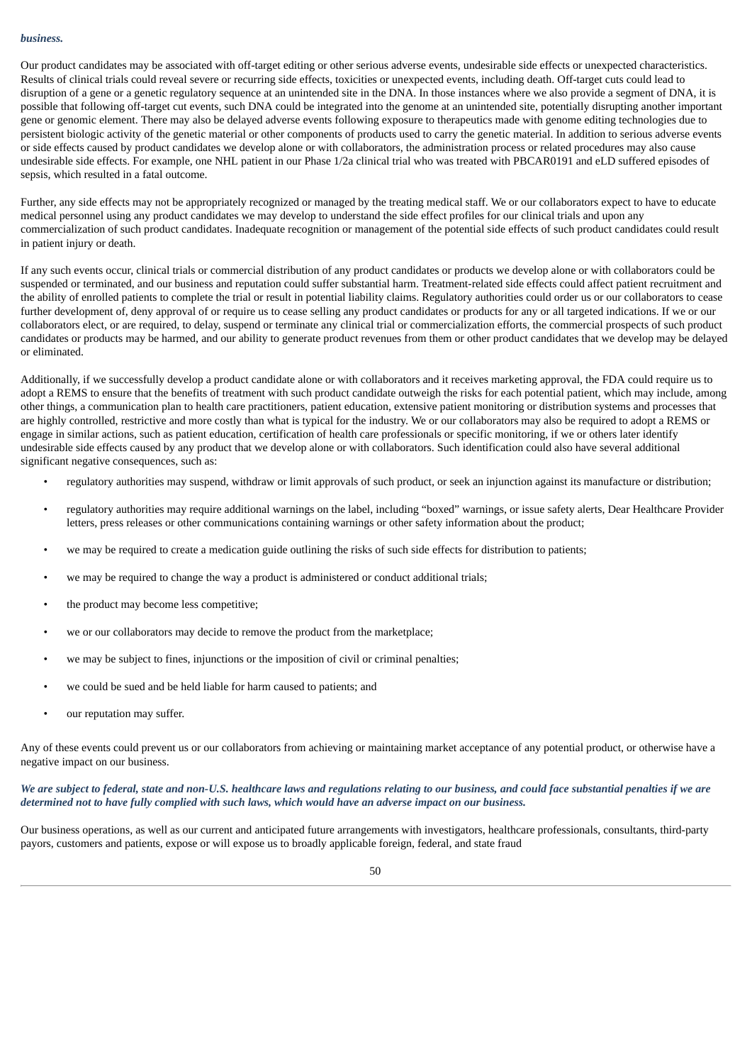#### *business.*

Our product candidates may be associated with off-target editing or other serious adverse events, undesirable side effects or unexpected characteristics. Results of clinical trials could reveal severe or recurring side effects, toxicities or unexpected events, including death. Off-target cuts could lead to disruption of a gene or a genetic regulatory sequence at an unintended site in the DNA. In those instances where we also provide a segment of DNA, it is possible that following off-target cut events, such DNA could be integrated into the genome at an unintended site, potentially disrupting another important gene or genomic element. There may also be delayed adverse events following exposure to therapeutics made with genome editing technologies due to persistent biologic activity of the genetic material or other components of products used to carry the genetic material. In addition to serious adverse events or side effects caused by product candidates we develop alone or with collaborators, the administration process or related procedures may also cause undesirable side effects. For example, one NHL patient in our Phase 1/2a clinical trial who was treated with PBCAR0191 and eLD suffered episodes of sepsis, which resulted in a fatal outcome.

Further, any side effects may not be appropriately recognized or managed by the treating medical staff. We or our collaborators expect to have to educate medical personnel using any product candidates we may develop to understand the side effect profiles for our clinical trials and upon any commercialization of such product candidates. Inadequate recognition or management of the potential side effects of such product candidates could result in patient injury or death.

If any such events occur, clinical trials or commercial distribution of any product candidates or products we develop alone or with collaborators could be suspended or terminated, and our business and reputation could suffer substantial harm. Treatment-related side effects could affect patient recruitment and the ability of enrolled patients to complete the trial or result in potential liability claims. Regulatory authorities could order us or our collaborators to cease further development of, deny approval of or require us to cease selling any product candidates or products for any or all targeted indications. If we or our collaborators elect, or are required, to delay, suspend or terminate any clinical trial or commercialization efforts, the commercial prospects of such product candidates or products may be harmed, and our ability to generate product revenues from them or other product candidates that we develop may be delayed or eliminated.

Additionally, if we successfully develop a product candidate alone or with collaborators and it receives marketing approval, the FDA could require us to adopt a REMS to ensure that the benefits of treatment with such product candidate outweigh the risks for each potential patient, which may include, among other things, a communication plan to health care practitioners, patient education, extensive patient monitoring or distribution systems and processes that are highly controlled, restrictive and more costly than what is typical for the industry. We or our collaborators may also be required to adopt a REMS or engage in similar actions, such as patient education, certification of health care professionals or specific monitoring, if we or others later identify undesirable side effects caused by any product that we develop alone or with collaborators. Such identification could also have several additional significant negative consequences, such as:

- regulatory authorities may suspend, withdraw or limit approvals of such product, or seek an injunction against its manufacture or distribution;
- regulatory authorities may require additional warnings on the label, including "boxed" warnings, or issue safety alerts, Dear Healthcare Provider letters, press releases or other communications containing warnings or other safety information about the product;
- we may be required to create a medication guide outlining the risks of such side effects for distribution to patients;
- we may be required to change the way a product is administered or conduct additional trials;
- the product may become less competitive;
- we or our collaborators may decide to remove the product from the marketplace;
- we may be subject to fines, injunctions or the imposition of civil or criminal penalties;
- we could be sued and be held liable for harm caused to patients; and
- our reputation may suffer.

Any of these events could prevent us or our collaborators from achieving or maintaining market acceptance of any potential product, or otherwise have a negative impact on our business.

#### We are subject to federal, state and non-U.S. healthcare laws and regulations relating to our business, and could face substantial penalties if we are determined not to have fully complied with such laws, which would have an adverse impact on our business.

Our business operations, as well as our current and anticipated future arrangements with investigators, healthcare professionals, consultants, third-party payors, customers and patients, expose or will expose us to broadly applicable foreign, federal, and state fraud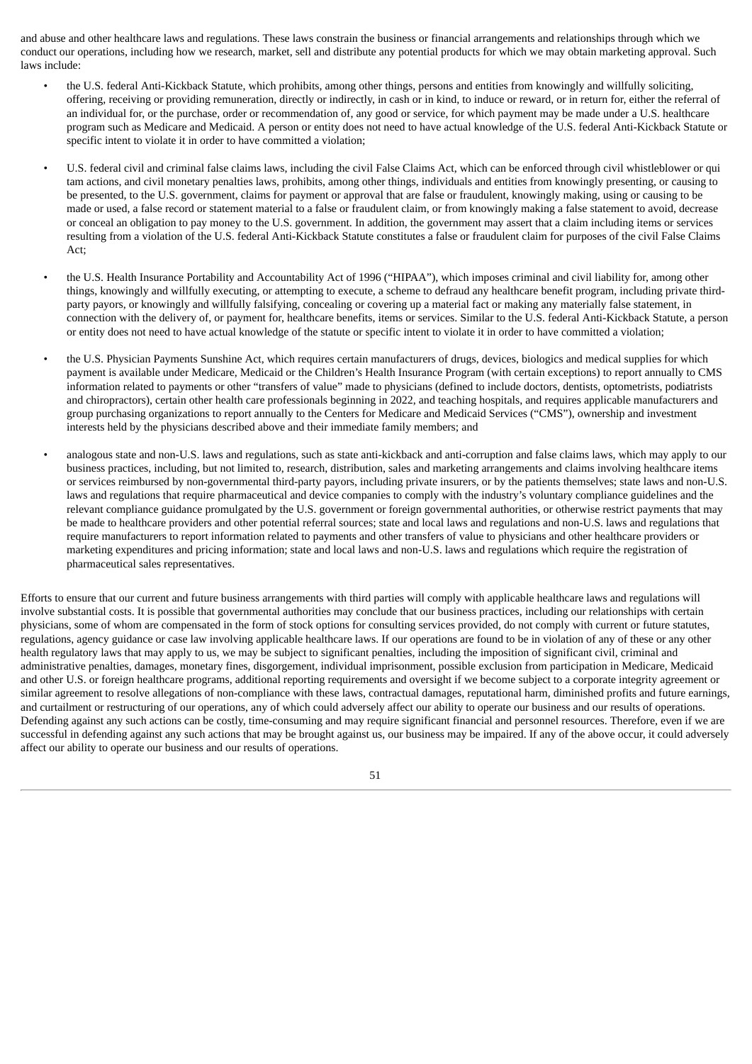and abuse and other healthcare laws and regulations. These laws constrain the business or financial arrangements and relationships through which we conduct our operations, including how we research, market, sell and distribute any potential products for which we may obtain marketing approval. Such laws include:

- the U.S. federal Anti-Kickback Statute, which prohibits, among other things, persons and entities from knowingly and willfully soliciting, offering, receiving or providing remuneration, directly or indirectly, in cash or in kind, to induce or reward, or in return for, either the referral of an individual for, or the purchase, order or recommendation of, any good or service, for which payment may be made under a U.S. healthcare program such as Medicare and Medicaid. A person or entity does not need to have actual knowledge of the U.S. federal Anti-Kickback Statute or specific intent to violate it in order to have committed a violation;
- U.S. federal civil and criminal false claims laws, including the civil False Claims Act, which can be enforced through civil whistleblower or qui tam actions, and civil monetary penalties laws, prohibits, among other things, individuals and entities from knowingly presenting, or causing to be presented, to the U.S. government, claims for payment or approval that are false or fraudulent, knowingly making, using or causing to be made or used, a false record or statement material to a false or fraudulent claim, or from knowingly making a false statement to avoid, decrease or conceal an obligation to pay money to the U.S. government. In addition, the government may assert that a claim including items or services resulting from a violation of the U.S. federal Anti-Kickback Statute constitutes a false or fraudulent claim for purposes of the civil False Claims Act;
- the U.S. Health Insurance Portability and Accountability Act of 1996 ("HIPAA"), which imposes criminal and civil liability for, among other things, knowingly and willfully executing, or attempting to execute, a scheme to defraud any healthcare benefit program, including private thirdparty payors, or knowingly and willfully falsifying, concealing or covering up a material fact or making any materially false statement, in connection with the delivery of, or payment for, healthcare benefits, items or services. Similar to the U.S. federal Anti-Kickback Statute, a person or entity does not need to have actual knowledge of the statute or specific intent to violate it in order to have committed a violation;
- the U.S. Physician Payments Sunshine Act, which requires certain manufacturers of drugs, devices, biologics and medical supplies for which payment is available under Medicare, Medicaid or the Children's Health Insurance Program (with certain exceptions) to report annually to CMS information related to payments or other "transfers of value" made to physicians (defined to include doctors, dentists, optometrists, podiatrists and chiropractors), certain other health care professionals beginning in 2022, and teaching hospitals, and requires applicable manufacturers and group purchasing organizations to report annually to the Centers for Medicare and Medicaid Services ("CMS"), ownership and investment interests held by the physicians described above and their immediate family members; and
- analogous state and non-U.S. laws and regulations, such as state anti-kickback and anti-corruption and false claims laws, which may apply to our business practices, including, but not limited to, research, distribution, sales and marketing arrangements and claims involving healthcare items or services reimbursed by non-governmental third-party payors, including private insurers, or by the patients themselves; state laws and non-U.S. laws and regulations that require pharmaceutical and device companies to comply with the industry's voluntary compliance guidelines and the relevant compliance guidance promulgated by the U.S. government or foreign governmental authorities, or otherwise restrict payments that may be made to healthcare providers and other potential referral sources; state and local laws and regulations and non-U.S. laws and regulations that require manufacturers to report information related to payments and other transfers of value to physicians and other healthcare providers or marketing expenditures and pricing information; state and local laws and non-U.S. laws and regulations which require the registration of pharmaceutical sales representatives.

Efforts to ensure that our current and future business arrangements with third parties will comply with applicable healthcare laws and regulations will involve substantial costs. It is possible that governmental authorities may conclude that our business practices, including our relationships with certain physicians, some of whom are compensated in the form of stock options for consulting services provided, do not comply with current or future statutes, regulations, agency guidance or case law involving applicable healthcare laws. If our operations are found to be in violation of any of these or any other health regulatory laws that may apply to us, we may be subject to significant penalties, including the imposition of significant civil, criminal and administrative penalties, damages, monetary fines, disgorgement, individual imprisonment, possible exclusion from participation in Medicare, Medicaid and other U.S. or foreign healthcare programs, additional reporting requirements and oversight if we become subject to a corporate integrity agreement or similar agreement to resolve allegations of non-compliance with these laws, contractual damages, reputational harm, diminished profits and future earnings, and curtailment or restructuring of our operations, any of which could adversely affect our ability to operate our business and our results of operations. Defending against any such actions can be costly, time-consuming and may require significant financial and personnel resources. Therefore, even if we are successful in defending against any such actions that may be brought against us, our business may be impaired. If any of the above occur, it could adversely affect our ability to operate our business and our results of operations.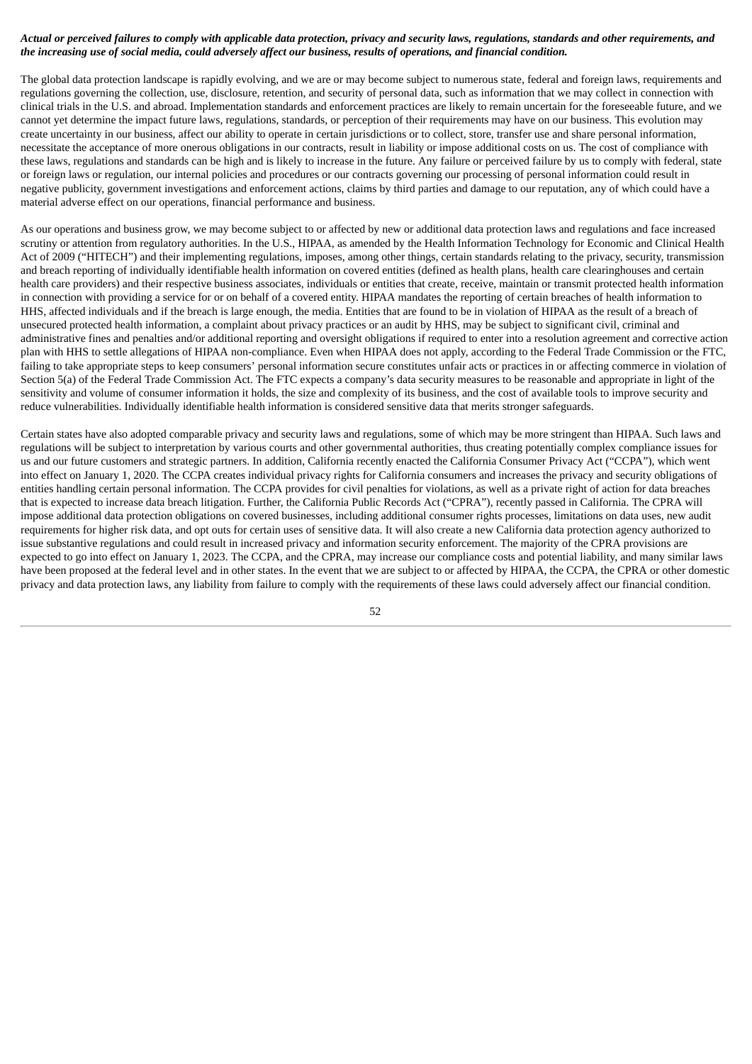# Actual or perceived failures to comply with applicable data protection, privacy and security laws, regulations, standards and other requirements, and the increasing use of social media, could adversely affect our business, results of operations, and financial condition.

The global data protection landscape is rapidly evolving, and we are or may become subject to numerous state, federal and foreign laws, requirements and regulations governing the collection, use, disclosure, retention, and security of personal data, such as information that we may collect in connection with clinical trials in the U.S. and abroad. Implementation standards and enforcement practices are likely to remain uncertain for the foreseeable future, and we cannot yet determine the impact future laws, regulations, standards, or perception of their requirements may have on our business. This evolution may create uncertainty in our business, affect our ability to operate in certain jurisdictions or to collect, store, transfer use and share personal information, necessitate the acceptance of more onerous obligations in our contracts, result in liability or impose additional costs on us. The cost of compliance with these laws, regulations and standards can be high and is likely to increase in the future. Any failure or perceived failure by us to comply with federal, state or foreign laws or regulation, our internal policies and procedures or our contracts governing our processing of personal information could result in negative publicity, government investigations and enforcement actions, claims by third parties and damage to our reputation, any of which could have a material adverse effect on our operations, financial performance and business.

As our operations and business grow, we may become subject to or affected by new or additional data protection laws and regulations and face increased scrutiny or attention from regulatory authorities. In the U.S., HIPAA, as amended by the Health Information Technology for Economic and Clinical Health Act of 2009 ("HITECH") and their implementing regulations, imposes, among other things, certain standards relating to the privacy, security, transmission and breach reporting of individually identifiable health information on covered entities (defined as health plans, health care clearinghouses and certain health care providers) and their respective business associates, individuals or entities that create, receive, maintain or transmit protected health information in connection with providing a service for or on behalf of a covered entity. HIPAA mandates the reporting of certain breaches of health information to HHS, affected individuals and if the breach is large enough, the media. Entities that are found to be in violation of HIPAA as the result of a breach of unsecured protected health information, a complaint about privacy practices or an audit by HHS, may be subject to significant civil, criminal and administrative fines and penalties and/or additional reporting and oversight obligations if required to enter into a resolution agreement and corrective action plan with HHS to settle allegations of HIPAA non-compliance. Even when HIPAA does not apply, according to the Federal Trade Commission or the FTC, failing to take appropriate steps to keep consumers' personal information secure constitutes unfair acts or practices in or affecting commerce in violation of Section 5(a) of the Federal Trade Commission Act. The FTC expects a company's data security measures to be reasonable and appropriate in light of the sensitivity and volume of consumer information it holds, the size and complexity of its business, and the cost of available tools to improve security and reduce vulnerabilities. Individually identifiable health information is considered sensitive data that merits stronger safeguards.

Certain states have also adopted comparable privacy and security laws and regulations, some of which may be more stringent than HIPAA. Such laws and regulations will be subject to interpretation by various courts and other governmental authorities, thus creating potentially complex compliance issues for us and our future customers and strategic partners. In addition, California recently enacted the California Consumer Privacy Act ("CCPA"), which went into effect on January 1, 2020. The CCPA creates individual privacy rights for California consumers and increases the privacy and security obligations of entities handling certain personal information. The CCPA provides for civil penalties for violations, as well as a private right of action for data breaches that is expected to increase data breach litigation. Further, the California Public Records Act ("CPRA"), recently passed in California. The CPRA will impose additional data protection obligations on covered businesses, including additional consumer rights processes, limitations on data uses, new audit requirements for higher risk data, and opt outs for certain uses of sensitive data. It will also create a new California data protection agency authorized to issue substantive regulations and could result in increased privacy and information security enforcement. The majority of the CPRA provisions are expected to go into effect on January 1, 2023. The CCPA, and the CPRA, may increase our compliance costs and potential liability, and many similar laws have been proposed at the federal level and in other states. In the event that we are subject to or affected by HIPAA, the CCPA, the CPRA or other domestic privacy and data protection laws, any liability from failure to comply with the requirements of these laws could adversely affect our financial condition.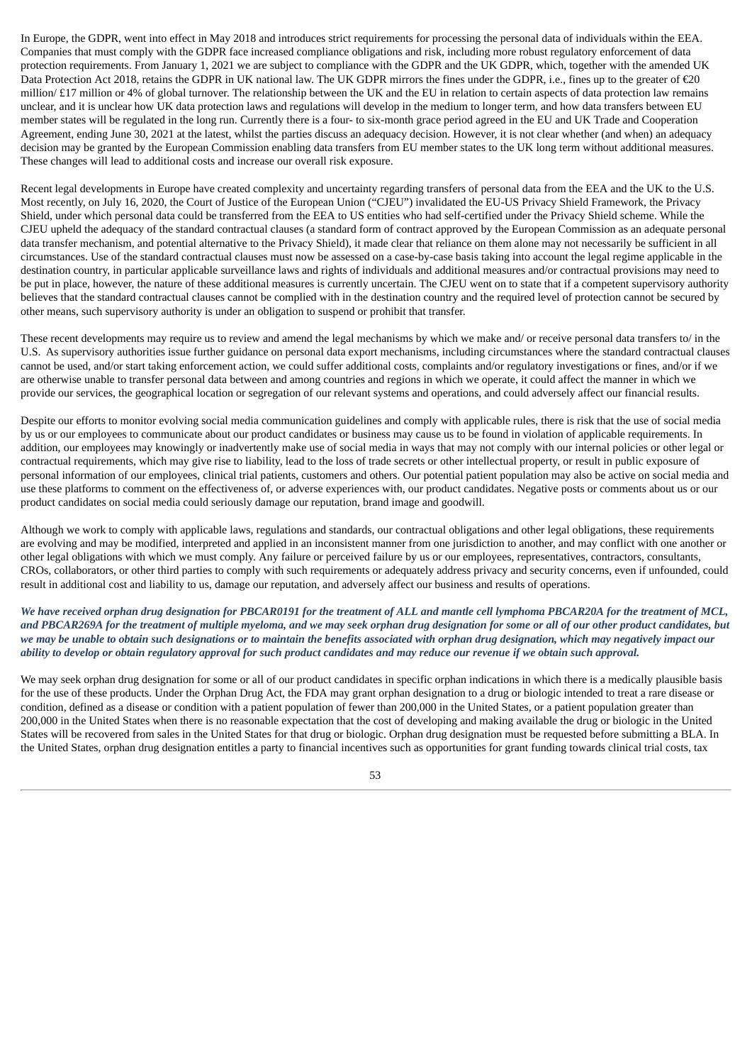In Europe, the GDPR, went into effect in May 2018 and introduces strict requirements for processing the personal data of individuals within the EEA. Companies that must comply with the GDPR face increased compliance obligations and risk, including more robust regulatory enforcement of data protection requirements. From January 1, 2021 we are subject to compliance with the GDPR and the UK GDPR, which, together with the amended UK Data Protection Act 2018, retains the GDPR in UK national law. The UK GDPR mirrors the fines under the GDPR, i.e., fines up to the greater of €20 million/ £17 million or 4% of global turnover. The relationship between the UK and the EU in relation to certain aspects of data protection law remains unclear, and it is unclear how UK data protection laws and regulations will develop in the medium to longer term, and how data transfers between EU member states will be regulated in the long run. Currently there is a four- to six-month grace period agreed in the EU and UK Trade and Cooperation Agreement, ending June 30, 2021 at the latest, whilst the parties discuss an adequacy decision. However, it is not clear whether (and when) an adequacy decision may be granted by the European Commission enabling data transfers from EU member states to the UK long term without additional measures. These changes will lead to additional costs and increase our overall risk exposure.

Recent legal developments in Europe have created complexity and uncertainty regarding transfers of personal data from the EEA and the UK to the U.S. Most recently, on July 16, 2020, the Court of Justice of the European Union ("CJEU") invalidated the EU-US Privacy Shield Framework, the Privacy Shield, under which personal data could be transferred from the EEA to US entities who had self-certified under the Privacy Shield scheme. While the CJEU upheld the adequacy of the standard contractual clauses (a standard form of contract approved by the European Commission as an adequate personal data transfer mechanism, and potential alternative to the Privacy Shield), it made clear that reliance on them alone may not necessarily be sufficient in all circumstances. Use of the standard contractual clauses must now be assessed on a case-by-case basis taking into account the legal regime applicable in the destination country, in particular applicable surveillance laws and rights of individuals and additional measures and/or contractual provisions may need to be put in place, however, the nature of these additional measures is currently uncertain. The CJEU went on to state that if a competent supervisory authority believes that the standard contractual clauses cannot be complied with in the destination country and the required level of protection cannot be secured by other means, such supervisory authority is under an obligation to suspend or prohibit that transfer.

These recent developments may require us to review and amend the legal mechanisms by which we make and/ or receive personal data transfers to/ in the U.S. As supervisory authorities issue further guidance on personal data export mechanisms, including circumstances where the standard contractual clauses cannot be used, and/or start taking enforcement action, we could suffer additional costs, complaints and/or regulatory investigations or fines, and/or if we are otherwise unable to transfer personal data between and among countries and regions in which we operate, it could affect the manner in which we provide our services, the geographical location or segregation of our relevant systems and operations, and could adversely affect our financial results.

Despite our efforts to monitor evolving social media communication guidelines and comply with applicable rules, there is risk that the use of social media by us or our employees to communicate about our product candidates or business may cause us to be found in violation of applicable requirements. In addition, our employees may knowingly or inadvertently make use of social media in ways that may not comply with our internal policies or other legal or contractual requirements, which may give rise to liability, lead to the loss of trade secrets or other intellectual property, or result in public exposure of personal information of our employees, clinical trial patients, customers and others. Our potential patient population may also be active on social media and use these platforms to comment on the effectiveness of, or adverse experiences with, our product candidates. Negative posts or comments about us or our product candidates on social media could seriously damage our reputation, brand image and goodwill.

Although we work to comply with applicable laws, regulations and standards, our contractual obligations and other legal obligations, these requirements are evolving and may be modified, interpreted and applied in an inconsistent manner from one jurisdiction to another, and may conflict with one another or other legal obligations with which we must comply. Any failure or perceived failure by us or our employees, representatives, contractors, consultants, CROs, collaborators, or other third parties to comply with such requirements or adequately address privacy and security concerns, even if unfounded, could result in additional cost and liability to us, damage our reputation, and adversely affect our business and results of operations.

We have received orphan drug designation for PBCAR0191 for the treatment of ALL and mantle cell lymphoma PBCAR20A for the treatment of MCL, and PBCAR269A for the treatment of multiple myeloma, and we may seek orphan drug designation for some or all of our other product candidates, but we may be unable to obtain such designations or to maintain the benefits associated with orphan drug designation, which may negatively impact our ability to develop or obtain regulatory approval for such product candidates and may reduce our revenue if we obtain such approval.

We may seek orphan drug designation for some or all of our product candidates in specific orphan indications in which there is a medically plausible basis for the use of these products. Under the Orphan Drug Act, the FDA may grant orphan designation to a drug or biologic intended to treat a rare disease or condition, defined as a disease or condition with a patient population of fewer than 200,000 in the United States, or a patient population greater than 200,000 in the United States when there is no reasonable expectation that the cost of developing and making available the drug or biologic in the United States will be recovered from sales in the United States for that drug or biologic. Orphan drug designation must be requested before submitting a BLA. In the United States, orphan drug designation entitles a party to financial incentives such as opportunities for grant funding towards clinical trial costs, tax

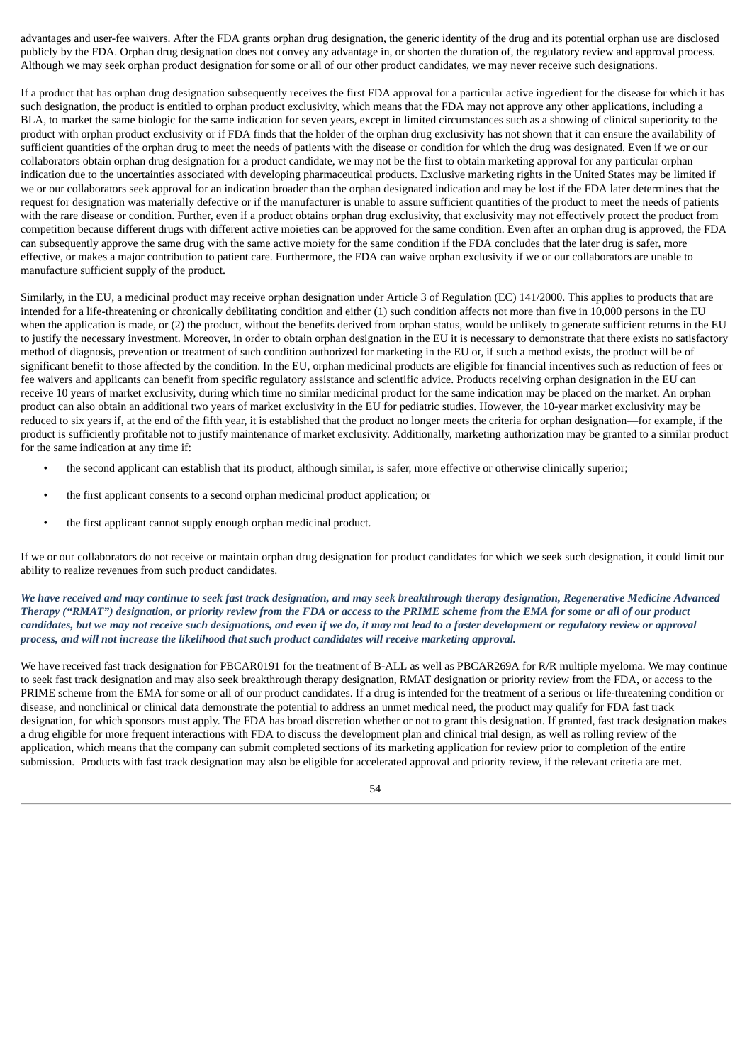advantages and user-fee waivers. After the FDA grants orphan drug designation, the generic identity of the drug and its potential orphan use are disclosed publicly by the FDA. Orphan drug designation does not convey any advantage in, or shorten the duration of, the regulatory review and approval process. Although we may seek orphan product designation for some or all of our other product candidates, we may never receive such designations.

If a product that has orphan drug designation subsequently receives the first FDA approval for a particular active ingredient for the disease for which it has such designation, the product is entitled to orphan product exclusivity, which means that the FDA may not approve any other applications, including a BLA, to market the same biologic for the same indication for seven years, except in limited circumstances such as a showing of clinical superiority to the product with orphan product exclusivity or if FDA finds that the holder of the orphan drug exclusivity has not shown that it can ensure the availability of sufficient quantities of the orphan drug to meet the needs of patients with the disease or condition for which the drug was designated. Even if we or our collaborators obtain orphan drug designation for a product candidate, we may not be the first to obtain marketing approval for any particular orphan indication due to the uncertainties associated with developing pharmaceutical products. Exclusive marketing rights in the United States may be limited if we or our collaborators seek approval for an indication broader than the orphan designated indication and may be lost if the FDA later determines that the request for designation was materially defective or if the manufacturer is unable to assure sufficient quantities of the product to meet the needs of patients with the rare disease or condition. Further, even if a product obtains orphan drug exclusivity, that exclusivity may not effectively protect the product from competition because different drugs with different active moieties can be approved for the same condition. Even after an orphan drug is approved, the FDA can subsequently approve the same drug with the same active moiety for the same condition if the FDA concludes that the later drug is safer, more effective, or makes a major contribution to patient care. Furthermore, the FDA can waive orphan exclusivity if we or our collaborators are unable to manufacture sufficient supply of the product.

Similarly, in the EU, a medicinal product may receive orphan designation under Article 3 of Regulation (EC) 141/2000. This applies to products that are intended for a life-threatening or chronically debilitating condition and either (1) such condition affects not more than five in 10,000 persons in the EU when the application is made, or (2) the product, without the benefits derived from orphan status, would be unlikely to generate sufficient returns in the EU to justify the necessary investment. Moreover, in order to obtain orphan designation in the EU it is necessary to demonstrate that there exists no satisfactory method of diagnosis, prevention or treatment of such condition authorized for marketing in the EU or, if such a method exists, the product will be of significant benefit to those affected by the condition. In the EU, orphan medicinal products are eligible for financial incentives such as reduction of fees or fee waivers and applicants can benefit from specific regulatory assistance and scientific advice. Products receiving orphan designation in the EU can receive 10 years of market exclusivity, during which time no similar medicinal product for the same indication may be placed on the market. An orphan product can also obtain an additional two years of market exclusivity in the EU for pediatric studies. However, the 10-year market exclusivity may be reduced to six years if, at the end of the fifth year, it is established that the product no longer meets the criteria for orphan designation—for example, if the product is sufficiently profitable not to justify maintenance of market exclusivity. Additionally, marketing authorization may be granted to a similar product for the same indication at any time if:

- the second applicant can establish that its product, although similar, is safer, more effective or otherwise clinically superior;
- the first applicant consents to a second orphan medicinal product application; or
- the first applicant cannot supply enough orphan medicinal product.

If we or our collaborators do not receive or maintain orphan drug designation for product candidates for which we seek such designation, it could limit our ability to realize revenues from such product candidates.

### We have received and may continue to seek fast track designation, and may seek breakthrough therapy designation, Regenerative Medicine Advanced Therapy ("RMAT") designation, or priority review from the FDA or access to the PRIME scheme from the EMA for some or all of our product candidates, but we may not receive such designations, and even if we do, it may not lead to a faster development or regulatory review or approval *process, and will not increase the likelihood that such product candidates will receive marketing approval.*

We have received fast track designation for PBCAR0191 for the treatment of B-ALL as well as PBCAR269A for R/R multiple myeloma. We may continue to seek fast track designation and may also seek breakthrough therapy designation, RMAT designation or priority review from the FDA, or access to the PRIME scheme from the EMA for some or all of our product candidates. If a drug is intended for the treatment of a serious or life-threatening condition or disease, and nonclinical or clinical data demonstrate the potential to address an unmet medical need, the product may qualify for FDA fast track designation, for which sponsors must apply. The FDA has broad discretion whether or not to grant this designation. If granted, fast track designation makes a drug eligible for more frequent interactions with FDA to discuss the development plan and clinical trial design, as well as rolling review of the application, which means that the company can submit completed sections of its marketing application for review prior to completion of the entire submission. Products with fast track designation may also be eligible for accelerated approval and priority review, if the relevant criteria are met.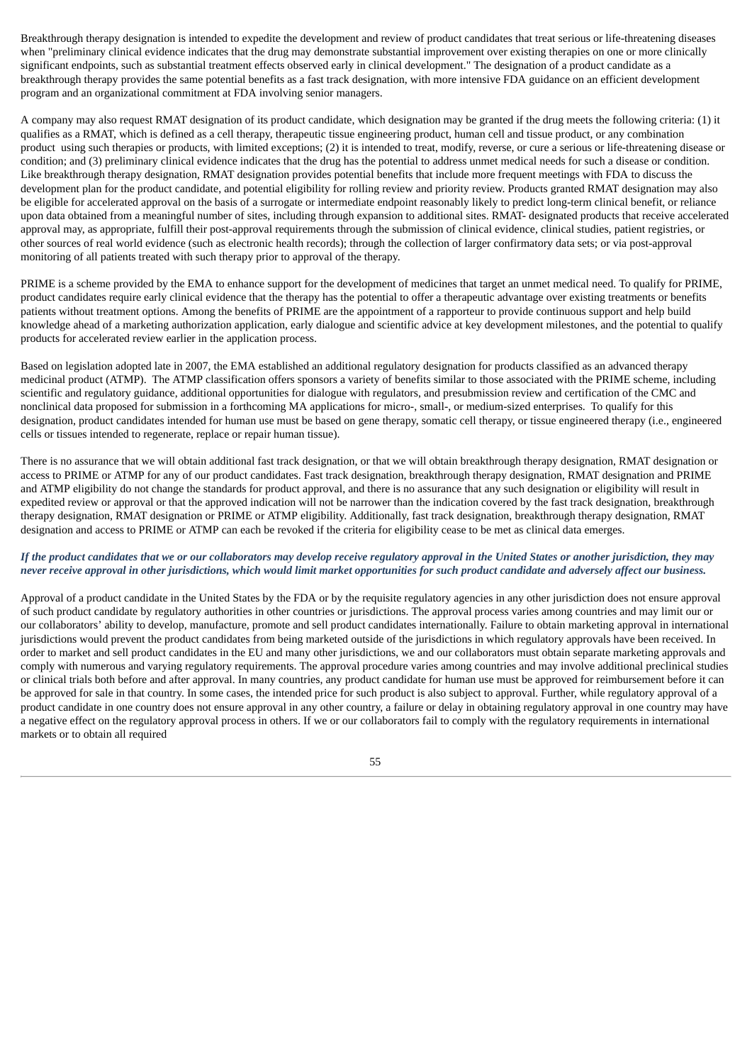Breakthrough therapy designation is intended to expedite the development and review of product candidates that treat serious or life-threatening diseases when "preliminary clinical evidence indicates that the drug may demonstrate substantial improvement over existing therapies on one or more clinically significant endpoints, such as substantial treatment effects observed early in clinical development." The designation of a product candidate as a breakthrough therapy provides the same potential benefits as a fast track designation, with more intensive FDA guidance on an efficient development program and an organizational commitment at FDA involving senior managers.

A company may also request RMAT designation of its product candidate, which designation may be granted if the drug meets the following criteria: (1) it qualifies as a RMAT, which is defined as a cell therapy, therapeutic tissue engineering product, human cell and tissue product, or any combination product using such therapies or products, with limited exceptions; (2) it is intended to treat, modify, reverse, or cure a serious or life-threatening disease or condition; and (3) preliminary clinical evidence indicates that the drug has the potential to address unmet medical needs for such a disease or condition. Like breakthrough therapy designation, RMAT designation provides potential benefits that include more frequent meetings with FDA to discuss the development plan for the product candidate, and potential eligibility for rolling review and priority review. Products granted RMAT designation may also be eligible for accelerated approval on the basis of a surrogate or intermediate endpoint reasonably likely to predict long-term clinical benefit, or reliance upon data obtained from a meaningful number of sites, including through expansion to additional sites. RMAT- designated products that receive accelerated approval may, as appropriate, fulfill their post-approval requirements through the submission of clinical evidence, clinical studies, patient registries, or other sources of real world evidence (such as electronic health records); through the collection of larger confirmatory data sets; or via post-approval monitoring of all patients treated with such therapy prior to approval of the therapy.

PRIME is a scheme provided by the EMA to enhance support for the development of medicines that target an unmet medical need. To qualify for PRIME, product candidates require early clinical evidence that the therapy has the potential to offer a therapeutic advantage over existing treatments or benefits patients without treatment options. Among the benefits of PRIME are the appointment of a rapporteur to provide continuous support and help build knowledge ahead of a marketing authorization application, early dialogue and scientific advice at key development milestones, and the potential to qualify products for accelerated review earlier in the application process.

Based on legislation adopted late in 2007, the EMA established an additional regulatory designation for products classified as an advanced therapy medicinal product (ATMP). The ATMP classification offers sponsors a variety of benefits similar to those associated with the PRIME scheme, including scientific and regulatory guidance, additional opportunities for dialogue with regulators, and presubmission review and certification of the CMC and nonclinical data proposed for submission in a forthcoming MA applications for micro-, small-, or medium-sized enterprises. To qualify for this designation, product candidates intended for human use must be based on gene therapy, somatic cell therapy, or tissue engineered therapy (i.e., engineered cells or tissues intended to regenerate, replace or repair human tissue).

There is no assurance that we will obtain additional fast track designation, or that we will obtain breakthrough therapy designation, RMAT designation or access to PRIME or ATMP for any of our product candidates. Fast track designation, breakthrough therapy designation, RMAT designation and PRIME and ATMP eligibility do not change the standards for product approval, and there is no assurance that any such designation or eligibility will result in expedited review or approval or that the approved indication will not be narrower than the indication covered by the fast track designation, breakthrough therapy designation, RMAT designation or PRIME or ATMP eligibility. Additionally, fast track designation, breakthrough therapy designation, RMAT designation and access to PRIME or ATMP can each be revoked if the criteria for eligibility cease to be met as clinical data emerges.

### If the product candidates that we or our collaborators may develop receive regulatory approval in the United States or another jurisdiction, they may never receive approval in other jurisdictions, which would limit market opportunities for such product candidate and adversely affect our business.

Approval of a product candidate in the United States by the FDA or by the requisite regulatory agencies in any other jurisdiction does not ensure approval of such product candidate by regulatory authorities in other countries or jurisdictions. The approval process varies among countries and may limit our or our collaborators' ability to develop, manufacture, promote and sell product candidates internationally. Failure to obtain marketing approval in international jurisdictions would prevent the product candidates from being marketed outside of the jurisdictions in which regulatory approvals have been received. In order to market and sell product candidates in the EU and many other jurisdictions, we and our collaborators must obtain separate marketing approvals and comply with numerous and varying regulatory requirements. The approval procedure varies among countries and may involve additional preclinical studies or clinical trials both before and after approval. In many countries, any product candidate for human use must be approved for reimbursement before it can be approved for sale in that country. In some cases, the intended price for such product is also subject to approval. Further, while regulatory approval of a product candidate in one country does not ensure approval in any other country, a failure or delay in obtaining regulatory approval in one country may have a negative effect on the regulatory approval process in others. If we or our collaborators fail to comply with the regulatory requirements in international markets or to obtain all required

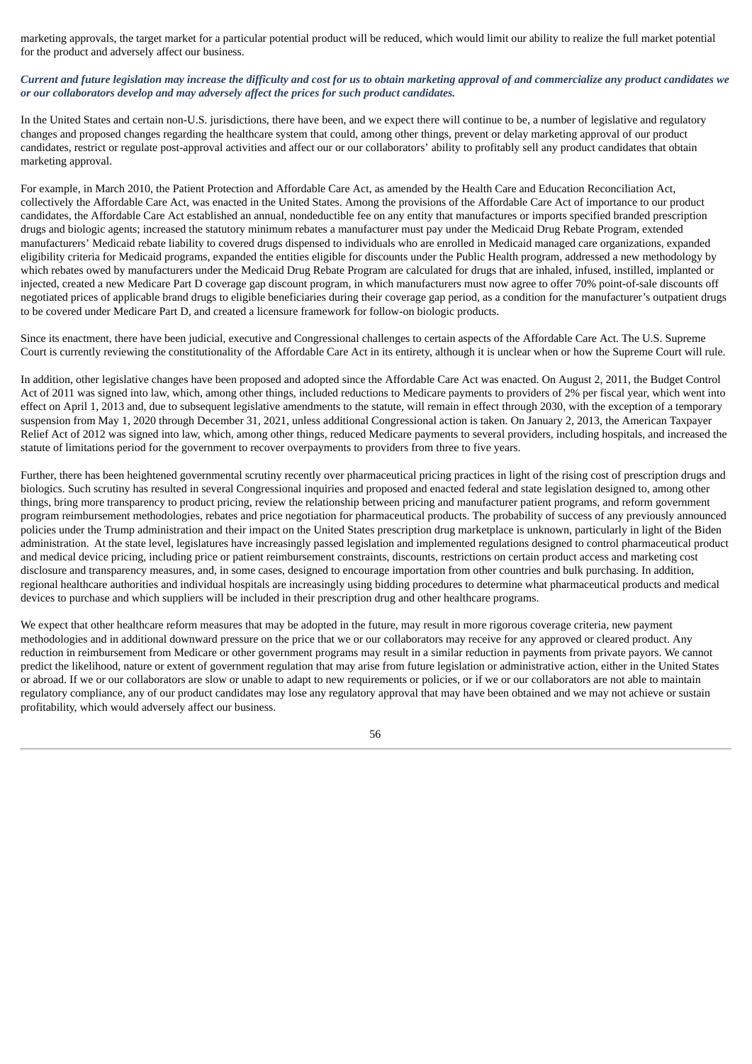marketing approvals, the target market for a particular potential product will be reduced, which would limit our ability to realize the full market potential for the product and adversely affect our business.

## Current and future legislation may increase the difficulty and cost for us to obtain marketing approval of and commercialize any product candidates we *or our collaborators develop and may adversely affect the prices for such product candidates.*

In the United States and certain non-U.S. jurisdictions, there have been, and we expect there will continue to be, a number of legislative and regulatory changes and proposed changes regarding the healthcare system that could, among other things, prevent or delay marketing approval of our product candidates, restrict or regulate post-approval activities and affect our or our collaborators' ability to profitably sell any product candidates that obtain marketing approval.

For example, in March 2010, the Patient Protection and Affordable Care Act, as amended by the Health Care and Education Reconciliation Act, collectively the Affordable Care Act, was enacted in the United States. Among the provisions of the Affordable Care Act of importance to our product candidates, the Affordable Care Act established an annual, nondeductible fee on any entity that manufactures or imports specified branded prescription drugs and biologic agents; increased the statutory minimum rebates a manufacturer must pay under the Medicaid Drug Rebate Program, extended manufacturers' Medicaid rebate liability to covered drugs dispensed to individuals who are enrolled in Medicaid managed care organizations, expanded eligibility criteria for Medicaid programs, expanded the entities eligible for discounts under the Public Health program, addressed a new methodology by which rebates owed by manufacturers under the Medicaid Drug Rebate Program are calculated for drugs that are inhaled, infused, instilled, implanted or injected, created a new Medicare Part D coverage gap discount program, in which manufacturers must now agree to offer 70% point-of-sale discounts off negotiated prices of applicable brand drugs to eligible beneficiaries during their coverage gap period, as a condition for the manufacturer's outpatient drugs to be covered under Medicare Part D, and created a licensure framework for follow-on biologic products.

Since its enactment, there have been judicial, executive and Congressional challenges to certain aspects of the Affordable Care Act. The U.S. Supreme Court is currently reviewing the constitutionality of the Affordable Care Act in its entirety, although it is unclear when or how the Supreme Court will rule.

In addition, other legislative changes have been proposed and adopted since the Affordable Care Act was enacted. On August 2, 2011, the Budget Control Act of 2011 was signed into law, which, among other things, included reductions to Medicare payments to providers of 2% per fiscal year, which went into effect on April 1, 2013 and, due to subsequent legislative amendments to the statute, will remain in effect through 2030, with the exception of a temporary suspension from May 1, 2020 through December 31, 2021, unless additional Congressional action is taken. On January 2, 2013, the American Taxpayer Relief Act of 2012 was signed into law, which, among other things, reduced Medicare payments to several providers, including hospitals, and increased the statute of limitations period for the government to recover overpayments to providers from three to five years.

Further, there has been heightened governmental scrutiny recently over pharmaceutical pricing practices in light of the rising cost of prescription drugs and biologics. Such scrutiny has resulted in several Congressional inquiries and proposed and enacted federal and state legislation designed to, among other things, bring more transparency to product pricing, review the relationship between pricing and manufacturer patient programs, and reform government program reimbursement methodologies, rebates and price negotiation for pharmaceutical products. The probability of success of any previously announced policies under the Trump administration and their impact on the United States prescription drug marketplace is unknown, particularly in light of the Biden administration. At the state level, legislatures have increasingly passed legislation and implemented regulations designed to control pharmaceutical product and medical device pricing, including price or patient reimbursement constraints, discounts, restrictions on certain product access and marketing cost disclosure and transparency measures, and, in some cases, designed to encourage importation from other countries and bulk purchasing. In addition, regional healthcare authorities and individual hospitals are increasingly using bidding procedures to determine what pharmaceutical products and medical devices to purchase and which suppliers will be included in their prescription drug and other healthcare programs.

We expect that other healthcare reform measures that may be adopted in the future, may result in more rigorous coverage criteria, new payment methodologies and in additional downward pressure on the price that we or our collaborators may receive for any approved or cleared product. Any reduction in reimbursement from Medicare or other government programs may result in a similar reduction in payments from private payors. We cannot predict the likelihood, nature or extent of government regulation that may arise from future legislation or administrative action, either in the United States or abroad. If we or our collaborators are slow or unable to adapt to new requirements or policies, or if we or our collaborators are not able to maintain regulatory compliance, any of our product candidates may lose any regulatory approval that may have been obtained and we may not achieve or sustain profitability, which would adversely affect our business.

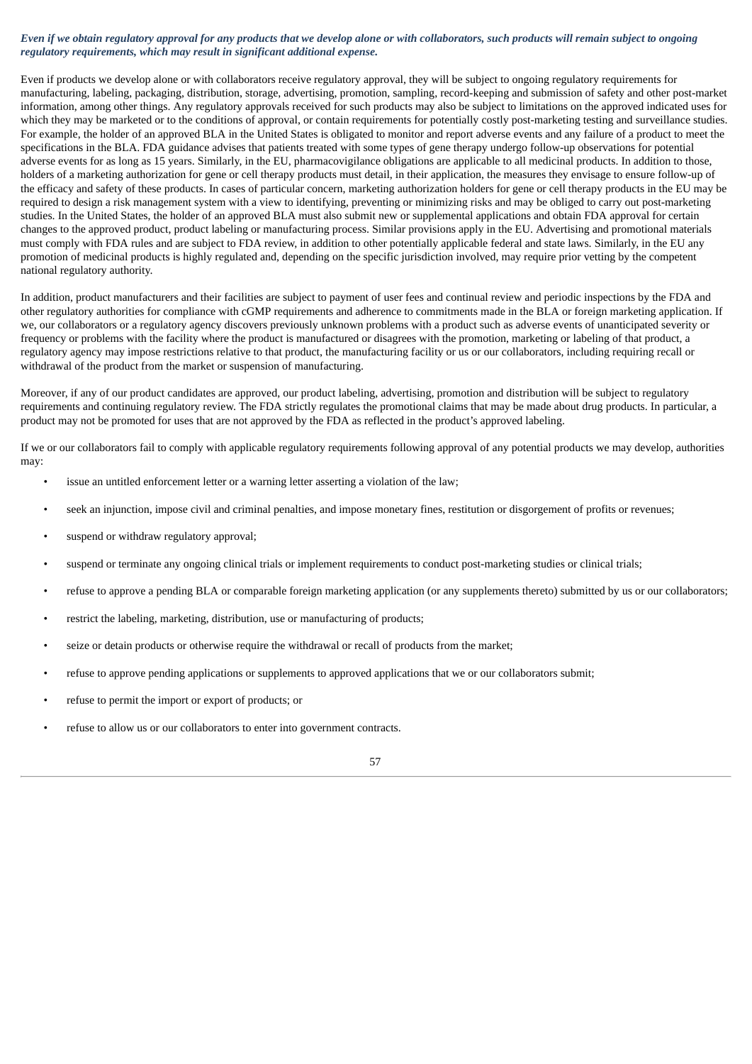# Even if we obtain reaulatory approval for any products that we develop alone or with collaborators, such products will remain subject to onaoina *regulatory requirements, which may result in significant additional expense.*

Even if products we develop alone or with collaborators receive regulatory approval, they will be subject to ongoing regulatory requirements for manufacturing, labeling, packaging, distribution, storage, advertising, promotion, sampling, record-keeping and submission of safety and other post-market information, among other things. Any regulatory approvals received for such products may also be subject to limitations on the approved indicated uses for which they may be marketed or to the conditions of approval, or contain requirements for potentially costly post-marketing testing and surveillance studies. For example, the holder of an approved BLA in the United States is obligated to monitor and report adverse events and any failure of a product to meet the specifications in the BLA. FDA guidance advises that patients treated with some types of gene therapy undergo follow-up observations for potential adverse events for as long as 15 years. Similarly, in the EU, pharmacovigilance obligations are applicable to all medicinal products. In addition to those, holders of a marketing authorization for gene or cell therapy products must detail, in their application, the measures they envisage to ensure follow-up of the efficacy and safety of these products. In cases of particular concern, marketing authorization holders for gene or cell therapy products in the EU may be required to design a risk management system with a view to identifying, preventing or minimizing risks and may be obliged to carry out post-marketing studies. In the United States, the holder of an approved BLA must also submit new or supplemental applications and obtain FDA approval for certain changes to the approved product, product labeling or manufacturing process. Similar provisions apply in the EU. Advertising and promotional materials must comply with FDA rules and are subject to FDA review, in addition to other potentially applicable federal and state laws. Similarly, in the EU any promotion of medicinal products is highly regulated and, depending on the specific jurisdiction involved, may require prior vetting by the competent national regulatory authority.

In addition, product manufacturers and their facilities are subject to payment of user fees and continual review and periodic inspections by the FDA and other regulatory authorities for compliance with cGMP requirements and adherence to commitments made in the BLA or foreign marketing application. If we, our collaborators or a regulatory agency discovers previously unknown problems with a product such as adverse events of unanticipated severity or frequency or problems with the facility where the product is manufactured or disagrees with the promotion, marketing or labeling of that product, a regulatory agency may impose restrictions relative to that product, the manufacturing facility or us or our collaborators, including requiring recall or withdrawal of the product from the market or suspension of manufacturing.

Moreover, if any of our product candidates are approved, our product labeling, advertising, promotion and distribution will be subject to regulatory requirements and continuing regulatory review. The FDA strictly regulates the promotional claims that may be made about drug products. In particular, a product may not be promoted for uses that are not approved by the FDA as reflected in the product's approved labeling.

If we or our collaborators fail to comply with applicable regulatory requirements following approval of any potential products we may develop, authorities may:

- issue an untitled enforcement letter or a warning letter asserting a violation of the law;
- seek an injunction, impose civil and criminal penalties, and impose monetary fines, restitution or disgorgement of profits or revenues;
- suspend or withdraw regulatory approval:
- suspend or terminate any ongoing clinical trials or implement requirements to conduct post-marketing studies or clinical trials;
- refuse to approve a pending BLA or comparable foreign marketing application (or any supplements thereto) submitted by us or our collaborators;
- restrict the labeling, marketing, distribution, use or manufacturing of products;
- seize or detain products or otherwise require the withdrawal or recall of products from the market;
- refuse to approve pending applications or supplements to approved applications that we or our collaborators submit;
- refuse to permit the import or export of products; or
- refuse to allow us or our collaborators to enter into government contracts.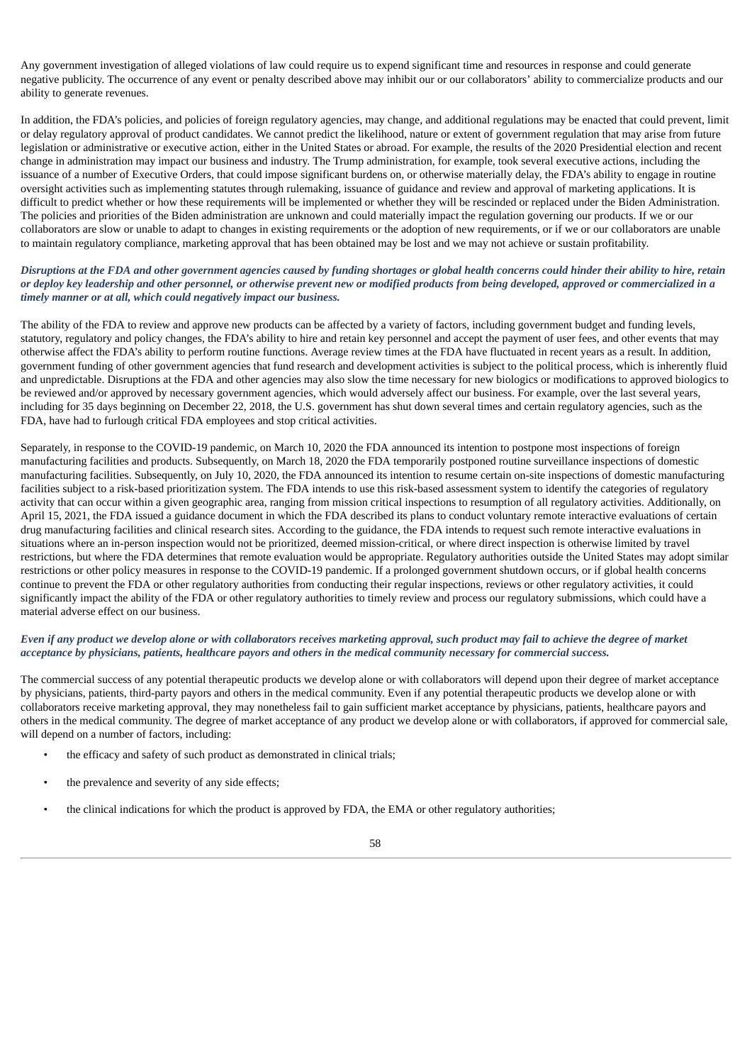Any government investigation of alleged violations of law could require us to expend significant time and resources in response and could generate negative publicity. The occurrence of any event or penalty described above may inhibit our or our collaborators' ability to commercialize products and our ability to generate revenues.

In addition, the FDA's policies, and policies of foreign regulatory agencies, may change, and additional regulations may be enacted that could prevent, limit or delay regulatory approval of product candidates. We cannot predict the likelihood, nature or extent of government regulation that may arise from future legislation or administrative or executive action, either in the United States or abroad. For example, the results of the 2020 Presidential election and recent change in administration may impact our business and industry. The Trump administration, for example, took several executive actions, including the issuance of a number of Executive Orders, that could impose significant burdens on, or otherwise materially delay, the FDA's ability to engage in routine oversight activities such as implementing statutes through rulemaking, issuance of guidance and review and approval of marketing applications. It is difficult to predict whether or how these requirements will be implemented or whether they will be rescinded or replaced under the Biden Administration. The policies and priorities of the Biden administration are unknown and could materially impact the regulation governing our products. If we or our collaborators are slow or unable to adapt to changes in existing requirements or the adoption of new requirements, or if we or our collaborators are unable to maintain regulatory compliance, marketing approval that has been obtained may be lost and we may not achieve or sustain profitability.

# Disruptions at the FDA and other government agencies caused by funding shortages or global health concerns could hinder their ability to hire, retain or deploy key leadership and other personnel, or otherwise prevent new or modified products from being developed, approved or commercialized in a *timely manner or at all, which could negatively impact our business.*

The ability of the FDA to review and approve new products can be affected by a variety of factors, including government budget and funding levels, statutory, regulatory and policy changes, the FDA's ability to hire and retain key personnel and accept the payment of user fees, and other events that may otherwise affect the FDA's ability to perform routine functions. Average review times at the FDA have fluctuated in recent years as a result. In addition, government funding of other government agencies that fund research and development activities is subject to the political process, which is inherently fluid and unpredictable. Disruptions at the FDA and other agencies may also slow the time necessary for new biologics or modifications to approved biologics to be reviewed and/or approved by necessary government agencies, which would adversely affect our business. For example, over the last several years, including for 35 days beginning on December 22, 2018, the U.S. government has shut down several times and certain regulatory agencies, such as the FDA, have had to furlough critical FDA employees and stop critical activities.

Separately, in response to the COVID-19 pandemic, on March 10, 2020 the FDA announced its intention to postpone most inspections of foreign manufacturing facilities and products. Subsequently, on March 18, 2020 the FDA temporarily postponed routine surveillance inspections of domestic manufacturing facilities. Subsequently, on July 10, 2020, the FDA announced its intention to resume certain on-site inspections of domestic manufacturing facilities subject to a risk-based prioritization system. The FDA intends to use this risk-based assessment system to identify the categories of regulatory activity that can occur within a given geographic area, ranging from mission critical inspections to resumption of all regulatory activities. Additionally, on April 15, 2021, the FDA issued a guidance document in which the FDA described its plans to conduct voluntary remote interactive evaluations of certain drug manufacturing facilities and clinical research sites. According to the guidance, the FDA intends to request such remote interactive evaluations in situations where an in-person inspection would not be prioritized, deemed mission-critical, or where direct inspection is otherwise limited by travel restrictions, but where the FDA determines that remote evaluation would be appropriate. Regulatory authorities outside the United States may adopt similar restrictions or other policy measures in response to the COVID-19 pandemic. If a prolonged government shutdown occurs, or if global health concerns continue to prevent the FDA or other regulatory authorities from conducting their regular inspections, reviews or other regulatory activities, it could significantly impact the ability of the FDA or other regulatory authorities to timely review and process our regulatory submissions, which could have a material adverse effect on our business.

# Even if any product we develop alone or with collaborators receives marketing approval, such product may fail to achieve the dearee of market acceptance by physicians, patients, healthcare payors and others in the medical community necessary for commercial success.

The commercial success of any potential therapeutic products we develop alone or with collaborators will depend upon their degree of market acceptance by physicians, patients, third-party payors and others in the medical community. Even if any potential therapeutic products we develop alone or with collaborators receive marketing approval, they may nonetheless fail to gain sufficient market acceptance by physicians, patients, healthcare payors and others in the medical community. The degree of market acceptance of any product we develop alone or with collaborators, if approved for commercial sale, will depend on a number of factors, including:

- the efficacy and safety of such product as demonstrated in clinical trials;
- the prevalence and severity of any side effects;
- the clinical indications for which the product is approved by FDA, the EMA or other regulatory authorities;

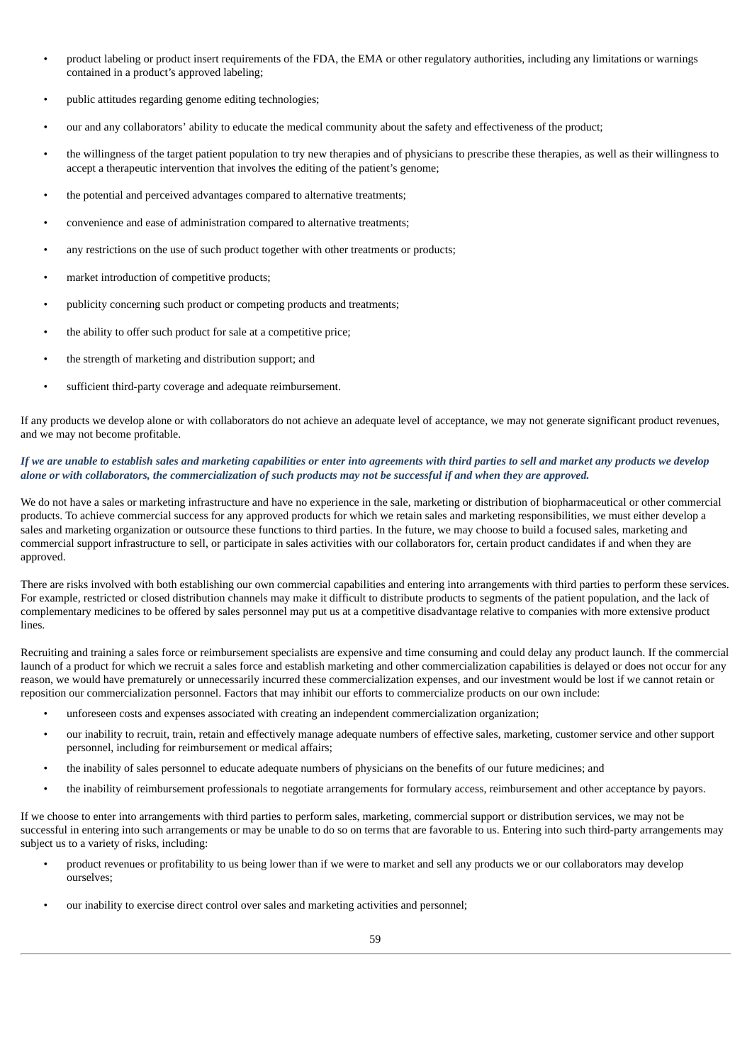- product labeling or product insert requirements of the FDA, the EMA or other regulatory authorities, including any limitations or warnings contained in a product's approved labeling;
- public attitudes regarding genome editing technologies;
- our and any collaborators' ability to educate the medical community about the safety and effectiveness of the product;
- the willingness of the target patient population to try new therapies and of physicians to prescribe these therapies, as well as their willingness to accept a therapeutic intervention that involves the editing of the patient's genome;
- the potential and perceived advantages compared to alternative treatments;
- convenience and ease of administration compared to alternative treatments;
- any restrictions on the use of such product together with other treatments or products;
- market introduction of competitive products;
- publicity concerning such product or competing products and treatments;
- the ability to offer such product for sale at a competitive price;
- the strength of marketing and distribution support; and
- sufficient third-party coverage and adequate reimbursement.

If any products we develop alone or with collaborators do not achieve an adequate level of acceptance, we may not generate significant product revenues, and we may not become profitable.

## If we are unable to establish sales and marketing capabilities or enter into agreements with third parties to sell and market any products we develop alone or with collaborators, the commercialization of such products may not be successful if and when they are approved.

We do not have a sales or marketing infrastructure and have no experience in the sale, marketing or distribution of biopharmaceutical or other commercial products. To achieve commercial success for any approved products for which we retain sales and marketing responsibilities, we must either develop a sales and marketing organization or outsource these functions to third parties. In the future, we may choose to build a focused sales, marketing and commercial support infrastructure to sell, or participate in sales activities with our collaborators for, certain product candidates if and when they are approved.

There are risks involved with both establishing our own commercial capabilities and entering into arrangements with third parties to perform these services. For example, restricted or closed distribution channels may make it difficult to distribute products to segments of the patient population, and the lack of complementary medicines to be offered by sales personnel may put us at a competitive disadvantage relative to companies with more extensive product lines.

Recruiting and training a sales force or reimbursement specialists are expensive and time consuming and could delay any product launch. If the commercial launch of a product for which we recruit a sales force and establish marketing and other commercialization capabilities is delayed or does not occur for any reason, we would have prematurely or unnecessarily incurred these commercialization expenses, and our investment would be lost if we cannot retain or reposition our commercialization personnel. Factors that may inhibit our efforts to commercialize products on our own include:

- unforeseen costs and expenses associated with creating an independent commercialization organization;
- our inability to recruit, train, retain and effectively manage adequate numbers of effective sales, marketing, customer service and other support personnel, including for reimbursement or medical affairs;
- the inability of sales personnel to educate adequate numbers of physicians on the benefits of our future medicines; and
- the inability of reimbursement professionals to negotiate arrangements for formulary access, reimbursement and other acceptance by payors.

If we choose to enter into arrangements with third parties to perform sales, marketing, commercial support or distribution services, we may not be successful in entering into such arrangements or may be unable to do so on terms that are favorable to us. Entering into such third-party arrangements may subject us to a variety of risks, including:

- product revenues or profitability to us being lower than if we were to market and sell any products we or our collaborators may develop ourselves;
- our inability to exercise direct control over sales and marketing activities and personnel;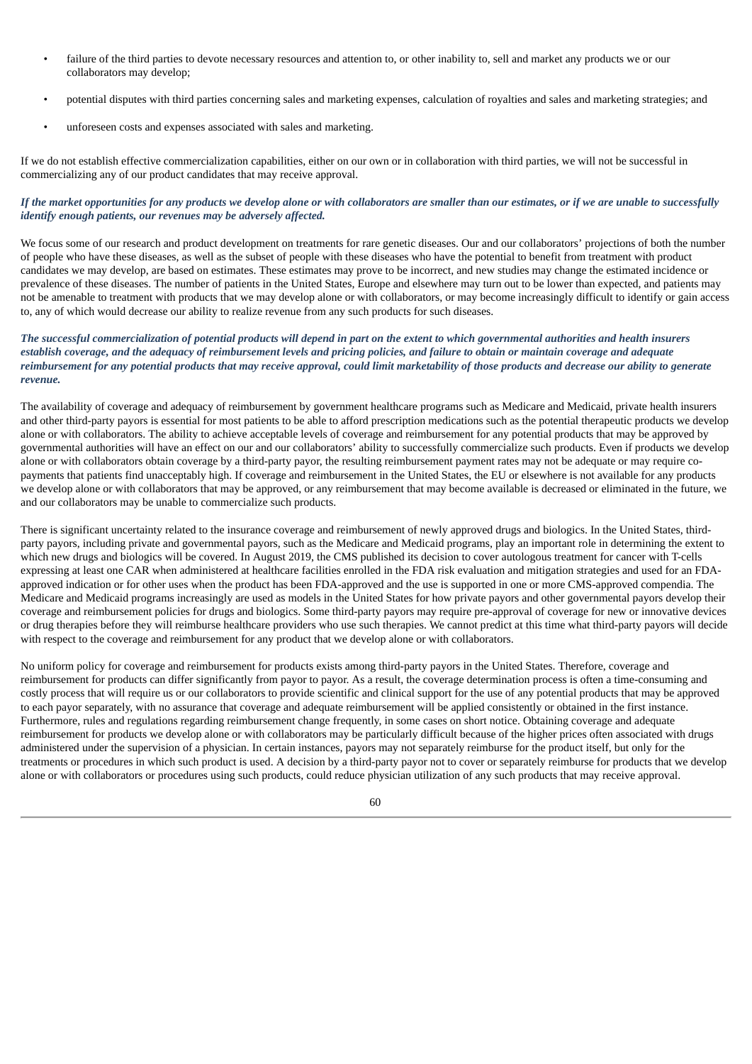- failure of the third parties to devote necessary resources and attention to, or other inability to, sell and market any products we or our collaborators may develop;
- potential disputes with third parties concerning sales and marketing expenses, calculation of royalties and sales and marketing strategies; and
- unforeseen costs and expenses associated with sales and marketing.

If we do not establish effective commercialization capabilities, either on our own or in collaboration with third parties, we will not be successful in commercializing any of our product candidates that may receive approval.

# If the market opportunities for any products we develop alone or with collaborators are smaller than our estimates, or if we are unable to successfully *identify enough patients, our revenues may be adversely affected.*

We focus some of our research and product development on treatments for rare genetic diseases. Our and our collaborators' projections of both the number of people who have these diseases, as well as the subset of people with these diseases who have the potential to benefit from treatment with product candidates we may develop, are based on estimates. These estimates may prove to be incorrect, and new studies may change the estimated incidence or prevalence of these diseases. The number of patients in the United States, Europe and elsewhere may turn out to be lower than expected, and patients may not be amenable to treatment with products that we may develop alone or with collaborators, or may become increasingly difficult to identify or gain access to, any of which would decrease our ability to realize revenue from any such products for such diseases.

# The successful commercialization of potential products will depend in part on the extent to which governmental authorities and health insurers establish coverage, and the adequacy of reimbursement levels and pricing policies, and failure to obtain or maintain coverage and adequate reimbursement for any potential products that may receive approval, could limit marketability of those products and decrease our ability to generate *revenue.*

The availability of coverage and adequacy of reimbursement by government healthcare programs such as Medicare and Medicaid, private health insurers and other third-party payors is essential for most patients to be able to afford prescription medications such as the potential therapeutic products we develop alone or with collaborators. The ability to achieve acceptable levels of coverage and reimbursement for any potential products that may be approved by governmental authorities will have an effect on our and our collaborators' ability to successfully commercialize such products. Even if products we develop alone or with collaborators obtain coverage by a third-party payor, the resulting reimbursement payment rates may not be adequate or may require copayments that patients find unacceptably high. If coverage and reimbursement in the United States, the EU or elsewhere is not available for any products we develop alone or with collaborators that may be approved, or any reimbursement that may become available is decreased or eliminated in the future, we and our collaborators may be unable to commercialize such products.

There is significant uncertainty related to the insurance coverage and reimbursement of newly approved drugs and biologics. In the United States, thirdparty payors, including private and governmental payors, such as the Medicare and Medicaid programs, play an important role in determining the extent to which new drugs and biologics will be covered. In August 2019, the CMS published its decision to cover autologous treatment for cancer with T-cells expressing at least one CAR when administered at healthcare facilities enrolled in the FDA risk evaluation and mitigation strategies and used for an FDAapproved indication or for other uses when the product has been FDA-approved and the use is supported in one or more CMS-approved compendia. The Medicare and Medicaid programs increasingly are used as models in the United States for how private payors and other governmental payors develop their coverage and reimbursement policies for drugs and biologics. Some third-party payors may require pre-approval of coverage for new or innovative devices or drug therapies before they will reimburse healthcare providers who use such therapies. We cannot predict at this time what third-party payors will decide with respect to the coverage and reimbursement for any product that we develop alone or with collaborators.

No uniform policy for coverage and reimbursement for products exists among third-party payors in the United States. Therefore, coverage and reimbursement for products can differ significantly from payor to payor. As a result, the coverage determination process is often a time-consuming and costly process that will require us or our collaborators to provide scientific and clinical support for the use of any potential products that may be approved to each payor separately, with no assurance that coverage and adequate reimbursement will be applied consistently or obtained in the first instance. Furthermore, rules and regulations regarding reimbursement change frequently, in some cases on short notice. Obtaining coverage and adequate reimbursement for products we develop alone or with collaborators may be particularly difficult because of the higher prices often associated with drugs administered under the supervision of a physician. In certain instances, payors may not separately reimburse for the product itself, but only for the treatments or procedures in which such product is used. A decision by a third-party payor not to cover or separately reimburse for products that we develop alone or with collaborators or procedures using such products, could reduce physician utilization of any such products that may receive approval.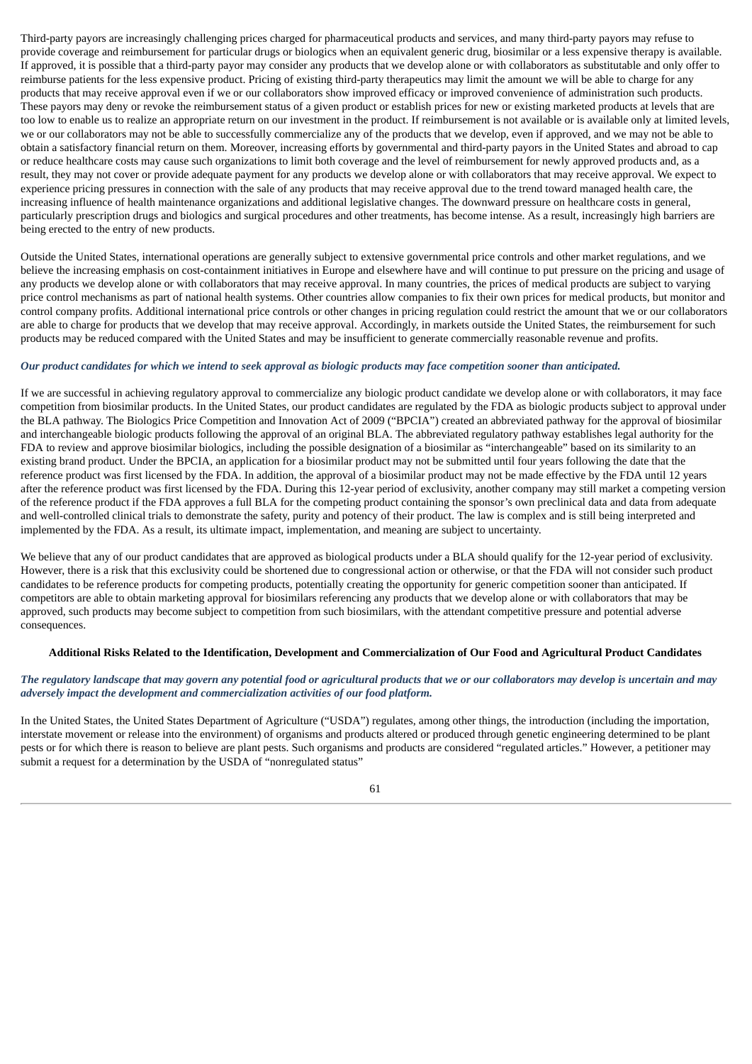Third-party payors are increasingly challenging prices charged for pharmaceutical products and services, and many third-party payors may refuse to provide coverage and reimbursement for particular drugs or biologics when an equivalent generic drug, biosimilar or a less expensive therapy is available. If approved, it is possible that a third-party payor may consider any products that we develop alone or with collaborators as substitutable and only offer to reimburse patients for the less expensive product. Pricing of existing third-party therapeutics may limit the amount we will be able to charge for any products that may receive approval even if we or our collaborators show improved efficacy or improved convenience of administration such products. These payors may deny or revoke the reimbursement status of a given product or establish prices for new or existing marketed products at levels that are too low to enable us to realize an appropriate return on our investment in the product. If reimbursement is not available or is available only at limited levels, we or our collaborators may not be able to successfully commercialize any of the products that we develop, even if approved, and we may not be able to obtain a satisfactory financial return on them. Moreover, increasing efforts by governmental and third-party payors in the United States and abroad to cap or reduce healthcare costs may cause such organizations to limit both coverage and the level of reimbursement for newly approved products and, as a result, they may not cover or provide adequate payment for any products we develop alone or with collaborators that may receive approval. We expect to experience pricing pressures in connection with the sale of any products that may receive approval due to the trend toward managed health care, the increasing influence of health maintenance organizations and additional legislative changes. The downward pressure on healthcare costs in general, particularly prescription drugs and biologics and surgical procedures and other treatments, has become intense. As a result, increasingly high barriers are being erected to the entry of new products.

Outside the United States, international operations are generally subject to extensive governmental price controls and other market regulations, and we believe the increasing emphasis on cost-containment initiatives in Europe and elsewhere have and will continue to put pressure on the pricing and usage of any products we develop alone or with collaborators that may receive approval. In many countries, the prices of medical products are subject to varying price control mechanisms as part of national health systems. Other countries allow companies to fix their own prices for medical products, but monitor and control company profits. Additional international price controls or other changes in pricing regulation could restrict the amount that we or our collaborators are able to charge for products that we develop that may receive approval. Accordingly, in markets outside the United States, the reimbursement for such products may be reduced compared with the United States and may be insufficient to generate commercially reasonable revenue and profits.

## Our product candidates for which we intend to seek approval as biologic products may face competition sooner than anticipated.

If we are successful in achieving regulatory approval to commercialize any biologic product candidate we develop alone or with collaborators, it may face competition from biosimilar products. In the United States, our product candidates are regulated by the FDA as biologic products subject to approval under the BLA pathway. The Biologics Price Competition and Innovation Act of 2009 ("BPCIA") created an abbreviated pathway for the approval of biosimilar and interchangeable biologic products following the approval of an original BLA. The abbreviated regulatory pathway establishes legal authority for the FDA to review and approve biosimilar biologics, including the possible designation of a biosimilar as "interchangeable" based on its similarity to an existing brand product. Under the BPCIA, an application for a biosimilar product may not be submitted until four years following the date that the reference product was first licensed by the FDA. In addition, the approval of a biosimilar product may not be made effective by the FDA until 12 years after the reference product was first licensed by the FDA. During this 12-year period of exclusivity, another company may still market a competing version of the reference product if the FDA approves a full BLA for the competing product containing the sponsor's own preclinical data and data from adequate and well-controlled clinical trials to demonstrate the safety, purity and potency of their product. The law is complex and is still being interpreted and implemented by the FDA. As a result, its ultimate impact, implementation, and meaning are subject to uncertainty.

We believe that any of our product candidates that are approved as biological products under a BLA should qualify for the 12-year period of exclusivity. However, there is a risk that this exclusivity could be shortened due to congressional action or otherwise, or that the FDA will not consider such product candidates to be reference products for competing products, potentially creating the opportunity for generic competition sooner than anticipated. If competitors are able to obtain marketing approval for biosimilars referencing any products that we develop alone or with collaborators that may be approved, such products may become subject to competition from such biosimilars, with the attendant competitive pressure and potential adverse consequences.

#### Additional Risks Related to the Identification, Development and Commercialization of Our Food and Agricultural Product Candidates

#### The regulatory landscape that may govern any potential food or agricultural products that we or our collaborators may develop is uncertain and may *adversely impact the development and commercialization activities of our food platform.*

In the United States, the United States Department of Agriculture ("USDA") regulates, among other things, the introduction (including the importation, interstate movement or release into the environment) of organisms and products altered or produced through genetic engineering determined to be plant pests or for which there is reason to believe are plant pests. Such organisms and products are considered "regulated articles." However, a petitioner may submit a request for a determination by the USDA of "nonregulated status"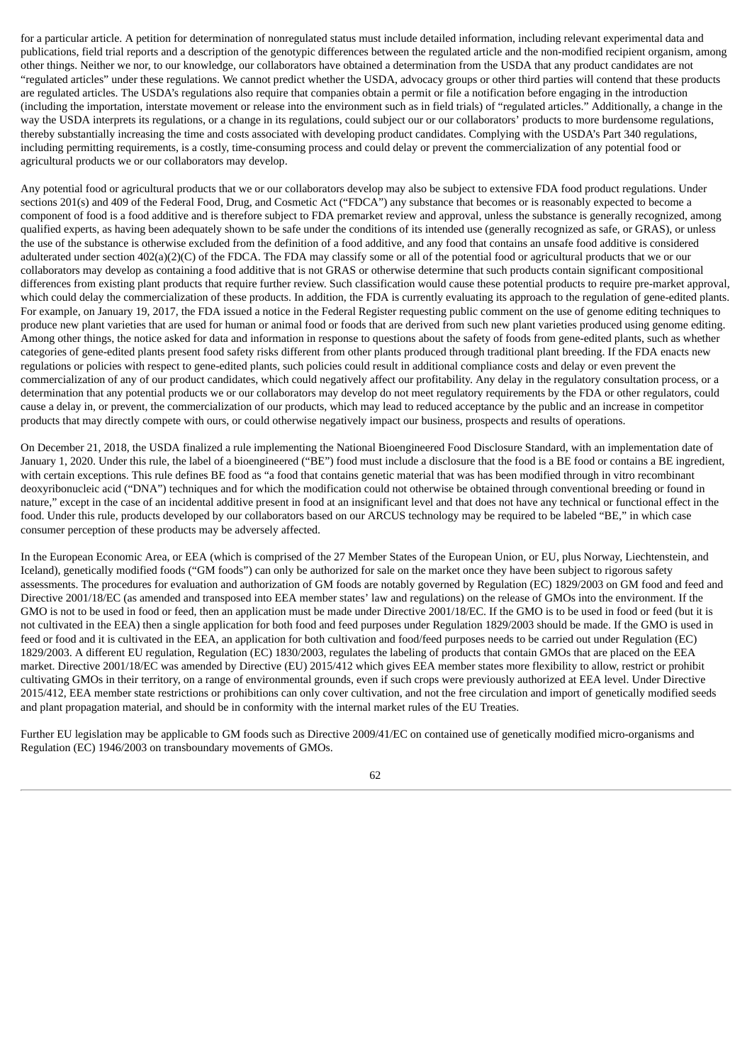for a particular article. A petition for determination of nonregulated status must include detailed information, including relevant experimental data and publications, field trial reports and a description of the genotypic differences between the regulated article and the non-modified recipient organism, among other things. Neither we nor, to our knowledge, our collaborators have obtained a determination from the USDA that any product candidates are not "regulated articles" under these regulations. We cannot predict whether the USDA, advocacy groups or other third parties will contend that these products are regulated articles. The USDA's regulations also require that companies obtain a permit or file a notification before engaging in the introduction (including the importation, interstate movement or release into the environment such as in field trials) of "regulated articles." Additionally, a change in the way the USDA interprets its regulations, or a change in its regulations, could subject our or our collaborators' products to more burdensome regulations, thereby substantially increasing the time and costs associated with developing product candidates. Complying with the USDA's Part 340 regulations, including permitting requirements, is a costly, time-consuming process and could delay or prevent the commercialization of any potential food or agricultural products we or our collaborators may develop.

Any potential food or agricultural products that we or our collaborators develop may also be subject to extensive FDA food product regulations. Under sections 201(s) and 409 of the Federal Food, Drug, and Cosmetic Act ("FDCA") any substance that becomes or is reasonably expected to become a component of food is a food additive and is therefore subject to FDA premarket review and approval, unless the substance is generally recognized, among qualified experts, as having been adequately shown to be safe under the conditions of its intended use (generally recognized as safe, or GRAS), or unless the use of the substance is otherwise excluded from the definition of a food additive, and any food that contains an unsafe food additive is considered adulterated under section 402(a)(2)(C) of the FDCA. The FDA may classify some or all of the potential food or agricultural products that we or our collaborators may develop as containing a food additive that is not GRAS or otherwise determine that such products contain significant compositional differences from existing plant products that require further review. Such classification would cause these potential products to require pre-market approval, which could delay the commercialization of these products. In addition, the FDA is currently evaluating its approach to the regulation of gene-edited plants. For example, on January 19, 2017, the FDA issued a notice in the Federal Register requesting public comment on the use of genome editing techniques to produce new plant varieties that are used for human or animal food or foods that are derived from such new plant varieties produced using genome editing. Among other things, the notice asked for data and information in response to questions about the safety of foods from gene-edited plants, such as whether categories of gene-edited plants present food safety risks different from other plants produced through traditional plant breeding. If the FDA enacts new regulations or policies with respect to gene-edited plants, such policies could result in additional compliance costs and delay or even prevent the commercialization of any of our product candidates, which could negatively affect our profitability. Any delay in the regulatory consultation process, or a determination that any potential products we or our collaborators may develop do not meet regulatory requirements by the FDA or other regulators, could cause a delay in, or prevent, the commercialization of our products, which may lead to reduced acceptance by the public and an increase in competitor products that may directly compete with ours, or could otherwise negatively impact our business, prospects and results of operations.

On December 21, 2018, the USDA finalized a rule implementing the National Bioengineered Food Disclosure Standard, with an implementation date of January 1, 2020. Under this rule, the label of a bioengineered ("BE") food must include a disclosure that the food is a BE food or contains a BE ingredient, with certain exceptions. This rule defines BE food as "a food that contains genetic material that was has been modified through in vitro recombinant deoxyribonucleic acid ("DNA") techniques and for which the modification could not otherwise be obtained through conventional breeding or found in nature," except in the case of an incidental additive present in food at an insignificant level and that does not have any technical or functional effect in the food. Under this rule, products developed by our collaborators based on our ARCUS technology may be required to be labeled "BE," in which case consumer perception of these products may be adversely affected.

In the European Economic Area, or EEA (which is comprised of the 27 Member States of the European Union, or EU, plus Norway, Liechtenstein, and Iceland), genetically modified foods ("GM foods") can only be authorized for sale on the market once they have been subject to rigorous safety assessments. The procedures for evaluation and authorization of GM foods are notably governed by Regulation (EC) 1829/2003 on GM food and feed and Directive 2001/18/EC (as amended and transposed into EEA member states' law and regulations) on the release of GMOs into the environment. If the GMO is not to be used in food or feed, then an application must be made under Directive 2001/18/EC. If the GMO is to be used in food or feed (but it is not cultivated in the EEA) then a single application for both food and feed purposes under Regulation 1829/2003 should be made. If the GMO is used in feed or food and it is cultivated in the EEA, an application for both cultivation and food/feed purposes needs to be carried out under Regulation (EC) 1829/2003. A different EU regulation, Regulation (EC) 1830/2003, regulates the labeling of products that contain GMOs that are placed on the EEA market. Directive 2001/18/EC was amended by Directive (EU) 2015/412 which gives EEA member states more flexibility to allow, restrict or prohibit cultivating GMOs in their territory, on a range of environmental grounds, even if such crops were previously authorized at EEA level. Under Directive 2015/412, EEA member state restrictions or prohibitions can only cover cultivation, and not the free circulation and import of genetically modified seeds and plant propagation material, and should be in conformity with the internal market rules of the EU Treaties.

Further EU legislation may be applicable to GM foods such as Directive 2009/41/EC on contained use of genetically modified micro-organisms and Regulation (EC) 1946/2003 on transboundary movements of GMOs.

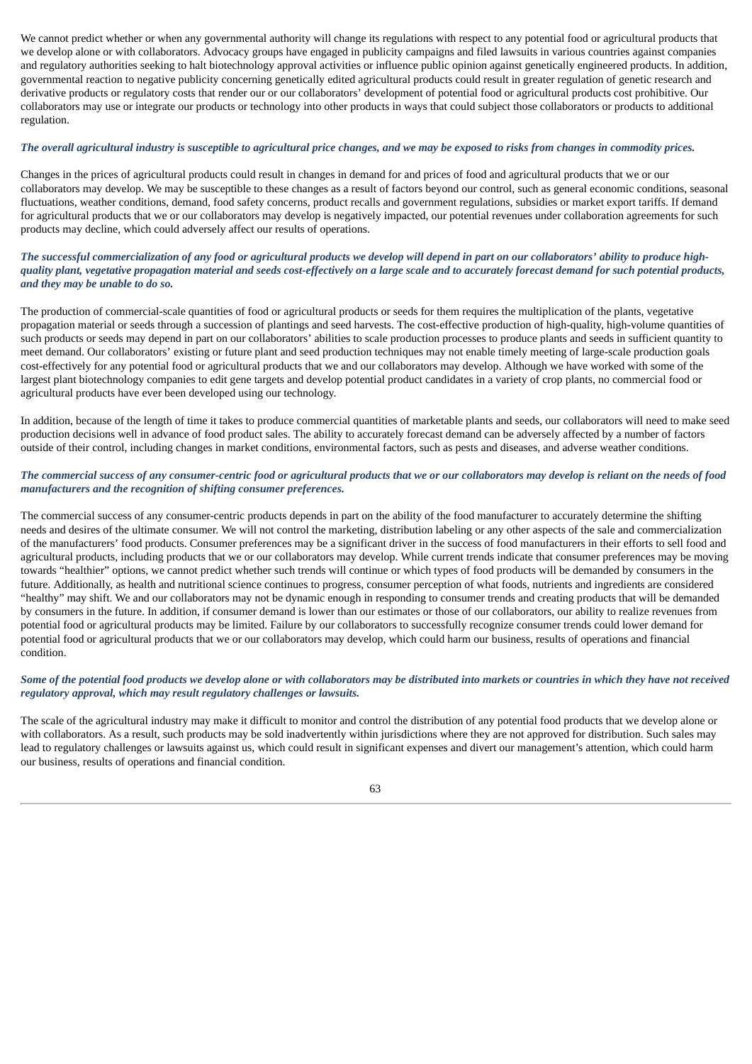We cannot predict whether or when any governmental authority will change its regulations with respect to any potential food or agricultural products that we develop alone or with collaborators. Advocacy groups have engaged in publicity campaigns and filed lawsuits in various countries against companies and regulatory authorities seeking to halt biotechnology approval activities or influence public opinion against genetically engineered products. In addition, governmental reaction to negative publicity concerning genetically edited agricultural products could result in greater regulation of genetic research and derivative products or regulatory costs that render our or our collaborators' development of potential food or agricultural products cost prohibitive. Our collaborators may use or integrate our products or technology into other products in ways that could subject those collaborators or products to additional regulation.

## The overall agricultural industry is susceptible to agricultural price changes, and we may be exposed to risks from changes in commodity prices.

Changes in the prices of agricultural products could result in changes in demand for and prices of food and agricultural products that we or our collaborators may develop. We may be susceptible to these changes as a result of factors beyond our control, such as general economic conditions, seasonal fluctuations, weather conditions, demand, food safety concerns, product recalls and government regulations, subsidies or market export tariffs. If demand for agricultural products that we or our collaborators may develop is negatively impacted, our potential revenues under collaboration agreements for such products may decline, which could adversely affect our results of operations.

# The successful commercialization of any food or agricultural products we develop will depend in part on our collaborators' ability to produce highquality plant, vegetative propagation material and seeds cost-effectively on a large scale and to accurately forecast demand for such potential products, *and they may be unable to do so.*

The production of commercial-scale quantities of food or agricultural products or seeds for them requires the multiplication of the plants, vegetative propagation material or seeds through a succession of plantings and seed harvests. The cost-effective production of high-quality, high-volume quantities of such products or seeds may depend in part on our collaborators' abilities to scale production processes to produce plants and seeds in sufficient quantity to meet demand. Our collaborators' existing or future plant and seed production techniques may not enable timely meeting of large-scale production goals cost-effectively for any potential food or agricultural products that we and our collaborators may develop. Although we have worked with some of the largest plant biotechnology companies to edit gene targets and develop potential product candidates in a variety of crop plants, no commercial food or agricultural products have ever been developed using our technology.

In addition, because of the length of time it takes to produce commercial quantities of marketable plants and seeds, our collaborators will need to make seed production decisions well in advance of food product sales. The ability to accurately forecast demand can be adversely affected by a number of factors outside of their control, including changes in market conditions, environmental factors, such as pests and diseases, and adverse weather conditions.

# The commercial success of any consumer-centric food or agricultural products that we or our collaborators may develop is reliant on the needs of food *manufacturers and the recognition of shifting consumer preferences.*

The commercial success of any consumer-centric products depends in part on the ability of the food manufacturer to accurately determine the shifting needs and desires of the ultimate consumer. We will not control the marketing, distribution labeling or any other aspects of the sale and commercialization of the manufacturers' food products. Consumer preferences may be a significant driver in the success of food manufacturers in their efforts to sell food and agricultural products, including products that we or our collaborators may develop. While current trends indicate that consumer preferences may be moving towards "healthier" options, we cannot predict whether such trends will continue or which types of food products will be demanded by consumers in the future. Additionally, as health and nutritional science continues to progress, consumer perception of what foods, nutrients and ingredients are considered "healthy" may shift. We and our collaborators may not be dynamic enough in responding to consumer trends and creating products that will be demanded by consumers in the future. In addition, if consumer demand is lower than our estimates or those of our collaborators, our ability to realize revenues from potential food or agricultural products may be limited. Failure by our collaborators to successfully recognize consumer trends could lower demand for potential food or agricultural products that we or our collaborators may develop, which could harm our business, results of operations and financial condition.

### Some of the potential food products we develop alone or with collaborators may be distributed into markets or countries in which they have not received *regulatory approval, which may result regulatory challenges or lawsuits.*

The scale of the agricultural industry may make it difficult to monitor and control the distribution of any potential food products that we develop alone or with collaborators. As a result, such products may be sold inadvertently within jurisdictions where they are not approved for distribution. Such sales may lead to regulatory challenges or lawsuits against us, which could result in significant expenses and divert our management's attention, which could harm our business, results of operations and financial condition.

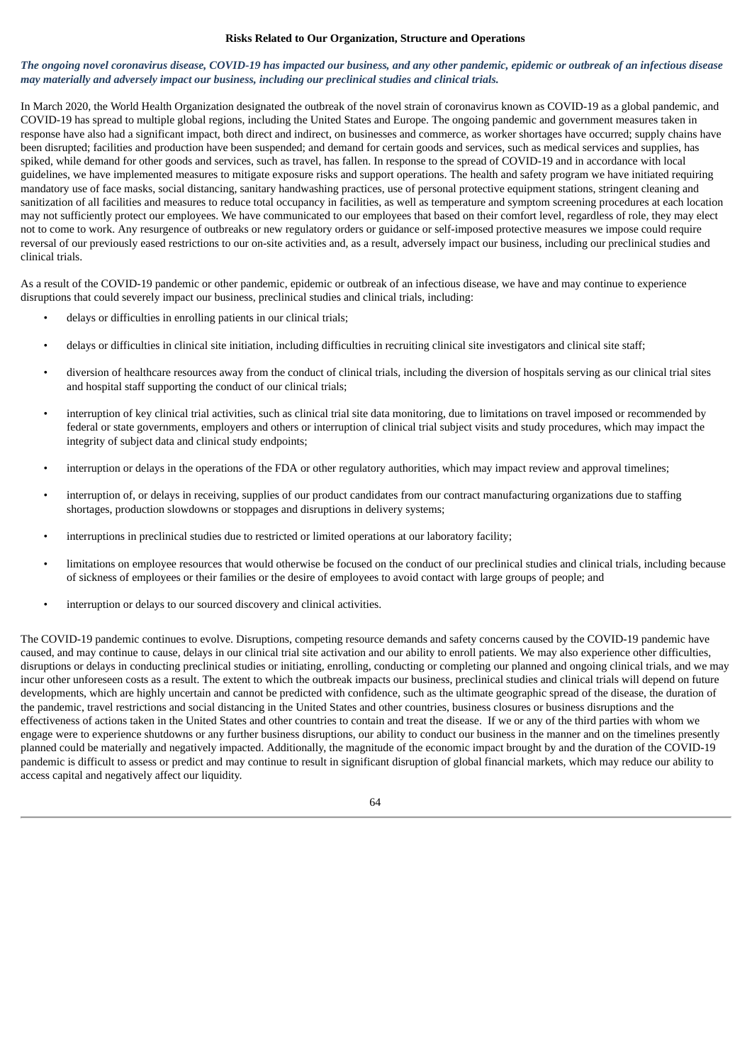#### **Risks Related to Our Organization, Structure and Operations**

# The ongoing novel coronavirus disease, COVID-19 has impacted our business, and any other pandemic, epidemic or outbreak of an infectious disease *may materially and adversely impact our business, including our preclinical studies and clinical trials.*

In March 2020, the World Health Organization designated the outbreak of the novel strain of coronavirus known as COVID-19 as a global pandemic, and COVID-19 has spread to multiple global regions, including the United States and Europe. The ongoing pandemic and government measures taken in response have also had a significant impact, both direct and indirect, on businesses and commerce, as worker shortages have occurred; supply chains have been disrupted; facilities and production have been suspended; and demand for certain goods and services, such as medical services and supplies, has spiked, while demand for other goods and services, such as travel, has fallen. In response to the spread of COVID-19 and in accordance with local guidelines, we have implemented measures to mitigate exposure risks and support operations. The health and safety program we have initiated requiring mandatory use of face masks, social distancing, sanitary handwashing practices, use of personal protective equipment stations, stringent cleaning and sanitization of all facilities and measures to reduce total occupancy in facilities, as well as temperature and symptom screening procedures at each location may not sufficiently protect our employees. We have communicated to our employees that based on their comfort level, regardless of role, they may elect not to come to work. Any resurgence of outbreaks or new regulatory orders or guidance or self-imposed protective measures we impose could require reversal of our previously eased restrictions to our on-site activities and, as a result, adversely impact our business, including our preclinical studies and clinical trials.

As a result of the COVID-19 pandemic or other pandemic, epidemic or outbreak of an infectious disease, we have and may continue to experience disruptions that could severely impact our business, preclinical studies and clinical trials, including:

- delays or difficulties in enrolling patients in our clinical trials;
- delays or difficulties in clinical site initiation, including difficulties in recruiting clinical site investigators and clinical site staff;
- diversion of healthcare resources away from the conduct of clinical trials, including the diversion of hospitals serving as our clinical trial sites and hospital staff supporting the conduct of our clinical trials;
- interruption of key clinical trial activities, such as clinical trial site data monitoring, due to limitations on travel imposed or recommended by federal or state governments, employers and others or interruption of clinical trial subject visits and study procedures, which may impact the integrity of subject data and clinical study endpoints;
- interruption or delays in the operations of the FDA or other regulatory authorities, which may impact review and approval timelines;
- interruption of, or delays in receiving, supplies of our product candidates from our contract manufacturing organizations due to staffing shortages, production slowdowns or stoppages and disruptions in delivery systems;
- interruptions in preclinical studies due to restricted or limited operations at our laboratory facility;
- limitations on employee resources that would otherwise be focused on the conduct of our preclinical studies and clinical trials, including because of sickness of employees or their families or the desire of employees to avoid contact with large groups of people; and
- interruption or delays to our sourced discovery and clinical activities.

The COVID-19 pandemic continues to evolve. Disruptions, competing resource demands and safety concerns caused by the COVID-19 pandemic have caused, and may continue to cause, delays in our clinical trial site activation and our ability to enroll patients. We may also experience other difficulties, disruptions or delays in conducting preclinical studies or initiating, enrolling, conducting or completing our planned and ongoing clinical trials, and we may incur other unforeseen costs as a result. The extent to which the outbreak impacts our business, preclinical studies and clinical trials will depend on future developments, which are highly uncertain and cannot be predicted with confidence, such as the ultimate geographic spread of the disease, the duration of the pandemic, travel restrictions and social distancing in the United States and other countries, business closures or business disruptions and the effectiveness of actions taken in the United States and other countries to contain and treat the disease. If we or any of the third parties with whom we engage were to experience shutdowns or any further business disruptions, our ability to conduct our business in the manner and on the timelines presently planned could be materially and negatively impacted. Additionally, the magnitude of the economic impact brought by and the duration of the COVID-19 pandemic is difficult to assess or predict and may continue to result in significant disruption of global financial markets, which may reduce our ability to access capital and negatively affect our liquidity.

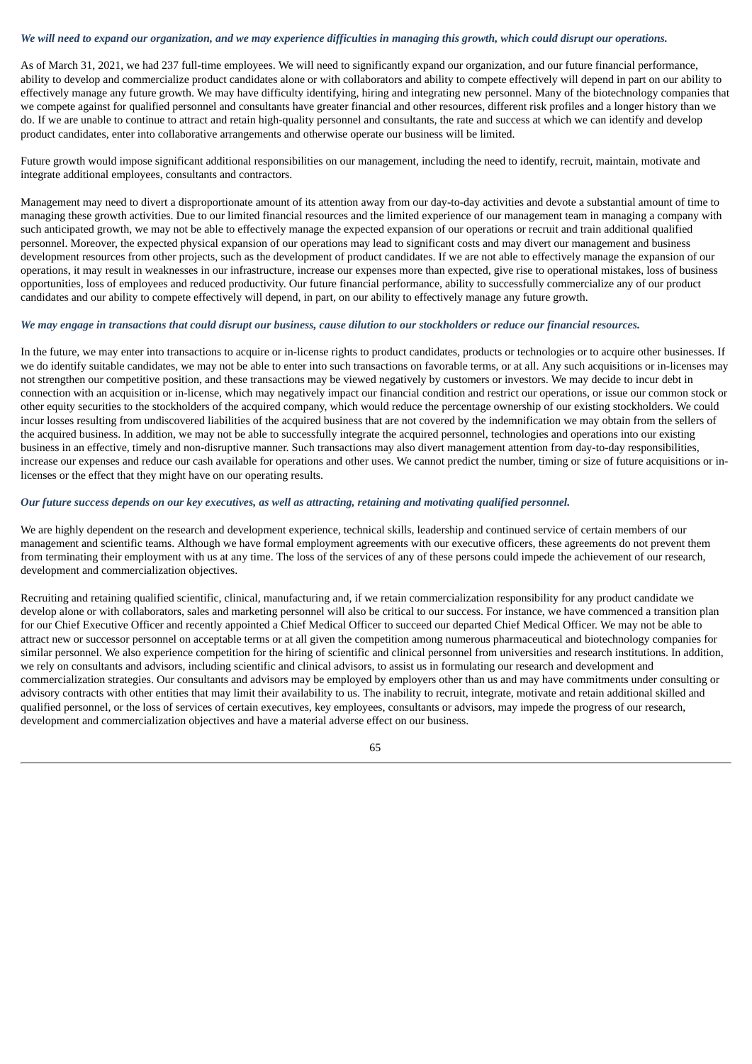#### We will need to expand our organization, and we may experience difficulties in managing this growth, which could disrupt our operations,

As of March 31, 2021, we had 237 full-time employees. We will need to significantly expand our organization, and our future financial performance, ability to develop and commercialize product candidates alone or with collaborators and ability to compete effectively will depend in part on our ability to effectively manage any future growth. We may have difficulty identifying, hiring and integrating new personnel. Many of the biotechnology companies that we compete against for qualified personnel and consultants have greater financial and other resources, different risk profiles and a longer history than we do. If we are unable to continue to attract and retain high-quality personnel and consultants, the rate and success at which we can identify and develop product candidates, enter into collaborative arrangements and otherwise operate our business will be limited.

Future growth would impose significant additional responsibilities on our management, including the need to identify, recruit, maintain, motivate and integrate additional employees, consultants and contractors.

Management may need to divert a disproportionate amount of its attention away from our day-to-day activities and devote a substantial amount of time to managing these growth activities. Due to our limited financial resources and the limited experience of our management team in managing a company with such anticipated growth, we may not be able to effectively manage the expected expansion of our operations or recruit and train additional qualified personnel. Moreover, the expected physical expansion of our operations may lead to significant costs and may divert our management and business development resources from other projects, such as the development of product candidates. If we are not able to effectively manage the expansion of our operations, it may result in weaknesses in our infrastructure, increase our expenses more than expected, give rise to operational mistakes, loss of business opportunities, loss of employees and reduced productivity. Our future financial performance, ability to successfully commercialize any of our product candidates and our ability to compete effectively will depend, in part, on our ability to effectively manage any future growth.

#### We may engage in transactions that could disrupt our business, cause dilution to our stockholders or reduce our financial resources.

In the future, we may enter into transactions to acquire or in-license rights to product candidates, products or technologies or to acquire other businesses. If we do identify suitable candidates, we may not be able to enter into such transactions on favorable terms, or at all. Any such acquisitions or in-licenses may not strengthen our competitive position, and these transactions may be viewed negatively by customers or investors. We may decide to incur debt in connection with an acquisition or in-license, which may negatively impact our financial condition and restrict our operations, or issue our common stock or other equity securities to the stockholders of the acquired company, which would reduce the percentage ownership of our existing stockholders. We could incur losses resulting from undiscovered liabilities of the acquired business that are not covered by the indemnification we may obtain from the sellers of the acquired business. In addition, we may not be able to successfully integrate the acquired personnel, technologies and operations into our existing business in an effective, timely and non-disruptive manner. Such transactions may also divert management attention from day-to-day responsibilities, increase our expenses and reduce our cash available for operations and other uses. We cannot predict the number, timing or size of future acquisitions or inlicenses or the effect that they might have on our operating results.

### Our future success depends on our key executives, as well as attracting, retaining and motivating qualified personnel.

We are highly dependent on the research and development experience, technical skills, leadership and continued service of certain members of our management and scientific teams. Although we have formal employment agreements with our executive officers, these agreements do not prevent them from terminating their employment with us at any time. The loss of the services of any of these persons could impede the achievement of our research, development and commercialization objectives.

Recruiting and retaining qualified scientific, clinical, manufacturing and, if we retain commercialization responsibility for any product candidate we develop alone or with collaborators, sales and marketing personnel will also be critical to our success. For instance, we have commenced a transition plan for our Chief Executive Officer and recently appointed a Chief Medical Officer to succeed our departed Chief Medical Officer. We may not be able to attract new or successor personnel on acceptable terms or at all given the competition among numerous pharmaceutical and biotechnology companies for similar personnel. We also experience competition for the hiring of scientific and clinical personnel from universities and research institutions. In addition, we rely on consultants and advisors, including scientific and clinical advisors, to assist us in formulating our research and development and commercialization strategies. Our consultants and advisors may be employed by employers other than us and may have commitments under consulting or advisory contracts with other entities that may limit their availability to us. The inability to recruit, integrate, motivate and retain additional skilled and qualified personnel, or the loss of services of certain executives, key employees, consultants or advisors, may impede the progress of our research, development and commercialization objectives and have a material adverse effect on our business.

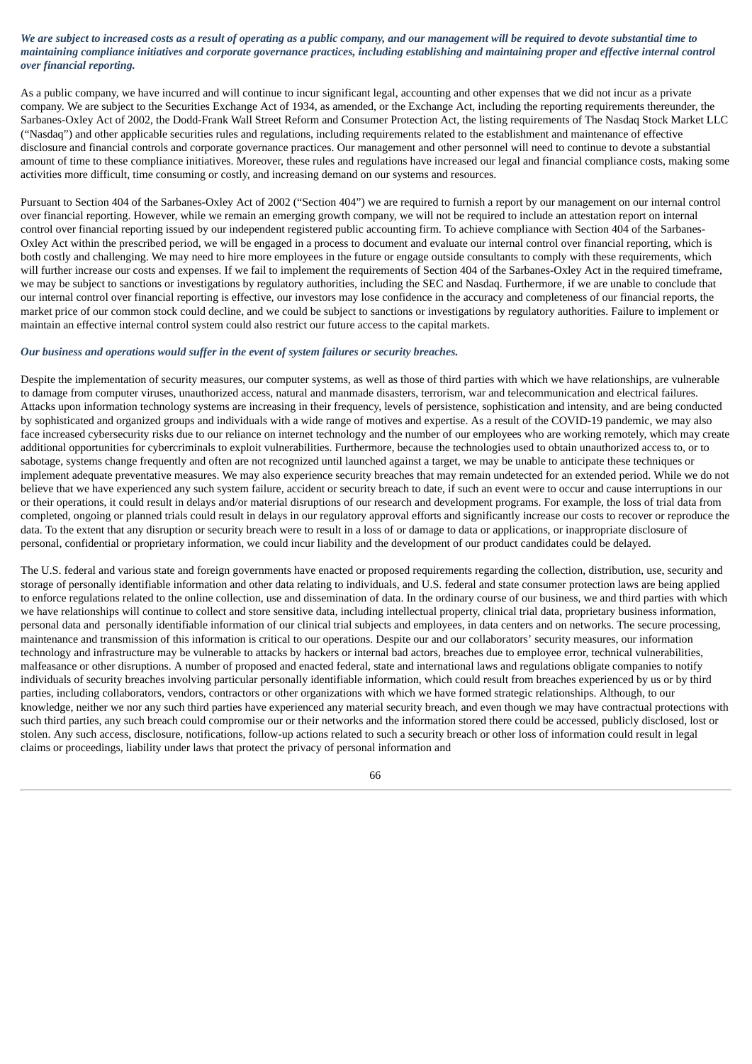# We are subject to increased costs as a result of operatina as a public company, and our management will be required to devote substantial time to maintaining compliance initiatives and corporate governance practices, including establishing and maintaining proper and effective internal control *over financial reporting.*

As a public company, we have incurred and will continue to incur significant legal, accounting and other expenses that we did not incur as a private company. We are subject to the Securities Exchange Act of 1934, as amended, or the Exchange Act, including the reporting requirements thereunder, the Sarbanes-Oxley Act of 2002, the Dodd-Frank Wall Street Reform and Consumer Protection Act, the listing requirements of The Nasdaq Stock Market LLC ("Nasdaq") and other applicable securities rules and regulations, including requirements related to the establishment and maintenance of effective disclosure and financial controls and corporate governance practices. Our management and other personnel will need to continue to devote a substantial amount of time to these compliance initiatives. Moreover, these rules and regulations have increased our legal and financial compliance costs, making some activities more difficult, time consuming or costly, and increasing demand on our systems and resources.

Pursuant to Section 404 of the Sarbanes-Oxley Act of 2002 ("Section 404") we are required to furnish a report by our management on our internal control over financial reporting. However, while we remain an emerging growth company, we will not be required to include an attestation report on internal control over financial reporting issued by our independent registered public accounting firm. To achieve compliance with Section 404 of the Sarbanes-Oxley Act within the prescribed period, we will be engaged in a process to document and evaluate our internal control over financial reporting, which is both costly and challenging. We may need to hire more employees in the future or engage outside consultants to comply with these requirements, which will further increase our costs and expenses. If we fail to implement the requirements of Section 404 of the Sarbanes-Oxley Act in the required timeframe, we may be subject to sanctions or investigations by regulatory authorities, including the SEC and Nasdaq. Furthermore, if we are unable to conclude that our internal control over financial reporting is effective, our investors may lose confidence in the accuracy and completeness of our financial reports, the market price of our common stock could decline, and we could be subject to sanctions or investigations by regulatory authorities. Failure to implement or maintain an effective internal control system could also restrict our future access to the capital markets.

### *Our business and operations would suffer in the event of system failures or security breaches.*

Despite the implementation of security measures, our computer systems, as well as those of third parties with which we have relationships, are vulnerable to damage from computer viruses, unauthorized access, natural and manmade disasters, terrorism, war and telecommunication and electrical failures. Attacks upon information technology systems are increasing in their frequency, levels of persistence, sophistication and intensity, and are being conducted by sophisticated and organized groups and individuals with a wide range of motives and expertise. As a result of the COVID-19 pandemic, we may also face increased cybersecurity risks due to our reliance on internet technology and the number of our employees who are working remotely, which may create additional opportunities for cybercriminals to exploit vulnerabilities. Furthermore, because the technologies used to obtain unauthorized access to, or to sabotage, systems change frequently and often are not recognized until launched against a target, we may be unable to anticipate these techniques or implement adequate preventative measures. We may also experience security breaches that may remain undetected for an extended period. While we do not believe that we have experienced any such system failure, accident or security breach to date, if such an event were to occur and cause interruptions in our or their operations, it could result in delays and/or material disruptions of our research and development programs. For example, the loss of trial data from completed, ongoing or planned trials could result in delays in our regulatory approval efforts and significantly increase our costs to recover or reproduce the data. To the extent that any disruption or security breach were to result in a loss of or damage to data or applications, or inappropriate disclosure of personal, confidential or proprietary information, we could incur liability and the development of our product candidates could be delayed.

The U.S. federal and various state and foreign governments have enacted or proposed requirements regarding the collection, distribution, use, security and storage of personally identifiable information and other data relating to individuals, and U.S. federal and state consumer protection laws are being applied to enforce regulations related to the online collection, use and dissemination of data. In the ordinary course of our business, we and third parties with which we have relationships will continue to collect and store sensitive data, including intellectual property, clinical trial data, proprietary business information, personal data and personally identifiable information of our clinical trial subjects and employees, in data centers and on networks. The secure processing, maintenance and transmission of this information is critical to our operations. Despite our and our collaborators' security measures, our information technology and infrastructure may be vulnerable to attacks by hackers or internal bad actors, breaches due to employee error, technical vulnerabilities, malfeasance or other disruptions. A number of proposed and enacted federal, state and international laws and regulations obligate companies to notify individuals of security breaches involving particular personally identifiable information, which could result from breaches experienced by us or by third parties, including collaborators, vendors, contractors or other organizations with which we have formed strategic relationships. Although, to our knowledge, neither we nor any such third parties have experienced any material security breach, and even though we may have contractual protections with such third parties, any such breach could compromise our or their networks and the information stored there could be accessed, publicly disclosed, lost or stolen. Any such access, disclosure, notifications, follow-up actions related to such a security breach or other loss of information could result in legal claims or proceedings, liability under laws that protect the privacy of personal information and

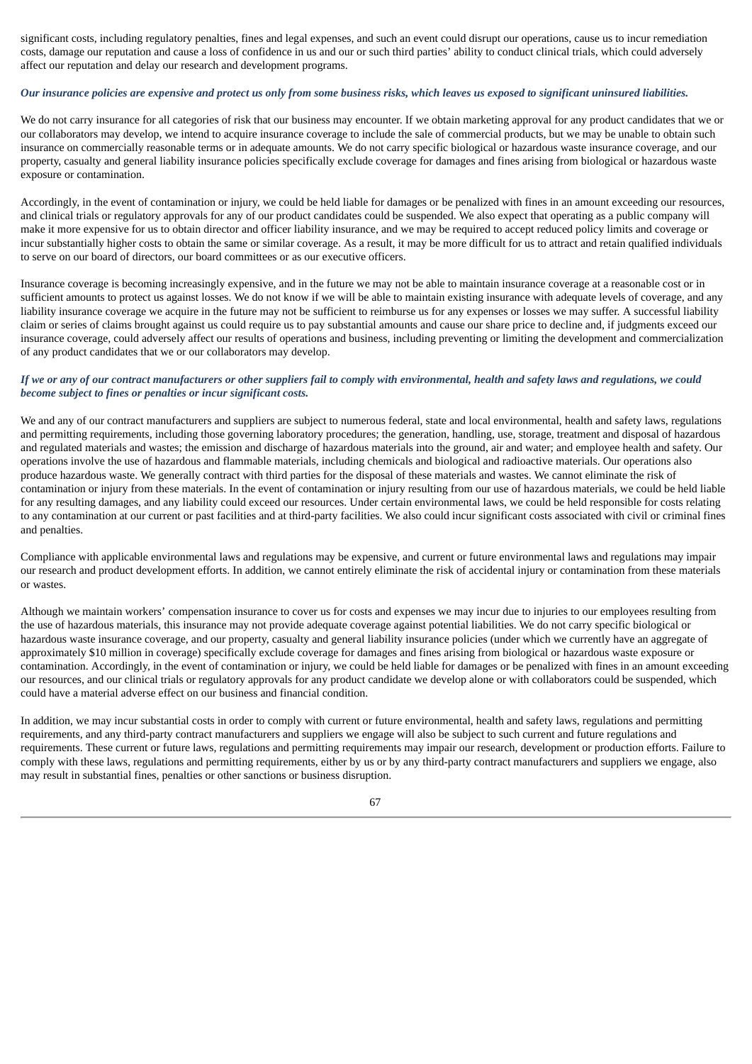significant costs, including regulatory penalties, fines and legal expenses, and such an event could disrupt our operations, cause us to incur remediation costs, damage our reputation and cause a loss of confidence in us and our or such third parties' ability to conduct clinical trials, which could adversely affect our reputation and delay our research and development programs.

# Our insurance policies are expensive and protect us only from some business risks, which leaves us exposed to significant uninsured liabilities.

We do not carry insurance for all categories of risk that our business may encounter. If we obtain marketing approval for any product candidates that we or our collaborators may develop, we intend to acquire insurance coverage to include the sale of commercial products, but we may be unable to obtain such insurance on commercially reasonable terms or in adequate amounts. We do not carry specific biological or hazardous waste insurance coverage, and our property, casualty and general liability insurance policies specifically exclude coverage for damages and fines arising from biological or hazardous waste exposure or contamination.

Accordingly, in the event of contamination or injury, we could be held liable for damages or be penalized with fines in an amount exceeding our resources, and clinical trials or regulatory approvals for any of our product candidates could be suspended. We also expect that operating as a public company will make it more expensive for us to obtain director and officer liability insurance, and we may be required to accept reduced policy limits and coverage or incur substantially higher costs to obtain the same or similar coverage. As a result, it may be more difficult for us to attract and retain qualified individuals to serve on our board of directors, our board committees or as our executive officers.

Insurance coverage is becoming increasingly expensive, and in the future we may not be able to maintain insurance coverage at a reasonable cost or in sufficient amounts to protect us against losses. We do not know if we will be able to maintain existing insurance with adequate levels of coverage, and any liability insurance coverage we acquire in the future may not be sufficient to reimburse us for any expenses or losses we may suffer. A successful liability claim or series of claims brought against us could require us to pay substantial amounts and cause our share price to decline and, if judgments exceed our insurance coverage, could adversely affect our results of operations and business, including preventing or limiting the development and commercialization of any product candidates that we or our collaborators may develop.

## If we or any of our contract manufacturers or other suppliers fail to comply with environmental, health and safety laws and regulations, we could *become subject to fines or penalties or incur significant costs.*

We and any of our contract manufacturers and suppliers are subject to numerous federal, state and local environmental, health and safety laws, regulations and permitting requirements, including those governing laboratory procedures; the generation, handling, use, storage, treatment and disposal of hazardous and regulated materials and wastes; the emission and discharge of hazardous materials into the ground, air and water; and employee health and safety. Our operations involve the use of hazardous and flammable materials, including chemicals and biological and radioactive materials. Our operations also produce hazardous waste. We generally contract with third parties for the disposal of these materials and wastes. We cannot eliminate the risk of contamination or injury from these materials. In the event of contamination or injury resulting from our use of hazardous materials, we could be held liable for any resulting damages, and any liability could exceed our resources. Under certain environmental laws, we could be held responsible for costs relating to any contamination at our current or past facilities and at third-party facilities. We also could incur significant costs associated with civil or criminal fines and penalties.

Compliance with applicable environmental laws and regulations may be expensive, and current or future environmental laws and regulations may impair our research and product development efforts. In addition, we cannot entirely eliminate the risk of accidental injury or contamination from these materials or wastes.

Although we maintain workers' compensation insurance to cover us for costs and expenses we may incur due to injuries to our employees resulting from the use of hazardous materials, this insurance may not provide adequate coverage against potential liabilities. We do not carry specific biological or hazardous waste insurance coverage, and our property, casualty and general liability insurance policies (under which we currently have an aggregate of approximately \$10 million in coverage) specifically exclude coverage for damages and fines arising from biological or hazardous waste exposure or contamination. Accordingly, in the event of contamination or injury, we could be held liable for damages or be penalized with fines in an amount exceeding our resources, and our clinical trials or regulatory approvals for any product candidate we develop alone or with collaborators could be suspended, which could have a material adverse effect on our business and financial condition.

In addition, we may incur substantial costs in order to comply with current or future environmental, health and safety laws, regulations and permitting requirements, and any third-party contract manufacturers and suppliers we engage will also be subject to such current and future regulations and requirements. These current or future laws, regulations and permitting requirements may impair our research, development or production efforts. Failure to comply with these laws, regulations and permitting requirements, either by us or by any third-party contract manufacturers and suppliers we engage, also may result in substantial fines, penalties or other sanctions or business disruption.

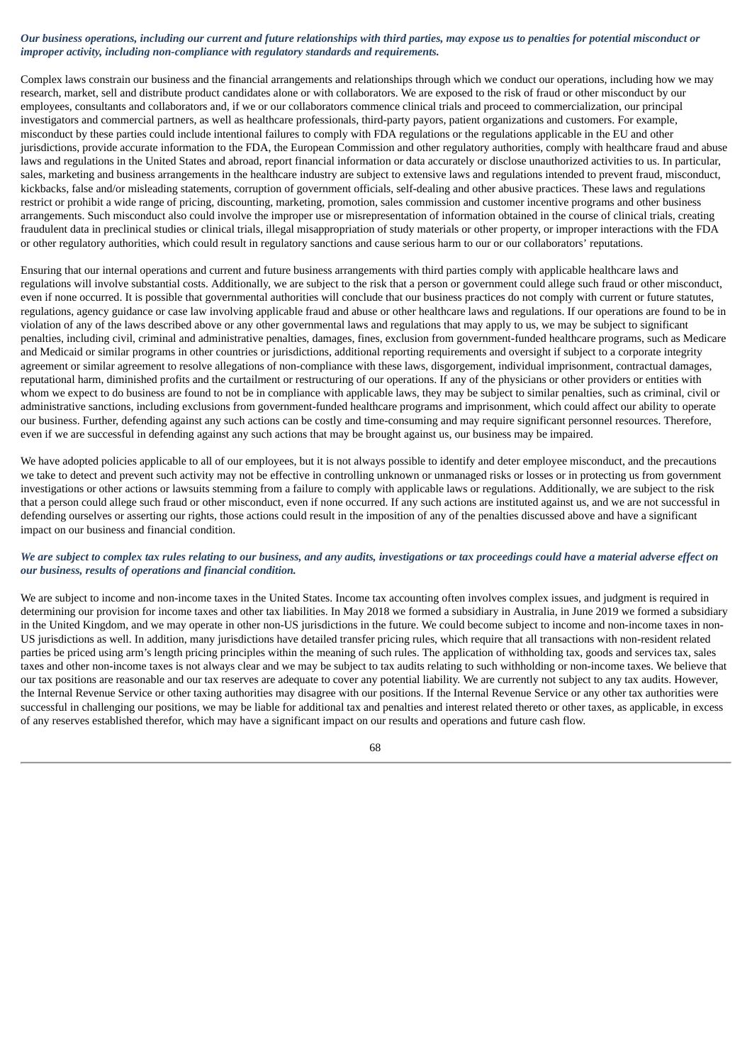# Our business operations, including our current and future relationships with third parties, may expose us to penalties for potential misconduct or *improper activity, including non-compliance with regulatory standards and requirements.*

Complex laws constrain our business and the financial arrangements and relationships through which we conduct our operations, including how we may research, market, sell and distribute product candidates alone or with collaborators. We are exposed to the risk of fraud or other misconduct by our employees, consultants and collaborators and, if we or our collaborators commence clinical trials and proceed to commercialization, our principal investigators and commercial partners, as well as healthcare professionals, third-party payors, patient organizations and customers. For example, misconduct by these parties could include intentional failures to comply with FDA regulations or the regulations applicable in the EU and other jurisdictions, provide accurate information to the FDA, the European Commission and other regulatory authorities, comply with healthcare fraud and abuse laws and regulations in the United States and abroad, report financial information or data accurately or disclose unauthorized activities to us. In particular, sales, marketing and business arrangements in the healthcare industry are subject to extensive laws and regulations intended to prevent fraud, misconduct, kickbacks, false and/or misleading statements, corruption of government officials, self-dealing and other abusive practices. These laws and regulations restrict or prohibit a wide range of pricing, discounting, marketing, promotion, sales commission and customer incentive programs and other business arrangements. Such misconduct also could involve the improper use or misrepresentation of information obtained in the course of clinical trials, creating fraudulent data in preclinical studies or clinical trials, illegal misappropriation of study materials or other property, or improper interactions with the FDA or other regulatory authorities, which could result in regulatory sanctions and cause serious harm to our or our collaborators' reputations.

Ensuring that our internal operations and current and future business arrangements with third parties comply with applicable healthcare laws and regulations will involve substantial costs. Additionally, we are subject to the risk that a person or government could allege such fraud or other misconduct, even if none occurred. It is possible that governmental authorities will conclude that our business practices do not comply with current or future statutes, regulations, agency guidance or case law involving applicable fraud and abuse or other healthcare laws and regulations. If our operations are found to be in violation of any of the laws described above or any other governmental laws and regulations that may apply to us, we may be subject to significant penalties, including civil, criminal and administrative penalties, damages, fines, exclusion from government-funded healthcare programs, such as Medicare and Medicaid or similar programs in other countries or jurisdictions, additional reporting requirements and oversight if subject to a corporate integrity agreement or similar agreement to resolve allegations of non-compliance with these laws, disgorgement, individual imprisonment, contractual damages, reputational harm, diminished profits and the curtailment or restructuring of our operations. If any of the physicians or other providers or entities with whom we expect to do business are found to not be in compliance with applicable laws, they may be subject to similar penalties, such as criminal, civil or administrative sanctions, including exclusions from government-funded healthcare programs and imprisonment, which could affect our ability to operate our business. Further, defending against any such actions can be costly and time-consuming and may require significant personnel resources. Therefore, even if we are successful in defending against any such actions that may be brought against us, our business may be impaired.

We have adopted policies applicable to all of our employees, but it is not always possible to identify and deter employee misconduct, and the precautions we take to detect and prevent such activity may not be effective in controlling unknown or unmanaged risks or losses or in protecting us from government investigations or other actions or lawsuits stemming from a failure to comply with applicable laws or regulations. Additionally, we are subject to the risk that a person could allege such fraud or other misconduct, even if none occurred. If any such actions are instituted against us, and we are not successful in defending ourselves or asserting our rights, those actions could result in the imposition of any of the penalties discussed above and have a significant impact on our business and financial condition.

## We are subject to complex tax rules relating to our business, and any audits, investigations or tax proceedings could have a material adverse effect on *our business, results of operations and financial condition.*

We are subject to income and non-income taxes in the United States. Income tax accounting often involves complex issues, and judgment is required in determining our provision for income taxes and other tax liabilities. In May 2018 we formed a subsidiary in Australia, in June 2019 we formed a subsidiary in the United Kingdom, and we may operate in other non-US jurisdictions in the future. We could become subject to income and non-income taxes in non-US jurisdictions as well. In addition, many jurisdictions have detailed transfer pricing rules, which require that all transactions with non-resident related parties be priced using arm's length pricing principles within the meaning of such rules. The application of withholding tax, goods and services tax, sales taxes and other non-income taxes is not always clear and we may be subject to tax audits relating to such withholding or non-income taxes. We believe that our tax positions are reasonable and our tax reserves are adequate to cover any potential liability. We are currently not subject to any tax audits. However, the Internal Revenue Service or other taxing authorities may disagree with our positions. If the Internal Revenue Service or any other tax authorities were successful in challenging our positions, we may be liable for additional tax and penalties and interest related thereto or other taxes, as applicable, in excess of any reserves established therefor, which may have a significant impact on our results and operations and future cash flow.

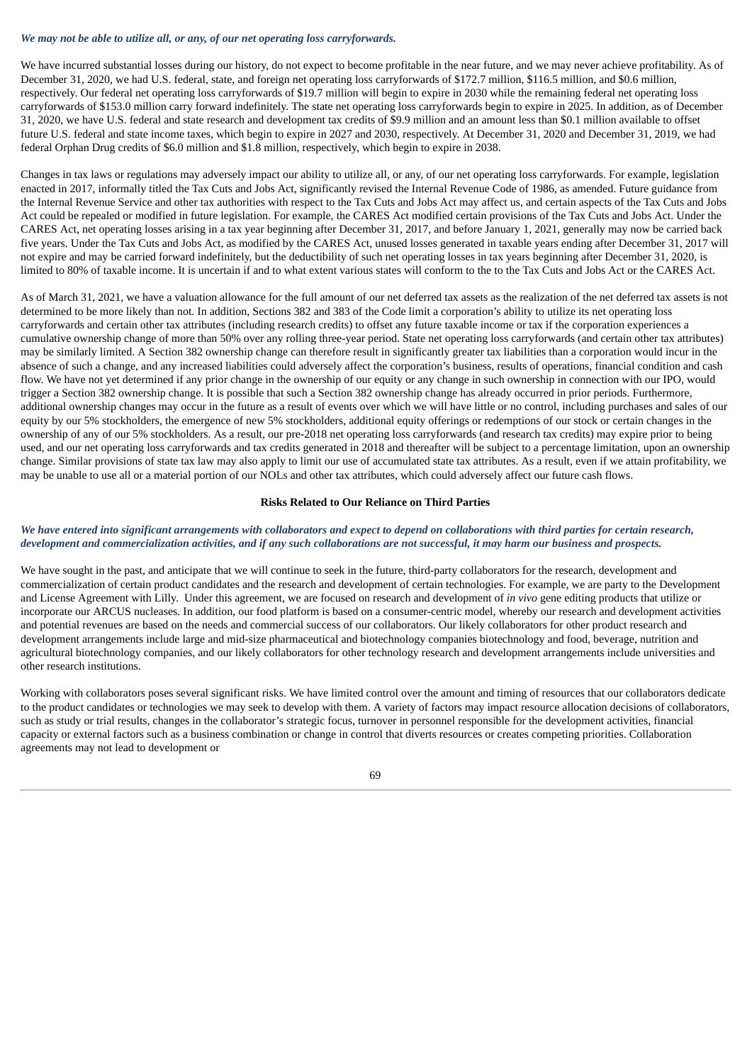#### *We may not be able to utilize all, or any, of our net operating loss carryforwards.*

We have incurred substantial losses during our history, do not expect to become profitable in the near future, and we may never achieve profitability. As of December 31, 2020, we had U.S. federal, state, and foreign net operating loss carryforwards of \$172.7 million, \$116.5 million, and \$0.6 million, respectively. Our federal net operating loss carryforwards of \$19.7 million will begin to expire in 2030 while the remaining federal net operating loss carryforwards of \$153.0 million carry forward indefinitely. The state net operating loss carryforwards begin to expire in 2025. In addition, as of December 31, 2020, we have U.S. federal and state research and development tax credits of \$9.9 million and an amount less than \$0.1 million available to offset future U.S. federal and state income taxes, which begin to expire in 2027 and 2030, respectively. At December 31, 2020 and December 31, 2019, we had federal Orphan Drug credits of \$6.0 million and \$1.8 million, respectively, which begin to expire in 2038.

Changes in tax laws or regulations may adversely impact our ability to utilize all, or any, of our net operating loss carryforwards. For example, legislation enacted in 2017, informally titled the Tax Cuts and Jobs Act, significantly revised the Internal Revenue Code of 1986, as amended. Future guidance from the Internal Revenue Service and other tax authorities with respect to the Tax Cuts and Jobs Act may affect us, and certain aspects of the Tax Cuts and Jobs Act could be repealed or modified in future legislation. For example, the CARES Act modified certain provisions of the Tax Cuts and Jobs Act. Under the CARES Act, net operating losses arising in a tax year beginning after December 31, 2017, and before January 1, 2021, generally may now be carried back five years. Under the Tax Cuts and Jobs Act, as modified by the CARES Act, unused losses generated in taxable years ending after December 31, 2017 will not expire and may be carried forward indefinitely, but the deductibility of such net operating losses in tax years beginning after December 31, 2020, is limited to 80% of taxable income. It is uncertain if and to what extent various states will conform to the to the Tax Cuts and Jobs Act or the CARES Act.

As of March 31, 2021, we have a valuation allowance for the full amount of our net deferred tax assets as the realization of the net deferred tax assets is not determined to be more likely than not. In addition, Sections 382 and 383 of the Code limit a corporation's ability to utilize its net operating loss carryforwards and certain other tax attributes (including research credits) to offset any future taxable income or tax if the corporation experiences a cumulative ownership change of more than 50% over any rolling three-year period. State net operating loss carryforwards (and certain other tax attributes) may be similarly limited. A Section 382 ownership change can therefore result in significantly greater tax liabilities than a corporation would incur in the absence of such a change, and any increased liabilities could adversely affect the corporation's business, results of operations, financial condition and cash flow. We have not yet determined if any prior change in the ownership of our equity or any change in such ownership in connection with our IPO, would trigger a Section 382 ownership change. It is possible that such a Section 382 ownership change has already occurred in prior periods. Furthermore, additional ownership changes may occur in the future as a result of events over which we will have little or no control, including purchases and sales of our equity by our 5% stockholders, the emergence of new 5% stockholders, additional equity offerings or redemptions of our stock or certain changes in the ownership of any of our 5% stockholders. As a result, our pre-2018 net operating loss carryforwards (and research tax credits) may expire prior to being used, and our net operating loss carryforwards and tax credits generated in 2018 and thereafter will be subject to a percentage limitation, upon an ownership change. Similar provisions of state tax law may also apply to limit our use of accumulated state tax attributes. As a result, even if we attain profitability, we may be unable to use all or a material portion of our NOLs and other tax attributes, which could adversely affect our future cash flows.

### **Risks Related to Our Reliance on Third Parties**

### We have entered into significant arrangements with collaborators and expect to depend on collaborations with third parties for certain research, development and commercialization activities, and if any such collaborations are not successful, it may harm our business and prospects.

We have sought in the past, and anticipate that we will continue to seek in the future, third-party collaborators for the research, development and commercialization of certain product candidates and the research and development of certain technologies. For example, we are party to the Development and License Agreement with Lilly. Under this agreement, we are focused on research and development of *in vivo* gene editing products that utilize or incorporate our ARCUS nucleases. In addition, our food platform is based on a consumer-centric model, whereby our research and development activities and potential revenues are based on the needs and commercial success of our collaborators. Our likely collaborators for other product research and development arrangements include large and mid-size pharmaceutical and biotechnology companies biotechnology and food, beverage, nutrition and agricultural biotechnology companies, and our likely collaborators for other technology research and development arrangements include universities and other research institutions.

Working with collaborators poses several significant risks. We have limited control over the amount and timing of resources that our collaborators dedicate to the product candidates or technologies we may seek to develop with them. A variety of factors may impact resource allocation decisions of collaborators, such as study or trial results, changes in the collaborator's strategic focus, turnover in personnel responsible for the development activities, financial capacity or external factors such as a business combination or change in control that diverts resources or creates competing priorities. Collaboration agreements may not lead to development or

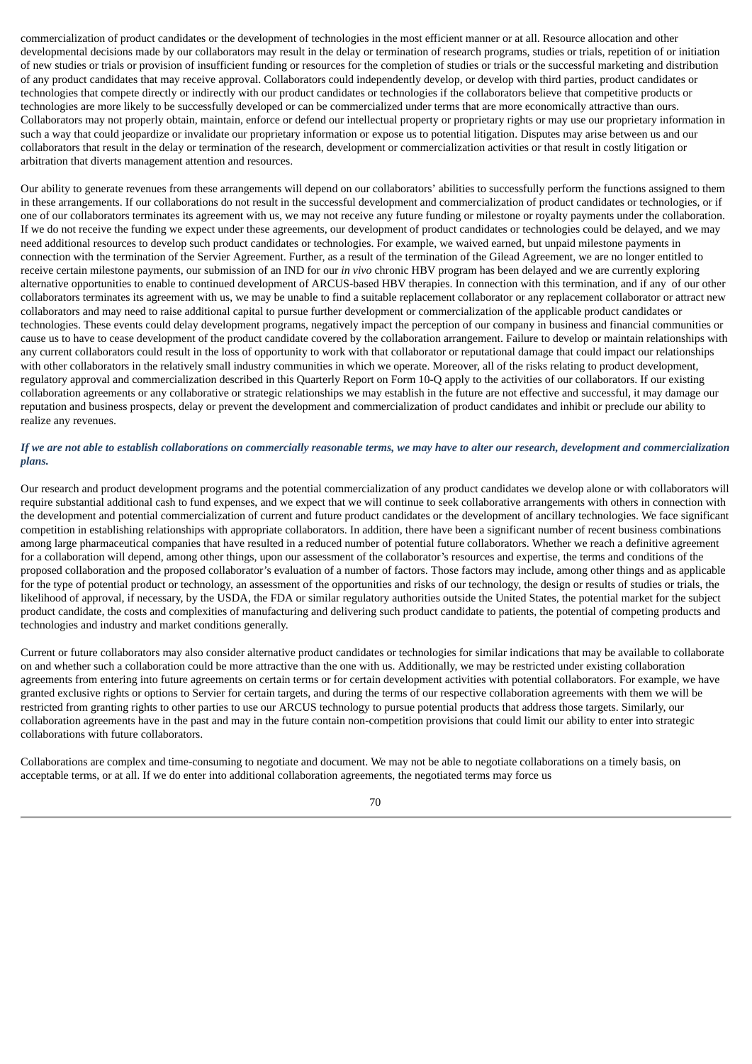commercialization of product candidates or the development of technologies in the most efficient manner or at all. Resource allocation and other developmental decisions made by our collaborators may result in the delay or termination of research programs, studies or trials, repetition of or initiation of new studies or trials or provision of insufficient funding or resources for the completion of studies or trials or the successful marketing and distribution of any product candidates that may receive approval. Collaborators could independently develop, or develop with third parties, product candidates or technologies that compete directly or indirectly with our product candidates or technologies if the collaborators believe that competitive products or technologies are more likely to be successfully developed or can be commercialized under terms that are more economically attractive than ours. Collaborators may not properly obtain, maintain, enforce or defend our intellectual property or proprietary rights or may use our proprietary information in such a way that could jeopardize or invalidate our proprietary information or expose us to potential litigation. Disputes may arise between us and our collaborators that result in the delay or termination of the research, development or commercialization activities or that result in costly litigation or arbitration that diverts management attention and resources.

Our ability to generate revenues from these arrangements will depend on our collaborators' abilities to successfully perform the functions assigned to them in these arrangements. If our collaborations do not result in the successful development and commercialization of product candidates or technologies, or if one of our collaborators terminates its agreement with us, we may not receive any future funding or milestone or royalty payments under the collaboration. If we do not receive the funding we expect under these agreements, our development of product candidates or technologies could be delayed, and we may need additional resources to develop such product candidates or technologies. For example, we waived earned, but unpaid milestone payments in connection with the termination of the Servier Agreement. Further, as a result of the termination of the Gilead Agreement, we are no longer entitled to receive certain milestone payments, our submission of an IND for our *in vivo* chronic HBV program has been delayed and we are currently exploring alternative opportunities to enable to continued development of ARCUS-based HBV therapies. In connection with this termination, and if any of our other collaborators terminates its agreement with us, we may be unable to find a suitable replacement collaborator or any replacement collaborator or attract new collaborators and may need to raise additional capital to pursue further development or commercialization of the applicable product candidates or technologies. These events could delay development programs, negatively impact the perception of our company in business and financial communities or cause us to have to cease development of the product candidate covered by the collaboration arrangement. Failure to develop or maintain relationships with any current collaborators could result in the loss of opportunity to work with that collaborator or reputational damage that could impact our relationships with other collaborators in the relatively small industry communities in which we operate. Moreover, all of the risks relating to product development, regulatory approval and commercialization described in this Quarterly Report on Form 10-Q apply to the activities of our collaborators. If our existing collaboration agreements or any collaborative or strategic relationships we may establish in the future are not effective and successful, it may damage our reputation and business prospects, delay or prevent the development and commercialization of product candidates and inhibit or preclude our ability to realize any revenues.

## If we are not able to establish collaborations on commercially reasonable terms, we may have to alter our research, development and commercialization *plans.*

Our research and product development programs and the potential commercialization of any product candidates we develop alone or with collaborators will require substantial additional cash to fund expenses, and we expect that we will continue to seek collaborative arrangements with others in connection with the development and potential commercialization of current and future product candidates or the development of ancillary technologies. We face significant competition in establishing relationships with appropriate collaborators. In addition, there have been a significant number of recent business combinations among large pharmaceutical companies that have resulted in a reduced number of potential future collaborators. Whether we reach a definitive agreement for a collaboration will depend, among other things, upon our assessment of the collaborator's resources and expertise, the terms and conditions of the proposed collaboration and the proposed collaborator's evaluation of a number of factors. Those factors may include, among other things and as applicable for the type of potential product or technology, an assessment of the opportunities and risks of our technology, the design or results of studies or trials, the likelihood of approval, if necessary, by the USDA, the FDA or similar regulatory authorities outside the United States, the potential market for the subject product candidate, the costs and complexities of manufacturing and delivering such product candidate to patients, the potential of competing products and technologies and industry and market conditions generally.

Current or future collaborators may also consider alternative product candidates or technologies for similar indications that may be available to collaborate on and whether such a collaboration could be more attractive than the one with us. Additionally, we may be restricted under existing collaboration agreements from entering into future agreements on certain terms or for certain development activities with potential collaborators. For example, we have granted exclusive rights or options to Servier for certain targets, and during the terms of our respective collaboration agreements with them we will be restricted from granting rights to other parties to use our ARCUS technology to pursue potential products that address those targets. Similarly, our collaboration agreements have in the past and may in the future contain non-competition provisions that could limit our ability to enter into strategic collaborations with future collaborators.

Collaborations are complex and time-consuming to negotiate and document. We may not be able to negotiate collaborations on a timely basis, on acceptable terms, or at all. If we do enter into additional collaboration agreements, the negotiated terms may force us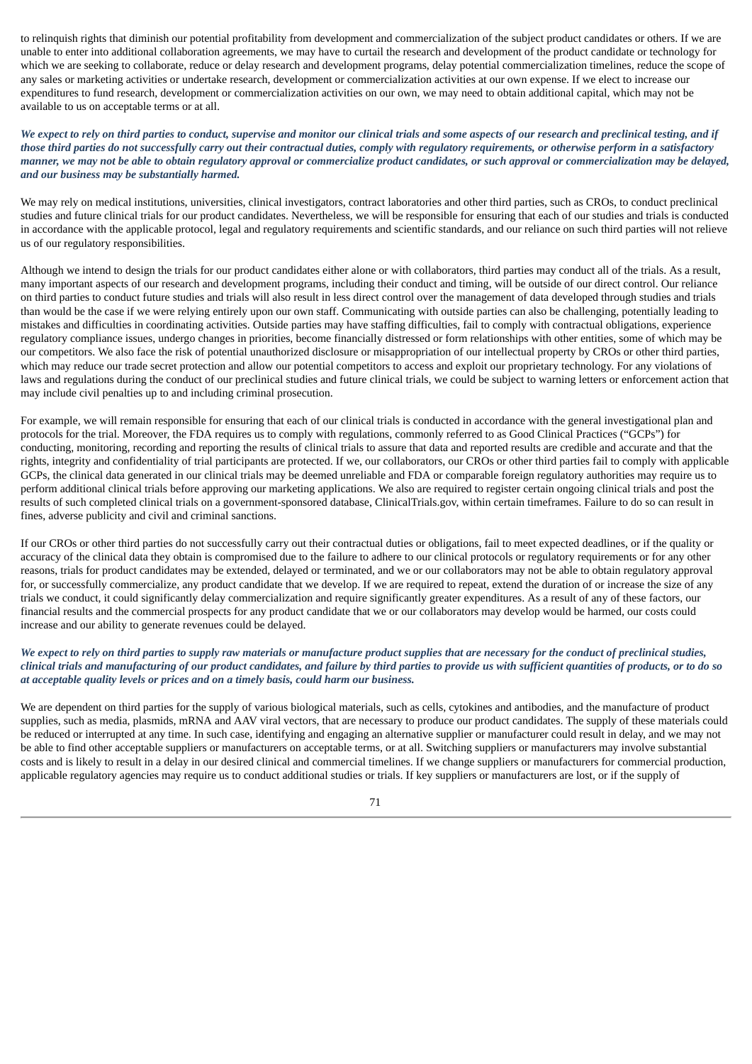to relinquish rights that diminish our potential profitability from development and commercialization of the subject product candidates or others. If we are unable to enter into additional collaboration agreements, we may have to curtail the research and development of the product candidate or technology for which we are seeking to collaborate, reduce or delay research and development programs, delay potential commercialization timelines, reduce the scope of any sales or marketing activities or undertake research, development or commercialization activities at our own expense. If we elect to increase our expenditures to fund research, development or commercialization activities on our own, we may need to obtain additional capital, which may not be available to us on acceptable terms or at all.

We expect to rely on third parties to conduct, supervise and monitor our clinical trials and some aspects of our research and preclinical testing, and if those third parties do not successfully carry out their contractual duties, comply with regulatory requirements, or otherwise perform in a satisfactory manner, we may not be able to obtain regulatory approval or commercialize product candidates, or such approval or commercialization may be delayed, *and our business may be substantially harmed.*

We may rely on medical institutions, universities, clinical investigators, contract laboratories and other third parties, such as CROs, to conduct preclinical studies and future clinical trials for our product candidates. Nevertheless, we will be responsible for ensuring that each of our studies and trials is conducted in accordance with the applicable protocol, legal and regulatory requirements and scientific standards, and our reliance on such third parties will not relieve us of our regulatory responsibilities.

Although we intend to design the trials for our product candidates either alone or with collaborators, third parties may conduct all of the trials. As a result, many important aspects of our research and development programs, including their conduct and timing, will be outside of our direct control. Our reliance on third parties to conduct future studies and trials will also result in less direct control over the management of data developed through studies and trials than would be the case if we were relying entirely upon our own staff. Communicating with outside parties can also be challenging, potentially leading to mistakes and difficulties in coordinating activities. Outside parties may have staffing difficulties, fail to comply with contractual obligations, experience regulatory compliance issues, undergo changes in priorities, become financially distressed or form relationships with other entities, some of which may be our competitors. We also face the risk of potential unauthorized disclosure or misappropriation of our intellectual property by CROs or other third parties, which may reduce our trade secret protection and allow our potential competitors to access and exploit our proprietary technology. For any violations of laws and regulations during the conduct of our preclinical studies and future clinical trials, we could be subject to warning letters or enforcement action that may include civil penalties up to and including criminal prosecution.

For example, we will remain responsible for ensuring that each of our clinical trials is conducted in accordance with the general investigational plan and protocols for the trial. Moreover, the FDA requires us to comply with regulations, commonly referred to as Good Clinical Practices ("GCPs") for conducting, monitoring, recording and reporting the results of clinical trials to assure that data and reported results are credible and accurate and that the rights, integrity and confidentiality of trial participants are protected. If we, our collaborators, our CROs or other third parties fail to comply with applicable GCPs, the clinical data generated in our clinical trials may be deemed unreliable and FDA or comparable foreign regulatory authorities may require us to perform additional clinical trials before approving our marketing applications. We also are required to register certain ongoing clinical trials and post the results of such completed clinical trials on a government-sponsored database, ClinicalTrials.gov, within certain timeframes. Failure to do so can result in fines, adverse publicity and civil and criminal sanctions.

If our CROs or other third parties do not successfully carry out their contractual duties or obligations, fail to meet expected deadlines, or if the quality or accuracy of the clinical data they obtain is compromised due to the failure to adhere to our clinical protocols or regulatory requirements or for any other reasons, trials for product candidates may be extended, delayed or terminated, and we or our collaborators may not be able to obtain regulatory approval for, or successfully commercialize, any product candidate that we develop. If we are required to repeat, extend the duration of or increase the size of any trials we conduct, it could significantly delay commercialization and require significantly greater expenditures. As a result of any of these factors, our financial results and the commercial prospects for any product candidate that we or our collaborators may develop would be harmed, our costs could increase and our ability to generate revenues could be delayed.

We expect to rely on third parties to supply raw materials or manufacture product supplies that are necessary for the conduct of preclinical studies, clinical trials and manufacturing of our product candidates, and failure by third parties to provide us with sufficient quantities of products, or to do so *at acceptable quality levels or prices and on a timely basis, could harm our business.*

We are dependent on third parties for the supply of various biological materials, such as cells, cytokines and antibodies, and the manufacture of product supplies, such as media, plasmids, mRNA and AAV viral vectors, that are necessary to produce our product candidates. The supply of these materials could be reduced or interrupted at any time. In such case, identifying and engaging an alternative supplier or manufacturer could result in delay, and we may not be able to find other acceptable suppliers or manufacturers on acceptable terms, or at all. Switching suppliers or manufacturers may involve substantial costs and is likely to result in a delay in our desired clinical and commercial timelines. If we change suppliers or manufacturers for commercial production, applicable regulatory agencies may require us to conduct additional studies or trials. If key suppliers or manufacturers are lost, or if the supply of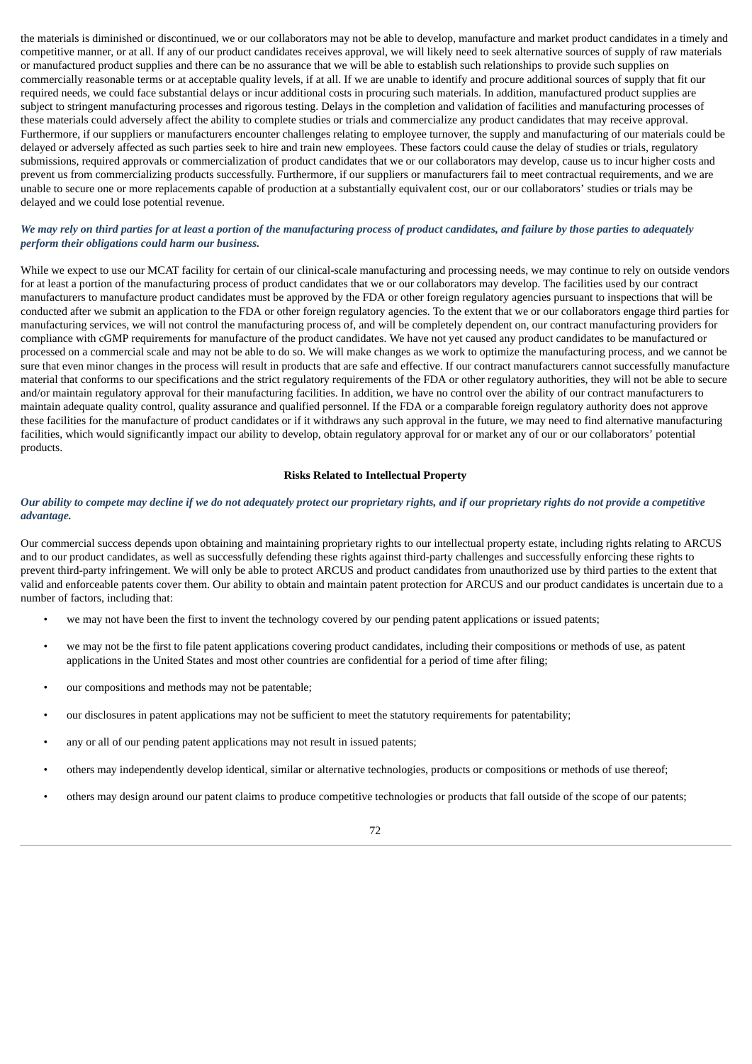the materials is diminished or discontinued, we or our collaborators may not be able to develop, manufacture and market product candidates in a timely and competitive manner, or at all. If any of our product candidates receives approval, we will likely need to seek alternative sources of supply of raw materials or manufactured product supplies and there can be no assurance that we will be able to establish such relationships to provide such supplies on commercially reasonable terms or at acceptable quality levels, if at all. If we are unable to identify and procure additional sources of supply that fit our required needs, we could face substantial delays or incur additional costs in procuring such materials. In addition, manufactured product supplies are subject to stringent manufacturing processes and rigorous testing. Delays in the completion and validation of facilities and manufacturing processes of these materials could adversely affect the ability to complete studies or trials and commercialize any product candidates that may receive approval. Furthermore, if our suppliers or manufacturers encounter challenges relating to employee turnover, the supply and manufacturing of our materials could be delayed or adversely affected as such parties seek to hire and train new employees. These factors could cause the delay of studies or trials, regulatory submissions, required approvals or commercialization of product candidates that we or our collaborators may develop, cause us to incur higher costs and prevent us from commercializing products successfully. Furthermore, if our suppliers or manufacturers fail to meet contractual requirements, and we are unable to secure one or more replacements capable of production at a substantially equivalent cost, our or our collaborators' studies or trials may be delayed and we could lose potential revenue.

### We may rely on third parties for at least a portion of the manufacturing process of product candidates, and failure by those parties to adequately *perform their obligations could harm our business.*

While we expect to use our MCAT facility for certain of our clinical-scale manufacturing and processing needs, we may continue to rely on outside vendors for at least a portion of the manufacturing process of product candidates that we or our collaborators may develop. The facilities used by our contract manufacturers to manufacture product candidates must be approved by the FDA or other foreign regulatory agencies pursuant to inspections that will be conducted after we submit an application to the FDA or other foreign regulatory agencies. To the extent that we or our collaborators engage third parties for manufacturing services, we will not control the manufacturing process of, and will be completely dependent on, our contract manufacturing providers for compliance with cGMP requirements for manufacture of the product candidates. We have not yet caused any product candidates to be manufactured or processed on a commercial scale and may not be able to do so. We will make changes as we work to optimize the manufacturing process, and we cannot be sure that even minor changes in the process will result in products that are safe and effective. If our contract manufacturers cannot successfully manufacture material that conforms to our specifications and the strict regulatory requirements of the FDA or other regulatory authorities, they will not be able to secure and/or maintain regulatory approval for their manufacturing facilities. In addition, we have no control over the ability of our contract manufacturers to maintain adequate quality control, quality assurance and qualified personnel. If the FDA or a comparable foreign regulatory authority does not approve these facilities for the manufacture of product candidates or if it withdraws any such approval in the future, we may need to find alternative manufacturing facilities, which would significantly impact our ability to develop, obtain regulatory approval for or market any of our or our collaborators' potential products.

#### **Risks Related to Intellectual Property**

### Our ability to compete may decline if we do not adequately protect our proprietary rights, and if our proprietary rights do not provide a competitive *advantage.*

Our commercial success depends upon obtaining and maintaining proprietary rights to our intellectual property estate, including rights relating to ARCUS and to our product candidates, as well as successfully defending these rights against third-party challenges and successfully enforcing these rights to prevent third-party infringement. We will only be able to protect ARCUS and product candidates from unauthorized use by third parties to the extent that valid and enforceable patents cover them. Our ability to obtain and maintain patent protection for ARCUS and our product candidates is uncertain due to a number of factors, including that:

- we may not have been the first to invent the technology covered by our pending patent applications or issued patents;
- we may not be the first to file patent applications covering product candidates, including their compositions or methods of use, as patent applications in the United States and most other countries are confidential for a period of time after filing;
- our compositions and methods may not be patentable;
- our disclosures in patent applications may not be sufficient to meet the statutory requirements for patentability;
- any or all of our pending patent applications may not result in issued patents;
- others may independently develop identical, similar or alternative technologies, products or compositions or methods of use thereof;
- others may design around our patent claims to produce competitive technologies or products that fall outside of the scope of our patents;

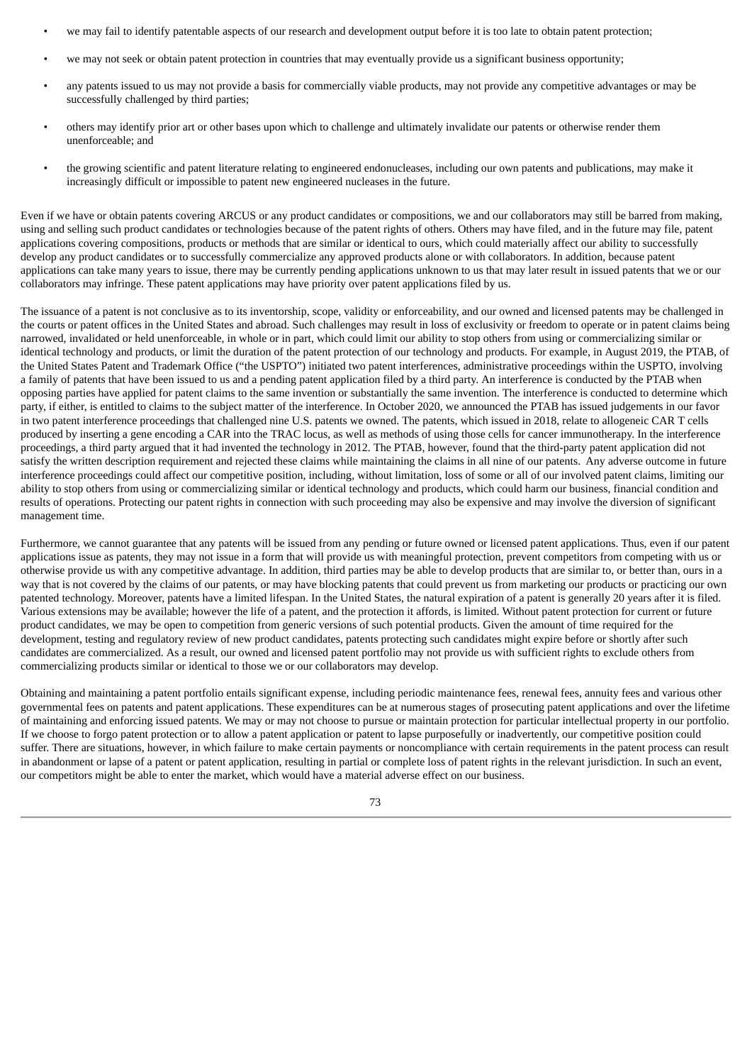- we may fail to identify patentable aspects of our research and development output before it is too late to obtain patent protection;
- we may not seek or obtain patent protection in countries that may eventually provide us a significant business opportunity;
- any patents issued to us may not provide a basis for commercially viable products, may not provide any competitive advantages or may be successfully challenged by third parties;
- others may identify prior art or other bases upon which to challenge and ultimately invalidate our patents or otherwise render them unenforceable; and
- the growing scientific and patent literature relating to engineered endonucleases, including our own patents and publications, may make it increasingly difficult or impossible to patent new engineered nucleases in the future.

Even if we have or obtain patents covering ARCUS or any product candidates or compositions, we and our collaborators may still be barred from making, using and selling such product candidates or technologies because of the patent rights of others. Others may have filed, and in the future may file, patent applications covering compositions, products or methods that are similar or identical to ours, which could materially affect our ability to successfully develop any product candidates or to successfully commercialize any approved products alone or with collaborators. In addition, because patent applications can take many years to issue, there may be currently pending applications unknown to us that may later result in issued patents that we or our collaborators may infringe. These patent applications may have priority over patent applications filed by us.

The issuance of a patent is not conclusive as to its inventorship, scope, validity or enforceability, and our owned and licensed patents may be challenged in the courts or patent offices in the United States and abroad. Such challenges may result in loss of exclusivity or freedom to operate or in patent claims being narrowed, invalidated or held unenforceable, in whole or in part, which could limit our ability to stop others from using or commercializing similar or identical technology and products, or limit the duration of the patent protection of our technology and products. For example, in August 2019, the PTAB, of the United States Patent and Trademark Office ("the USPTO") initiated two patent interferences, administrative proceedings within the USPTO, involving a family of patents that have been issued to us and a pending patent application filed by a third party. An interference is conducted by the PTAB when opposing parties have applied for patent claims to the same invention or substantially the same invention. The interference is conducted to determine which party, if either, is entitled to claims to the subject matter of the interference. In October 2020, we announced the PTAB has issued judgements in our favor in two patent interference proceedings that challenged nine U.S. patents we owned. The patents, which issued in 2018, relate to allogeneic CAR T cells produced by inserting a gene encoding a CAR into the TRAC locus, as well as methods of using those cells for cancer immunotherapy. In the interference proceedings, a third party argued that it had invented the technology in 2012. The PTAB, however, found that the third-party patent application did not satisfy the written description requirement and rejected these claims while maintaining the claims in all nine of our patents. Any adverse outcome in future interference proceedings could affect our competitive position, including, without limitation, loss of some or all of our involved patent claims, limiting our ability to stop others from using or commercializing similar or identical technology and products, which could harm our business, financial condition and results of operations. Protecting our patent rights in connection with such proceeding may also be expensive and may involve the diversion of significant management time.

Furthermore, we cannot guarantee that any patents will be issued from any pending or future owned or licensed patent applications. Thus, even if our patent applications issue as patents, they may not issue in a form that will provide us with meaningful protection, prevent competitors from competing with us or otherwise provide us with any competitive advantage. In addition, third parties may be able to develop products that are similar to, or better than, ours in a way that is not covered by the claims of our patents, or may have blocking patents that could prevent us from marketing our products or practicing our own patented technology. Moreover, patents have a limited lifespan. In the United States, the natural expiration of a patent is generally 20 years after it is filed. Various extensions may be available; however the life of a patent, and the protection it affords, is limited. Without patent protection for current or future product candidates, we may be open to competition from generic versions of such potential products. Given the amount of time required for the development, testing and regulatory review of new product candidates, patents protecting such candidates might expire before or shortly after such candidates are commercialized. As a result, our owned and licensed patent portfolio may not provide us with sufficient rights to exclude others from commercializing products similar or identical to those we or our collaborators may develop.

Obtaining and maintaining a patent portfolio entails significant expense, including periodic maintenance fees, renewal fees, annuity fees and various other governmental fees on patents and patent applications. These expenditures can be at numerous stages of prosecuting patent applications and over the lifetime of maintaining and enforcing issued patents. We may or may not choose to pursue or maintain protection for particular intellectual property in our portfolio. If we choose to forgo patent protection or to allow a patent application or patent to lapse purposefully or inadvertently, our competitive position could suffer. There are situations, however, in which failure to make certain payments or noncompliance with certain requirements in the patent process can result in abandonment or lapse of a patent or patent application, resulting in partial or complete loss of patent rights in the relevant jurisdiction. In such an event, our competitors might be able to enter the market, which would have a material adverse effect on our business.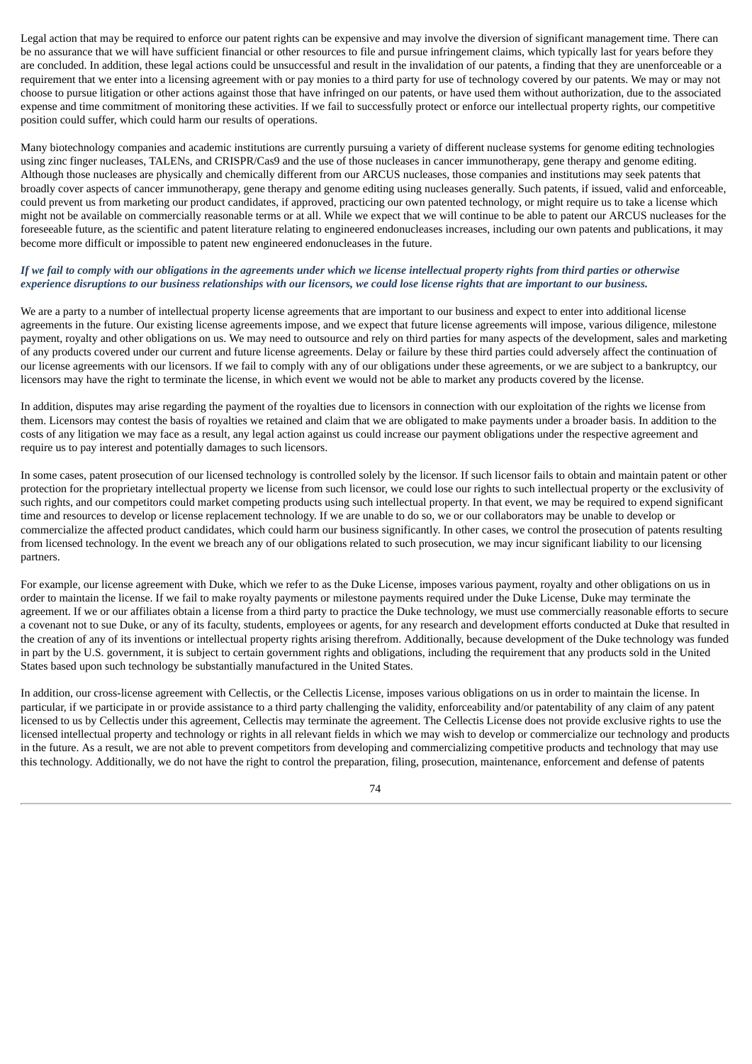Legal action that may be required to enforce our patent rights can be expensive and may involve the diversion of significant management time. There can be no assurance that we will have sufficient financial or other resources to file and pursue infringement claims, which typically last for years before they are concluded. In addition, these legal actions could be unsuccessful and result in the invalidation of our patents, a finding that they are unenforceable or a requirement that we enter into a licensing agreement with or pay monies to a third party for use of technology covered by our patents. We may or may not choose to pursue litigation or other actions against those that have infringed on our patents, or have used them without authorization, due to the associated expense and time commitment of monitoring these activities. If we fail to successfully protect or enforce our intellectual property rights, our competitive position could suffer, which could harm our results of operations.

Many biotechnology companies and academic institutions are currently pursuing a variety of different nuclease systems for genome editing technologies using zinc finger nucleases, TALENs, and CRISPR/Cas9 and the use of those nucleases in cancer immunotherapy, gene therapy and genome editing. Although those nucleases are physically and chemically different from our ARCUS nucleases, those companies and institutions may seek patents that broadly cover aspects of cancer immunotherapy, gene therapy and genome editing using nucleases generally. Such patents, if issued, valid and enforceable, could prevent us from marketing our product candidates, if approved, practicing our own patented technology, or might require us to take a license which might not be available on commercially reasonable terms or at all. While we expect that we will continue to be able to patent our ARCUS nucleases for the foreseeable future, as the scientific and patent literature relating to engineered endonucleases increases, including our own patents and publications, it may become more difficult or impossible to patent new engineered endonucleases in the future.

### If we fail to comply with our obligations in the agreements under which we license intellectual property rights from third parties or otherwise experience disruptions to our business relationships with our licensors, we could lose license rights that are important to our business.

We are a party to a number of intellectual property license agreements that are important to our business and expect to enter into additional license agreements in the future. Our existing license agreements impose, and we expect that future license agreements will impose, various diligence, milestone payment, royalty and other obligations on us. We may need to outsource and rely on third parties for many aspects of the development, sales and marketing of any products covered under our current and future license agreements. Delay or failure by these third parties could adversely affect the continuation of our license agreements with our licensors. If we fail to comply with any of our obligations under these agreements, or we are subject to a bankruptcy, our licensors may have the right to terminate the license, in which event we would not be able to market any products covered by the license.

In addition, disputes may arise regarding the payment of the royalties due to licensors in connection with our exploitation of the rights we license from them. Licensors may contest the basis of royalties we retained and claim that we are obligated to make payments under a broader basis. In addition to the costs of any litigation we may face as a result, any legal action against us could increase our payment obligations under the respective agreement and require us to pay interest and potentially damages to such licensors.

In some cases, patent prosecution of our licensed technology is controlled solely by the licensor. If such licensor fails to obtain and maintain patent or other protection for the proprietary intellectual property we license from such licensor, we could lose our rights to such intellectual property or the exclusivity of such rights, and our competitors could market competing products using such intellectual property. In that event, we may be required to expend significant time and resources to develop or license replacement technology. If we are unable to do so, we or our collaborators may be unable to develop or commercialize the affected product candidates, which could harm our business significantly. In other cases, we control the prosecution of patents resulting from licensed technology. In the event we breach any of our obligations related to such prosecution, we may incur significant liability to our licensing partners.

For example, our license agreement with Duke, which we refer to as the Duke License, imposes various payment, royalty and other obligations on us in order to maintain the license. If we fail to make royalty payments or milestone payments required under the Duke License, Duke may terminate the agreement. If we or our affiliates obtain a license from a third party to practice the Duke technology, we must use commercially reasonable efforts to secure a covenant not to sue Duke, or any of its faculty, students, employees or agents, for any research and development efforts conducted at Duke that resulted in the creation of any of its inventions or intellectual property rights arising therefrom. Additionally, because development of the Duke technology was funded in part by the U.S. government, it is subject to certain government rights and obligations, including the requirement that any products sold in the United States based upon such technology be substantially manufactured in the United States.

In addition, our cross-license agreement with Cellectis, or the Cellectis License, imposes various obligations on us in order to maintain the license. In particular, if we participate in or provide assistance to a third party challenging the validity, enforceability and/or patentability of any claim of any patent licensed to us by Cellectis under this agreement, Cellectis may terminate the agreement. The Cellectis License does not provide exclusive rights to use the licensed intellectual property and technology or rights in all relevant fields in which we may wish to develop or commercialize our technology and products in the future. As a result, we are not able to prevent competitors from developing and commercializing competitive products and technology that may use this technology. Additionally, we do not have the right to control the preparation, filing, prosecution, maintenance, enforcement and defense of patents

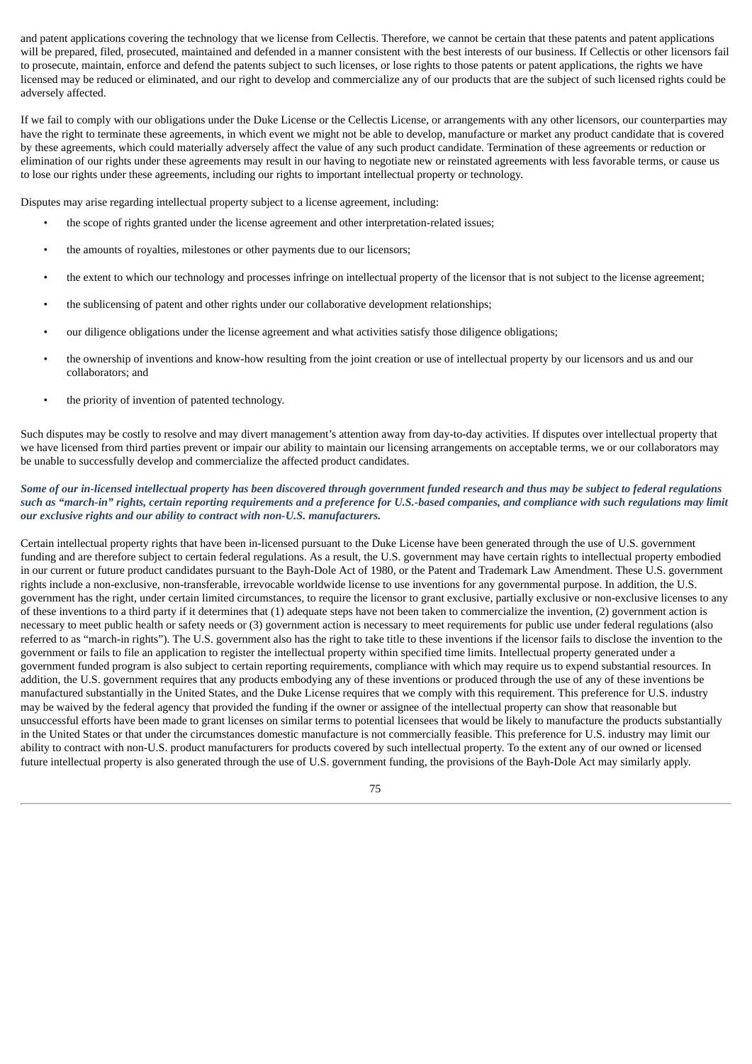and patent applications covering the technology that we license from Cellectis. Therefore, we cannot be certain that these patents and patent applications will be prepared, filed, prosecuted, maintained and defended in a manner consistent with the best interests of our business. If Cellectis or other licensors fail to prosecute, maintain, enforce and defend the patents subject to such licenses, or lose rights to those patents or patent applications, the rights we have licensed may be reduced or eliminated, and our right to develop and commercialize any of our products that are the subject of such licensed rights could be adversely affected.

If we fail to comply with our obligations under the Duke License or the Cellectis License, or arrangements with any other licensors, our counterparties may have the right to terminate these agreements, in which event we might not be able to develop, manufacture or market any product candidate that is covered by these agreements, which could materially adversely affect the value of any such product candidate. Termination of these agreements or reduction or elimination of our rights under these agreements may result in our having to negotiate new or reinstated agreements with less favorable terms, or cause us to lose our rights under these agreements, including our rights to important intellectual property or technology.

Disputes may arise regarding intellectual property subject to a license agreement, including:

- the scope of rights granted under the license agreement and other interpretation-related issues;
- the amounts of royalties, milestones or other payments due to our licensors;
- the extent to which our technology and processes infringe on intellectual property of the licensor that is not subject to the license agreement;
- the sublicensing of patent and other rights under our collaborative development relationships;
- our diligence obligations under the license agreement and what activities satisfy those diligence obligations;
- the ownership of inventions and know-how resulting from the joint creation or use of intellectual property by our licensors and us and our collaborators; and
- the priority of invention of patented technology.

Such disputes may be costly to resolve and may divert management's attention away from day-to-day activities. If disputes over intellectual property that we have licensed from third parties prevent or impair our ability to maintain our licensing arrangements on acceptable terms, we or our collaborators may be unable to successfully develop and commercialize the affected product candidates.

## Some of our in-licensed intellectual property has been discovered through government funded research and thus may be subject to federal regulations such as "march-in" rights, certain reporting requirements and a preference for U.S.-based companies, and compliance with such regulations may limit *our exclusive rights and our ability to contract with non-U.S. manufacturers.*

Certain intellectual property rights that have been in-licensed pursuant to the Duke License have been generated through the use of U.S. government funding and are therefore subject to certain federal regulations. As a result, the U.S. government may have certain rights to intellectual property embodied in our current or future product candidates pursuant to the Bayh-Dole Act of 1980, or the Patent and Trademark Law Amendment. These U.S. government rights include a non-exclusive, non-transferable, irrevocable worldwide license to use inventions for any governmental purpose. In addition, the U.S. government has the right, under certain limited circumstances, to require the licensor to grant exclusive, partially exclusive or non-exclusive licenses to any of these inventions to a third party if it determines that (1) adequate steps have not been taken to commercialize the invention, (2) government action is necessary to meet public health or safety needs or (3) government action is necessary to meet requirements for public use under federal regulations (also referred to as "march-in rights"). The U.S. government also has the right to take title to these inventions if the licensor fails to disclose the invention to the government or fails to file an application to register the intellectual property within specified time limits. Intellectual property generated under a government funded program is also subject to certain reporting requirements, compliance with which may require us to expend substantial resources. In addition, the U.S. government requires that any products embodying any of these inventions or produced through the use of any of these inventions be manufactured substantially in the United States, and the Duke License requires that we comply with this requirement. This preference for U.S. industry may be waived by the federal agency that provided the funding if the owner or assignee of the intellectual property can show that reasonable but unsuccessful efforts have been made to grant licenses on similar terms to potential licensees that would be likely to manufacture the products substantially in the United States or that under the circumstances domestic manufacture is not commercially feasible. This preference for U.S. industry may limit our ability to contract with non-U.S. product manufacturers for products covered by such intellectual property. To the extent any of our owned or licensed future intellectual property is also generated through the use of U.S. government funding, the provisions of the Bayh-Dole Act may similarly apply.

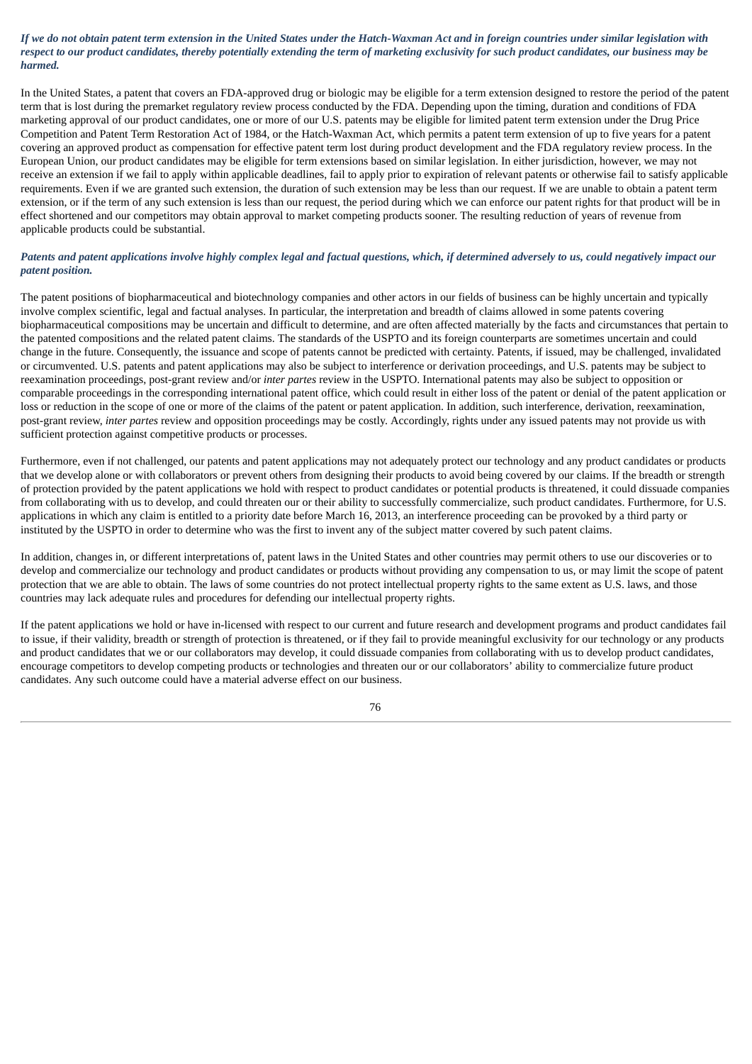#### If we do not obtain patent term extension in the United States under the Hatch-Waxman Act and in foreian countries under similar leaislation with respect to our product candidates, thereby potentially extending the term of marketing exclusivity for such product candidates, our business may be *harmed.*

In the United States, a patent that covers an FDA-approved drug or biologic may be eligible for a term extension designed to restore the period of the patent term that is lost during the premarket regulatory review process conducted by the FDA. Depending upon the timing, duration and conditions of FDA marketing approval of our product candidates, one or more of our U.S. patents may be eligible for limited patent term extension under the Drug Price Competition and Patent Term Restoration Act of 1984, or the Hatch-Waxman Act, which permits a patent term extension of up to five years for a patent covering an approved product as compensation for effective patent term lost during product development and the FDA regulatory review process. In the European Union, our product candidates may be eligible for term extensions based on similar legislation. In either jurisdiction, however, we may not receive an extension if we fail to apply within applicable deadlines, fail to apply prior to expiration of relevant patents or otherwise fail to satisfy applicable requirements. Even if we are granted such extension, the duration of such extension may be less than our request. If we are unable to obtain a patent term extension, or if the term of any such extension is less than our request, the period during which we can enforce our patent rights for that product will be in effect shortened and our competitors may obtain approval to market competing products sooner. The resulting reduction of years of revenue from applicable products could be substantial.

## Patents and patent applications involve highly complex legal and factual questions, which, if determined adversely to us, could negatively impact our *patent position.*

The patent positions of biopharmaceutical and biotechnology companies and other actors in our fields of business can be highly uncertain and typically involve complex scientific, legal and factual analyses. In particular, the interpretation and breadth of claims allowed in some patents covering biopharmaceutical compositions may be uncertain and difficult to determine, and are often affected materially by the facts and circumstances that pertain to the patented compositions and the related patent claims. The standards of the USPTO and its foreign counterparts are sometimes uncertain and could change in the future. Consequently, the issuance and scope of patents cannot be predicted with certainty. Patents, if issued, may be challenged, invalidated or circumvented. U.S. patents and patent applications may also be subject to interference or derivation proceedings, and U.S. patents may be subject to reexamination proceedings, post-grant review and/or *inter partes* review in the USPTO. International patents may also be subject to opposition or comparable proceedings in the corresponding international patent office, which could result in either loss of the patent or denial of the patent application or loss or reduction in the scope of one or more of the claims of the patent or patent application. In addition, such interference, derivation, reexamination, post-grant review, *inter partes* review and opposition proceedings may be costly. Accordingly, rights under any issued patents may not provide us with sufficient protection against competitive products or processes.

Furthermore, even if not challenged, our patents and patent applications may not adequately protect our technology and any product candidates or products that we develop alone or with collaborators or prevent others from designing their products to avoid being covered by our claims. If the breadth or strength of protection provided by the patent applications we hold with respect to product candidates or potential products is threatened, it could dissuade companies from collaborating with us to develop, and could threaten our or their ability to successfully commercialize, such product candidates. Furthermore, for U.S. applications in which any claim is entitled to a priority date before March 16, 2013, an interference proceeding can be provoked by a third party or instituted by the USPTO in order to determine who was the first to invent any of the subject matter covered by such patent claims.

In addition, changes in, or different interpretations of, patent laws in the United States and other countries may permit others to use our discoveries or to develop and commercialize our technology and product candidates or products without providing any compensation to us, or may limit the scope of patent protection that we are able to obtain. The laws of some countries do not protect intellectual property rights to the same extent as U.S. laws, and those countries may lack adequate rules and procedures for defending our intellectual property rights.

If the patent applications we hold or have in-licensed with respect to our current and future research and development programs and product candidates fail to issue, if their validity, breadth or strength of protection is threatened, or if they fail to provide meaningful exclusivity for our technology or any products and product candidates that we or our collaborators may develop, it could dissuade companies from collaborating with us to develop product candidates, encourage competitors to develop competing products or technologies and threaten our or our collaborators' ability to commercialize future product candidates. Any such outcome could have a material adverse effect on our business.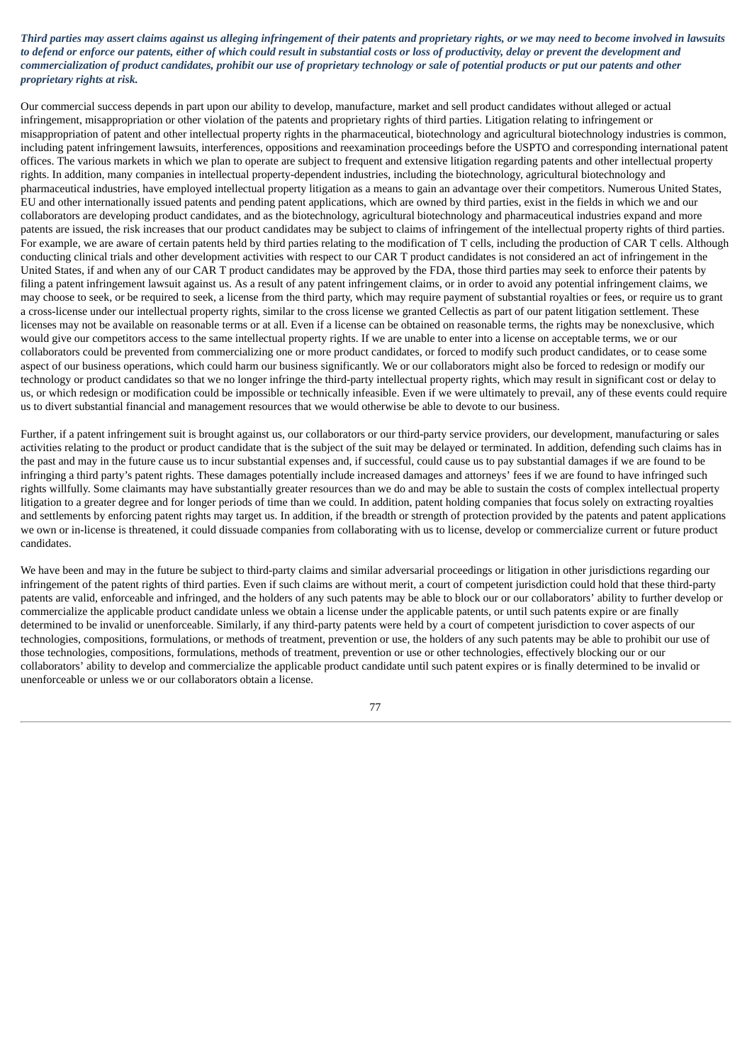## Third parties may assert claims against us alleging infringement of their patents and proprietary rights, or we may need to become involved in lawsuits to defend or enforce our patents, either of which could result in substantial costs or loss of productivity, delay or prevent the development and commercialization of product candidates, prohibit our use of proprietary technology or sale of potential products or put our patents and other *proprietary rights at risk.*

Our commercial success depends in part upon our ability to develop, manufacture, market and sell product candidates without alleged or actual infringement, misappropriation or other violation of the patents and proprietary rights of third parties. Litigation relating to infringement or misappropriation of patent and other intellectual property rights in the pharmaceutical, biotechnology and agricultural biotechnology industries is common, including patent infringement lawsuits, interferences, oppositions and reexamination proceedings before the USPTO and corresponding international patent offices. The various markets in which we plan to operate are subject to frequent and extensive litigation regarding patents and other intellectual property rights. In addition, many companies in intellectual property-dependent industries, including the biotechnology, agricultural biotechnology and pharmaceutical industries, have employed intellectual property litigation as a means to gain an advantage over their competitors. Numerous United States, EU and other internationally issued patents and pending patent applications, which are owned by third parties, exist in the fields in which we and our collaborators are developing product candidates, and as the biotechnology, agricultural biotechnology and pharmaceutical industries expand and more patents are issued, the risk increases that our product candidates may be subject to claims of infringement of the intellectual property rights of third parties. For example, we are aware of certain patents held by third parties relating to the modification of T cells, including the production of CAR T cells. Although conducting clinical trials and other development activities with respect to our CAR T product candidates is not considered an act of infringement in the United States, if and when any of our CAR T product candidates may be approved by the FDA, those third parties may seek to enforce their patents by filing a patent infringement lawsuit against us. As a result of any patent infringement claims, or in order to avoid any potential infringement claims, we may choose to seek, or be required to seek, a license from the third party, which may require payment of substantial royalties or fees, or require us to grant a cross-license under our intellectual property rights, similar to the cross license we granted Cellectis as part of our patent litigation settlement. These licenses may not be available on reasonable terms or at all. Even if a license can be obtained on reasonable terms, the rights may be nonexclusive, which would give our competitors access to the same intellectual property rights. If we are unable to enter into a license on acceptable terms, we or our collaborators could be prevented from commercializing one or more product candidates, or forced to modify such product candidates, or to cease some aspect of our business operations, which could harm our business significantly. We or our collaborators might also be forced to redesign or modify our technology or product candidates so that we no longer infringe the third-party intellectual property rights, which may result in significant cost or delay to us, or which redesign or modification could be impossible or technically infeasible. Even if we were ultimately to prevail, any of these events could require us to divert substantial financial and management resources that we would otherwise be able to devote to our business.

Further, if a patent infringement suit is brought against us, our collaborators or our third-party service providers, our development, manufacturing or sales activities relating to the product or product candidate that is the subject of the suit may be delayed or terminated. In addition, defending such claims has in the past and may in the future cause us to incur substantial expenses and, if successful, could cause us to pay substantial damages if we are found to be infringing a third party's patent rights. These damages potentially include increased damages and attorneys' fees if we are found to have infringed such rights willfully. Some claimants may have substantially greater resources than we do and may be able to sustain the costs of complex intellectual property litigation to a greater degree and for longer periods of time than we could. In addition, patent holding companies that focus solely on extracting royalties and settlements by enforcing patent rights may target us. In addition, if the breadth or strength of protection provided by the patents and patent applications we own or in-license is threatened, it could dissuade companies from collaborating with us to license, develop or commercialize current or future product candidates.

We have been and may in the future be subject to third-party claims and similar adversarial proceedings or litigation in other jurisdictions regarding our infringement of the patent rights of third parties. Even if such claims are without merit, a court of competent jurisdiction could hold that these third-party patents are valid, enforceable and infringed, and the holders of any such patents may be able to block our or our collaborators' ability to further develop or commercialize the applicable product candidate unless we obtain a license under the applicable patents, or until such patents expire or are finally determined to be invalid or unenforceable. Similarly, if any third-party patents were held by a court of competent jurisdiction to cover aspects of our technologies, compositions, formulations, or methods of treatment, prevention or use, the holders of any such patents may be able to prohibit our use of those technologies, compositions, formulations, methods of treatment, prevention or use or other technologies, effectively blocking our or our collaborators' ability to develop and commercialize the applicable product candidate until such patent expires or is finally determined to be invalid or unenforceable or unless we or our collaborators obtain a license.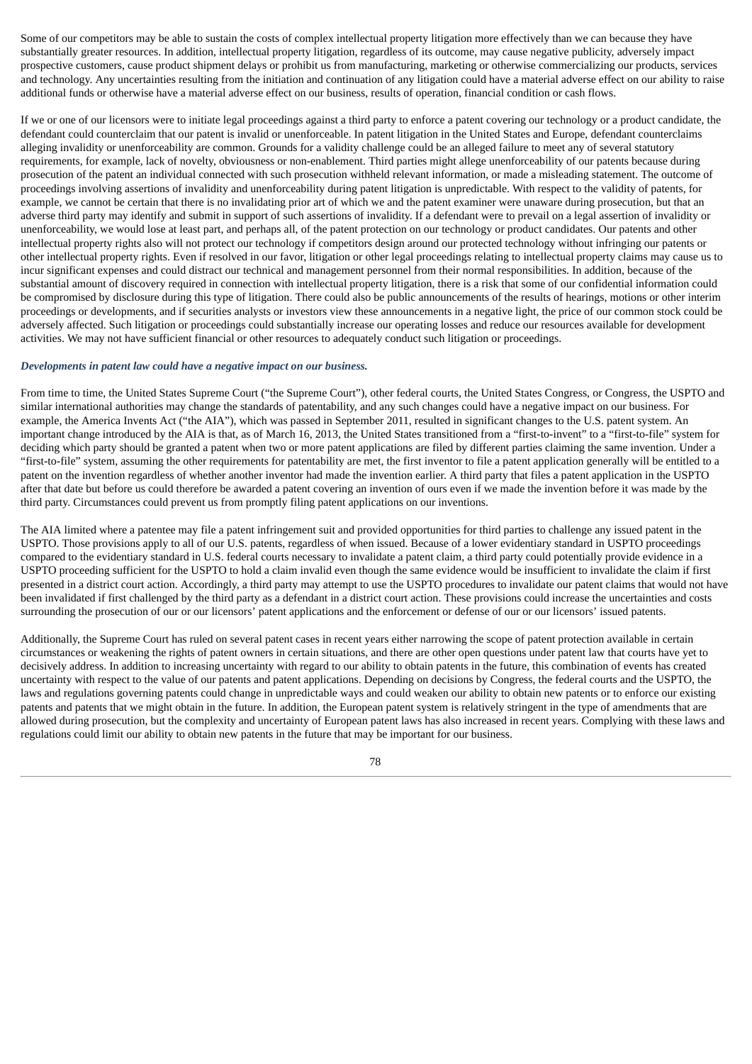Some of our competitors may be able to sustain the costs of complex intellectual property litigation more effectively than we can because they have substantially greater resources. In addition, intellectual property litigation, regardless of its outcome, may cause negative publicity, adversely impact prospective customers, cause product shipment delays or prohibit us from manufacturing, marketing or otherwise commercializing our products, services and technology. Any uncertainties resulting from the initiation and continuation of any litigation could have a material adverse effect on our ability to raise additional funds or otherwise have a material adverse effect on our business, results of operation, financial condition or cash flows.

If we or one of our licensors were to initiate legal proceedings against a third party to enforce a patent covering our technology or a product candidate, the defendant could counterclaim that our patent is invalid or unenforceable. In patent litigation in the United States and Europe, defendant counterclaims alleging invalidity or unenforceability are common. Grounds for a validity challenge could be an alleged failure to meet any of several statutory requirements, for example, lack of novelty, obviousness or non-enablement. Third parties might allege unenforceability of our patents because during prosecution of the patent an individual connected with such prosecution withheld relevant information, or made a misleading statement. The outcome of proceedings involving assertions of invalidity and unenforceability during patent litigation is unpredictable. With respect to the validity of patents, for example, we cannot be certain that there is no invalidating prior art of which we and the patent examiner were unaware during prosecution, but that an adverse third party may identify and submit in support of such assertions of invalidity. If a defendant were to prevail on a legal assertion of invalidity or unenforceability, we would lose at least part, and perhaps all, of the patent protection on our technology or product candidates. Our patents and other intellectual property rights also will not protect our technology if competitors design around our protected technology without infringing our patents or other intellectual property rights. Even if resolved in our favor, litigation or other legal proceedings relating to intellectual property claims may cause us to incur significant expenses and could distract our technical and management personnel from their normal responsibilities. In addition, because of the substantial amount of discovery required in connection with intellectual property litigation, there is a risk that some of our confidential information could be compromised by disclosure during this type of litigation. There could also be public announcements of the results of hearings, motions or other interim proceedings or developments, and if securities analysts or investors view these announcements in a negative light, the price of our common stock could be adversely affected. Such litigation or proceedings could substantially increase our operating losses and reduce our resources available for development activities. We may not have sufficient financial or other resources to adequately conduct such litigation or proceedings.

#### *Developments in patent law could have a negative impact on our business.*

From time to time, the United States Supreme Court ("the Supreme Court"), other federal courts, the United States Congress, or Congress, the USPTO and similar international authorities may change the standards of patentability, and any such changes could have a negative impact on our business. For example, the America Invents Act ("the AIA"), which was passed in September 2011, resulted in significant changes to the U.S. patent system. An important change introduced by the AIA is that, as of March 16, 2013, the United States transitioned from a "first-to-invent" to a "first-to-file" system for deciding which party should be granted a patent when two or more patent applications are filed by different parties claiming the same invention. Under a "first-to-file" system, assuming the other requirements for patentability are met, the first inventor to file a patent application generally will be entitled to a patent on the invention regardless of whether another inventor had made the invention earlier. A third party that files a patent application in the USPTO after that date but before us could therefore be awarded a patent covering an invention of ours even if we made the invention before it was made by the third party. Circumstances could prevent us from promptly filing patent applications on our inventions.

The AIA limited where a patentee may file a patent infringement suit and provided opportunities for third parties to challenge any issued patent in the USPTO. Those provisions apply to all of our U.S. patents, regardless of when issued. Because of a lower evidentiary standard in USPTO proceedings compared to the evidentiary standard in U.S. federal courts necessary to invalidate a patent claim, a third party could potentially provide evidence in a USPTO proceeding sufficient for the USPTO to hold a claim invalid even though the same evidence would be insufficient to invalidate the claim if first presented in a district court action. Accordingly, a third party may attempt to use the USPTO procedures to invalidate our patent claims that would not have been invalidated if first challenged by the third party as a defendant in a district court action. These provisions could increase the uncertainties and costs surrounding the prosecution of our or our licensors' patent applications and the enforcement or defense of our or our licensors' issued patents.

Additionally, the Supreme Court has ruled on several patent cases in recent years either narrowing the scope of patent protection available in certain circumstances or weakening the rights of patent owners in certain situations, and there are other open questions under patent law that courts have yet to decisively address. In addition to increasing uncertainty with regard to our ability to obtain patents in the future, this combination of events has created uncertainty with respect to the value of our patents and patent applications. Depending on decisions by Congress, the federal courts and the USPTO, the laws and regulations governing patents could change in unpredictable ways and could weaken our ability to obtain new patents or to enforce our existing patents and patents that we might obtain in the future. In addition, the European patent system is relatively stringent in the type of amendments that are allowed during prosecution, but the complexity and uncertainty of European patent laws has also increased in recent years. Complying with these laws and regulations could limit our ability to obtain new patents in the future that may be important for our business.

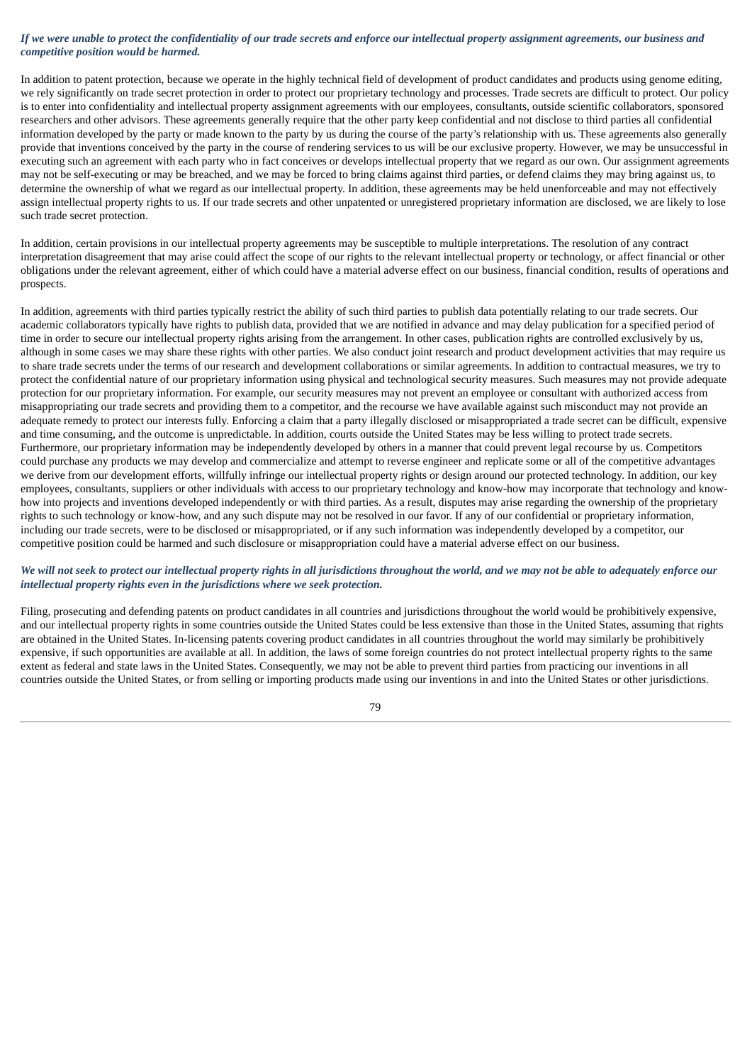## If we were unable to protect the confidentiality of our trade secrets and enforce our intellectual property assignment agreements, our business and *competitive position would be harmed.*

In addition to patent protection, because we operate in the highly technical field of development of product candidates and products using genome editing, we rely significantly on trade secret protection in order to protect our proprietary technology and processes. Trade secrets are difficult to protect. Our policy is to enter into confidentiality and intellectual property assignment agreements with our employees, consultants, outside scientific collaborators, sponsored researchers and other advisors. These agreements generally require that the other party keep confidential and not disclose to third parties all confidential information developed by the party or made known to the party by us during the course of the party's relationship with us. These agreements also generally provide that inventions conceived by the party in the course of rendering services to us will be our exclusive property. However, we may be unsuccessful in executing such an agreement with each party who in fact conceives or develops intellectual property that we regard as our own. Our assignment agreements may not be self-executing or may be breached, and we may be forced to bring claims against third parties, or defend claims they may bring against us, to determine the ownership of what we regard as our intellectual property. In addition, these agreements may be held unenforceable and may not effectively assign intellectual property rights to us. If our trade secrets and other unpatented or unregistered proprietary information are disclosed, we are likely to lose such trade secret protection.

In addition, certain provisions in our intellectual property agreements may be susceptible to multiple interpretations. The resolution of any contract interpretation disagreement that may arise could affect the scope of our rights to the relevant intellectual property or technology, or affect financial or other obligations under the relevant agreement, either of which could have a material adverse effect on our business, financial condition, results of operations and prospects.

In addition, agreements with third parties typically restrict the ability of such third parties to publish data potentially relating to our trade secrets. Our academic collaborators typically have rights to publish data, provided that we are notified in advance and may delay publication for a specified period of time in order to secure our intellectual property rights arising from the arrangement. In other cases, publication rights are controlled exclusively by us, although in some cases we may share these rights with other parties. We also conduct joint research and product development activities that may require us to share trade secrets under the terms of our research and development collaborations or similar agreements. In addition to contractual measures, we try to protect the confidential nature of our proprietary information using physical and technological security measures. Such measures may not provide adequate protection for our proprietary information. For example, our security measures may not prevent an employee or consultant with authorized access from misappropriating our trade secrets and providing them to a competitor, and the recourse we have available against such misconduct may not provide an adequate remedy to protect our interests fully. Enforcing a claim that a party illegally disclosed or misappropriated a trade secret can be difficult, expensive and time consuming, and the outcome is unpredictable. In addition, courts outside the United States may be less willing to protect trade secrets. Furthermore, our proprietary information may be independently developed by others in a manner that could prevent legal recourse by us. Competitors could purchase any products we may develop and commercialize and attempt to reverse engineer and replicate some or all of the competitive advantages we derive from our development efforts, willfully infringe our intellectual property rights or design around our protected technology. In addition, our key employees, consultants, suppliers or other individuals with access to our proprietary technology and know-how may incorporate that technology and knowhow into projects and inventions developed independently or with third parties. As a result, disputes may arise regarding the ownership of the proprietary rights to such technology or know-how, and any such dispute may not be resolved in our favor. If any of our confidential or proprietary information, including our trade secrets, were to be disclosed or misappropriated, or if any such information was independently developed by a competitor, our competitive position could be harmed and such disclosure or misappropriation could have a material adverse effect on our business.

## We will not seek to protect our intellectual property rights in all jurisdictions throughout the world, and we may not be able to adequately enforce our *intellectual property rights even in the jurisdictions where we seek protection.*

Filing, prosecuting and defending patents on product candidates in all countries and jurisdictions throughout the world would be prohibitively expensive, and our intellectual property rights in some countries outside the United States could be less extensive than those in the United States, assuming that rights are obtained in the United States. In-licensing patents covering product candidates in all countries throughout the world may similarly be prohibitively expensive, if such opportunities are available at all. In addition, the laws of some foreign countries do not protect intellectual property rights to the same extent as federal and state laws in the United States. Consequently, we may not be able to prevent third parties from practicing our inventions in all countries outside the United States, or from selling or importing products made using our inventions in and into the United States or other jurisdictions.

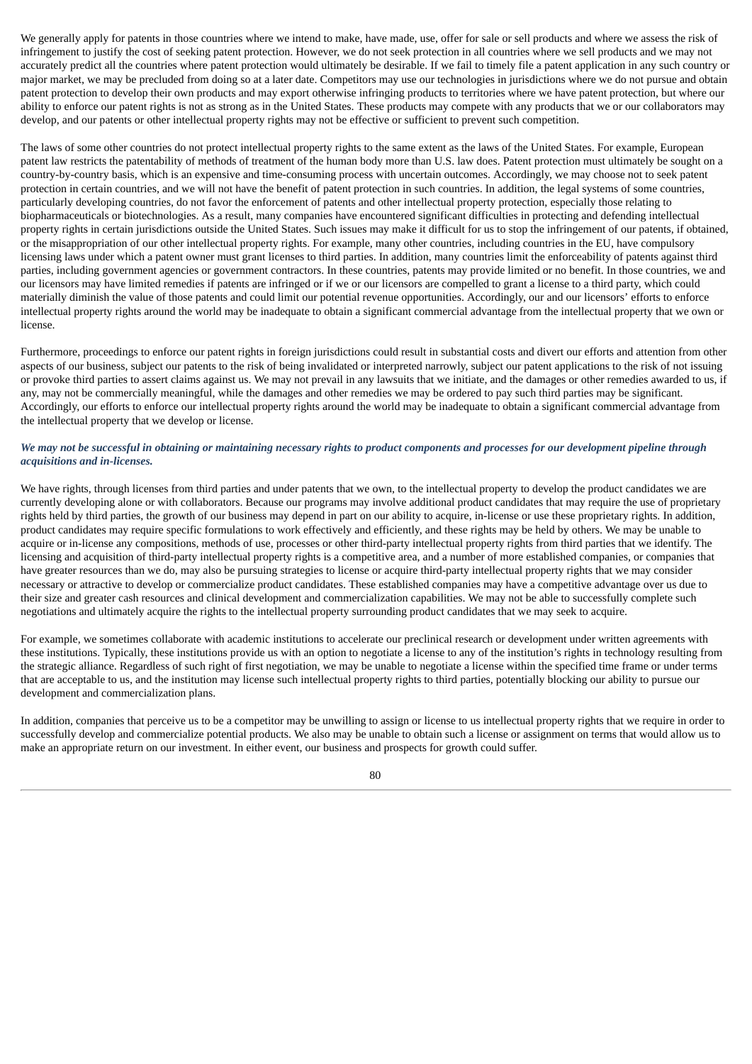We generally apply for patents in those countries where we intend to make, have made, use, offer for sale or sell products and where we assess the risk of infringement to justify the cost of seeking patent protection. However, we do not seek protection in all countries where we sell products and we may not accurately predict all the countries where patent protection would ultimately be desirable. If we fail to timely file a patent application in any such country or major market, we may be precluded from doing so at a later date. Competitors may use our technologies in jurisdictions where we do not pursue and obtain patent protection to develop their own products and may export otherwise infringing products to territories where we have patent protection, but where our ability to enforce our patent rights is not as strong as in the United States. These products may compete with any products that we or our collaborators may develop, and our patents or other intellectual property rights may not be effective or sufficient to prevent such competition.

The laws of some other countries do not protect intellectual property rights to the same extent as the laws of the United States. For example, European patent law restricts the patentability of methods of treatment of the human body more than U.S. law does. Patent protection must ultimately be sought on a country-by-country basis, which is an expensive and time-consuming process with uncertain outcomes. Accordingly, we may choose not to seek patent protection in certain countries, and we will not have the benefit of patent protection in such countries. In addition, the legal systems of some countries, particularly developing countries, do not favor the enforcement of patents and other intellectual property protection, especially those relating to biopharmaceuticals or biotechnologies. As a result, many companies have encountered significant difficulties in protecting and defending intellectual property rights in certain jurisdictions outside the United States. Such issues may make it difficult for us to stop the infringement of our patents, if obtained, or the misappropriation of our other intellectual property rights. For example, many other countries, including countries in the EU, have compulsory licensing laws under which a patent owner must grant licenses to third parties. In addition, many countries limit the enforceability of patents against third parties, including government agencies or government contractors. In these countries, patents may provide limited or no benefit. In those countries, we and our licensors may have limited remedies if patents are infringed or if we or our licensors are compelled to grant a license to a third party, which could materially diminish the value of those patents and could limit our potential revenue opportunities. Accordingly, our and our licensors' efforts to enforce intellectual property rights around the world may be inadequate to obtain a significant commercial advantage from the intellectual property that we own or license.

Furthermore, proceedings to enforce our patent rights in foreign jurisdictions could result in substantial costs and divert our efforts and attention from other aspects of our business, subject our patents to the risk of being invalidated or interpreted narrowly, subject our patent applications to the risk of not issuing or provoke third parties to assert claims against us. We may not prevail in any lawsuits that we initiate, and the damages or other remedies awarded to us, if any, may not be commercially meaningful, while the damages and other remedies we may be ordered to pay such third parties may be significant. Accordingly, our efforts to enforce our intellectual property rights around the world may be inadequate to obtain a significant commercial advantage from the intellectual property that we develop or license.

#### We may not be successful in obtaining or maintaining necessary rights to product components and processes for our development pipeline through *acquisitions and in-licenses.*

We have rights, through licenses from third parties and under patents that we own, to the intellectual property to develop the product candidates we are currently developing alone or with collaborators. Because our programs may involve additional product candidates that may require the use of proprietary rights held by third parties, the growth of our business may depend in part on our ability to acquire, in-license or use these proprietary rights. In addition, product candidates may require specific formulations to work effectively and efficiently, and these rights may be held by others. We may be unable to acquire or in-license any compositions, methods of use, processes or other third-party intellectual property rights from third parties that we identify. The licensing and acquisition of third-party intellectual property rights is a competitive area, and a number of more established companies, or companies that have greater resources than we do, may also be pursuing strategies to license or acquire third-party intellectual property rights that we may consider necessary or attractive to develop or commercialize product candidates. These established companies may have a competitive advantage over us due to their size and greater cash resources and clinical development and commercialization capabilities. We may not be able to successfully complete such negotiations and ultimately acquire the rights to the intellectual property surrounding product candidates that we may seek to acquire.

For example, we sometimes collaborate with academic institutions to accelerate our preclinical research or development under written agreements with these institutions. Typically, these institutions provide us with an option to negotiate a license to any of the institution's rights in technology resulting from the strategic alliance. Regardless of such right of first negotiation, we may be unable to negotiate a license within the specified time frame or under terms that are acceptable to us, and the institution may license such intellectual property rights to third parties, potentially blocking our ability to pursue our development and commercialization plans.

In addition, companies that perceive us to be a competitor may be unwilling to assign or license to us intellectual property rights that we require in order to successfully develop and commercialize potential products. We also may be unable to obtain such a license or assignment on terms that would allow us to make an appropriate return on our investment. In either event, our business and prospects for growth could suffer.

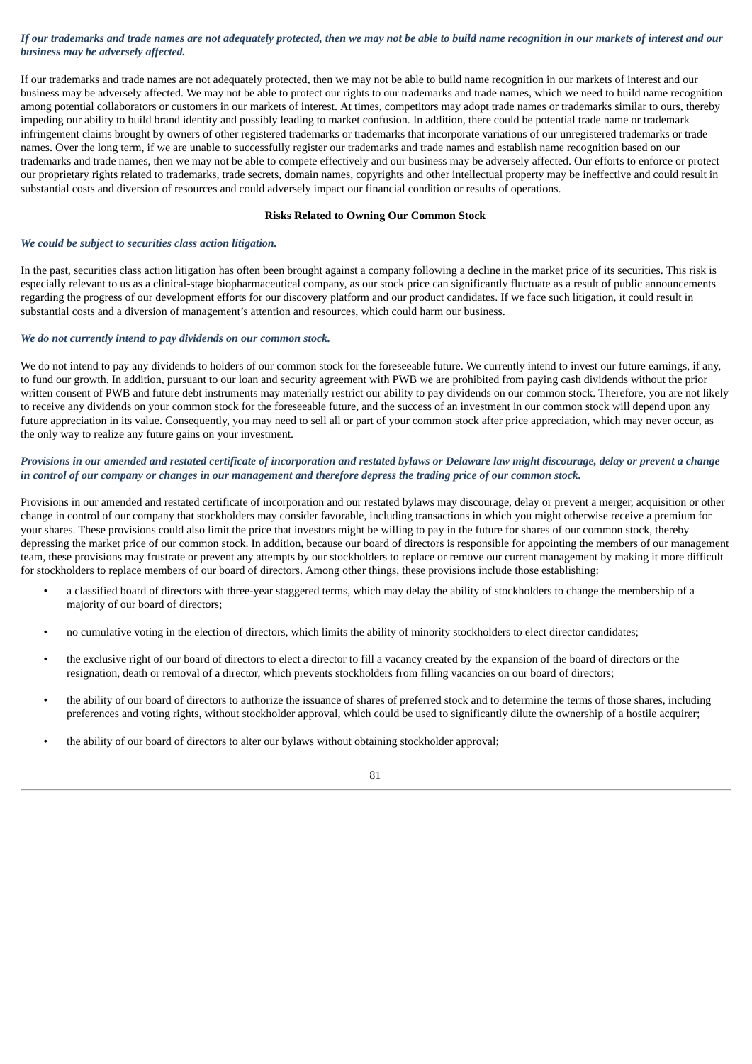## If our trademarks and trade names are not adeauately protected, then we may not be able to build name recoanition in our markets of interest and our *business may be adversely affected.*

If our trademarks and trade names are not adequately protected, then we may not be able to build name recognition in our markets of interest and our business may be adversely affected. We may not be able to protect our rights to our trademarks and trade names, which we need to build name recognition among potential collaborators or customers in our markets of interest. At times, competitors may adopt trade names or trademarks similar to ours, thereby impeding our ability to build brand identity and possibly leading to market confusion. In addition, there could be potential trade name or trademark infringement claims brought by owners of other registered trademarks or trademarks that incorporate variations of our unregistered trademarks or trade names. Over the long term, if we are unable to successfully register our trademarks and trade names and establish name recognition based on our trademarks and trade names, then we may not be able to compete effectively and our business may be adversely affected. Our efforts to enforce or protect our proprietary rights related to trademarks, trade secrets, domain names, copyrights and other intellectual property may be ineffective and could result in substantial costs and diversion of resources and could adversely impact our financial condition or results of operations.

#### **Risks Related to Owning Our Common Stock**

#### *We could be subject to securities class action litigation.*

In the past, securities class action litigation has often been brought against a company following a decline in the market price of its securities. This risk is especially relevant to us as a clinical-stage biopharmaceutical company, as our stock price can significantly fluctuate as a result of public announcements regarding the progress of our development efforts for our discovery platform and our product candidates. If we face such litigation, it could result in substantial costs and a diversion of management's attention and resources, which could harm our business.

#### *We do not currently intend to pay dividends on our common stock.*

We do not intend to pay any dividends to holders of our common stock for the foreseeable future. We currently intend to invest our future earnings, if any, to fund our growth. In addition, pursuant to our loan and security agreement with PWB we are prohibited from paying cash dividends without the prior written consent of PWB and future debt instruments may materially restrict our ability to pay dividends on our common stock. Therefore, you are not likely to receive any dividends on your common stock for the foreseeable future, and the success of an investment in our common stock will depend upon any future appreciation in its value. Consequently, you may need to sell all or part of your common stock after price appreciation, which may never occur, as the only way to realize any future gains on your investment.

#### Provisions in our amended and restated certificate of incorporation and restated bylaws or Delaware law might discourage, delay or prevent a change in control of our company or changes in our management and therefore depress the trading price of our common stock.

Provisions in our amended and restated certificate of incorporation and our restated bylaws may discourage, delay or prevent a merger, acquisition or other change in control of our company that stockholders may consider favorable, including transactions in which you might otherwise receive a premium for your shares. These provisions could also limit the price that investors might be willing to pay in the future for shares of our common stock, thereby depressing the market price of our common stock. In addition, because our board of directors is responsible for appointing the members of our management team, these provisions may frustrate or prevent any attempts by our stockholders to replace or remove our current management by making it more difficult for stockholders to replace members of our board of directors. Among other things, these provisions include those establishing:

- a classified board of directors with three-year staggered terms, which may delay the ability of stockholders to change the membership of a majority of our board of directors;
- no cumulative voting in the election of directors, which limits the ability of minority stockholders to elect director candidates;
- the exclusive right of our board of directors to elect a director to fill a vacancy created by the expansion of the board of directors or the resignation, death or removal of a director, which prevents stockholders from filling vacancies on our board of directors;
- the ability of our board of directors to authorize the issuance of shares of preferred stock and to determine the terms of those shares, including preferences and voting rights, without stockholder approval, which could be used to significantly dilute the ownership of a hostile acquirer;
- the ability of our board of directors to alter our bylaws without obtaining stockholder approval;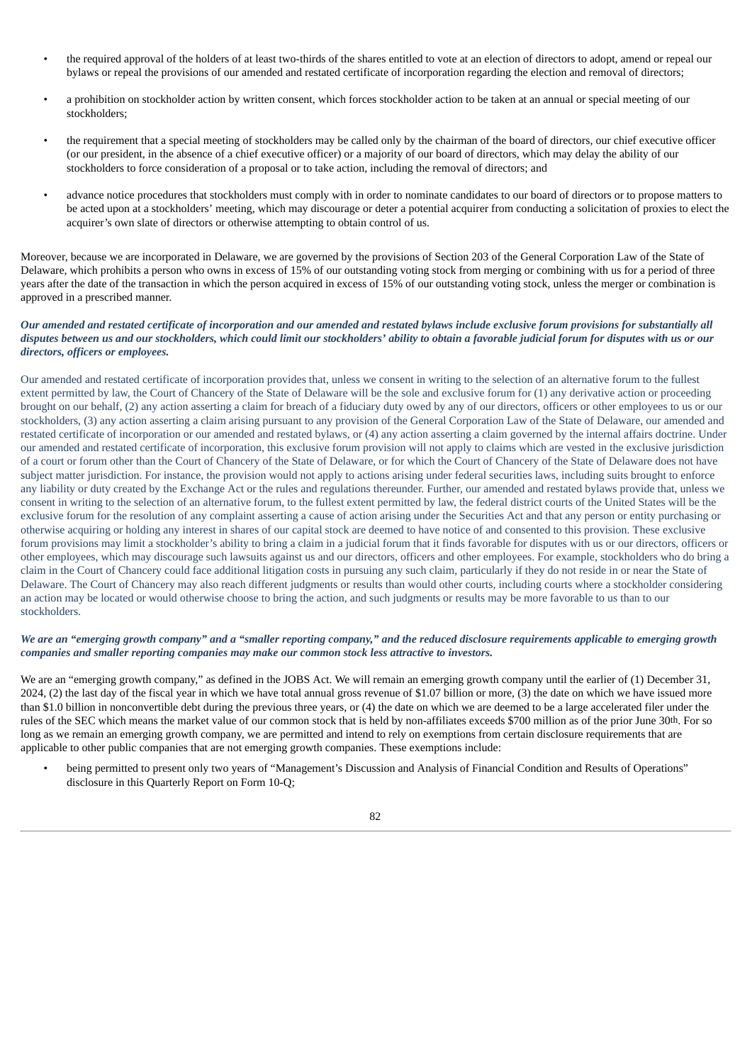- the required approval of the holders of at least two-thirds of the shares entitled to vote at an election of directors to adopt, amend or repeal our bylaws or repeal the provisions of our amended and restated certificate of incorporation regarding the election and removal of directors;
- a prohibition on stockholder action by written consent, which forces stockholder action to be taken at an annual or special meeting of our stockholders;
- the requirement that a special meeting of stockholders may be called only by the chairman of the board of directors, our chief executive officer (or our president, in the absence of a chief executive officer) or a majority of our board of directors, which may delay the ability of our stockholders to force consideration of a proposal or to take action, including the removal of directors; and
- advance notice procedures that stockholders must comply with in order to nominate candidates to our board of directors or to propose matters to be acted upon at a stockholders' meeting, which may discourage or deter a potential acquirer from conducting a solicitation of proxies to elect the acquirer's own slate of directors or otherwise attempting to obtain control of us.

Moreover, because we are incorporated in Delaware, we are governed by the provisions of Section 203 of the General Corporation Law of the State of Delaware, which prohibits a person who owns in excess of 15% of our outstanding voting stock from merging or combining with us for a period of three years after the date of the transaction in which the person acquired in excess of 15% of our outstanding voting stock, unless the merger or combination is approved in a prescribed manner.

## Our amended and restated certificate of incorporation and our amended and restated bylaws include exclusive forum provisions for substantially all disputes between us and our stockholders, which could limit our stockholders' ability to obtain a favorable judicial forum for disputes with us or our *directors, officers or employees.*

Our amended and restated certificate of incorporation provides that, unless we consent in writing to the selection of an alternative forum to the fullest extent permitted by law, the Court of Chancery of the State of Delaware will be the sole and exclusive forum for (1) any derivative action or proceeding brought on our behalf, (2) any action asserting a claim for breach of a fiduciary duty owed by any of our directors, officers or other employees to us or our stockholders, (3) any action asserting a claim arising pursuant to any provision of the General Corporation Law of the State of Delaware, our amended and restated certificate of incorporation or our amended and restated bylaws, or (4) any action asserting a claim governed by the internal affairs doctrine. Under our amended and restated certificate of incorporation, this exclusive forum provision will not apply to claims which are vested in the exclusive jurisdiction of a court or forum other than the Court of Chancery of the State of Delaware, or for which the Court of Chancery of the State of Delaware does not have subject matter jurisdiction. For instance, the provision would not apply to actions arising under federal securities laws, including suits brought to enforce any liability or duty created by the Exchange Act or the rules and regulations thereunder. Further, our amended and restated bylaws provide that, unless we consent in writing to the selection of an alternative forum, to the fullest extent permitted by law, the federal district courts of the United States will be the exclusive forum for the resolution of any complaint asserting a cause of action arising under the Securities Act and that any person or entity purchasing or otherwise acquiring or holding any interest in shares of our capital stock are deemed to have notice of and consented to this provision. These exclusive forum provisions may limit a stockholder's ability to bring a claim in a judicial forum that it finds favorable for disputes with us or our directors, officers or other employees, which may discourage such lawsuits against us and our directors, officers and other employees. For example, stockholders who do bring a claim in the Court of Chancery could face additional litigation costs in pursuing any such claim, particularly if they do not reside in or near the State of Delaware. The Court of Chancery may also reach different judgments or results than would other courts, including courts where a stockholder considering an action may be located or would otherwise choose to bring the action, and such judgments or results may be more favorable to us than to our stockholders.

## We are an "emeraina arowth company" and a "smaller reportina company," and the reduced disclosure reauirements applicable to emeraina arowth *companies and smaller reporting companies may make our common stock less attractive to investors.*

We are an "emerging growth company," as defined in the JOBS Act. We will remain an emerging growth company until the earlier of (1) December 31, 2024, (2) the last day of the fiscal year in which we have total annual gross revenue of \$1.07 billion or more, (3) the date on which we have issued more than \$1.0 billion in nonconvertible debt during the previous three years, or (4) the date on which we are deemed to be a large accelerated filer under the rules of the SEC which means the market value of our common stock that is held by non-affiliates exceeds \$700 million as of the prior June 30th. For so long as we remain an emerging growth company, we are permitted and intend to rely on exemptions from certain disclosure requirements that are applicable to other public companies that are not emerging growth companies. These exemptions include:

• being permitted to present only two years of "Management's Discussion and Analysis of Financial Condition and Results of Operations" disclosure in this Quarterly Report on Form 10-Q;

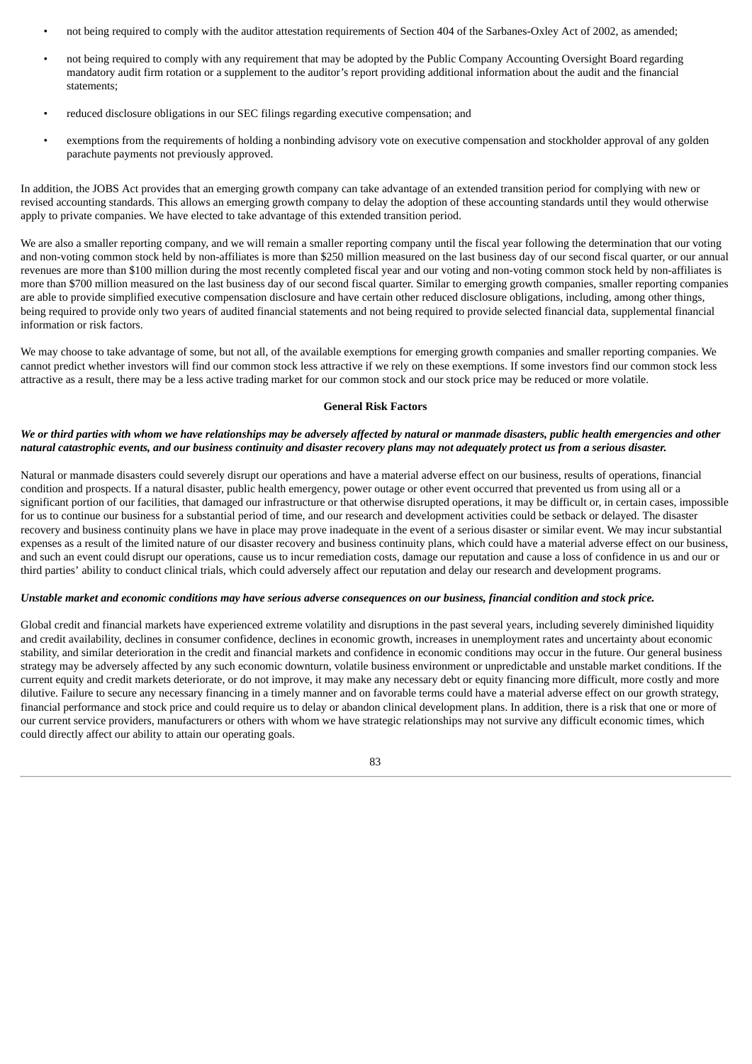- not being required to comply with the auditor attestation requirements of Section 404 of the Sarbanes-Oxley Act of 2002, as amended;
- not being required to comply with any requirement that may be adopted by the Public Company Accounting Oversight Board regarding mandatory audit firm rotation or a supplement to the auditor's report providing additional information about the audit and the financial statements;
- reduced disclosure obligations in our SEC filings regarding executive compensation; and
- exemptions from the requirements of holding a nonbinding advisory vote on executive compensation and stockholder approval of any golden parachute payments not previously approved.

In addition, the JOBS Act provides that an emerging growth company can take advantage of an extended transition period for complying with new or revised accounting standards. This allows an emerging growth company to delay the adoption of these accounting standards until they would otherwise apply to private companies. We have elected to take advantage of this extended transition period.

We are also a smaller reporting company, and we will remain a smaller reporting company until the fiscal year following the determination that our voting and non-voting common stock held by non-affiliates is more than \$250 million measured on the last business day of our second fiscal quarter, or our annual revenues are more than \$100 million during the most recently completed fiscal year and our voting and non-voting common stock held by non-affiliates is more than \$700 million measured on the last business day of our second fiscal quarter. Similar to emerging growth companies, smaller reporting companies are able to provide simplified executive compensation disclosure and have certain other reduced disclosure obligations, including, among other things, being required to provide only two years of audited financial statements and not being required to provide selected financial data, supplemental financial information or risk factors.

We may choose to take advantage of some, but not all, of the available exemptions for emerging growth companies and smaller reporting companies. We cannot predict whether investors will find our common stock less attractive if we rely on these exemptions. If some investors find our common stock less attractive as a result, there may be a less active trading market for our common stock and our stock price may be reduced or more volatile.

## **General Risk Factors**

## We or third parties with whom we have relationships may be adversely affected by natural or manmade disasters, public health emergencies and other natural catastrophic events, and our business continuity and disaster recovery plans may not adequately protect us from a serious disaster.

Natural or manmade disasters could severely disrupt our operations and have a material adverse effect on our business, results of operations, financial condition and prospects. If a natural disaster, public health emergency, power outage or other event occurred that prevented us from using all or a significant portion of our facilities, that damaged our infrastructure or that otherwise disrupted operations, it may be difficult or, in certain cases, impossible for us to continue our business for a substantial period of time, and our research and development activities could be setback or delayed. The disaster recovery and business continuity plans we have in place may prove inadequate in the event of a serious disaster or similar event. We may incur substantial expenses as a result of the limited nature of our disaster recovery and business continuity plans, which could have a material adverse effect on our business, and such an event could disrupt our operations, cause us to incur remediation costs, damage our reputation and cause a loss of confidence in us and our or third parties' ability to conduct clinical trials, which could adversely affect our reputation and delay our research and development programs.

#### Unstable market and economic conditions may have serious adverse consequences on our business, financial condition and stock price.

Global credit and financial markets have experienced extreme volatility and disruptions in the past several years, including severely diminished liquidity and credit availability, declines in consumer confidence, declines in economic growth, increases in unemployment rates and uncertainty about economic stability, and similar deterioration in the credit and financial markets and confidence in economic conditions may occur in the future. Our general business strategy may be adversely affected by any such economic downturn, volatile business environment or unpredictable and unstable market conditions. If the current equity and credit markets deteriorate, or do not improve, it may make any necessary debt or equity financing more difficult, more costly and more dilutive. Failure to secure any necessary financing in a timely manner and on favorable terms could have a material adverse effect on our growth strategy, financial performance and stock price and could require us to delay or abandon clinical development plans. In addition, there is a risk that one or more of our current service providers, manufacturers or others with whom we have strategic relationships may not survive any difficult economic times, which could directly affect our ability to attain our operating goals.

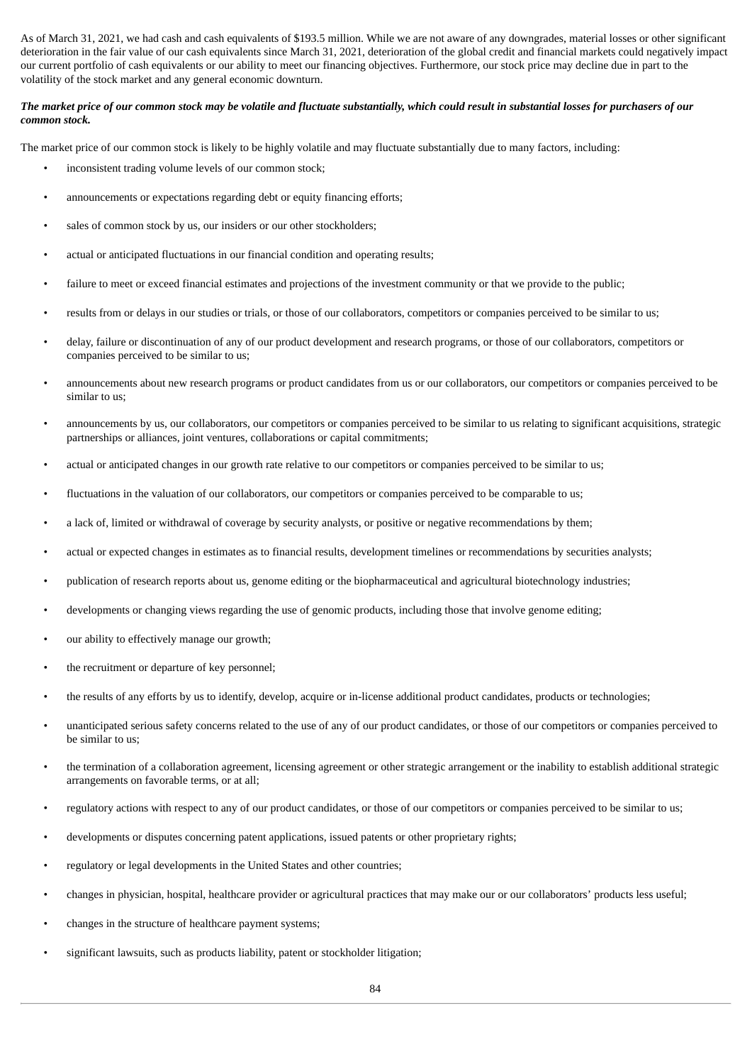As of March 31, 2021, we had cash and cash equivalents of \$193.5 million. While we are not aware of any downgrades, material losses or other significant deterioration in the fair value of our cash equivalents since March 31, 2021, deterioration of the global credit and financial markets could negatively impact our current portfolio of cash equivalents or our ability to meet our financing objectives. Furthermore, our stock price may decline due in part to the volatility of the stock market and any general economic downturn.

## The market price of our common stock may be volatile and fluctuate substantially, which could result in substantial losses for purchasers of our *common stock.*

The market price of our common stock is likely to be highly volatile and may fluctuate substantially due to many factors, including:

- inconsistent trading volume levels of our common stock;
- announcements or expectations regarding debt or equity financing efforts;
- sales of common stock by us, our insiders or our other stockholders;
- actual or anticipated fluctuations in our financial condition and operating results;
- failure to meet or exceed financial estimates and projections of the investment community or that we provide to the public;
- results from or delays in our studies or trials, or those of our collaborators, competitors or companies perceived to be similar to us;
- delay, failure or discontinuation of any of our product development and research programs, or those of our collaborators, competitors or companies perceived to be similar to us;
- announcements about new research programs or product candidates from us or our collaborators, our competitors or companies perceived to be similar to us;
- announcements by us, our collaborators, our competitors or companies perceived to be similar to us relating to significant acquisitions, strategic partnerships or alliances, joint ventures, collaborations or capital commitments;
- actual or anticipated changes in our growth rate relative to our competitors or companies perceived to be similar to us;
- fluctuations in the valuation of our collaborators, our competitors or companies perceived to be comparable to us;
- a lack of, limited or withdrawal of coverage by security analysts, or positive or negative recommendations by them;
- actual or expected changes in estimates as to financial results, development timelines or recommendations by securities analysts;
- publication of research reports about us, genome editing or the biopharmaceutical and agricultural biotechnology industries;
- developments or changing views regarding the use of genomic products, including those that involve genome editing;
- our ability to effectively manage our growth;
- the recruitment or departure of key personnel;
- the results of any efforts by us to identify, develop, acquire or in-license additional product candidates, products or technologies;
- unanticipated serious safety concerns related to the use of any of our product candidates, or those of our competitors or companies perceived to be similar to us;
- the termination of a collaboration agreement, licensing agreement or other strategic arrangement or the inability to establish additional strategic arrangements on favorable terms, or at all;
- regulatory actions with respect to any of our product candidates, or those of our competitors or companies perceived to be similar to us;
- developments or disputes concerning patent applications, issued patents or other proprietary rights;
- regulatory or legal developments in the United States and other countries;
- changes in physician, hospital, healthcare provider or agricultural practices that may make our or our collaborators' products less useful;
- changes in the structure of healthcare payment systems;
- significant lawsuits, such as products liability, patent or stockholder litigation;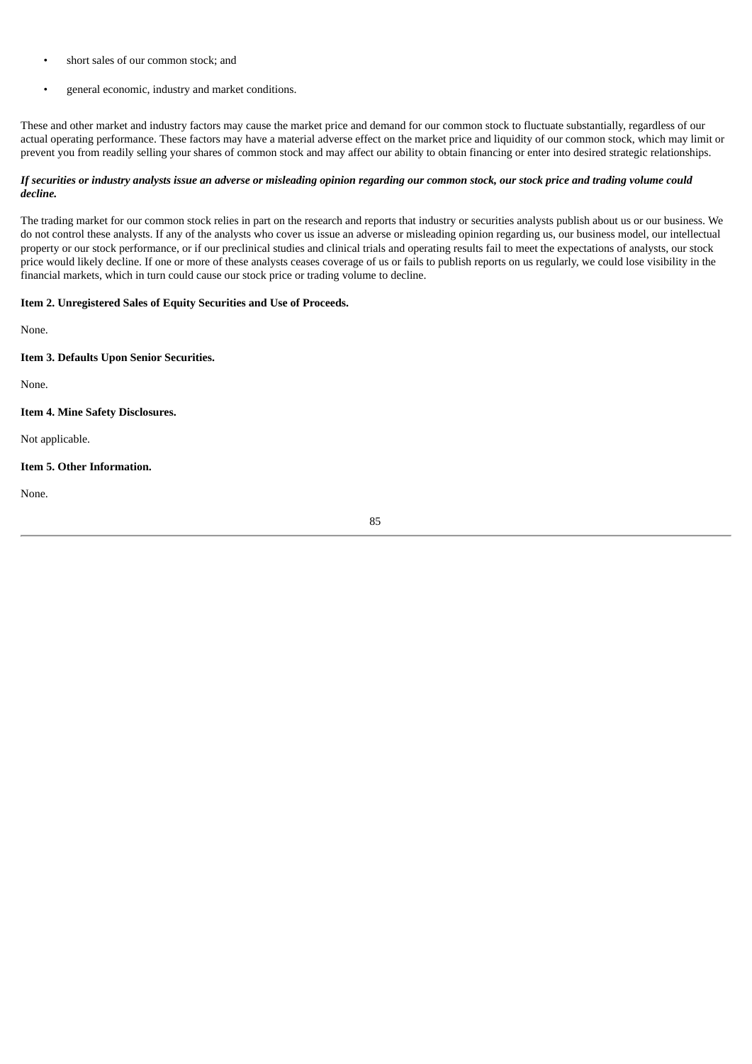- short sales of our common stock; and
- general economic, industry and market conditions.

These and other market and industry factors may cause the market price and demand for our common stock to fluctuate substantially, regardless of our actual operating performance. These factors may have a material adverse effect on the market price and liquidity of our common stock, which may limit or prevent you from readily selling your shares of common stock and may affect our ability to obtain financing or enter into desired strategic relationships.

## If securities or industry analysts issue an adverse or misleading opinion regarding our common stock, our stock price and trading volume could *decline.*

The trading market for our common stock relies in part on the research and reports that industry or securities analysts publish about us or our business. We do not control these analysts. If any of the analysts who cover us issue an adverse or misleading opinion regarding us, our business model, our intellectual property or our stock performance, or if our preclinical studies and clinical trials and operating results fail to meet the expectations of analysts, our stock price would likely decline. If one or more of these analysts ceases coverage of us or fails to publish reports on us regularly, we could lose visibility in the financial markets, which in turn could cause our stock price or trading volume to decline.

## **Item 2. Unregistered Sales of Equity Securities and Use of Proceeds.**

None.

**Item 3. Defaults Upon Senior Securities.**

None.

**Item 4. Mine Safety Disclosures.**

Not applicable.

## **Item 5. Other Information.**

None.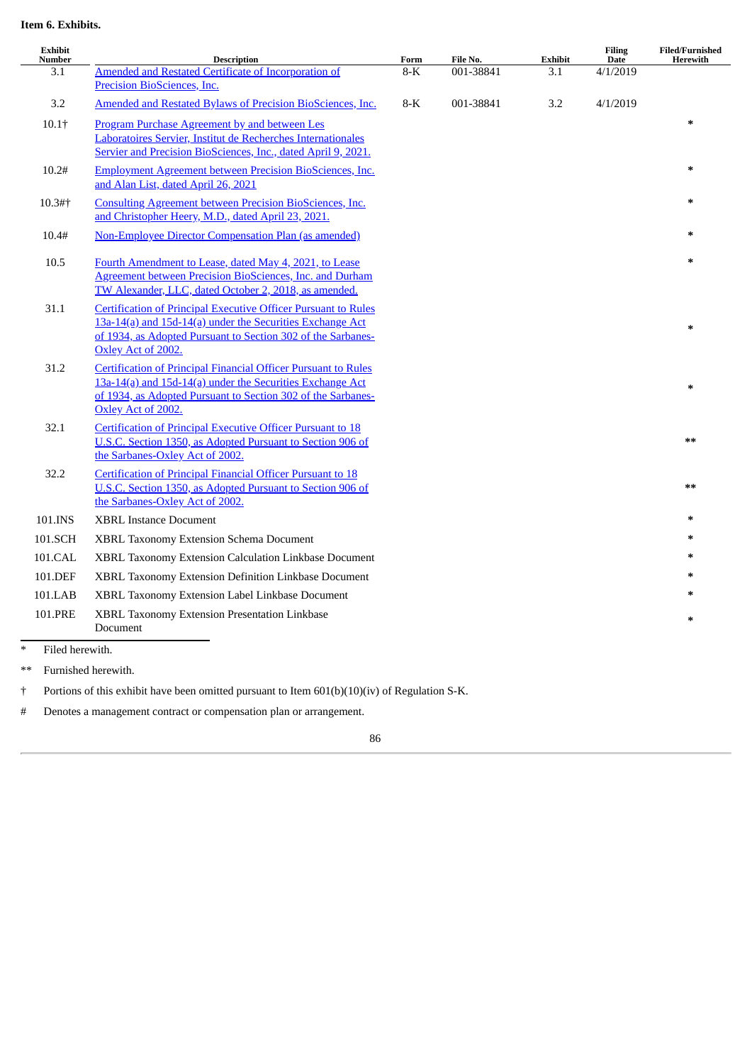## **Item 6. Exhibits.**

| <b>Exhibit</b><br>Number | <b>Description</b>                                                                                                                                                                                                       | Form  | File No.  | <b>Exhibit</b> | <b>Filing</b><br><b>Date</b> | <b>Filed/Furnished</b><br>Herewith |
|--------------------------|--------------------------------------------------------------------------------------------------------------------------------------------------------------------------------------------------------------------------|-------|-----------|----------------|------------------------------|------------------------------------|
| 3.1                      | <b>Amended and Restated Certificate of Incorporation of</b>                                                                                                                                                              | $8-K$ | 001-38841 | 3.1            | 4/1/2019                     |                                    |
|                          | Precision BioSciences, Inc.                                                                                                                                                                                              |       |           |                |                              |                                    |
| 3.2                      | <b>Amended and Restated Bylaws of Precision BioSciences, Inc.</b>                                                                                                                                                        | $8-K$ | 001-38841 | 3.2            | 4/1/2019                     |                                    |
| 10.1 <sub>†</sub>        | <b>Program Purchase Agreement by and between Les</b><br>Laboratoires Servier, Institut de Recherches Internationales<br>Servier and Precision BioSciences, Inc., dated April 9, 2021.                                    |       |           |                |                              | ∗                                  |
| 10.2#                    | <b>Employment Agreement between Precision BioSciences, Inc.</b><br>and Alan List, dated April 26, 2021                                                                                                                   |       |           |                |                              |                                    |
| 10.3#+                   | <b>Consulting Agreement between Precision BioSciences, Inc.</b><br>and Christopher Heery, M.D., dated April 23, 2021.                                                                                                    |       |           |                |                              |                                    |
| 10.4#                    | <b>Non-Employee Director Compensation Plan (as amended)</b>                                                                                                                                                              |       |           |                |                              |                                    |
| 10.5                     | Fourth Amendment to Lease, dated May 4, 2021, to Lease<br>Agreement between Precision BioSciences, Inc. and Durham<br>TW Alexander, LLC, dated October 2, 2018, as amended.                                              |       |           |                |                              |                                    |
| 31.1                     | <b>Certification of Principal Executive Officer Pursuant to Rules</b><br>13a-14(a) and 15d-14(a) under the Securities Exchange Act<br>of 1934, as Adopted Pursuant to Section 302 of the Sarbanes-<br>Oxley Act of 2002. |       |           |                |                              |                                    |
| 31.2                     | <b>Certification of Principal Financial Officer Pursuant to Rules</b><br>13a-14(a) and 15d-14(a) under the Securities Exchange Act<br>of 1934, as Adopted Pursuant to Section 302 of the Sarbanes-<br>Oxley Act of 2002. |       |           |                |                              | $\ast$                             |
| 32.1                     | Certification of Principal Executive Officer Pursuant to 18<br>U.S.C. Section 1350, as Adopted Pursuant to Section 906 of<br>the Sarbanes-Oxley Act of 2002.                                                             |       |           |                |                              | **                                 |
| 32.2                     | Certification of Principal Financial Officer Pursuant to 18<br>U.S.C. Section 1350, as Adopted Pursuant to Section 906 of<br>the Sarbanes-Oxley Act of 2002.                                                             |       |           |                |                              | **                                 |
| 101.INS                  | <b>XBRL Instance Document</b>                                                                                                                                                                                            |       |           |                |                              |                                    |
| 101.SCH                  | <b>XBRL Taxonomy Extension Schema Document</b>                                                                                                                                                                           |       |           |                |                              |                                    |
| 101.CAL                  | <b>XBRL Taxonomy Extension Calculation Linkbase Document</b>                                                                                                                                                             |       |           |                |                              |                                    |
| 101.DEF                  | XBRL Taxonomy Extension Definition Linkbase Document                                                                                                                                                                     |       |           |                |                              |                                    |
| 101.LAB                  | XBRL Taxonomy Extension Label Linkbase Document                                                                                                                                                                          |       |           |                |                              |                                    |
| 101.PRE                  | <b>XBRL Taxonomy Extension Presentation Linkbase</b><br>Document                                                                                                                                                         |       |           |                |                              |                                    |
| *<br>Filed herewith.     |                                                                                                                                                                                                                          |       |           |                |                              |                                    |
|                          |                                                                                                                                                                                                                          |       |           |                |                              |                                    |

\*\* Furnished herewith.

† Portions of this exhibit have been omitted pursuant to Item 601(b)(10)(iv) of Regulation S-K.

# Denotes a management contract or compensation plan or arrangement.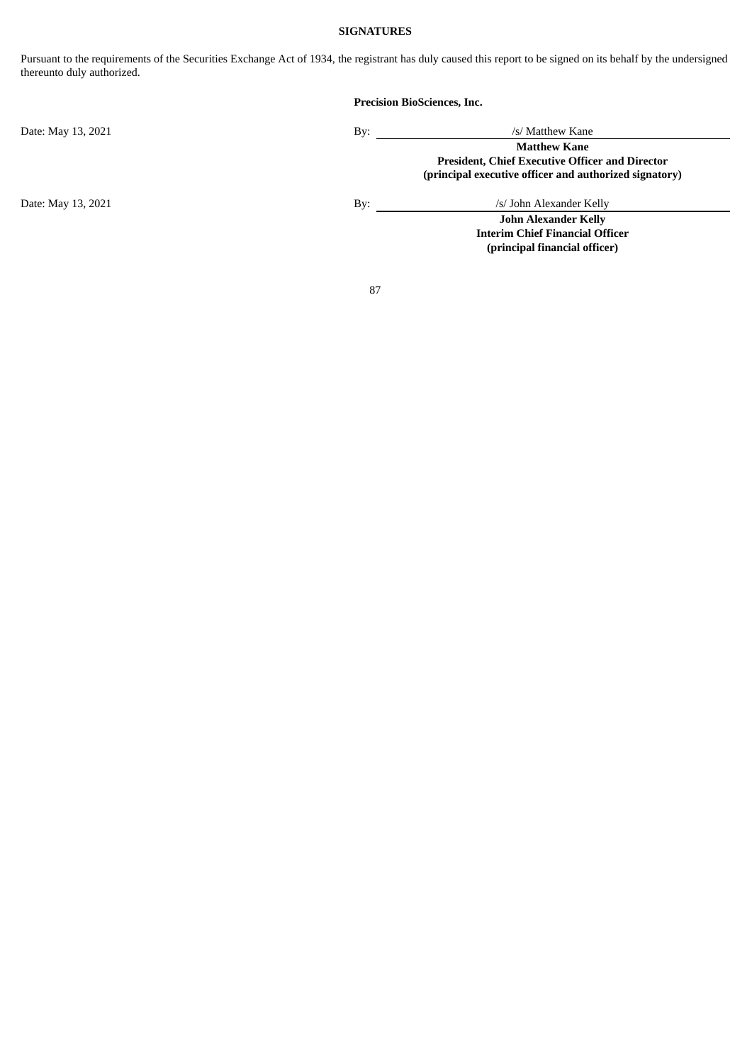#### **SIGNATURES**

Pursuant to the requirements of the Securities Exchange Act of 1934, the registrant has duly caused this report to be signed on its behalf by the undersigned thereunto duly authorized.

#### **Precision BioSciences, Inc.**

Date: May 13, 2021 **By:** /s/ Matthew Kane

**Matthew Kane President, Chief Executive Officer and Director (principal executive officer and authorized signatory)**

Date: May 13, 2021 By: /s/ John Alexander Kelly /s/ John Alexander Kelly

**John Alexander Kelly Interim Chief Financial Officer (principal financial officer)**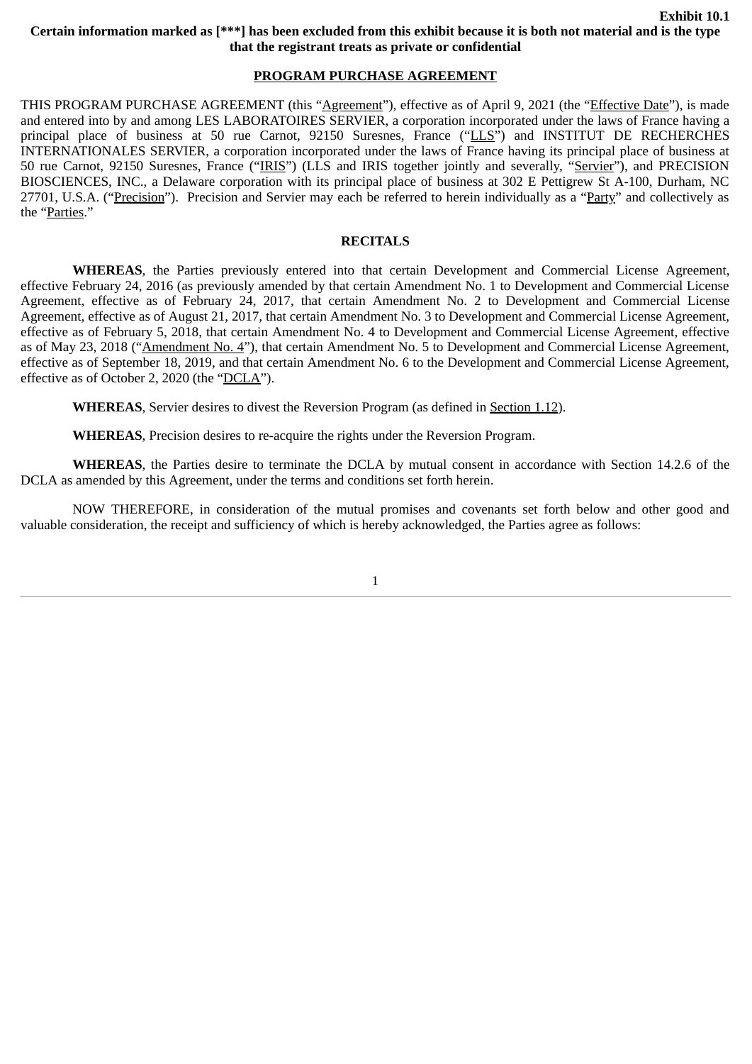<span id="page-87-0"></span>**Certain information marked as [\*\*\*] has been excluded from this exhibit because it is both not material and is the type that the registrant treats as private or confidential**

## **PROGRAM PURCHASE AGREEMENT**

THIS PROGRAM PURCHASE AGREEMENT (this "Agreement"), effective as of April 9, 2021 (the "Effective Date"), is made and entered into by and among LES LABORATOIRES SERVIER, a corporation incorporated under the laws of France having a principal place of business at 50 rue Carnot, 92150 Suresnes, France ("LLS") and INSTITUT DE RECHERCHES INTERNATIONALES SERVIER, a corporation incorporated under the laws of France having its principal place of business at 50 rue Carnot, 92150 Suresnes, France ("IRIS") (LLS and IRIS together jointly and severally, "Servier"), and PRECISION BIOSCIENCES, INC., a Delaware corporation with its principal place of business at 302 E Pettigrew St A-100, Durham, NC 27701, U.S.A. ("Precision"). Precision and Servier may each be referred to herein individually as a "Party" and collectively as the "Parties."

## **RECITALS**

**WHEREAS**, the Parties previously entered into that certain Development and Commercial License Agreement, effective February 24, 2016 (as previously amended by that certain Amendment No. 1 to Development and Commercial License Agreement, effective as of February 24, 2017, that certain Amendment No. 2 to Development and Commercial License Agreement, effective as of August 21, 2017, that certain Amendment No. 3 to Development and Commercial License Agreement, effective as of February 5, 2018, that certain Amendment No. 4 to Development and Commercial License Agreement, effective as of May 23, 2018 ("Amendment No. 4"), that certain Amendment No. 5 to Development and Commercial License Agreement, effective as of September 18, 2019, and that certain Amendment No. 6 to the Development and Commercial License Agreement, effective as of October 2, 2020 (the "DCLA").

**WHEREAS**, Servier desires to divest the Reversion Program (as defined in Section 1.12).

**WHEREAS**, Precision desires to re-acquire the rights under the Reversion Program.

**WHEREAS**, the Parties desire to terminate the DCLA by mutual consent in accordance with Section 14.2.6 of the DCLA as amended by this Agreement, under the terms and conditions set forth herein.

NOW THEREFORE, in consideration of the mutual promises and covenants set forth below and other good and valuable consideration, the receipt and sufficiency of which is hereby acknowledged, the Parties agree as follows: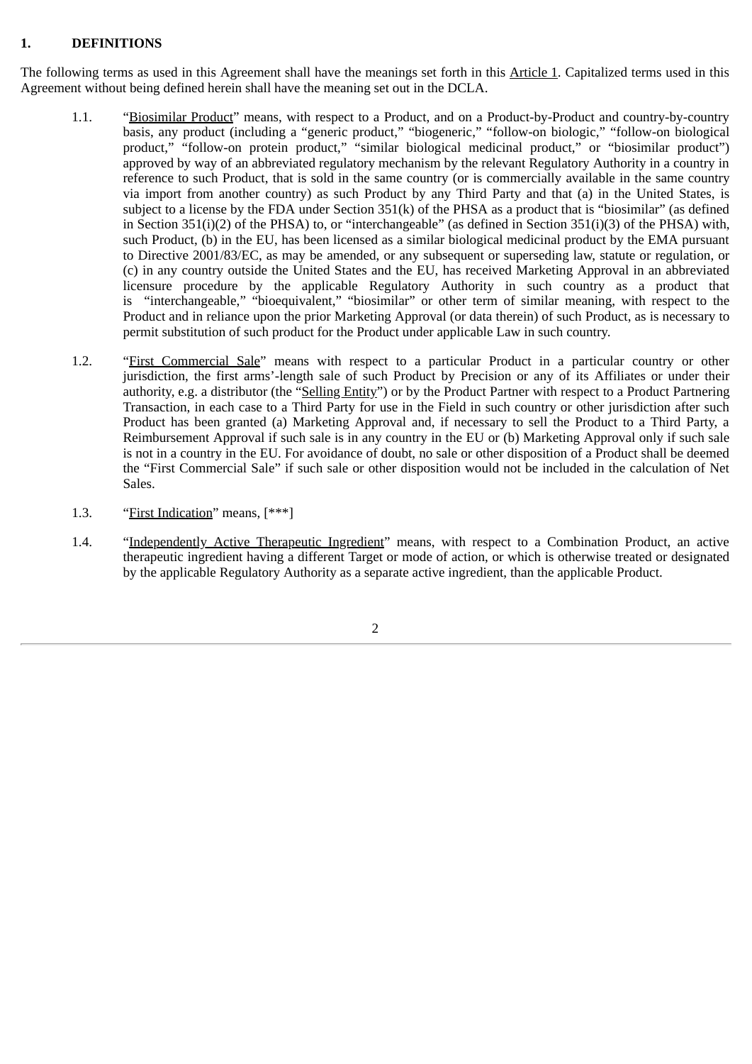## **1. DEFINITIONS**

The following terms as used in this Agreement shall have the meanings set forth in this Article 1. Capitalized terms used in this Agreement without being defined herein shall have the meaning set out in the DCLA.

- 1.1. "Biosimilar Product" means, with respect to a Product, and on a Product-by-Product and country-by-country basis, any product (including a "generic product," "biogeneric," "follow-on biologic," "follow-on biological product," "follow-on protein product," "similar biological medicinal product," or "biosimilar product") approved by way of an abbreviated regulatory mechanism by the relevant Regulatory Authority in a country in reference to such Product, that is sold in the same country (or is commercially available in the same country via import from another country) as such Product by any Third Party and that (a) in the United States, is subject to a license by the FDA under Section 351(k) of the PHSA as a product that is "biosimilar" (as defined in Section 351(i)(2) of the PHSA) to, or "interchangeable" (as defined in Section 351(i)(3) of the PHSA) with, such Product, (b) in the EU, has been licensed as a similar biological medicinal product by the EMA pursuant to Directive 2001/83/EC, as may be amended, or any subsequent or superseding law, statute or regulation, or (c) in any country outside the United States and the EU, has received Marketing Approval in an abbreviated licensure procedure by the applicable Regulatory Authority in such country as a product that is "interchangeable," "bioequivalent," "biosimilar" or other term of similar meaning, with respect to the Product and in reliance upon the prior Marketing Approval (or data therein) of such Product, as is necessary to permit substitution of such product for the Product under applicable Law in such country.
- 1.2. "First Commercial Sale" means with respect to a particular Product in a particular country or other jurisdiction, the first arms'-length sale of such Product by Precision or any of its Affiliates or under their authority, e.g. a distributor (the "Selling Entity") or by the Product Partner with respect to a Product Partnering Transaction, in each case to a Third Party for use in the Field in such country or other jurisdiction after such Product has been granted (a) Marketing Approval and, if necessary to sell the Product to a Third Party, a Reimbursement Approval if such sale is in any country in the EU or (b) Marketing Approval only if such sale is not in a country in the EU. For avoidance of doubt, no sale or other disposition of a Product shall be deemed the "First Commercial Sale" if such sale or other disposition would not be included in the calculation of Net Sales.
- 1.3. "First Indication" means, [\*\*\*]
- 1.4. "Independently Active Therapeutic Ingredient" means, with respect to a Combination Product, an active therapeutic ingredient having a different Target or mode of action, or which is otherwise treated or designated by the applicable Regulatory Authority as a separate active ingredient, than the applicable Product.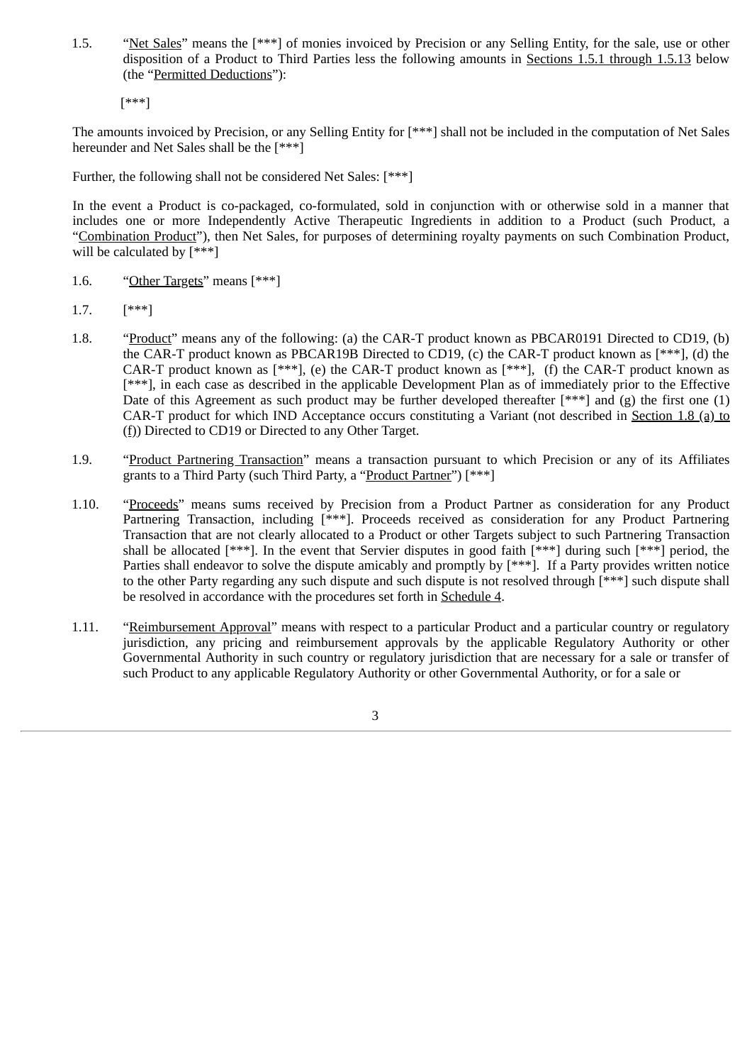1.5. "Net Sales" means the [\*\*\*] of monies invoiced by Precision or any Selling Entity, for the sale, use or other disposition of a Product to Third Parties less the following amounts in Sections 1.5.1 through 1.5.13 below (the "Permitted Deductions"):

[\*\*\*]

The amounts invoiced by Precision, or any Selling Entity for [\*\*\*] shall not be included in the computation of Net Sales hereunder and Net Sales shall be the [\*\*\*]

Further, the following shall not be considered Net Sales: [\*\*\*]

In the event a Product is co-packaged, co-formulated, sold in conjunction with or otherwise sold in a manner that includes one or more Independently Active Therapeutic Ingredients in addition to a Product (such Product, a "Combination Product"), then Net Sales, for purposes of determining royalty payments on such Combination Product, will be calculated by  $[***]$ 

- 1.6. "Other Targets" means [\*\*\*]
- 1.7. [\*\*\*]
- 1.8. "Product" means any of the following: (a) the CAR-T product known as PBCAR0191 Directed to CD19, (b) the CAR-T product known as PBCAR19B Directed to CD19, (c) the CAR-T product known as [\*\*\*], (d) the CAR-T product known as  $[***]$ , (e) the CAR-T product known as  $[***]$ , (f) the CAR-T product known as [\*\*\*], in each case as described in the applicable Development Plan as of immediately prior to the Effective Date of this Agreement as such product may be further developed thereafter  $[***]$  and (g) the first one (1) CAR-T product for which IND Acceptance occurs constituting a Variant (not described in Section 1.8 (a) to (f)) Directed to CD19 or Directed to any Other Target.
- 1.9. "Product Partnering Transaction" means a transaction pursuant to which Precision or any of its Affiliates grants to a Third Party (such Third Party, a "Product Partner") [\*\*\*]
- 1.10. "Proceeds" means sums received by Precision from a Product Partner as consideration for any Product Partnering Transaction, including [\*\*\*]. Proceeds received as consideration for any Product Partnering Transaction that are not clearly allocated to a Product or other Targets subject to such Partnering Transaction shall be allocated  $[***]$ . In the event that Servier disputes in good faith  $[***]$  during such  $[***]$  period, the Parties shall endeavor to solve the dispute amicably and promptly by [\*\*\*]. If a Party provides written notice to the other Party regarding any such dispute and such dispute is not resolved through [\*\*\*] such dispute shall be resolved in accordance with the procedures set forth in Schedule 4.
- 1.11. "Reimbursement Approval" means with respect to a particular Product and a particular country or regulatory jurisdiction, any pricing and reimbursement approvals by the applicable Regulatory Authority or other Governmental Authority in such country or regulatory jurisdiction that are necessary for a sale or transfer of such Product to any applicable Regulatory Authority or other Governmental Authority, or for a sale or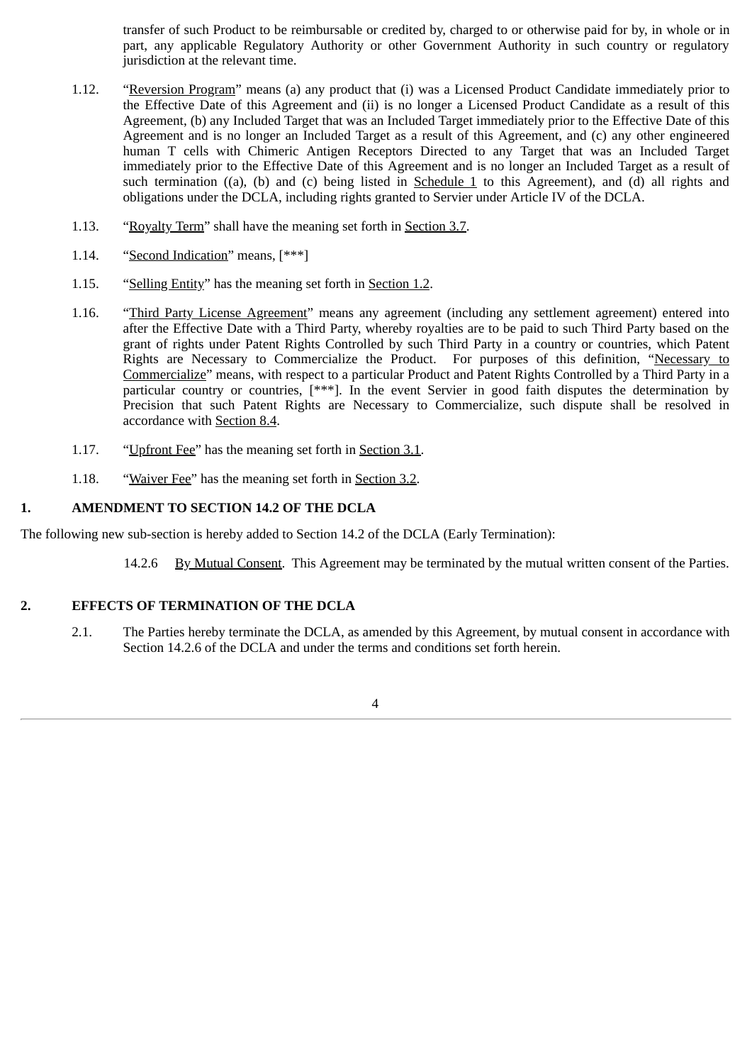transfer of such Product to be reimbursable or credited by, charged to or otherwise paid for by, in whole or in part, any applicable Regulatory Authority or other Government Authority in such country or regulatory jurisdiction at the relevant time.

- 1.12. "Reversion Program" means (a) any product that (i) was a Licensed Product Candidate immediately prior to the Effective Date of this Agreement and (ii) is no longer a Licensed Product Candidate as a result of this Agreement, (b) any Included Target that was an Included Target immediately prior to the Effective Date of this Agreement and is no longer an Included Target as a result of this Agreement, and (c) any other engineered human T cells with Chimeric Antigen Receptors Directed to any Target that was an Included Target immediately prior to the Effective Date of this Agreement and is no longer an Included Target as a result of such termination ((a), (b) and (c) being listed in Schedule 1 to this Agreement), and (d) all rights and obligations under the DCLA, including rights granted to Servier under Article IV of the DCLA.
- 1.13. "Royalty Term" shall have the meaning set forth in Section 3.7.
- 1.14. "Second Indication" means, [\*\*\*]
- 1.15. "Selling Entity" has the meaning set forth in Section 1.2.
- 1.16. "Third Party License Agreement" means any agreement (including any settlement agreement) entered into after the Effective Date with a Third Party, whereby royalties are to be paid to such Third Party based on the grant of rights under Patent Rights Controlled by such Third Party in a country or countries, which Patent Rights are Necessary to Commercialize the Product. For purposes of this definition, "Necessary to Commercialize" means, with respect to a particular Product and Patent Rights Controlled by a Third Party in a particular country or countries, [\*\*\*]. In the event Servier in good faith disputes the determination by Precision that such Patent Rights are Necessary to Commercialize, such dispute shall be resolved in accordance with Section 8.4.
- 1.17. "Upfront Fee" has the meaning set forth in Section 3.1.
- 1.18. "Waiver Fee" has the meaning set forth in Section 3.2.

## **1. AMENDMENT TO SECTION 14.2 OF THE DCLA**

The following new sub-section is hereby added to Section 14.2 of the DCLA (Early Termination):

14.2.6 By Mutual Consent. This Agreement may be terminated by the mutual written consent of the Parties.

## **2. EFFECTS OF TERMINATION OF THE DCLA**

2.1. The Parties hereby terminate the DCLA, as amended by this Agreement, by mutual consent in accordance with Section 14.2.6 of the DCLA and under the terms and conditions set forth herein.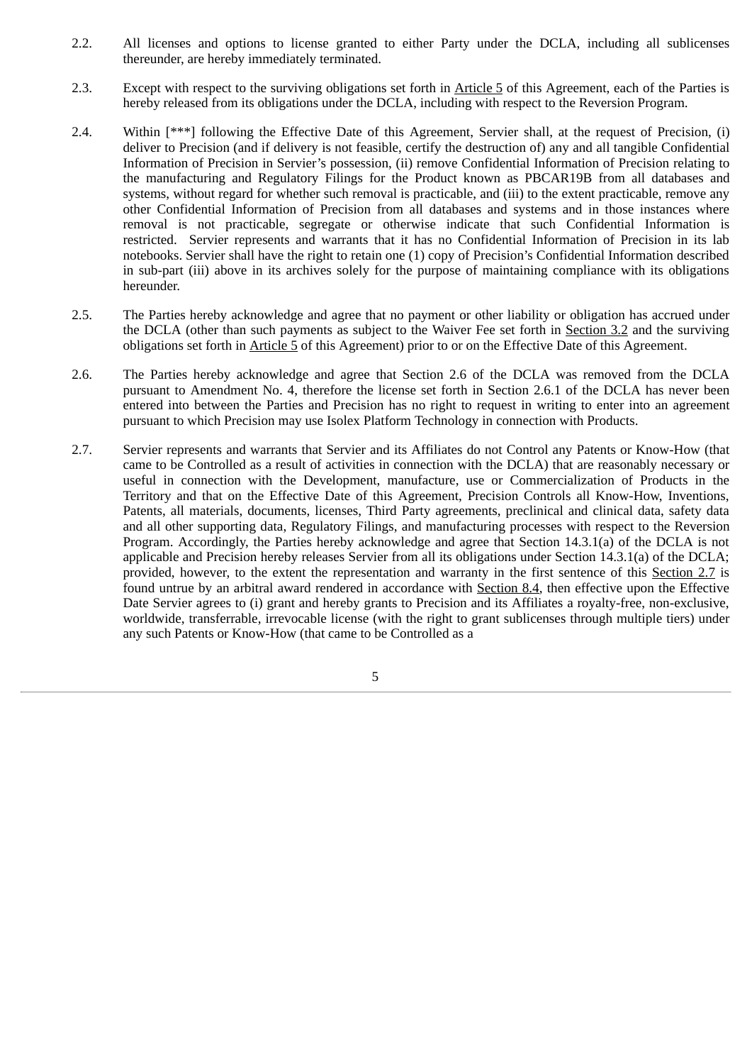- 2.2. All licenses and options to license granted to either Party under the DCLA, including all sublicenses thereunder, are hereby immediately terminated.
- 2.3. Except with respect to the surviving obligations set forth in Article 5 of this Agreement, each of the Parties is hereby released from its obligations under the DCLA, including with respect to the Reversion Program.
- 2.4. Within [\*\*\*] following the Effective Date of this Agreement, Servier shall, at the request of Precision, (i) deliver to Precision (and if delivery is not feasible, certify the destruction of) any and all tangible Confidential Information of Precision in Servier's possession, (ii) remove Confidential Information of Precision relating to the manufacturing and Regulatory Filings for the Product known as PBCAR19B from all databases and systems, without regard for whether such removal is practicable, and (iii) to the extent practicable, remove any other Confidential Information of Precision from all databases and systems and in those instances where removal is not practicable, segregate or otherwise indicate that such Confidential Information is restricted. Servier represents and warrants that it has no Confidential Information of Precision in its lab notebooks. Servier shall have the right to retain one (1) copy of Precision's Confidential Information described in sub-part (iii) above in its archives solely for the purpose of maintaining compliance with its obligations hereunder.
- 2.5. The Parties hereby acknowledge and agree that no payment or other liability or obligation has accrued under the DCLA (other than such payments as subject to the Waiver Fee set forth in Section 3.2 and the surviving obligations set forth in Article 5 of this Agreement) prior to or on the Effective Date of this Agreement.
- 2.6. The Parties hereby acknowledge and agree that Section 2.6 of the DCLA was removed from the DCLA pursuant to Amendment No. 4, therefore the license set forth in Section 2.6.1 of the DCLA has never been entered into between the Parties and Precision has no right to request in writing to enter into an agreement pursuant to which Precision may use Isolex Platform Technology in connection with Products.
- 2.7. Servier represents and warrants that Servier and its Affiliates do not Control any Patents or Know-How (that came to be Controlled as a result of activities in connection with the DCLA) that are reasonably necessary or useful in connection with the Development, manufacture, use or Commercialization of Products in the Territory and that on the Effective Date of this Agreement, Precision Controls all Know-How, Inventions, Patents, all materials, documents, licenses, Third Party agreements, preclinical and clinical data, safety data and all other supporting data, Regulatory Filings, and manufacturing processes with respect to the Reversion Program. Accordingly, the Parties hereby acknowledge and agree that Section 14.3.1(a) of the DCLA is not applicable and Precision hereby releases Servier from all its obligations under Section 14.3.1(a) of the DCLA; provided, however, to the extent the representation and warranty in the first sentence of this Section 2.7 is found untrue by an arbitral award rendered in accordance with Section 8.4, then effective upon the Effective Date Servier agrees to (i) grant and hereby grants to Precision and its Affiliates a royalty-free, non-exclusive, worldwide, transferrable, irrevocable license (with the right to grant sublicenses through multiple tiers) under any such Patents or Know-How (that came to be Controlled as a

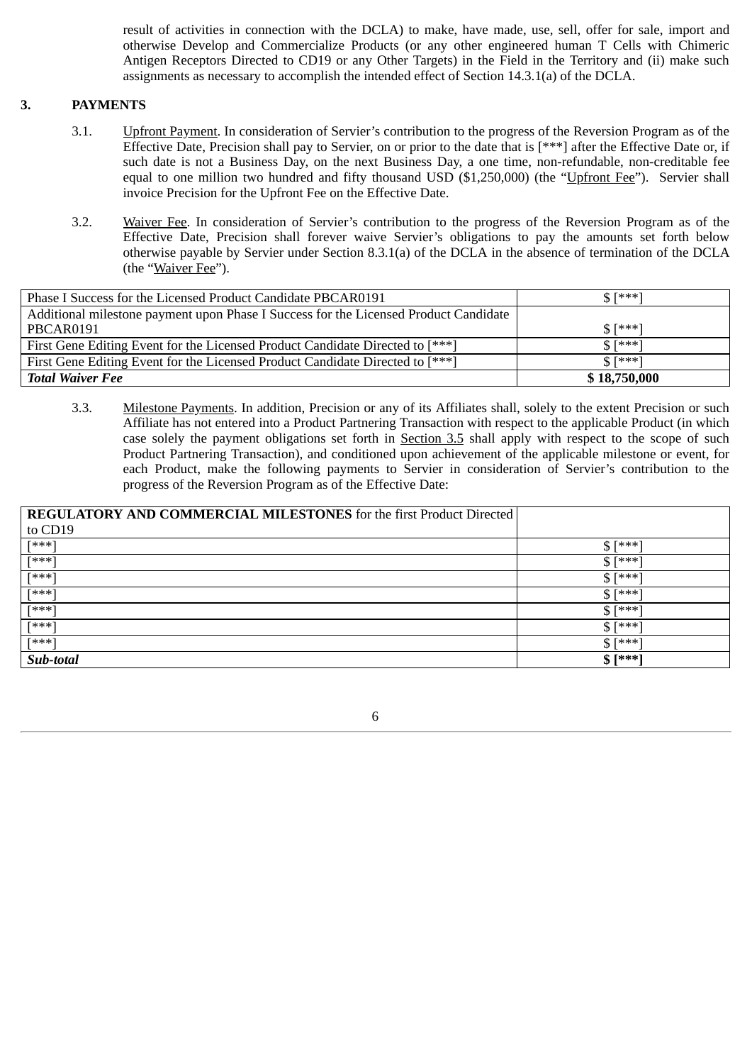result of activities in connection with the DCLA) to make, have made, use, sell, offer for sale, import and otherwise Develop and Commercialize Products (or any other engineered human T Cells with Chimeric Antigen Receptors Directed to CD19 or any Other Targets) in the Field in the Territory and (ii) make such assignments as necessary to accomplish the intended effect of Section 14.3.1(a) of the DCLA.

## **3. PAYMENTS**

- 3.1. Upfront Payment. In consideration of Servier's contribution to the progress of the Reversion Program as of the Effective Date, Precision shall pay to Servier, on or prior to the date that is [\*\*\*] after the Effective Date or, if such date is not a Business Day, on the next Business Day, a one time, non-refundable, non-creditable fee equal to one million two hundred and fifty thousand USD (\$1,250,000) (the "Upfront Fee"). Servier shall invoice Precision for the Upfront Fee on the Effective Date.
- 3.2. Waiver Fee. In consideration of Servier's contribution to the progress of the Reversion Program as of the Effective Date, Precision shall forever waive Servier's obligations to pay the amounts set forth below otherwise payable by Servier under Section 8.3.1(a) of the DCLA in the absence of termination of the DCLA (the "Waiver Fee").

| Phase I Success for the Licensed Product Candidate PBCAR0191                         | $S$ [***]          |
|--------------------------------------------------------------------------------------|--------------------|
| Additional milestone payment upon Phase I Success for the Licensed Product Candidate |                    |
| PBCAR0191                                                                            | $S$ [***]          |
| First Gene Editing Event for the Licensed Product Candidate Directed to [***]        | $S$ [***]          |
| First Gene Editing Event for the Licensed Product Candidate Directed to [***]        | $\int \frac{1}{2}$ |
| <b>Total Waiver Fee</b>                                                              | \$18,750,000       |

3.3. Milestone Payments. In addition, Precision or any of its Affiliates shall, solely to the extent Precision or such Affiliate has not entered into a Product Partnering Transaction with respect to the applicable Product (in which case solely the payment obligations set forth in Section 3.5 shall apply with respect to the scope of such Product Partnering Transaction), and conditioned upon achievement of the applicable milestone or event, for each Product, make the following payments to Servier in consideration of Servier's contribution to the progress of the Reversion Program as of the Effective Date:

| <b>REGULATORY AND COMMERCIAL MILESTONES</b> for the first Product Directed |             |
|----------------------------------------------------------------------------|-------------|
| to CD19                                                                    |             |
| [***]                                                                      | $$$ [***]   |
| [***]                                                                      | $S$ [***]   |
| <b>[***</b>                                                                | $S$ [***]   |
| [***]                                                                      | $S$ [***]   |
| [***]                                                                      | $S$ [***]   |
| [***]                                                                      | $$[^{***}]$ |
| [***]                                                                      | \$<br>[***` |
| Sub-total                                                                  | $C$ [***]   |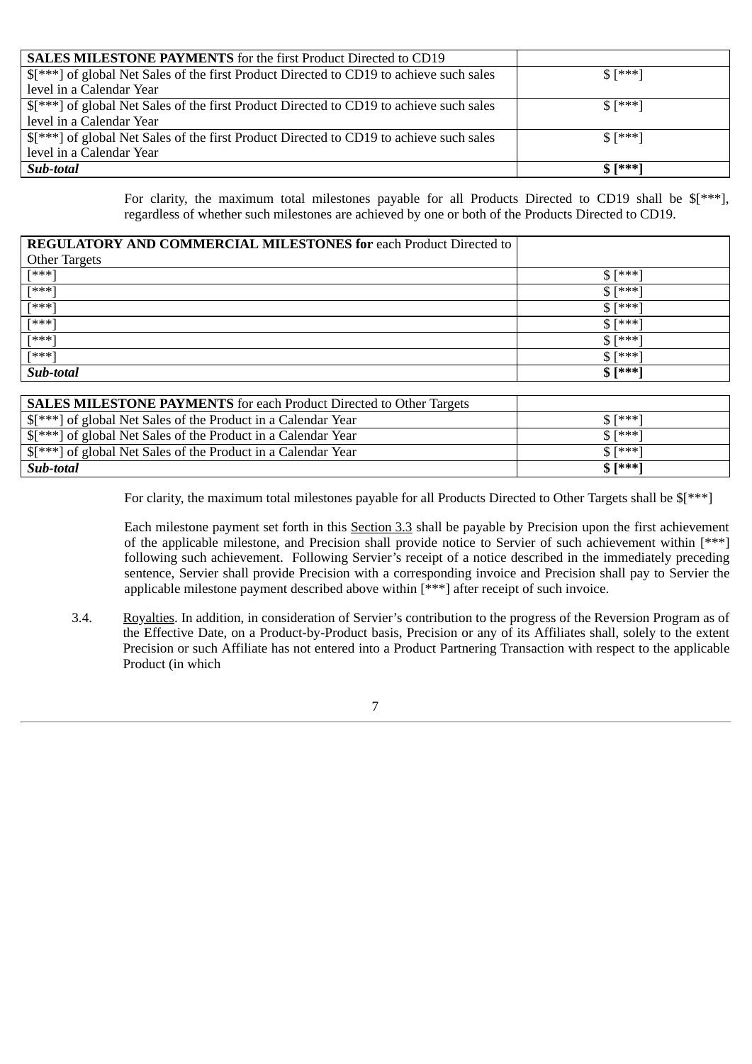| <b>SALES MILESTONE PAYMENTS</b> for the first Product Directed to CD19                  |              |
|-----------------------------------------------------------------------------------------|--------------|
| \$[***] of global Net Sales of the first Product Directed to CD19 to achieve such sales | $S$ [***]    |
| level in a Calendar Year                                                                |              |
| \$[***] of global Net Sales of the first Product Directed to CD19 to achieve such sales | $S$ [***]    |
| level in a Calendar Year                                                                |              |
| \$[***] of global Net Sales of the first Product Directed to CD19 to achieve such sales | $S$ [***]    |
| level in a Calendar Year                                                                |              |
| Sub-total                                                                               | $\int$ [***) |

For clarity, the maximum total milestones payable for all Products Directed to CD19 shall be  $\{$ [\*\*\*], regardless of whether such milestones are achieved by one or both of the Products Directed to CD19.

| <b>REGULATORY AND COMMERCIAL MILESTONES for each Product Directed to</b>   |           |
|----------------------------------------------------------------------------|-----------|
| <b>Other Targets</b>                                                       |           |
| [***]                                                                      | $S$ [***] |
| [***]                                                                      | $S$ [***] |
| [***]                                                                      | $S$ [***] |
| [***`                                                                      | $S$ [***] |
| [***]                                                                      | $S$ [***] |
| [***]                                                                      | $S$ [***] |
| Sub-total                                                                  | $S[***]$  |
|                                                                            |           |
| <b>SALES MILESTONE PAYMENTS</b> for each Product Directed to Other Targets |           |

| Sub-total                                                           | $$ [***]$ |
|---------------------------------------------------------------------|-----------|
| \$[***] of global Net Sales of the Product in a Calendar Year       | $S$ [***] |
| \$[***] of global Net Sales of the Product in a Calendar Year       | $S$ [***] |
| \$[***] of global Net Sales of the Product in a Calendar Year       | $S[***]$  |
| SALES MILESTONE PAYMENTS for each product Directed to Other Targets |           |

For clarity, the maximum total milestones payable for all Products Directed to Other Targets shall be  $[$  \*\*\* ]

Each milestone payment set forth in this Section 3.3 shall be payable by Precision upon the first achievement of the applicable milestone, and Precision shall provide notice to Servier of such achievement within [\*\*\*] following such achievement. Following Servier's receipt of a notice described in the immediately preceding sentence, Servier shall provide Precision with a corresponding invoice and Precision shall pay to Servier the applicable milestone payment described above within [\*\*\*] after receipt of such invoice.

3.4. Royalties. In addition, in consideration of Servier's contribution to the progress of the Reversion Program as of the Effective Date, on a Product-by-Product basis, Precision or any of its Affiliates shall, solely to the extent Precision or such Affiliate has not entered into a Product Partnering Transaction with respect to the applicable Product (in which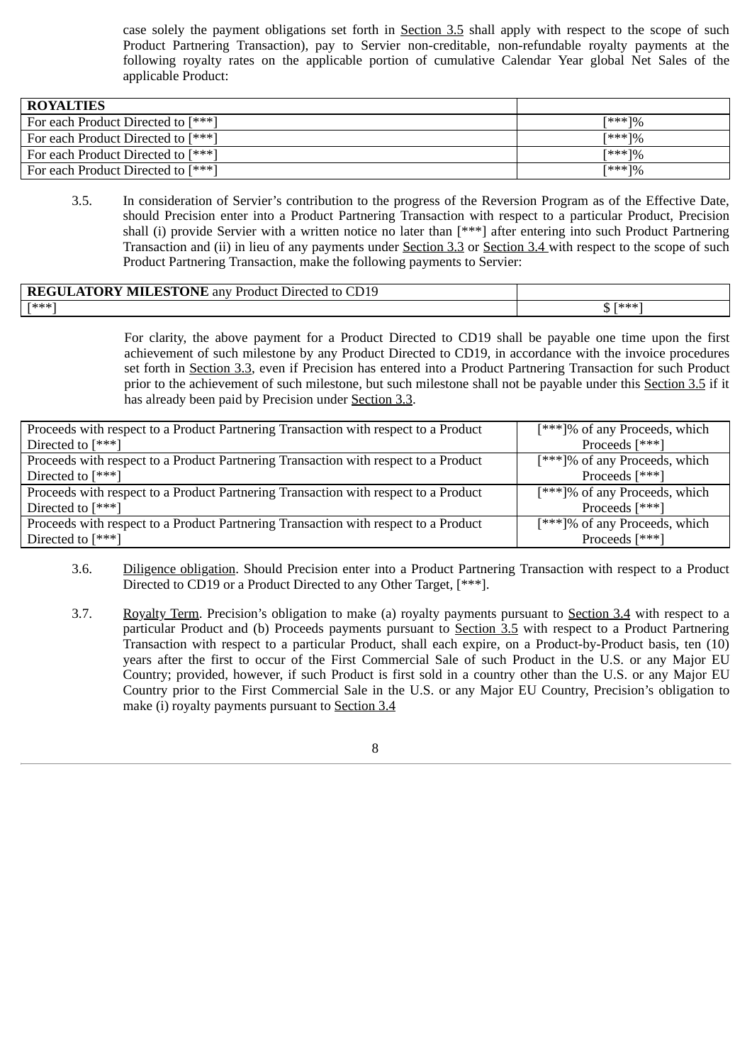case solely the payment obligations set forth in Section 3.5 shall apply with respect to the scope of such Product Partnering Transaction), pay to Servier non-creditable, non-refundable royalty payments at the following royalty rates on the applicable portion of cumulative Calendar Year global Net Sales of the applicable Product:

| <b>ROYALTIES</b>                   |        |
|------------------------------------|--------|
| For each Product Directed to [***] | [***]% |
| For each Product Directed to [***] | [***]% |
| For each Product Directed to [***] | [***]% |
| For each Product Directed to [***] | [***]% |

3.5. In consideration of Servier's contribution to the progress of the Reversion Program as of the Effective Date, should Precision enter into a Product Partnering Transaction with respect to a particular Product, Precision shall (i) provide Servier with a written notice no later than [\*\*\*] after entering into such Product Partnering Transaction and (ii) in lieu of any payments under Section 3.3 or Section 3.4 with respect to the scope of such Product Partnering Transaction, make the following payments to Servier:

| <b>ORY MILL</b><br><b>ESTONE</b><br>to CD19<br>anv<br>I .A'<br>Product<br>Directed<br>- 1 |      |
|-------------------------------------------------------------------------------------------|------|
| <b>「***</b>                                                                               | ⊺*** |

For clarity, the above payment for a Product Directed to CD19 shall be payable one time upon the first achievement of such milestone by any Product Directed to CD19, in accordance with the invoice procedures set forth in Section 3.3, even if Precision has entered into a Product Partnering Transaction for such Product prior to the achievement of such milestone, but such milestone shall not be payable under this Section 3.5 if it has already been paid by Precision under Section 3.3.

| Proceeds with respect to a Product Partnering Transaction with respect to a Product | [***]% of any Proceeds, which |
|-------------------------------------------------------------------------------------|-------------------------------|
| Directed to [***]                                                                   | Proceeds [***]                |
| Proceeds with respect to a Product Partnering Transaction with respect to a Product | [***]% of any Proceeds, which |
| Directed to [***]                                                                   | Proceeds [***]                |
| Proceeds with respect to a Product Partnering Transaction with respect to a Product | [***]% of any Proceeds, which |
| Directed to [***]                                                                   | Proceeds [***]                |
| Proceeds with respect to a Product Partnering Transaction with respect to a Product | [***]% of any Proceeds, which |
| Directed to [***]                                                                   | Proceeds [***]                |

- 3.6. Diligence obligation. Should Precision enter into a Product Partnering Transaction with respect to a Product Directed to CD19 or a Product Directed to any Other Target, [\*\*\*].
- 3.7. Royalty Term. Precision's obligation to make (a) royalty payments pursuant to Section 3.4 with respect to a particular Product and (b) Proceeds payments pursuant to Section 3.5 with respect to a Product Partnering Transaction with respect to a particular Product, shall each expire, on a Product-by-Product basis, ten (10) years after the first to occur of the First Commercial Sale of such Product in the U.S. or any Major EU Country; provided, however, if such Product is first sold in a country other than the U.S. or any Major EU Country prior to the First Commercial Sale in the U.S. or any Major EU Country, Precision's obligation to make (i) royalty payments pursuant to Section 3.4

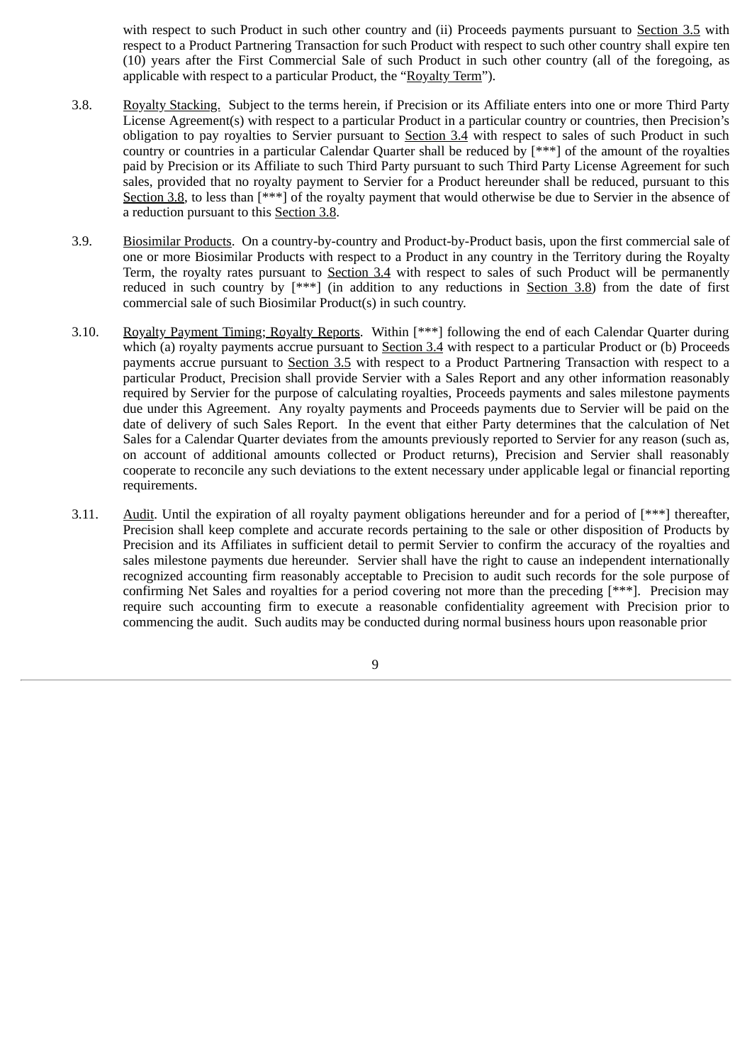with respect to such Product in such other country and (ii) Proceeds payments pursuant to Section 3.5 with respect to a Product Partnering Transaction for such Product with respect to such other country shall expire ten (10) years after the First Commercial Sale of such Product in such other country (all of the foregoing, as applicable with respect to a particular Product, the "Royalty Term").

- 3.8. Royalty Stacking. Subject to the terms herein, if Precision or its Affiliate enters into one or more Third Party License Agreement(s) with respect to a particular Product in a particular country or countries, then Precision's obligation to pay royalties to Servier pursuant to Section 3.4 with respect to sales of such Product in such country or countries in a particular Calendar Quarter shall be reduced by [\*\*\*] of the amount of the royalties paid by Precision or its Affiliate to such Third Party pursuant to such Third Party License Agreement for such sales, provided that no royalty payment to Servier for a Product hereunder shall be reduced, pursuant to this Section 3.8, to less than  $[***]$  of the royalty payment that would otherwise be due to Servier in the absence of a reduction pursuant to this Section 3.8.
- 3.9. Biosimilar Products. On a country-by-country and Product-by-Product basis, upon the first commercial sale of one or more Biosimilar Products with respect to a Product in any country in the Territory during the Royalty Term, the royalty rates pursuant to Section 3.4 with respect to sales of such Product will be permanently reduced in such country by [\*\*\*] (in addition to any reductions in Section 3.8) from the date of first commercial sale of such Biosimilar Product(s) in such country.
- 3.10. Royalty Payment Timing; Royalty Reports. Within [\*\*\*] following the end of each Calendar Quarter during which (a) royalty payments accrue pursuant to Section 3.4 with respect to a particular Product or (b) Proceeds payments accrue pursuant to **Section 3.5** with respect to a Product Partnering Transaction with respect to a particular Product, Precision shall provide Servier with a Sales Report and any other information reasonably required by Servier for the purpose of calculating royalties, Proceeds payments and sales milestone payments due under this Agreement. Any royalty payments and Proceeds payments due to Servier will be paid on the date of delivery of such Sales Report. In the event that either Party determines that the calculation of Net Sales for a Calendar Quarter deviates from the amounts previously reported to Servier for any reason (such as, on account of additional amounts collected or Product returns), Precision and Servier shall reasonably cooperate to reconcile any such deviations to the extent necessary under applicable legal or financial reporting requirements.
- 3.11. Audit. Until the expiration of all royalty payment obligations hereunder and for a period of  $[***]$  thereafter, Precision shall keep complete and accurate records pertaining to the sale or other disposition of Products by Precision and its Affiliates in sufficient detail to permit Servier to confirm the accuracy of the royalties and sales milestone payments due hereunder. Servier shall have the right to cause an independent internationally recognized accounting firm reasonably acceptable to Precision to audit such records for the sole purpose of confirming Net Sales and royalties for a period covering not more than the preceding [\*\*\*]. Precision may require such accounting firm to execute a reasonable confidentiality agreement with Precision prior to commencing the audit. Such audits may be conducted during normal business hours upon reasonable prior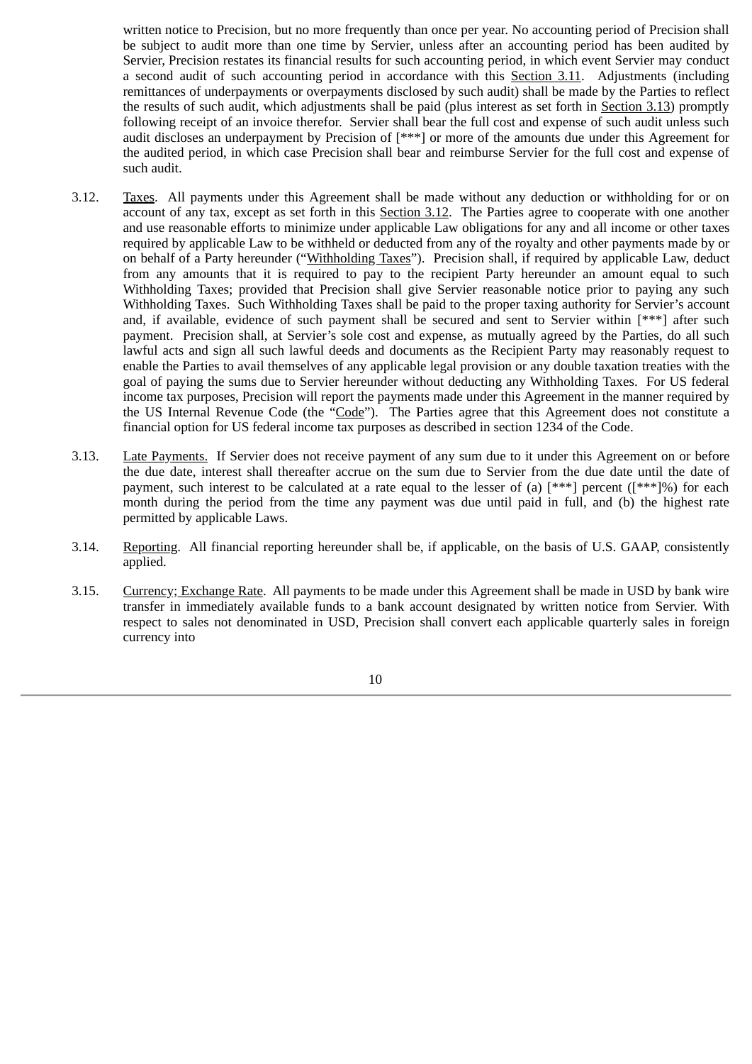written notice to Precision, but no more frequently than once per year. No accounting period of Precision shall be subject to audit more than one time by Servier, unless after an accounting period has been audited by Servier, Precision restates its financial results for such accounting period, in which event Servier may conduct a second audit of such accounting period in accordance with this Section 3.11. Adjustments (including remittances of underpayments or overpayments disclosed by such audit) shall be made by the Parties to reflect the results of such audit, which adjustments shall be paid (plus interest as set forth in Section 3.13) promptly following receipt of an invoice therefor. Servier shall bear the full cost and expense of such audit unless such audit discloses an underpayment by Precision of [\*\*\*] or more of the amounts due under this Agreement for the audited period, in which case Precision shall bear and reimburse Servier for the full cost and expense of such audit.

- 3.12. Taxes. All payments under this Agreement shall be made without any deduction or withholding for or on account of any tax, except as set forth in this Section 3.12. The Parties agree to cooperate with one another and use reasonable efforts to minimize under applicable Law obligations for any and all income or other taxes required by applicable Law to be withheld or deducted from any of the royalty and other payments made by or on behalf of a Party hereunder ("Withholding Taxes"). Precision shall, if required by applicable Law, deduct from any amounts that it is required to pay to the recipient Party hereunder an amount equal to such Withholding Taxes; provided that Precision shall give Servier reasonable notice prior to paying any such Withholding Taxes. Such Withholding Taxes shall be paid to the proper taxing authority for Servier's account and, if available, evidence of such payment shall be secured and sent to Servier within [\*\*\*] after such payment. Precision shall, at Servier's sole cost and expense, as mutually agreed by the Parties, do all such lawful acts and sign all such lawful deeds and documents as the Recipient Party may reasonably request to enable the Parties to avail themselves of any applicable legal provision or any double taxation treaties with the goal of paying the sums due to Servier hereunder without deducting any Withholding Taxes. For US federal income tax purposes, Precision will report the payments made under this Agreement in the manner required by the US Internal Revenue Code (the "Code"). The Parties agree that this Agreement does not constitute a financial option for US federal income tax purposes as described in section 1234 of the Code.
- 3.13. Late Payments. If Servier does not receive payment of any sum due to it under this Agreement on or before the due date, interest shall thereafter accrue on the sum due to Servier from the due date until the date of payment, such interest to be calculated at a rate equal to the lesser of (a)  $[***]$  percent  $([***]%)$  for each month during the period from the time any payment was due until paid in full, and (b) the highest rate permitted by applicable Laws.
- 3.14. Reporting. All financial reporting hereunder shall be, if applicable, on the basis of U.S. GAAP, consistently applied.
- 3.15. Currency; Exchange Rate. All payments to be made under this Agreement shall be made in USD by bank wire transfer in immediately available funds to a bank account designated by written notice from Servier. With respect to sales not denominated in USD, Precision shall convert each applicable quarterly sales in foreign currency into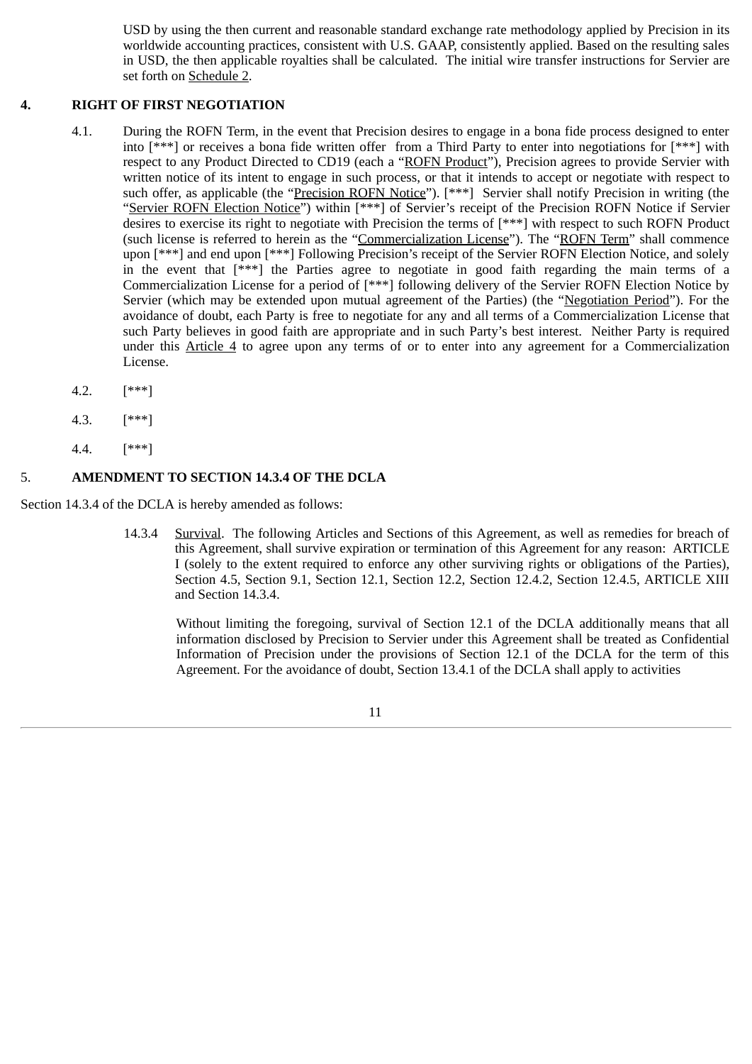USD by using the then current and reasonable standard exchange rate methodology applied by Precision in its worldwide accounting practices, consistent with U.S. GAAP, consistently applied. Based on the resulting sales in USD, the then applicable royalties shall be calculated. The initial wire transfer instructions for Servier are set forth on Schedule 2.

## **4. RIGHT OF FIRST NEGOTIATION**

- 4.1. During the ROFN Term, in the event that Precision desires to engage in a bona fide process designed to enter into [\*\*\*] or receives a bona fide written offer from a Third Party to enter into negotiations for [\*\*\*] with respect to any Product Directed to CD19 (each a "ROFN Product"), Precision agrees to provide Servier with written notice of its intent to engage in such process, or that it intends to accept or negotiate with respect to such offer, as applicable (the "Precision ROFN Notice"). [\*\*\*] Servier shall notify Precision in writing (the "Servier ROFN Election Notice") within [\*\*\*] of Servier's receipt of the Precision ROFN Notice if Servier desires to exercise its right to negotiate with Precision the terms of [\*\*\*] with respect to such ROFN Product (such license is referred to herein as the "Commercialization License"). The "ROFN Term" shall commence upon [\*\*\*] and end upon [\*\*\*] Following Precision's receipt of the Servier ROFN Election Notice, and solely in the event that [\*\*\*] the Parties agree to negotiate in good faith regarding the main terms of a Commercialization License for a period of [\*\*\*] following delivery of the Servier ROFN Election Notice by Servier (which may be extended upon mutual agreement of the Parties) (the "Negotiation Period"). For the avoidance of doubt, each Party is free to negotiate for any and all terms of a Commercialization License that such Party believes in good faith are appropriate and in such Party's best interest. Neither Party is required under this Article 4 to agree upon any terms of or to enter into any agreement for a Commercialization License.
- 4.2. [\*\*\*]
- 4.3. [\*\*\*]
- 4.4. [\*\*\*]

## 5. **AMENDMENT TO SECTION 14.3.4 OF THE DCLA**

Section 14.3.4 of the DCLA is hereby amended as follows:

14.3.4 Survival. The following Articles and Sections of this Agreement, as well as remedies for breach of this Agreement, shall survive expiration or termination of this Agreement for any reason: ARTICLE I (solely to the extent required to enforce any other surviving rights or obligations of the Parties), Section 4.5, Section 9.1, Section 12.1, Section 12.2, Section 12.4.2, Section 12.4.5, ARTICLE XIII and Section 14.3.4.

Without limiting the foregoing, survival of Section 12.1 of the DCLA additionally means that all information disclosed by Precision to Servier under this Agreement shall be treated as Confidential Information of Precision under the provisions of Section 12.1 of the DCLA for the term of this Agreement. For the avoidance of doubt, Section 13.4.1 of the DCLA shall apply to activities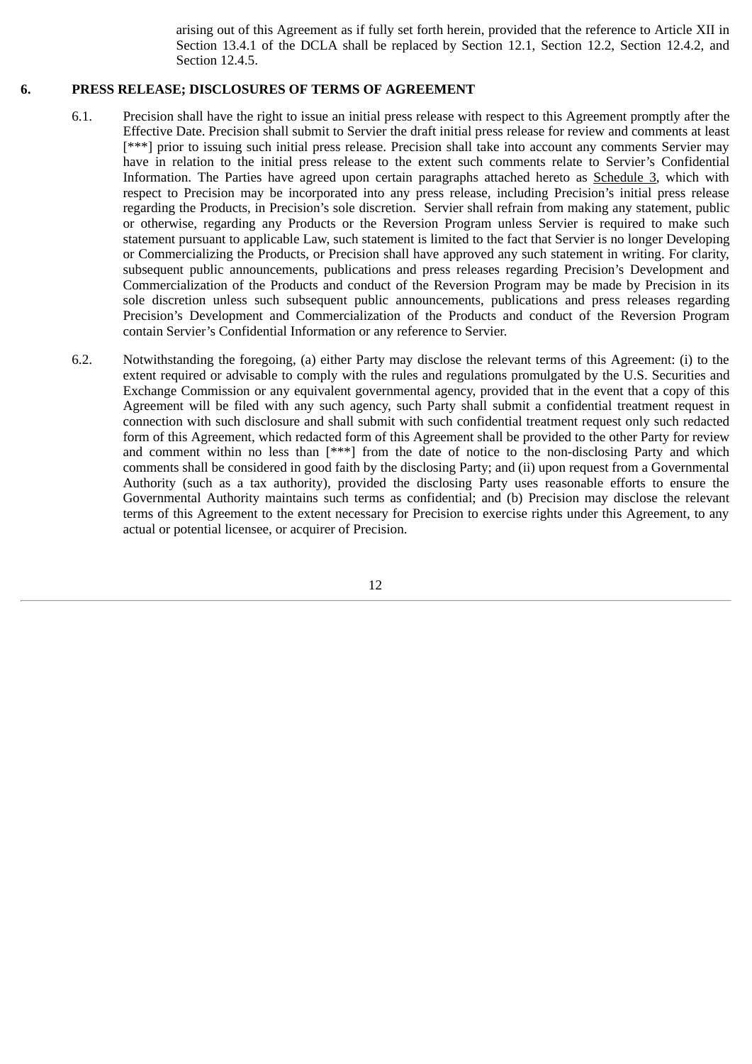arising out of this Agreement as if fully set forth herein, provided that the reference to Article XII in Section 13.4.1 of the DCLA shall be replaced by Section 12.1, Section 12.2, Section 12.4.2, and Section 12.4.5.

## **6. PRESS RELEASE; DISCLOSURES OF TERMS OF AGREEMENT**

- 6.1. Precision shall have the right to issue an initial press release with respect to this Agreement promptly after the Effective Date. Precision shall submit to Servier the draft initial press release for review and comments at least [\*\*\*] prior to issuing such initial press release. Precision shall take into account any comments Servier may have in relation to the initial press release to the extent such comments relate to Servier's Confidential Information. The Parties have agreed upon certain paragraphs attached hereto as Schedule 3, which with respect to Precision may be incorporated into any press release, including Precision's initial press release regarding the Products, in Precision's sole discretion. Servier shall refrain from making any statement, public or otherwise, regarding any Products or the Reversion Program unless Servier is required to make such statement pursuant to applicable Law, such statement is limited to the fact that Servier is no longer Developing or Commercializing the Products, or Precision shall have approved any such statement in writing. For clarity, subsequent public announcements, publications and press releases regarding Precision's Development and Commercialization of the Products and conduct of the Reversion Program may be made by Precision in its sole discretion unless such subsequent public announcements, publications and press releases regarding Precision's Development and Commercialization of the Products and conduct of the Reversion Program contain Servier's Confidential Information or any reference to Servier.
- 6.2. Notwithstanding the foregoing, (a) either Party may disclose the relevant terms of this Agreement: (i) to the extent required or advisable to comply with the rules and regulations promulgated by the U.S. Securities and Exchange Commission or any equivalent governmental agency, provided that in the event that a copy of this Agreement will be filed with any such agency, such Party shall submit a confidential treatment request in connection with such disclosure and shall submit with such confidential treatment request only such redacted form of this Agreement, which redacted form of this Agreement shall be provided to the other Party for review and comment within no less than [\*\*\*] from the date of notice to the non-disclosing Party and which comments shall be considered in good faith by the disclosing Party; and (ii) upon request from a Governmental Authority (such as a tax authority), provided the disclosing Party uses reasonable efforts to ensure the Governmental Authority maintains such terms as confidential; and (b) Precision may disclose the relevant terms of this Agreement to the extent necessary for Precision to exercise rights under this Agreement, to any actual or potential licensee, or acquirer of Precision.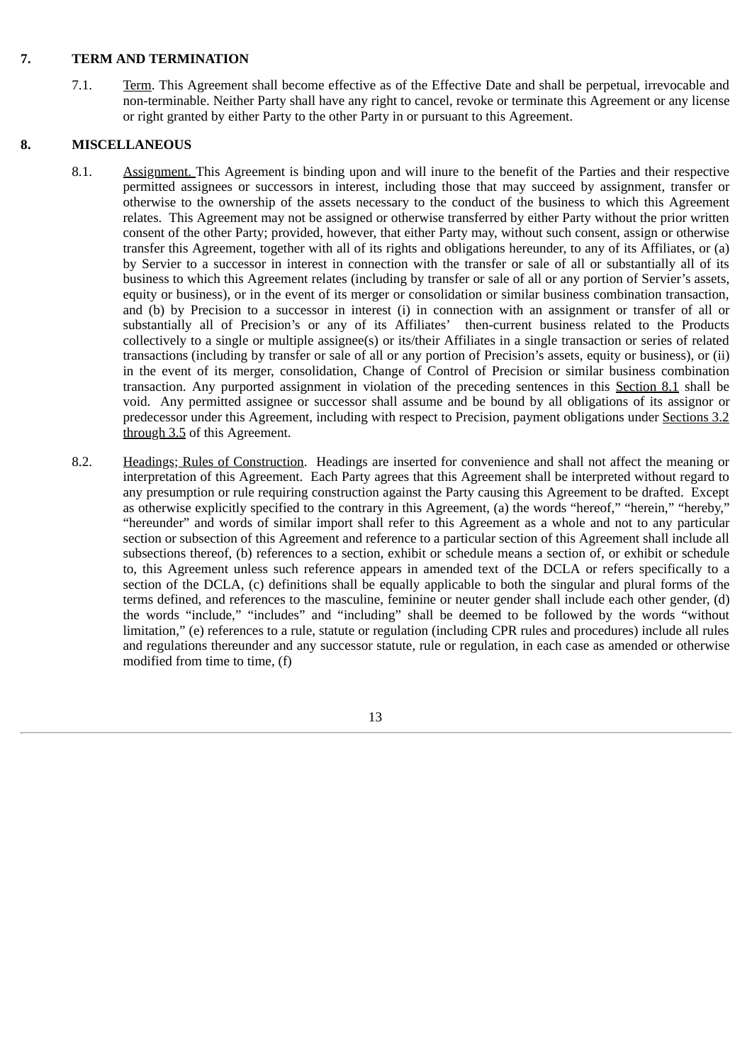## **7. TERM AND TERMINATION**

7.1. Term. This Agreement shall become effective as of the Effective Date and shall be perpetual, irrevocable and non-terminable. Neither Party shall have any right to cancel, revoke or terminate this Agreement or any license or right granted by either Party to the other Party in or pursuant to this Agreement.

## **8. MISCELLANEOUS**

- 8.1. Assignment. This Agreement is binding upon and will inure to the benefit of the Parties and their respective permitted assignees or successors in interest, including those that may succeed by assignment, transfer or otherwise to the ownership of the assets necessary to the conduct of the business to which this Agreement relates. This Agreement may not be assigned or otherwise transferred by either Party without the prior written consent of the other Party; provided, however, that either Party may, without such consent, assign or otherwise transfer this Agreement, together with all of its rights and obligations hereunder, to any of its Affiliates, or (a) by Servier to a successor in interest in connection with the transfer or sale of all or substantially all of its business to which this Agreement relates (including by transfer or sale of all or any portion of Servier's assets, equity or business), or in the event of its merger or consolidation or similar business combination transaction, and (b) by Precision to a successor in interest (i) in connection with an assignment or transfer of all or substantially all of Precision's or any of its Affiliates' then-current business related to the Products collectively to a single or multiple assignee(s) or its/their Affiliates in a single transaction or series of related transactions (including by transfer or sale of all or any portion of Precision's assets, equity or business), or (ii) in the event of its merger, consolidation, Change of Control of Precision or similar business combination transaction. Any purported assignment in violation of the preceding sentences in this Section 8.1 shall be void. Any permitted assignee or successor shall assume and be bound by all obligations of its assignor or predecessor under this Agreement, including with respect to Precision, payment obligations under Sections 3.2 through 3.5 of this Agreement.
- 8.2. Headings; Rules of Construction. Headings are inserted for convenience and shall not affect the meaning or interpretation of this Agreement. Each Party agrees that this Agreement shall be interpreted without regard to any presumption or rule requiring construction against the Party causing this Agreement to be drafted. Except as otherwise explicitly specified to the contrary in this Agreement, (a) the words "hereof," "herein," "hereby," "hereunder" and words of similar import shall refer to this Agreement as a whole and not to any particular section or subsection of this Agreement and reference to a particular section of this Agreement shall include all subsections thereof, (b) references to a section, exhibit or schedule means a section of, or exhibit or schedule to, this Agreement unless such reference appears in amended text of the DCLA or refers specifically to a section of the DCLA, (c) definitions shall be equally applicable to both the singular and plural forms of the terms defined, and references to the masculine, feminine or neuter gender shall include each other gender, (d) the words "include," "includes" and "including" shall be deemed to be followed by the words "without limitation," (e) references to a rule, statute or regulation (including CPR rules and procedures) include all rules and regulations thereunder and any successor statute, rule or regulation, in each case as amended or otherwise modified from time to time, (f)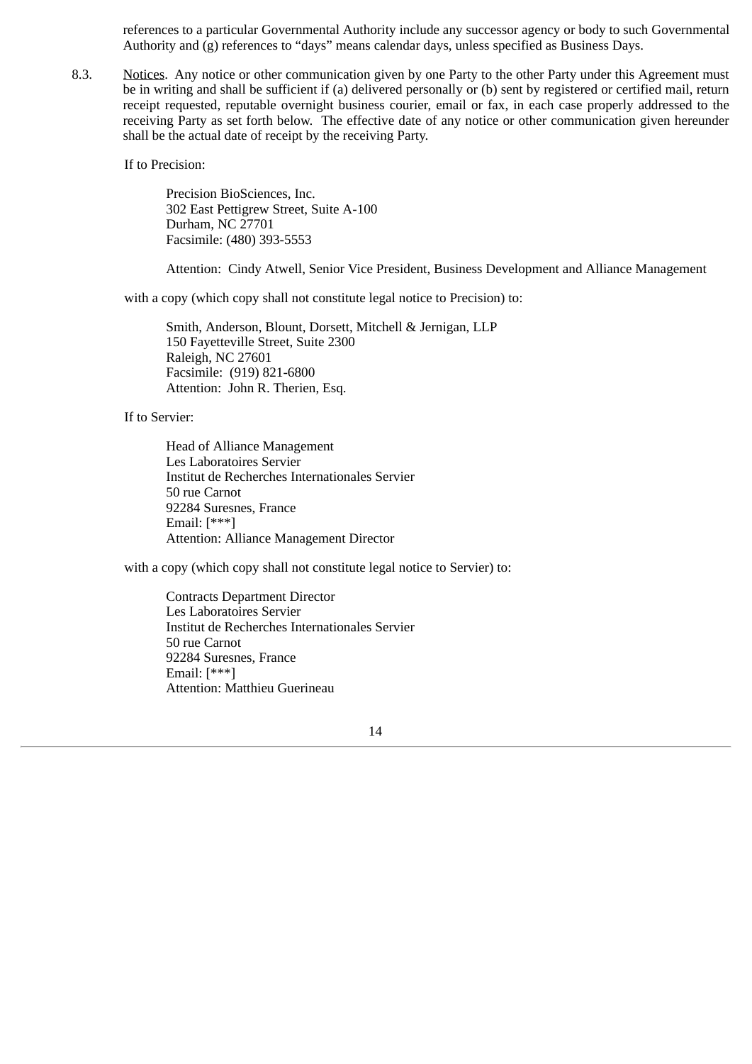references to a particular Governmental Authority include any successor agency or body to such Governmental Authority and (g) references to "days" means calendar days, unless specified as Business Days.

8.3. Notices. Any notice or other communication given by one Party to the other Party under this Agreement must be in writing and shall be sufficient if (a) delivered personally or (b) sent by registered or certified mail, return receipt requested, reputable overnight business courier, email or fax, in each case properly addressed to the receiving Party as set forth below. The effective date of any notice or other communication given hereunder shall be the actual date of receipt by the receiving Party.

If to Precision:

Precision BioSciences, Inc. 302 East Pettigrew Street, Suite A-100 Durham, NC 27701 Facsimile: (480) 393-5553

Attention: Cindy Atwell, Senior Vice President, Business Development and Alliance Management

with a copy (which copy shall not constitute legal notice to Precision) to:

Smith, Anderson, Blount, Dorsett, Mitchell & Jernigan, LLP 150 Fayetteville Street, Suite 2300 Raleigh, NC 27601 Facsimile: (919) 821-6800 Attention: John R. Therien, Esq.

If to Servier:

Head of Alliance Management Les Laboratoires Servier Institut de Recherches Internationales Servier 50 rue Carnot 92284 Suresnes, France Email: [\*\*\*] Attention: Alliance Management Director

with a copy (which copy shall not constitute legal notice to Servier) to:

Contracts Department Director Les Laboratoires Servier Institut de Recherches Internationales Servier 50 rue Carnot 92284 Suresnes, France Email: [\*\*\*] Attention: Matthieu Guerineau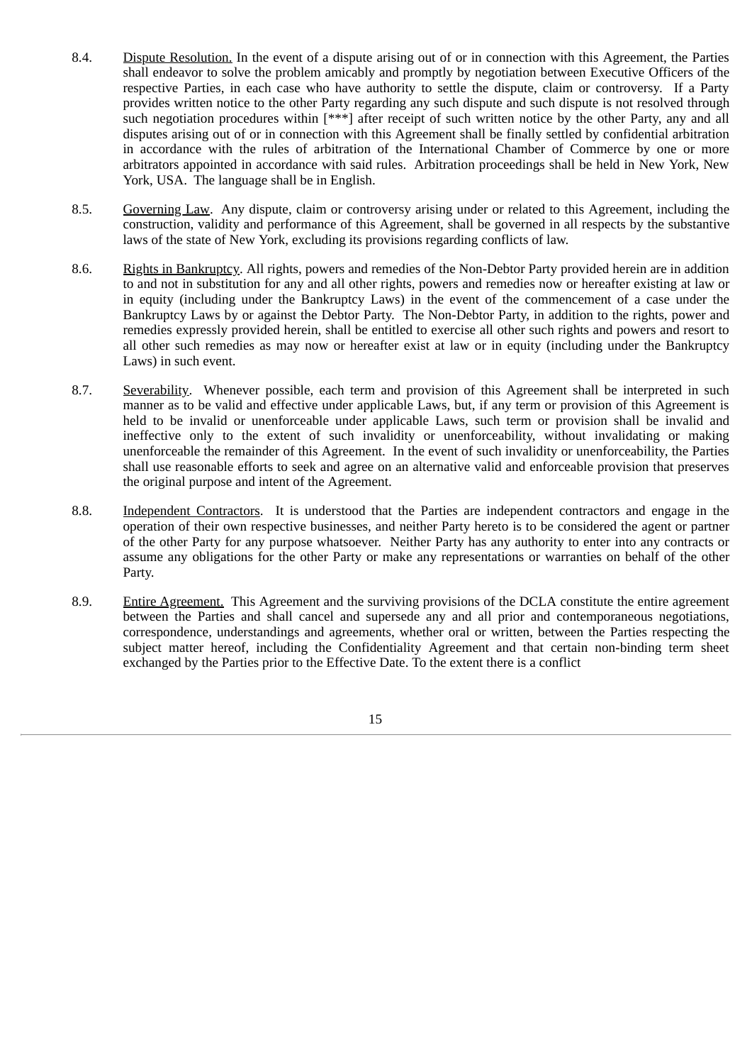- 8.4. Dispute Resolution. In the event of a dispute arising out of or in connection with this Agreement, the Parties shall endeavor to solve the problem amicably and promptly by negotiation between Executive Officers of the respective Parties, in each case who have authority to settle the dispute, claim or controversy. If a Party provides written notice to the other Party regarding any such dispute and such dispute is not resolved through such negotiation procedures within [\*\*\*] after receipt of such written notice by the other Party, any and all disputes arising out of or in connection with this Agreement shall be finally settled by confidential arbitration in accordance with the rules of arbitration of the International Chamber of Commerce by one or more arbitrators appointed in accordance with said rules. Arbitration proceedings shall be held in New York, New York, USA. The language shall be in English.
- 8.5. Governing Law. Any dispute, claim or controversy arising under or related to this Agreement, including the construction, validity and performance of this Agreement, shall be governed in all respects by the substantive laws of the state of New York, excluding its provisions regarding conflicts of law.
- 8.6. Rights in Bankruptcy. All rights, powers and remedies of the Non-Debtor Party provided herein are in addition to and not in substitution for any and all other rights, powers and remedies now or hereafter existing at law or in equity (including under the Bankruptcy Laws) in the event of the commencement of a case under the Bankruptcy Laws by or against the Debtor Party. The Non-Debtor Party, in addition to the rights, power and remedies expressly provided herein, shall be entitled to exercise all other such rights and powers and resort to all other such remedies as may now or hereafter exist at law or in equity (including under the Bankruptcy Laws) in such event.
- 8.7. Severability. Whenever possible, each term and provision of this Agreement shall be interpreted in such manner as to be valid and effective under applicable Laws, but, if any term or provision of this Agreement is held to be invalid or unenforceable under applicable Laws, such term or provision shall be invalid and ineffective only to the extent of such invalidity or unenforceability, without invalidating or making unenforceable the remainder of this Agreement. In the event of such invalidity or unenforceability, the Parties shall use reasonable efforts to seek and agree on an alternative valid and enforceable provision that preserves the original purpose and intent of the Agreement.
- 8.8. Independent Contractors. It is understood that the Parties are independent contractors and engage in the operation of their own respective businesses, and neither Party hereto is to be considered the agent or partner of the other Party for any purpose whatsoever. Neither Party has any authority to enter into any contracts or assume any obligations for the other Party or make any representations or warranties on behalf of the other Party.
- 8.9. Entire Agreement. This Agreement and the surviving provisions of the DCLA constitute the entire agreement between the Parties and shall cancel and supersede any and all prior and contemporaneous negotiations, correspondence, understandings and agreements, whether oral or written, between the Parties respecting the subject matter hereof, including the Confidentiality Agreement and that certain non-binding term sheet exchanged by the Parties prior to the Effective Date. To the extent there is a conflict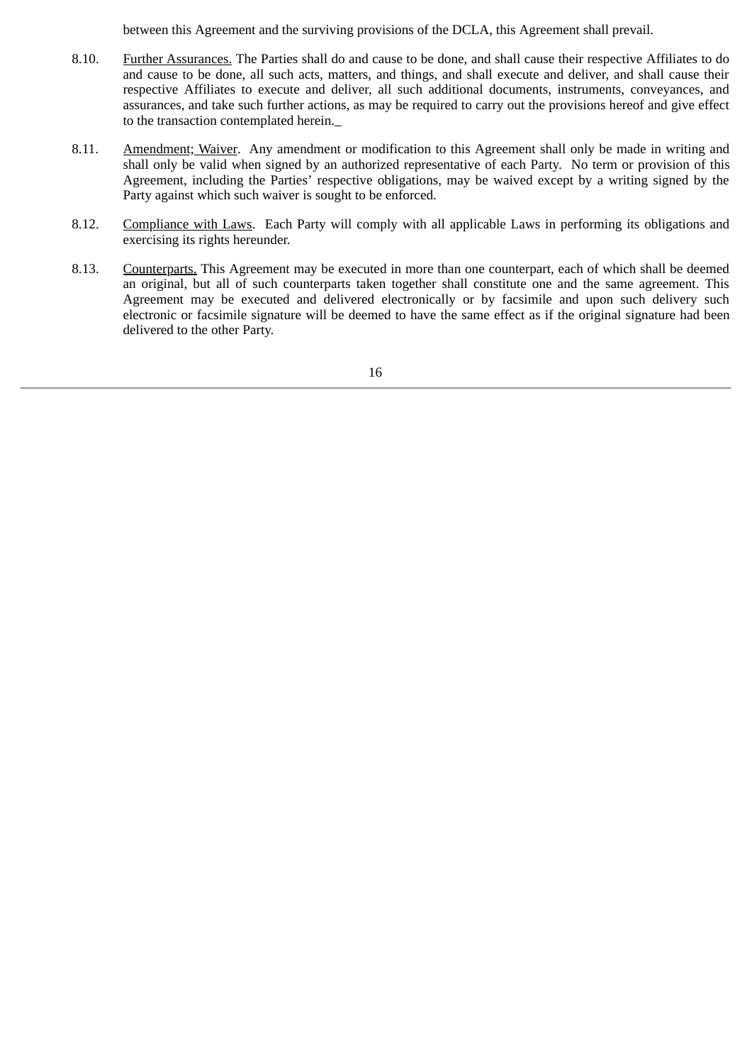between this Agreement and the surviving provisions of the DCLA, this Agreement shall prevail.

- 8.10. Further Assurances. The Parties shall do and cause to be done, and shall cause their respective Affiliates to do and cause to be done, all such acts, matters, and things, and shall execute and deliver, and shall cause their respective Affiliates to execute and deliver, all such additional documents, instruments, conveyances, and assurances, and take such further actions, as may be required to carry out the provisions hereof and give effect to the transaction contemplated herein.
- 8.11. Amendment; Waiver. Any amendment or modification to this Agreement shall only be made in writing and shall only be valid when signed by an authorized representative of each Party. No term or provision of this Agreement, including the Parties' respective obligations, may be waived except by a writing signed by the Party against which such waiver is sought to be enforced.
- 8.12. Compliance with Laws. Each Party will comply with all applicable Laws in performing its obligations and exercising its rights hereunder.
- 8.13. Counterparts. This Agreement may be executed in more than one counterpart, each of which shall be deemed an original, but all of such counterparts taken together shall constitute one and the same agreement. This Agreement may be executed and delivered electronically or by facsimile and upon such delivery such electronic or facsimile signature will be deemed to have the same effect as if the original signature had been delivered to the other Party.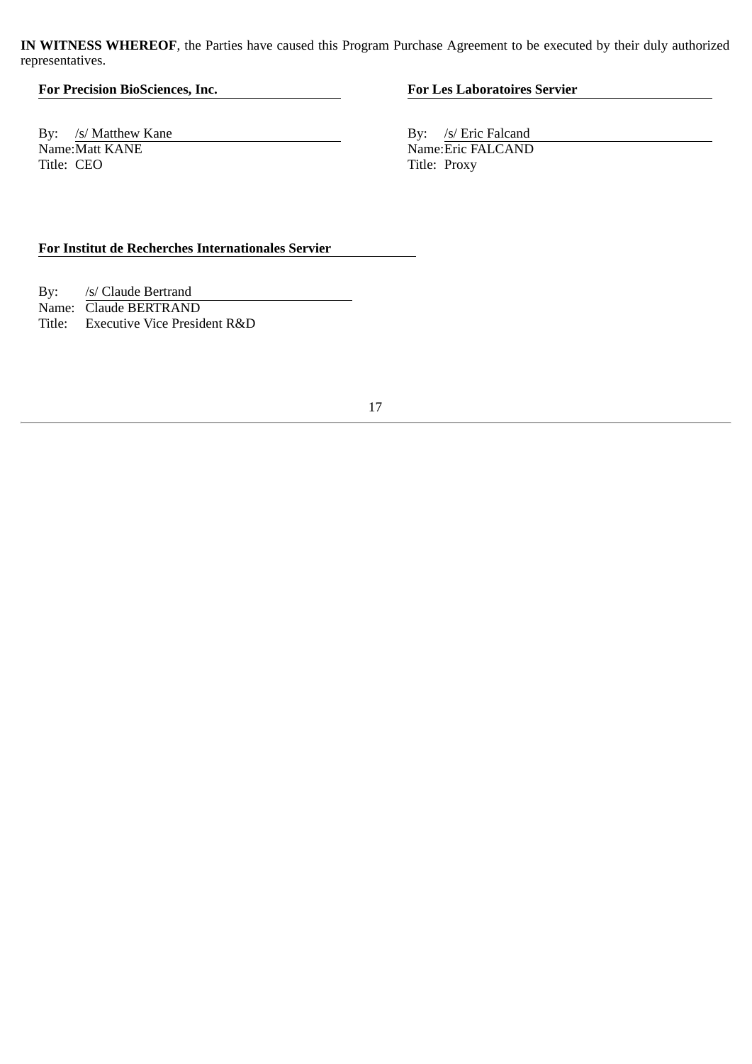**IN WITNESS WHEREOF**, the Parties have caused this Program Purchase Agreement to be executed by their duly authorized representatives.

# **For Precision BioSciences, Inc. For Les Laboratoires Servier**

By: /s/ Matthew Kane By: /s/ Eric Falcand Name: Matt KANE By: /s/ Eric FALCAND Name: Matt KANE Name: Eric FALCAND<br>Title: CEO Title: CEO Title: Proxy

Title: Proxy

## **For Institut de Recherches Internationales Servier**

By: /s/ Claude Bertrand Name: Claude BERTRAND Title: Executive Vice President R&D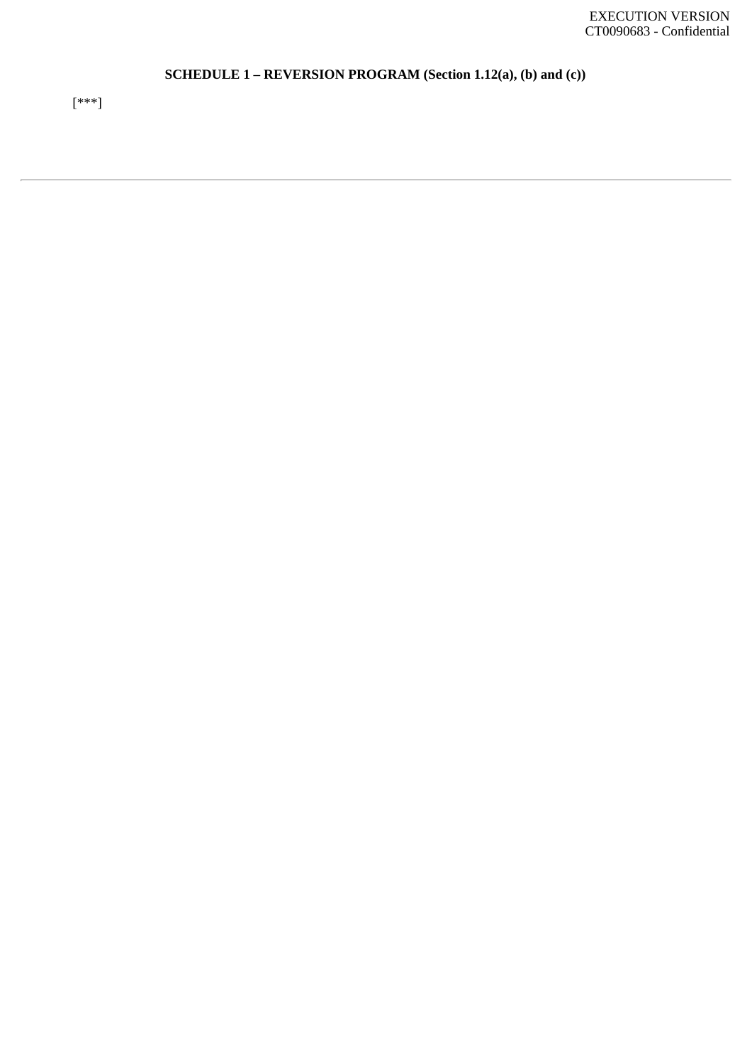# **SCHEDULE 1 – REVERSION PROGRAM (Section 1.12(a), (b) and (c))**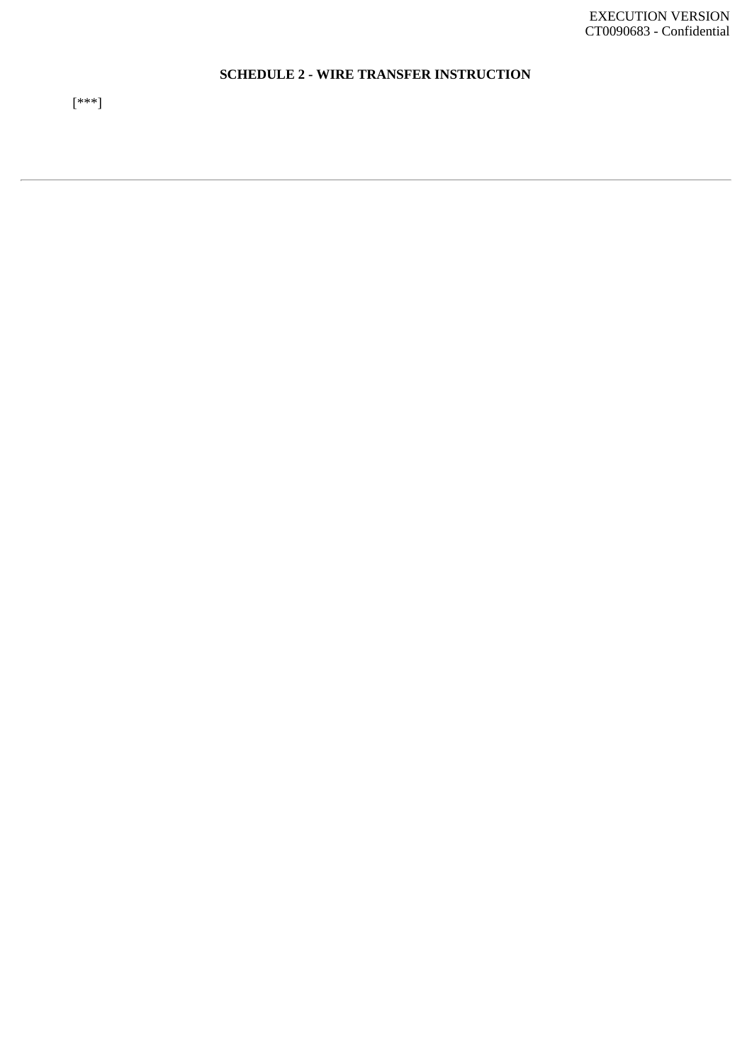# **SCHEDULE 2 - WIRE TRANSFER INSTRUCTION**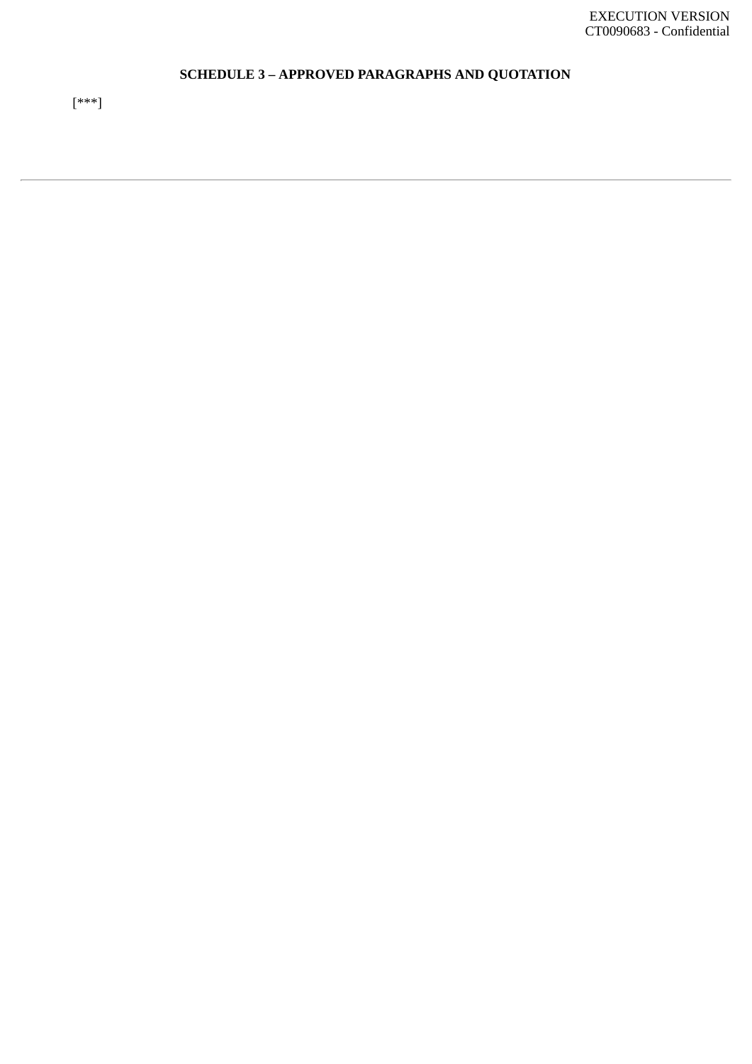# **SCHEDULE 3 – APPROVED PARAGRAPHS AND QUOTATION**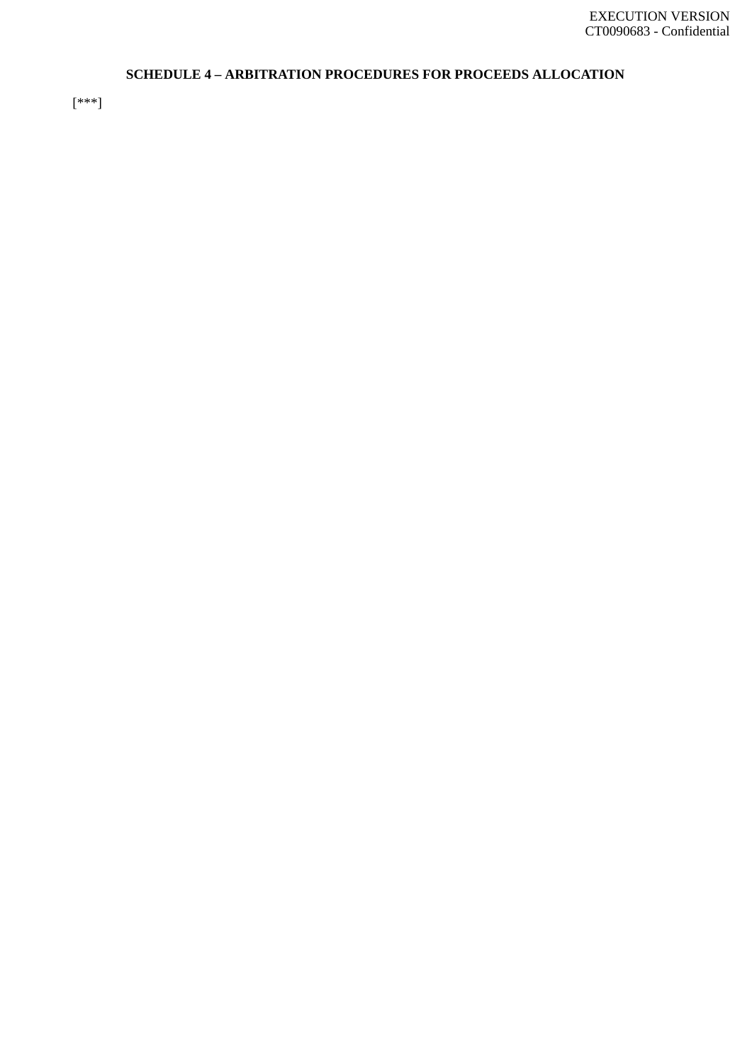# **SCHEDULE 4 – ARBITRATION PROCEDURES FOR PROCEEDS ALLOCATION**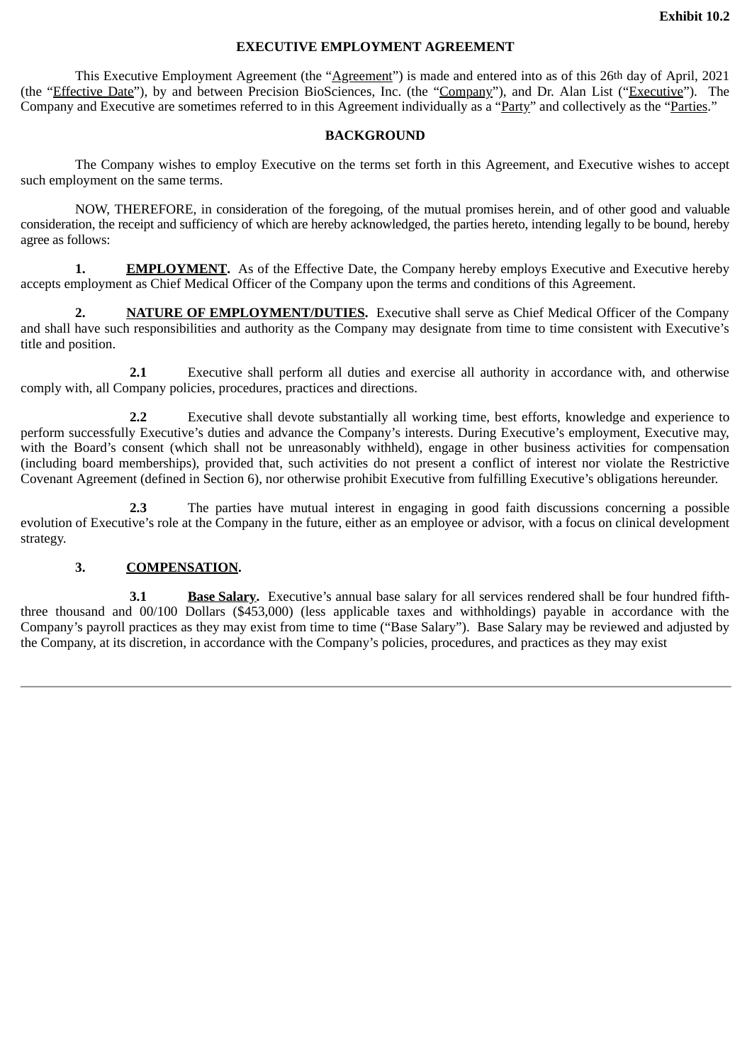#### **EXECUTIVE EMPLOYMENT AGREEMENT**

This Executive Employment Agreement (the "Agreement") is made and entered into as of this 26th day of April, 2021 (the "Effective Date"), by and between Precision BioSciences, Inc. (the "Company"), and Dr. Alan List ("Executive"). The Company and Executive are sometimes referred to in this Agreement individually as a "Party" and collectively as the "Parties."

## **BACKGROUND**

The Company wishes to employ Executive on the terms set forth in this Agreement, and Executive wishes to accept such employment on the same terms.

NOW, THEREFORE, in consideration of the foregoing, of the mutual promises herein, and of other good and valuable consideration, the receipt and sufficiency of which are hereby acknowledged, the parties hereto, intending legally to be bound, hereby agree as follows:

**1. <b>EMPLOYMENT.** As of the Effective Date, the Company hereby employs Executive and Executive hereby accepts employment as Chief Medical Officer of the Company upon the terms and conditions of this Agreement.

**2. NATURE OF EMPLOYMENT/DUTIES.** Executive shall serve as Chief Medical Officer of the Company and shall have such responsibilities and authority as the Company may designate from time to time consistent with Executive's title and position.

**2.1** Executive shall perform all duties and exercise all authority in accordance with, and otherwise comply with, all Company policies, procedures, practices and directions.

**2.2** Executive shall devote substantially all working time, best efforts, knowledge and experience to perform successfully Executive's duties and advance the Company's interests. During Executive's employment, Executive may, with the Board's consent (which shall not be unreasonably withheld), engage in other business activities for compensation (including board memberships), provided that, such activities do not present a conflict of interest nor violate the Restrictive Covenant Agreement (defined in Section 6), nor otherwise prohibit Executive from fulfilling Executive's obligations hereunder.

**2.3** The parties have mutual interest in engaging in good faith discussions concerning a possible evolution of Executive's role at the Company in the future, either as an employee or advisor, with a focus on clinical development strategy.

## **3. COMPENSATION.**

**3.1 Base Salary.** Executive's annual base salary for all services rendered shall be four hundred fifththree thousand and 00/100 Dollars (\$453,000) (less applicable taxes and withholdings) payable in accordance with the Company's payroll practices as they may exist from time to time ("Base Salary"). Base Salary may be reviewed and adjusted by the Company, at its discretion, in accordance with the Company's policies, procedures, and practices as they may exist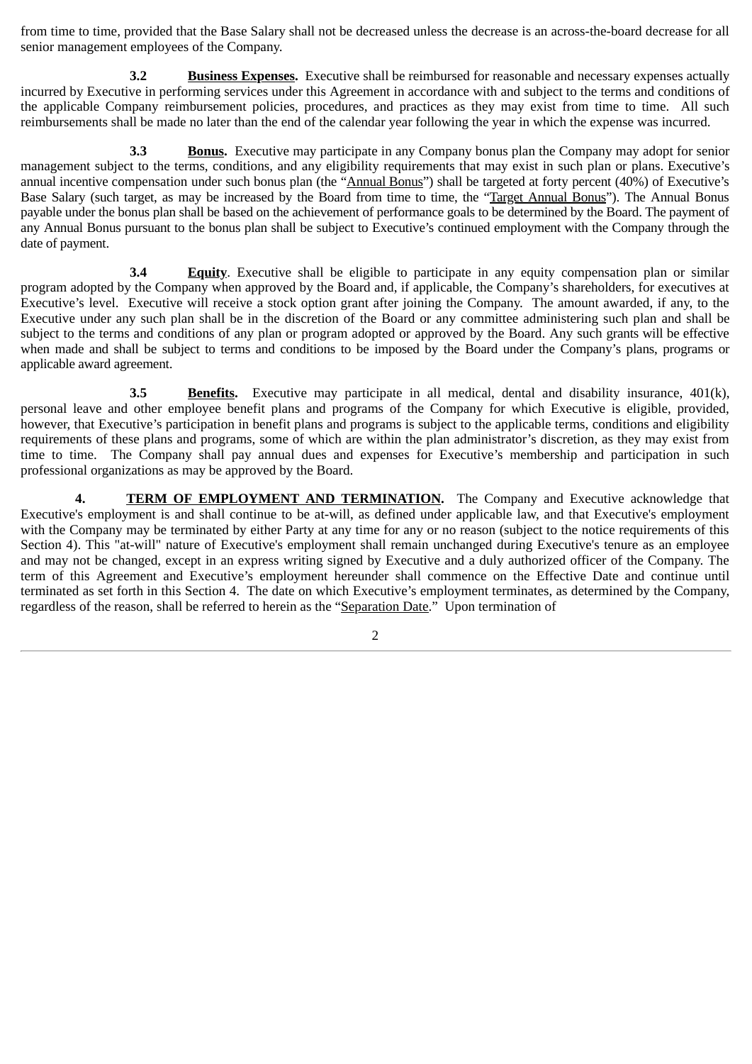from time to time, provided that the Base Salary shall not be decreased unless the decrease is an across-the-board decrease for all senior management employees of the Company.

**3.2 Business Expenses.** Executive shall be reimbursed for reasonable and necessary expenses actually incurred by Executive in performing services under this Agreement in accordance with and subject to the terms and conditions of the applicable Company reimbursement policies, procedures, and practices as they may exist from time to time. All such reimbursements shall be made no later than the end of the calendar year following the year in which the expense was incurred.

**3.3 Bonus.** Executive may participate in any Company bonus plan the Company may adopt for senior management subject to the terms, conditions, and any eligibility requirements that may exist in such plan or plans. Executive's annual incentive compensation under such bonus plan (the "Annual Bonus") shall be targeted at forty percent (40%) of Executive's Base Salary (such target, as may be increased by the Board from time to time, the "Target Annual Bonus"). The Annual Bonus payable under the bonus plan shall be based on the achievement of performance goals to be determined by the Board. The payment of any Annual Bonus pursuant to the bonus plan shall be subject to Executive's continued employment with the Company through the date of payment.

**3.4 Equity**. Executive shall be eligible to participate in any equity compensation plan or similar program adopted by the Company when approved by the Board and, if applicable, the Company's shareholders, for executives at Executive's level. Executive will receive a stock option grant after joining the Company. The amount awarded, if any, to the Executive under any such plan shall be in the discretion of the Board or any committee administering such plan and shall be subject to the terms and conditions of any plan or program adopted or approved by the Board. Any such grants will be effective when made and shall be subject to terms and conditions to be imposed by the Board under the Company's plans, programs or applicable award agreement.

**3.5 Benefits.** Executive may participate in all medical, dental and disability insurance, 401(k), personal leave and other employee benefit plans and programs of the Company for which Executive is eligible, provided, however, that Executive's participation in benefit plans and programs is subject to the applicable terms, conditions and eligibility requirements of these plans and programs, some of which are within the plan administrator's discretion, as they may exist from time to time. The Company shall pay annual dues and expenses for Executive's membership and participation in such professional organizations as may be approved by the Board.

**4. TERM OF EMPLOYMENT AND TERMINATION.** The Company and Executive acknowledge that Executive's employment is and shall continue to be at-will, as defined under applicable law, and that Executive's employment with the Company may be terminated by either Party at any time for any or no reason (subject to the notice requirements of this Section 4). This "at-will" nature of Executive's employment shall remain unchanged during Executive's tenure as an employee and may not be changed, except in an express writing signed by Executive and a duly authorized officer of the Company. The term of this Agreement and Executive's employment hereunder shall commence on the Effective Date and continue until terminated as set forth in this Section 4. The date on which Executive's employment terminates, as determined by the Company, regardless of the reason, shall be referred to herein as the "Separation Date." Upon termination of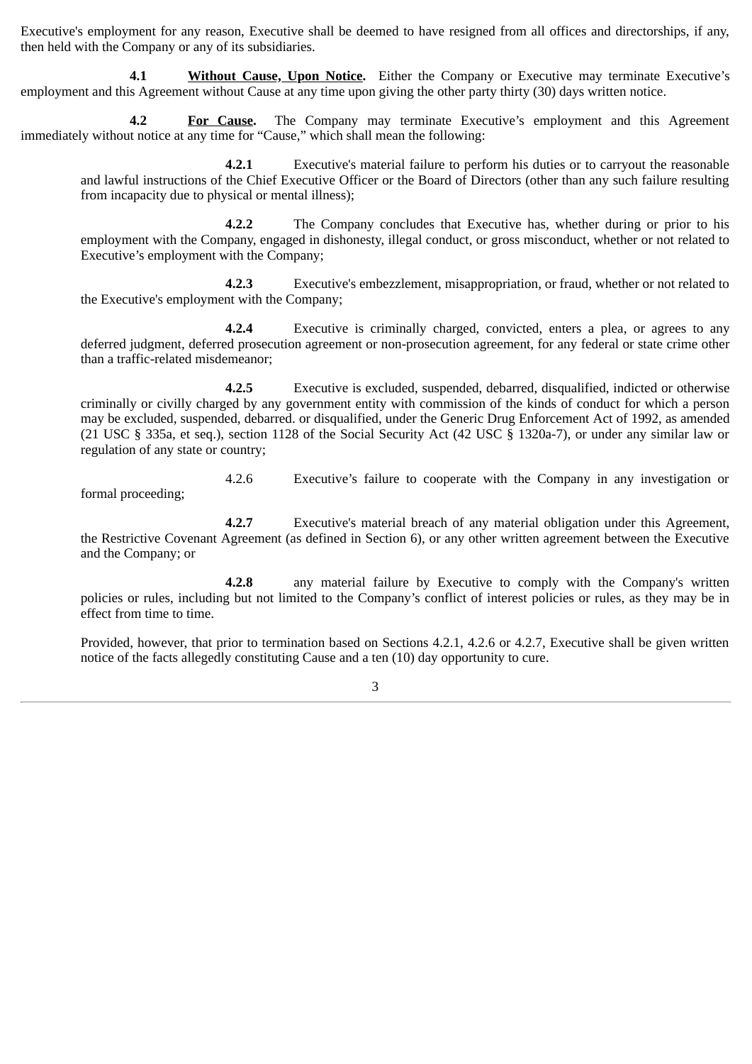Executive's employment for any reason, Executive shall be deemed to have resigned from all offices and directorships, if any, then held with the Company or any of its subsidiaries.

**4.1 Without Cause, Upon Notice.** Either the Company or Executive may terminate Executive's employment and this Agreement without Cause at any time upon giving the other party thirty (30) days written notice.

**4.2 For Cause.** The Company may terminate Executive's employment and this Agreement immediately without notice at any time for "Cause," which shall mean the following:

**4.2.1** Executive's material failure to perform his duties or to carryout the reasonable and lawful instructions of the Chief Executive Officer or the Board of Directors (other than any such failure resulting from incapacity due to physical or mental illness);

**4.2.2** The Company concludes that Executive has, whether during or prior to his employment with the Company, engaged in dishonesty, illegal conduct, or gross misconduct, whether or not related to Executive's employment with the Company;

**4.2.3** Executive's embezzlement, misappropriation, or fraud, whether or not related to the Executive's employment with the Company;

**4.2.4** Executive is criminally charged, convicted, enters a plea, or agrees to any deferred judgment, deferred prosecution agreement or non-prosecution agreement, for any federal or state crime other than a traffic-related misdemeanor;

**4.2.5** Executive is excluded, suspended, debarred, disqualified, indicted or otherwise criminally or civilly charged by any government entity with commission of the kinds of conduct for which a person may be excluded, suspended, debarred. or disqualified, under the Generic Drug Enforcement Act of 1992, as amended (21 USC § 335a, et seq.), section 1128 of the Social Security Act (42 USC § 1320a-7), or under any similar law or regulation of any state or country;

4.2.6 Executive's failure to cooperate with the Company in any investigation or

formal proceeding;

**4.2.7** Executive's material breach of any material obligation under this Agreement, the Restrictive Covenant Agreement (as defined in Section 6), or any other written agreement between the Executive and the Company; or

**4.2.8** any material failure by Executive to comply with the Company's written policies or rules, including but not limited to the Company's conflict of interest policies or rules, as they may be in effect from time to time.

Provided, however, that prior to termination based on Sections 4.2.1, 4.2.6 or 4.2.7, Executive shall be given written notice of the facts allegedly constituting Cause and a ten (10) day opportunity to cure.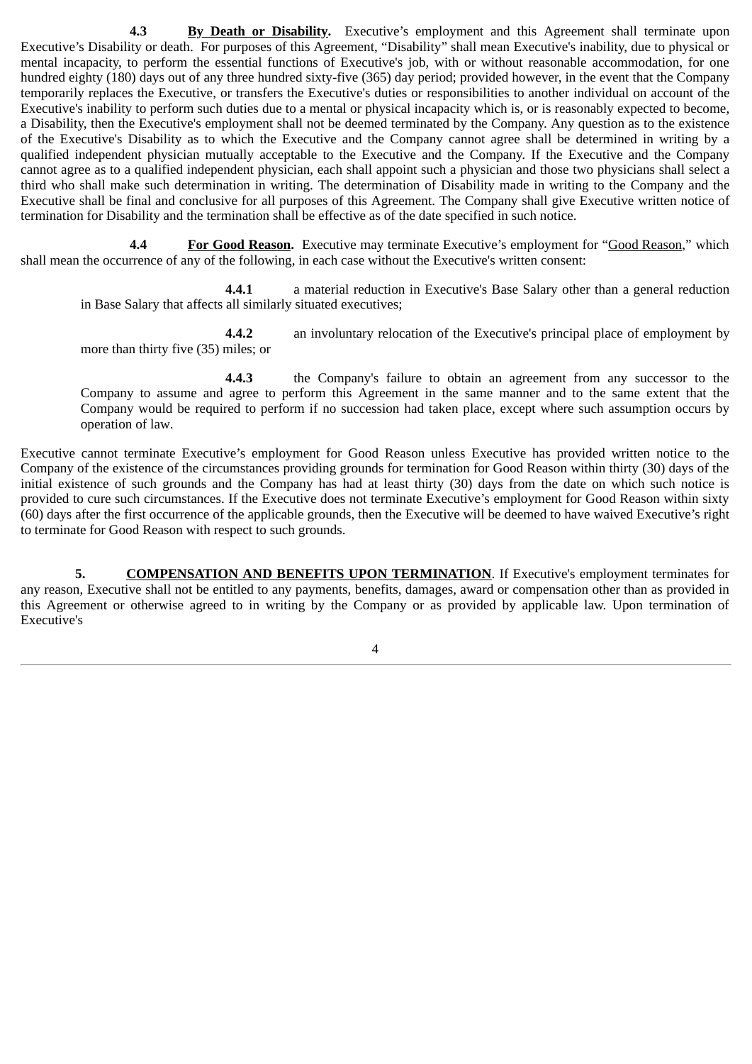**4.3 By Death or Disability.** Executive's employment and this Agreement shall terminate upon Executive's Disability or death. For purposes of this Agreement, "Disability" shall mean Executive's inability, due to physical or mental incapacity, to perform the essential functions of Executive's job, with or without reasonable accommodation, for one hundred eighty (180) days out of any three hundred sixty-five (365) day period; provided however, in the event that the Company temporarily replaces the Executive, or transfers the Executive's duties or responsibilities to another individual on account of the Executive's inability to perform such duties due to a mental or physical incapacity which is, or is reasonably expected to become, a Disability, then the Executive's employment shall not be deemed terminated by the Company. Any question as to the existence of the Executive's Disability as to which the Executive and the Company cannot agree shall be determined in writing by a qualified independent physician mutually acceptable to the Executive and the Company. If the Executive and the Company cannot agree as to a qualified independent physician, each shall appoint such a physician and those two physicians shall select a third who shall make such determination in writing. The determination of Disability made in writing to the Company and the Executive shall be final and conclusive for all purposes of this Agreement. The Company shall give Executive written notice of termination for Disability and the termination shall be effective as of the date specified in such notice.

**4.4 For Good Reason.** Executive may terminate Executive's employment for "Good Reason," which shall mean the occurrence of any of the following, in each case without the Executive's written consent:

**4.4.1** a material reduction in Executive's Base Salary other than a general reduction in Base Salary that affects all similarly situated executives;

**4.4.2** an involuntary relocation of the Executive's principal place of employment by more than thirty five (35) miles; or

**4.4.3** the Company's failure to obtain an agreement from any successor to the Company to assume and agree to perform this Agreement in the same manner and to the same extent that the Company would be required to perform if no succession had taken place, except where such assumption occurs by operation of law.

Executive cannot terminate Executive's employment for Good Reason unless Executive has provided written notice to the Company of the existence of the circumstances providing grounds for termination for Good Reason within thirty (30) days of the initial existence of such grounds and the Company has had at least thirty (30) days from the date on which such notice is provided to cure such circumstances. If the Executive does not terminate Executive's employment for Good Reason within sixty (60) days after the first occurrence of the applicable grounds, then the Executive will be deemed to have waived Executive's right to terminate for Good Reason with respect to such grounds.

**5. COMPENSATION AND BENEFITS UPON TERMINATION**. If Executive's employment terminates for any reason, Executive shall not be entitled to any payments, benefits, damages, award or compensation other than as provided in this Agreement or otherwise agreed to in writing by the Company or as provided by applicable law. Upon termination of Executive's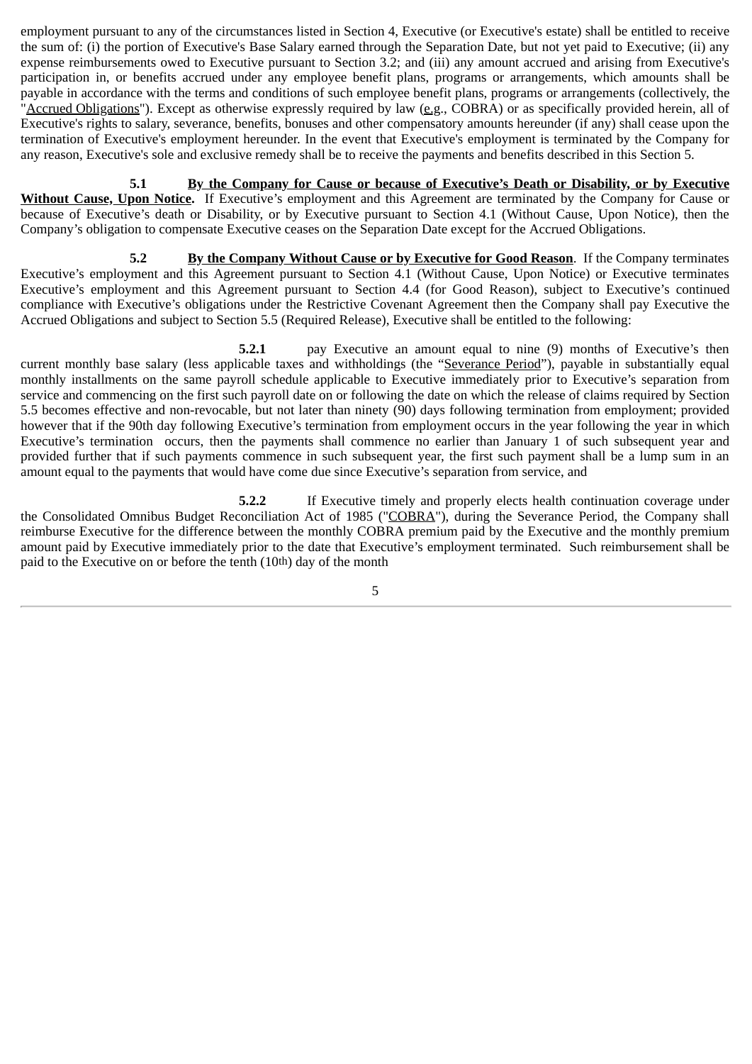employment pursuant to any of the circumstances listed in Section 4, Executive (or Executive's estate) shall be entitled to receive the sum of: (i) the portion of Executive's Base Salary earned through the Separation Date, but not yet paid to Executive; (ii) any expense reimbursements owed to Executive pursuant to Section 3.2; and (iii) any amount accrued and arising from Executive's participation in, or benefits accrued under any employee benefit plans, programs or arrangements, which amounts shall be payable in accordance with the terms and conditions of such employee benefit plans, programs or arrangements (collectively, the "Accrued Obligations"). Except as otherwise expressly required by law (e.g., COBRA) or as specifically provided herein, all of Executive's rights to salary, severance, benefits, bonuses and other compensatory amounts hereunder (if any) shall cease upon the termination of Executive's employment hereunder. In the event that Executive's employment is terminated by the Company for any reason, Executive's sole and exclusive remedy shall be to receive the payments and benefits described in this Section 5.

**5.1 By the Company for Cause or because of Executive's Death or Disability, or by Executive Without Cause, Upon Notice.** If Executive's employment and this Agreement are terminated by the Company for Cause or because of Executive's death or Disability, or by Executive pursuant to Section 4.1 (Without Cause, Upon Notice), then the Company's obligation to compensate Executive ceases on the Separation Date except for the Accrued Obligations.

**5.2 By the Company Without Cause or by Executive for Good Reason**. If the Company terminates Executive's employment and this Agreement pursuant to Section 4.1 (Without Cause, Upon Notice) or Executive terminates Executive's employment and this Agreement pursuant to Section 4.4 (for Good Reason), subject to Executive's continued compliance with Executive's obligations under the Restrictive Covenant Agreement then the Company shall pay Executive the Accrued Obligations and subject to Section 5.5 (Required Release), Executive shall be entitled to the following:

**5.2.1** pay Executive an amount equal to nine (9) months of Executive's then current monthly base salary (less applicable taxes and withholdings (the "Severance Period"), payable in substantially equal monthly installments on the same payroll schedule applicable to Executive immediately prior to Executive's separation from service and commencing on the first such payroll date on or following the date on which the release of claims required by Section 5.5 becomes effective and non-revocable, but not later than ninety (90) days following termination from employment; provided however that if the 90th day following Executive's termination from employment occurs in the year following the year in which Executive's termination occurs, then the payments shall commence no earlier than January 1 of such subsequent year and provided further that if such payments commence in such subsequent year, the first such payment shall be a lump sum in an amount equal to the payments that would have come due since Executive's separation from service, and

**5.2.2** If Executive timely and properly elects health continuation coverage under the Consolidated Omnibus Budget Reconciliation Act of 1985 ("COBRA"), during the Severance Period, the Company shall reimburse Executive for the difference between the monthly COBRA premium paid by the Executive and the monthly premium amount paid by Executive immediately prior to the date that Executive's employment terminated. Such reimbursement shall be paid to the Executive on or before the tenth (10th) day of the month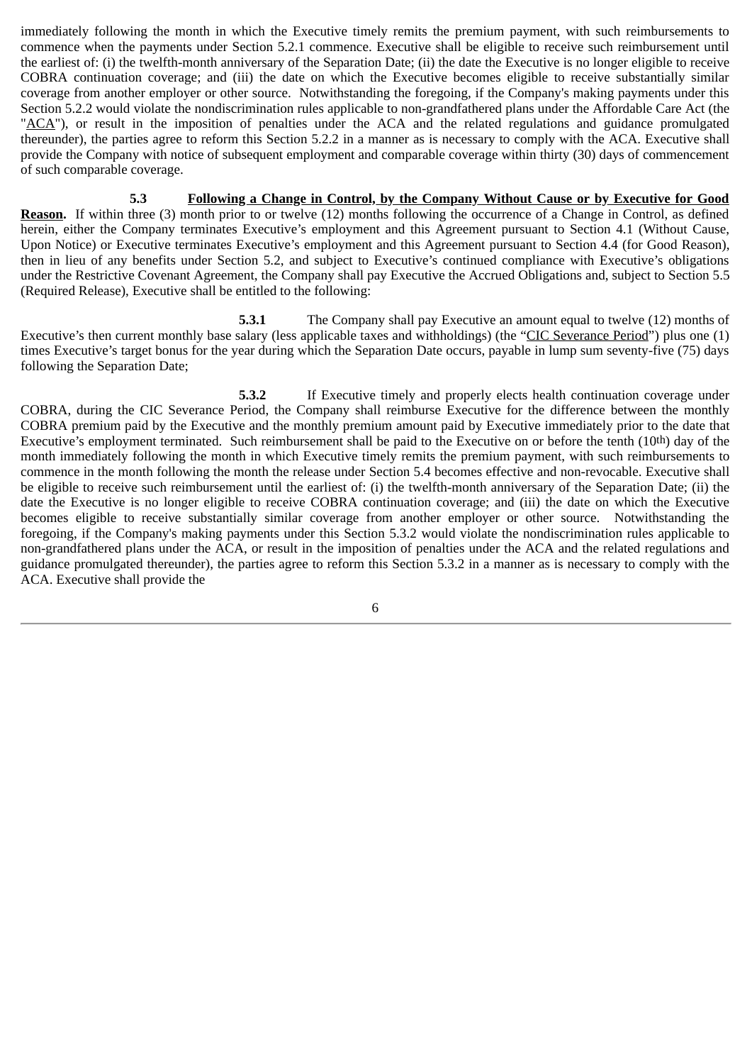immediately following the month in which the Executive timely remits the premium payment, with such reimbursements to commence when the payments under Section 5.2.1 commence. Executive shall be eligible to receive such reimbursement until the earliest of: (i) the twelfth-month anniversary of the Separation Date; (ii) the date the Executive is no longer eligible to receive COBRA continuation coverage; and (iii) the date on which the Executive becomes eligible to receive substantially similar coverage from another employer or other source. Notwithstanding the foregoing, if the Company's making payments under this Section 5.2.2 would violate the nondiscrimination rules applicable to non-grandfathered plans under the Affordable Care Act (the "ACA"), or result in the imposition of penalties under the ACA and the related regulations and guidance promulgated thereunder), the parties agree to reform this Section 5.2.2 in a manner as is necessary to comply with the ACA. Executive shall provide the Company with notice of subsequent employment and comparable coverage within thirty (30) days of commencement of such comparable coverage.

**5.3 Following a Change in Control, by the Company Without Cause or by Executive for Good Reason.** If within three (3) month prior to or twelve (12) months following the occurrence of a Change in Control, as defined herein, either the Company terminates Executive's employment and this Agreement pursuant to Section 4.1 (Without Cause, Upon Notice) or Executive terminates Executive's employment and this Agreement pursuant to Section 4.4 (for Good Reason), then in lieu of any benefits under Section 5.2, and subject to Executive's continued compliance with Executive's obligations under the Restrictive Covenant Agreement, the Company shall pay Executive the Accrued Obligations and, subject to Section 5.5 (Required Release), Executive shall be entitled to the following:

**5.3.1** The Company shall pay Executive an amount equal to twelve (12) months of Executive's then current monthly base salary (less applicable taxes and withholdings) (the "CIC Severance Period") plus one (1) times Executive's target bonus for the year during which the Separation Date occurs, payable in lump sum seventy-five (75) days following the Separation Date;

**5.3.2** If Executive timely and properly elects health continuation coverage under COBRA, during the CIC Severance Period, the Company shall reimburse Executive for the difference between the monthly COBRA premium paid by the Executive and the monthly premium amount paid by Executive immediately prior to the date that Executive's employment terminated. Such reimbursement shall be paid to the Executive on or before the tenth (10th) day of the month immediately following the month in which Executive timely remits the premium payment, with such reimbursements to commence in the month following the month the release under Section 5.4 becomes effective and non-revocable. Executive shall be eligible to receive such reimbursement until the earliest of: (i) the twelfth-month anniversary of the Separation Date; (ii) the date the Executive is no longer eligible to receive COBRA continuation coverage; and (iii) the date on which the Executive becomes eligible to receive substantially similar coverage from another employer or other source. Notwithstanding the foregoing, if the Company's making payments under this Section 5.3.2 would violate the nondiscrimination rules applicable to non-grandfathered plans under the ACA, or result in the imposition of penalties under the ACA and the related regulations and guidance promulgated thereunder), the parties agree to reform this Section 5.3.2 in a manner as is necessary to comply with the ACA. Executive shall provide the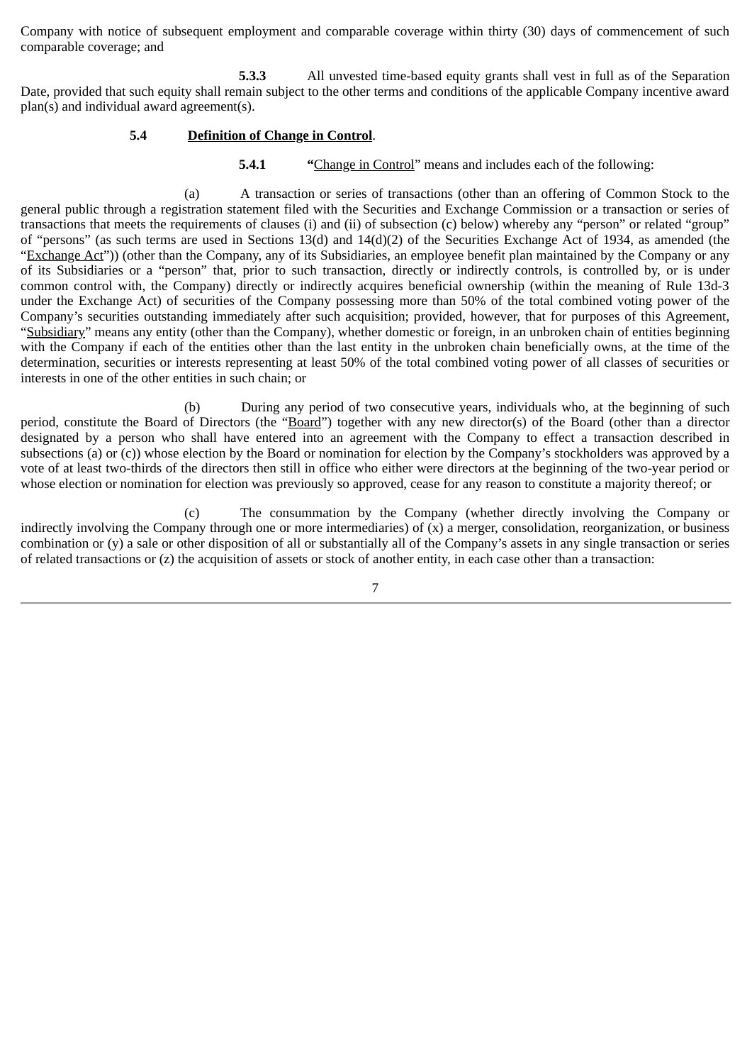Company with notice of subsequent employment and comparable coverage within thirty (30) days of commencement of such comparable coverage; and

**5.3.3** All unvested time-based equity grants shall vest in full as of the Separation Date, provided that such equity shall remain subject to the other terms and conditions of the applicable Company incentive award plan(s) and individual award agreement(s).

## **5.4 Definition of Change in Control**.

## **5.4.1 "**Change in Control" means and includes each of the following:

(a) A transaction or series of transactions (other than an offering of Common Stock to the general public through a registration statement filed with the Securities and Exchange Commission or a transaction or series of transactions that meets the requirements of clauses (i) and (ii) of subsection (c) below) whereby any "person" or related "group" of "persons" (as such terms are used in Sections 13(d) and 14(d)(2) of the Securities Exchange Act of 1934, as amended (the "Exchange Act")) (other than the Company, any of its Subsidiaries, an employee benefit plan maintained by the Company or any of its Subsidiaries or a "person" that, prior to such transaction, directly or indirectly controls, is controlled by, or is under common control with, the Company) directly or indirectly acquires beneficial ownership (within the meaning of Rule 13d-3 under the Exchange Act) of securities of the Company possessing more than 50% of the total combined voting power of the Company's securities outstanding immediately after such acquisition; provided, however, that for purposes of this Agreement, "Subsidiary" means any entity (other than the Company), whether domestic or foreign, in an unbroken chain of entities beginning with the Company if each of the entities other than the last entity in the unbroken chain beneficially owns, at the time of the determination, securities or interests representing at least 50% of the total combined voting power of all classes of securities or interests in one of the other entities in such chain; or

(b) During any period of two consecutive years, individuals who, at the beginning of such period, constitute the Board of Directors (the "Board") together with any new director(s) of the Board (other than a director designated by a person who shall have entered into an agreement with the Company to effect a transaction described in subsections (a) or (c)) whose election by the Board or nomination for election by the Company's stockholders was approved by a vote of at least two-thirds of the directors then still in office who either were directors at the beginning of the two-year period or whose election or nomination for election was previously so approved, cease for any reason to constitute a majority thereof; or

(c) The consummation by the Company (whether directly involving the Company or indirectly involving the Company through one or more intermediaries) of (x) a merger, consolidation, reorganization, or business combination or (y) a sale or other disposition of all or substantially all of the Company's assets in any single transaction or series of related transactions or (z) the acquisition of assets or stock of another entity, in each case other than a transaction:

<sup>7</sup>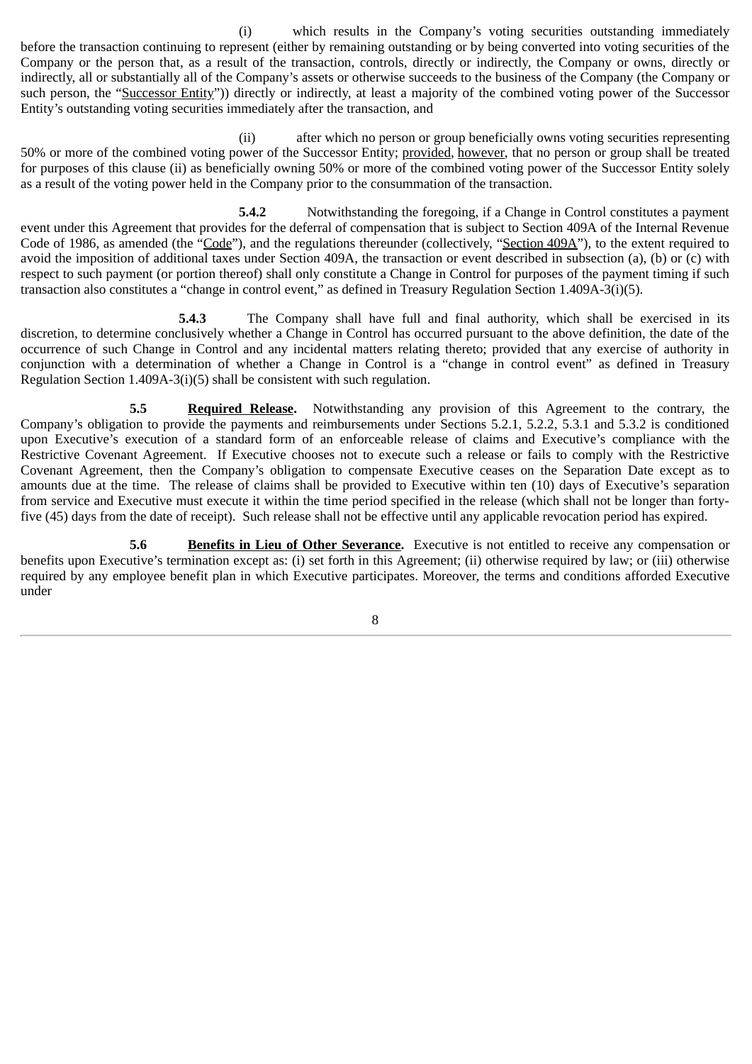(i) which results in the Company's voting securities outstanding immediately before the transaction continuing to represent (either by remaining outstanding or by being converted into voting securities of the Company or the person that, as a result of the transaction, controls, directly or indirectly, the Company or owns, directly or indirectly, all or substantially all of the Company's assets or otherwise succeeds to the business of the Company (the Company or such person, the "Successor Entity")) directly or indirectly, at least a majority of the combined voting power of the Successor Entity's outstanding voting securities immediately after the transaction, and

(ii) after which no person or group beneficially owns voting securities representing 50% or more of the combined voting power of the Successor Entity; provided, however, that no person or group shall be treated for purposes of this clause (ii) as beneficially owning 50% or more of the combined voting power of the Successor Entity solely as a result of the voting power held in the Company prior to the consummation of the transaction.

**5.4.2** Notwithstanding the foregoing, if a Change in Control constitutes a payment event under this Agreement that provides for the deferral of compensation that is subject to Section 409A of the Internal Revenue Code of 1986, as amended (the "Code"), and the regulations thereunder (collectively, "Section 409A"), to the extent required to avoid the imposition of additional taxes under Section 409A, the transaction or event described in subsection (a), (b) or (c) with respect to such payment (or portion thereof) shall only constitute a Change in Control for purposes of the payment timing if such transaction also constitutes a "change in control event," as defined in Treasury Regulation Section 1.409A-3(i)(5).

**5.4.3** The Company shall have full and final authority, which shall be exercised in its discretion, to determine conclusively whether a Change in Control has occurred pursuant to the above definition, the date of the occurrence of such Change in Control and any incidental matters relating thereto; provided that any exercise of authority in conjunction with a determination of whether a Change in Control is a "change in control event" as defined in Treasury Regulation Section 1.409A-3(i)(5) shall be consistent with such regulation.

**5.5 Required Release.** Notwithstanding any provision of this Agreement to the contrary, the Company's obligation to provide the payments and reimbursements under Sections 5.2.1, 5.2.2, 5.3.1 and 5.3.2 is conditioned upon Executive's execution of a standard form of an enforceable release of claims and Executive's compliance with the Restrictive Covenant Agreement. If Executive chooses not to execute such a release or fails to comply with the Restrictive Covenant Agreement, then the Company's obligation to compensate Executive ceases on the Separation Date except as to amounts due at the time. The release of claims shall be provided to Executive within ten (10) days of Executive's separation from service and Executive must execute it within the time period specified in the release (which shall not be longer than fortyfive (45) days from the date of receipt). Such release shall not be effective until any applicable revocation period has expired.

**5.6 Benefits in Lieu of Other Severance.** Executive is not entitled to receive any compensation or benefits upon Executive's termination except as: (i) set forth in this Agreement; (ii) otherwise required by law; or (iii) otherwise required by any employee benefit plan in which Executive participates. Moreover, the terms and conditions afforded Executive under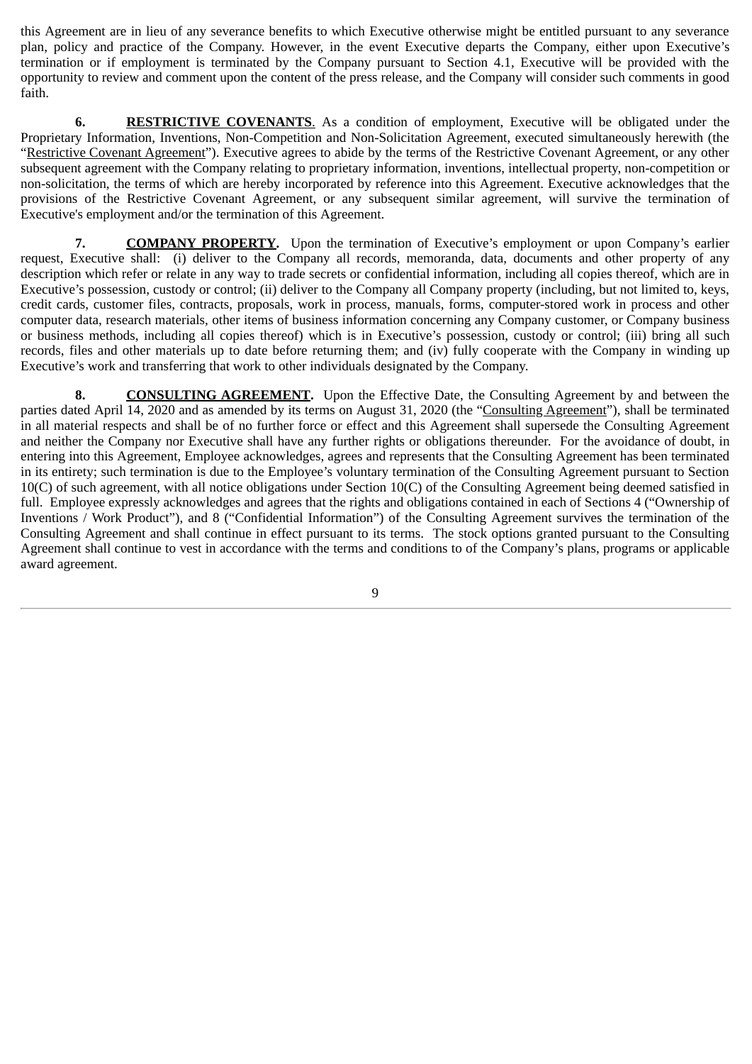this Agreement are in lieu of any severance benefits to which Executive otherwise might be entitled pursuant to any severance plan, policy and practice of the Company. However, in the event Executive departs the Company, either upon Executive's termination or if employment is terminated by the Company pursuant to Section 4.1, Executive will be provided with the opportunity to review and comment upon the content of the press release, and the Company will consider such comments in good faith.

**6. RESTRICTIVE COVENANTS**. As a condition of employment, Executive will be obligated under the Proprietary Information, Inventions, Non-Competition and Non-Solicitation Agreement, executed simultaneously herewith (the "Restrictive Covenant Agreement"). Executive agrees to abide by the terms of the Restrictive Covenant Agreement, or any other subsequent agreement with the Company relating to proprietary information, inventions, intellectual property, non-competition or non-solicitation, the terms of which are hereby incorporated by reference into this Agreement. Executive acknowledges that the provisions of the Restrictive Covenant Agreement, or any subsequent similar agreement, will survive the termination of Executive's employment and/or the termination of this Agreement.

7. **COMPANY PROPERTY.** Upon the termination of Executive's employment or upon Company's earlier request, Executive shall: (i) deliver to the Company all records, memoranda, data, documents and other property of any description which refer or relate in any way to trade secrets or confidential information, including all copies thereof, which are in Executive's possession, custody or control; (ii) deliver to the Company all Company property (including, but not limited to, keys, credit cards, customer files, contracts, proposals, work in process, manuals, forms, computer-stored work in process and other computer data, research materials, other items of business information concerning any Company customer, or Company business or business methods, including all copies thereof) which is in Executive's possession, custody or control; (iii) bring all such records, files and other materials up to date before returning them; and (iv) fully cooperate with the Company in winding up Executive's work and transferring that work to other individuals designated by the Company.

**8. CONSULTING AGREEMENT.** Upon the Effective Date, the Consulting Agreement by and between the parties dated April 14, 2020 and as amended by its terms on August 31, 2020 (the "Consulting Agreement"), shall be terminated in all material respects and shall be of no further force or effect and this Agreement shall supersede the Consulting Agreement and neither the Company nor Executive shall have any further rights or obligations thereunder. For the avoidance of doubt, in entering into this Agreement, Employee acknowledges, agrees and represents that the Consulting Agreement has been terminated in its entirety; such termination is due to the Employee's voluntary termination of the Consulting Agreement pursuant to Section 10(C) of such agreement, with all notice obligations under Section 10(C) of the Consulting Agreement being deemed satisfied in full. Employee expressly acknowledges and agrees that the rights and obligations contained in each of Sections 4 ("Ownership of Inventions / Work Product"), and 8 ("Confidential Information") of the Consulting Agreement survives the termination of the Consulting Agreement and shall continue in effect pursuant to its terms. The stock options granted pursuant to the Consulting Agreement shall continue to vest in accordance with the terms and conditions to of the Company's plans, programs or applicable award agreement.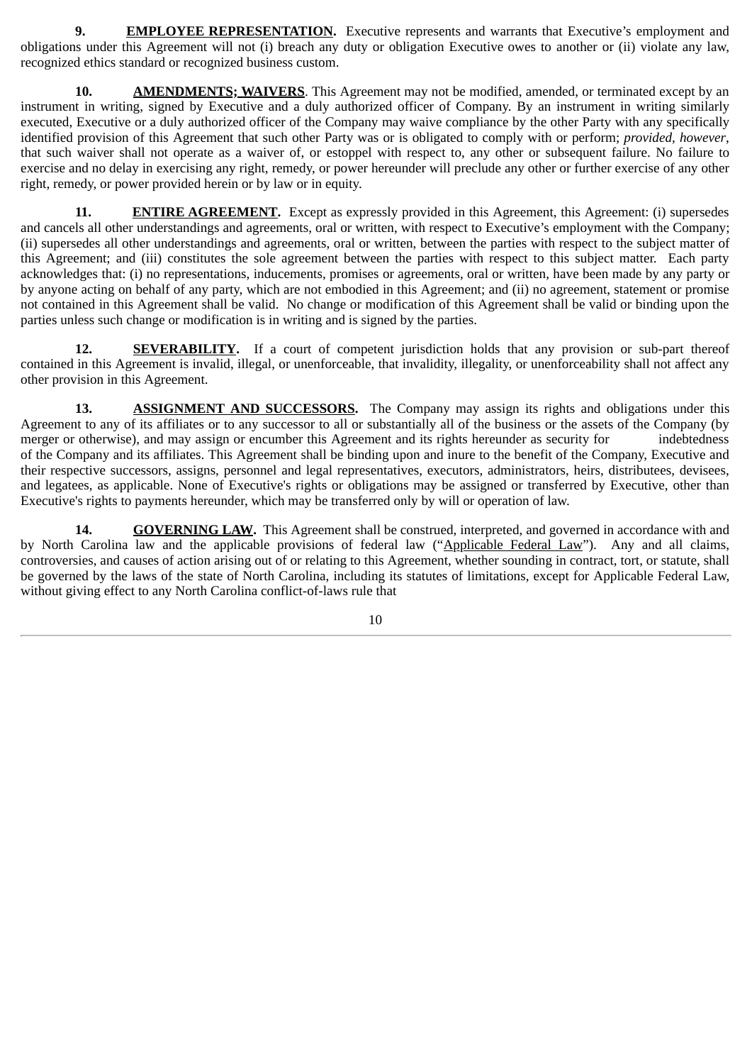**9. EMPLOYEE REPRESENTATION.** Executive represents and warrants that Executive's employment and obligations under this Agreement will not (i) breach any duty or obligation Executive owes to another or (ii) violate any law, recognized ethics standard or recognized business custom.

**10. AMENDMENTS; WAIVERS**. This Agreement may not be modified, amended, or terminated except by an instrument in writing, signed by Executive and a duly authorized officer of Company. By an instrument in writing similarly executed, Executive or a duly authorized officer of the Company may waive compliance by the other Party with any specifically identified provision of this Agreement that such other Party was or is obligated to comply with or perform; *provided, however*, that such waiver shall not operate as a waiver of, or estoppel with respect to, any other or subsequent failure. No failure to exercise and no delay in exercising any right, remedy, or power hereunder will preclude any other or further exercise of any other right, remedy, or power provided herein or by law or in equity.

**11. ENTIRE AGREEMENT.** Except as expressly provided in this Agreement, this Agreement: (i) supersedes and cancels all other understandings and agreements, oral or written, with respect to Executive's employment with the Company; (ii) supersedes all other understandings and agreements, oral or written, between the parties with respect to the subject matter of this Agreement; and (iii) constitutes the sole agreement between the parties with respect to this subject matter. Each party acknowledges that: (i) no representations, inducements, promises or agreements, oral or written, have been made by any party or by anyone acting on behalf of any party, which are not embodied in this Agreement; and (ii) no agreement, statement or promise not contained in this Agreement shall be valid. No change or modification of this Agreement shall be valid or binding upon the parties unless such change or modification is in writing and is signed by the parties.

**12. SEVERABILITY.** If a court of competent jurisdiction holds that any provision or sub-part thereof contained in this Agreement is invalid, illegal, or unenforceable, that invalidity, illegality, or unenforceability shall not affect any other provision in this Agreement.

**13. ASSIGNMENT AND SUCCESSORS.** The Company may assign its rights and obligations under this Agreement to any of its affiliates or to any successor to all or substantially all of the business or the assets of the Company (by merger or otherwise), and may assign or encumber this Agreement and its rights hereunder as security for indebtedness of the Company and its affiliates. This Agreement shall be binding upon and inure to the benefit of the Company, Executive and their respective successors, assigns, personnel and legal representatives, executors, administrators, heirs, distributees, devisees, and legatees, as applicable. None of Executive's rights or obligations may be assigned or transferred by Executive, other than Executive's rights to payments hereunder, which may be transferred only by will or operation of law.

**14. GOVERNING LAW.** This Agreement shall be construed, interpreted, and governed in accordance with and by North Carolina law and the applicable provisions of federal law ("Applicable Federal Law"). Any and all claims, controversies, and causes of action arising out of or relating to this Agreement, whether sounding in contract, tort, or statute, shall be governed by the laws of the state of North Carolina, including its statutes of limitations, except for Applicable Federal Law, without giving effect to any North Carolina conflict-of-laws rule that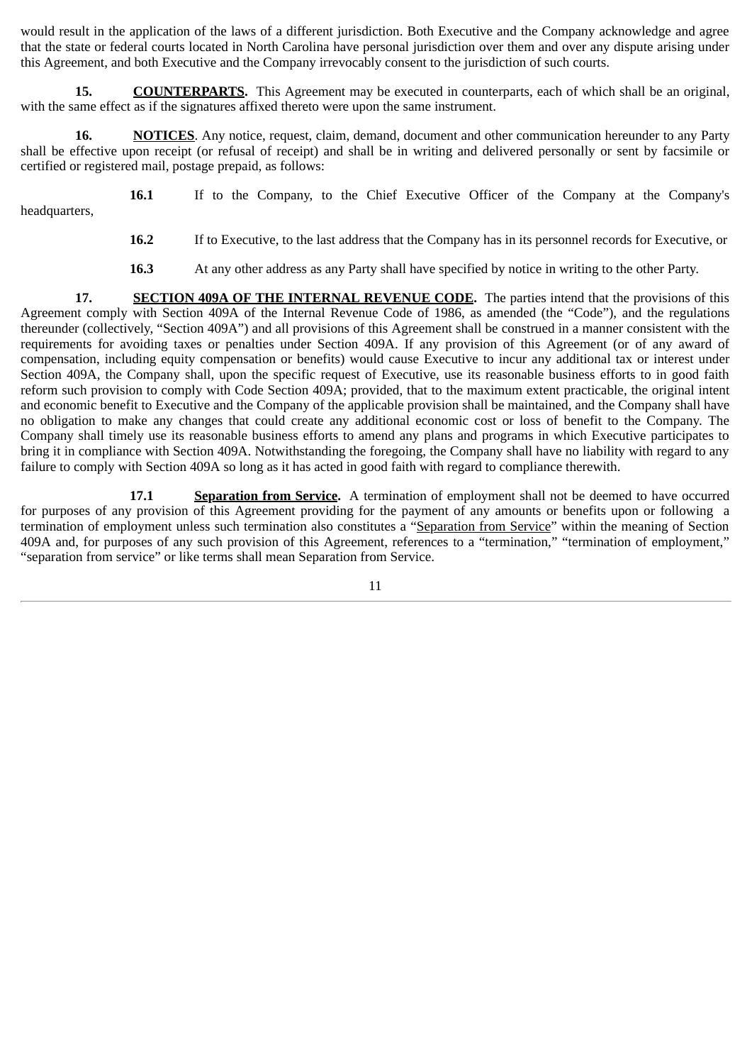would result in the application of the laws of a different jurisdiction. Both Executive and the Company acknowledge and agree that the state or federal courts located in North Carolina have personal jurisdiction over them and over any dispute arising under this Agreement, and both Executive and the Company irrevocably consent to the jurisdiction of such courts.

**15. COUNTERPARTS.** This Agreement may be executed in counterparts, each of which shall be an original, with the same effect as if the signatures affixed thereto were upon the same instrument.

**16. NOTICES**. Any notice, request, claim, demand, document and other communication hereunder to any Party shall be effective upon receipt (or refusal of receipt) and shall be in writing and delivered personally or sent by facsimile or certified or registered mail, postage prepaid, as follows:

**16.1** If to the Company, to the Chief Executive Officer of the Company at the Company's headquarters,

**16.2** If to Executive, to the last address that the Company has in its personnel records for Executive, or

**16.3** At any other address as any Party shall have specified by notice in writing to the other Party.

**17. SECTION 409A OF THE INTERNAL REVENUE CODE.** The parties intend that the provisions of this Agreement comply with Section 409A of the Internal Revenue Code of 1986, as amended (the "Code"), and the regulations thereunder (collectively, "Section 409A") and all provisions of this Agreement shall be construed in a manner consistent with the requirements for avoiding taxes or penalties under Section 409A. If any provision of this Agreement (or of any award of compensation, including equity compensation or benefits) would cause Executive to incur any additional tax or interest under Section 409A, the Company shall, upon the specific request of Executive, use its reasonable business efforts to in good faith reform such provision to comply with Code Section 409A; provided, that to the maximum extent practicable, the original intent and economic benefit to Executive and the Company of the applicable provision shall be maintained, and the Company shall have no obligation to make any changes that could create any additional economic cost or loss of benefit to the Company. The Company shall timely use its reasonable business efforts to amend any plans and programs in which Executive participates to bring it in compliance with Section 409A. Notwithstanding the foregoing, the Company shall have no liability with regard to any failure to comply with Section 409A so long as it has acted in good faith with regard to compliance therewith.

**17.1 Separation from Service.** A termination of employment shall not be deemed to have occurred for purposes of any provision of this Agreement providing for the payment of any amounts or benefits upon or following a termination of employment unless such termination also constitutes a "Separation from Service" within the meaning of Section 409A and, for purposes of any such provision of this Agreement, references to a "termination," "termination of employment," "separation from service" or like terms shall mean Separation from Service.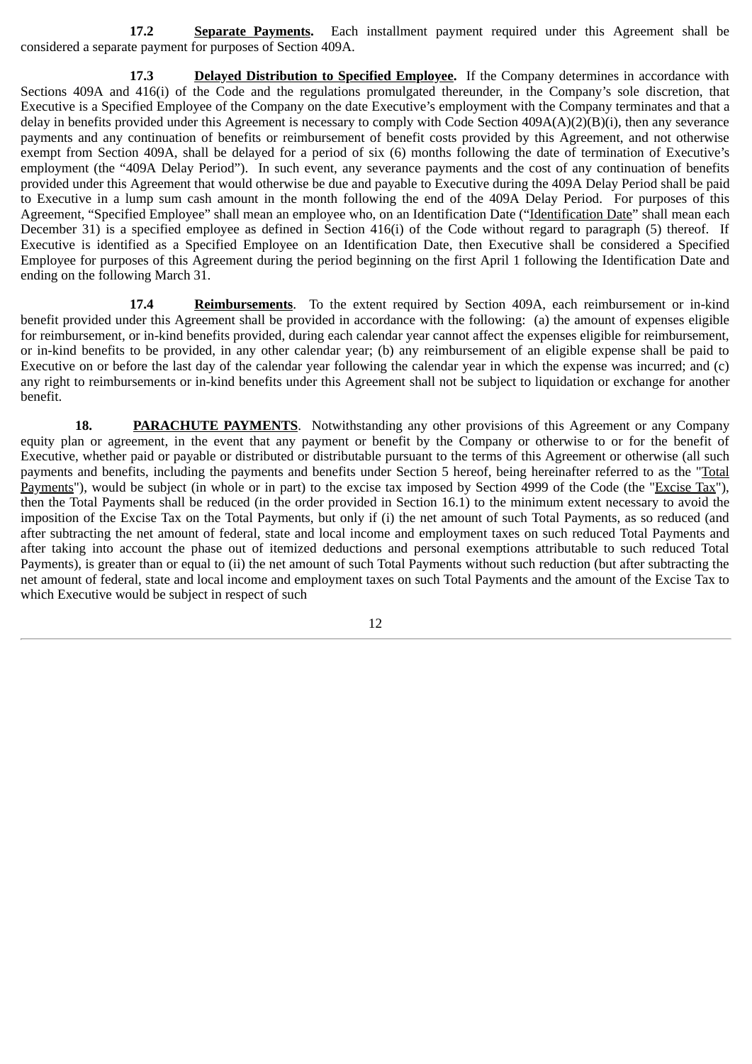**17.2 Separate Payments.** Each installment payment required under this Agreement shall be considered a separate payment for purposes of Section 409A.

17.3 **Delayed Distribution to Specified Employee.** If the Company determines in accordance with Sections 409A and 416(i) of the Code and the regulations promulgated thereunder, in the Company's sole discretion, that Executive is a Specified Employee of the Company on the date Executive's employment with the Company terminates and that a delay in benefits provided under this Agreement is necessary to comply with Code Section  $409A(A)(2)(B)(i)$ , then any severance payments and any continuation of benefits or reimbursement of benefit costs provided by this Agreement, and not otherwise exempt from Section 409A, shall be delayed for a period of six (6) months following the date of termination of Executive's employment (the "409A Delay Period"). In such event, any severance payments and the cost of any continuation of benefits provided under this Agreement that would otherwise be due and payable to Executive during the 409A Delay Period shall be paid to Executive in a lump sum cash amount in the month following the end of the 409A Delay Period. For purposes of this Agreement, "Specified Employee" shall mean an employee who, on an Identification Date ("Identification Date" shall mean each December 31) is a specified employee as defined in Section 416(i) of the Code without regard to paragraph (5) thereof. If Executive is identified as a Specified Employee on an Identification Date, then Executive shall be considered a Specified Employee for purposes of this Agreement during the period beginning on the first April 1 following the Identification Date and ending on the following March 31.

**17.4 Reimbursements**. To the extent required by Section 409A, each reimbursement or in-kind benefit provided under this Agreement shall be provided in accordance with the following: (a) the amount of expenses eligible for reimbursement, or in-kind benefits provided, during each calendar year cannot affect the expenses eligible for reimbursement, or in-kind benefits to be provided, in any other calendar year; (b) any reimbursement of an eligible expense shall be paid to Executive on or before the last day of the calendar year following the calendar year in which the expense was incurred; and (c) any right to reimbursements or in-kind benefits under this Agreement shall not be subject to liquidation or exchange for another benefit.

**18. <b>PARACHUTE PAYMENTS**. Notwithstanding any other provisions of this Agreement or any Company equity plan or agreement, in the event that any payment or benefit by the Company or otherwise to or for the benefit of Executive, whether paid or payable or distributed or distributable pursuant to the terms of this Agreement or otherwise (all such payments and benefits, including the payments and benefits under Section 5 hereof, being hereinafter referred to as the "Total Payments"), would be subject (in whole or in part) to the excise tax imposed by Section 4999 of the Code (the "Excise Tax"), then the Total Payments shall be reduced (in the order provided in Section 16.1) to the minimum extent necessary to avoid the imposition of the Excise Tax on the Total Payments, but only if (i) the net amount of such Total Payments, as so reduced (and after subtracting the net amount of federal, state and local income and employment taxes on such reduced Total Payments and after taking into account the phase out of itemized deductions and personal exemptions attributable to such reduced Total Payments), is greater than or equal to (ii) the net amount of such Total Payments without such reduction (but after subtracting the net amount of federal, state and local income and employment taxes on such Total Payments and the amount of the Excise Tax to which Executive would be subject in respect of such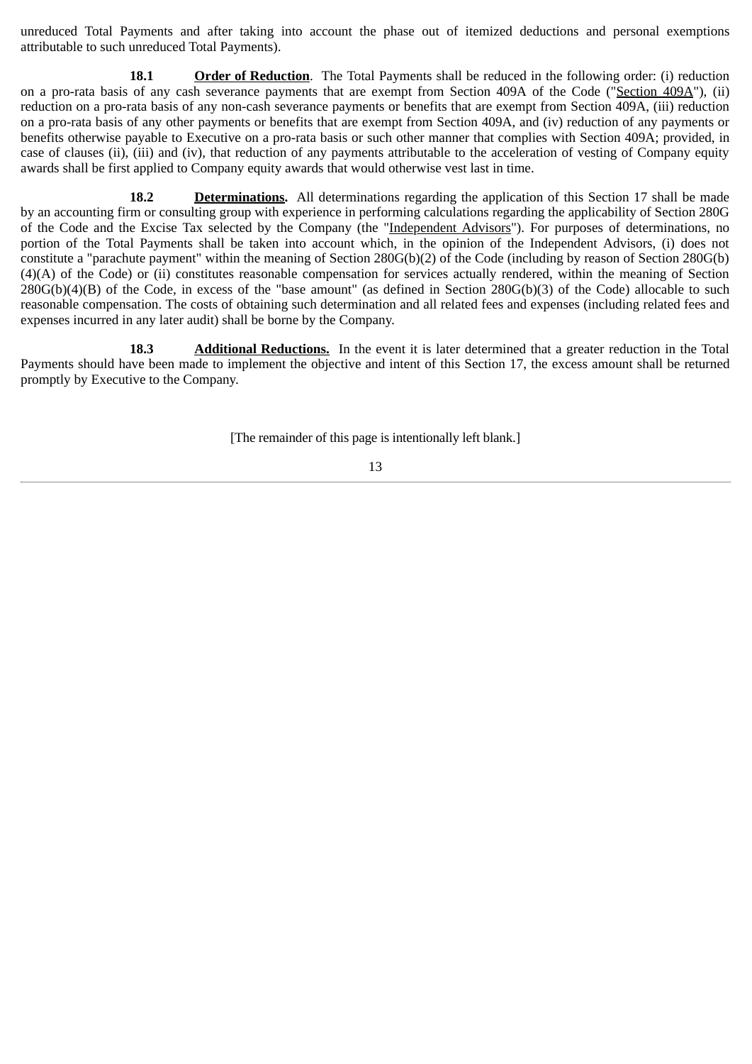unreduced Total Payments and after taking into account the phase out of itemized deductions and personal exemptions attributable to such unreduced Total Payments).

**18.1 Order of Reduction**. The Total Payments shall be reduced in the following order: (i) reduction on a pro-rata basis of any cash severance payments that are exempt from Section 409A of the Code ("Section 409A"), (ii) reduction on a pro-rata basis of any non-cash severance payments or benefits that are exempt from Section 409A, (iii) reduction on a pro-rata basis of any other payments or benefits that are exempt from Section 409A, and (iv) reduction of any payments or benefits otherwise payable to Executive on a pro-rata basis or such other manner that complies with Section 409A; provided, in case of clauses (ii), (iii) and (iv), that reduction of any payments attributable to the acceleration of vesting of Company equity awards shall be first applied to Company equity awards that would otherwise vest last in time.

**18.2 Determinations.** All determinations regarding the application of this Section 17 shall be made by an accounting firm or consulting group with experience in performing calculations regarding the applicability of Section 280G of the Code and the Excise Tax selected by the Company (the "Independent Advisors"). For purposes of determinations, no portion of the Total Payments shall be taken into account which, in the opinion of the Independent Advisors, (i) does not constitute a "parachute payment" within the meaning of Section 280G(b)(2) of the Code (including by reason of Section 280G(b) (4)(A) of the Code) or (ii) constitutes reasonable compensation for services actually rendered, within the meaning of Section 280G(b)(4)(B) of the Code, in excess of the "base amount" (as defined in Section 280G(b)(3) of the Code) allocable to such reasonable compensation. The costs of obtaining such determination and all related fees and expenses (including related fees and expenses incurred in any later audit) shall be borne by the Company.

**18.3 Additional Reductions.** In the event it is later determined that a greater reduction in the Total Payments should have been made to implement the objective and intent of this Section 17, the excess amount shall be returned promptly by Executive to the Company.

[The remainder of this page is intentionally left blank.]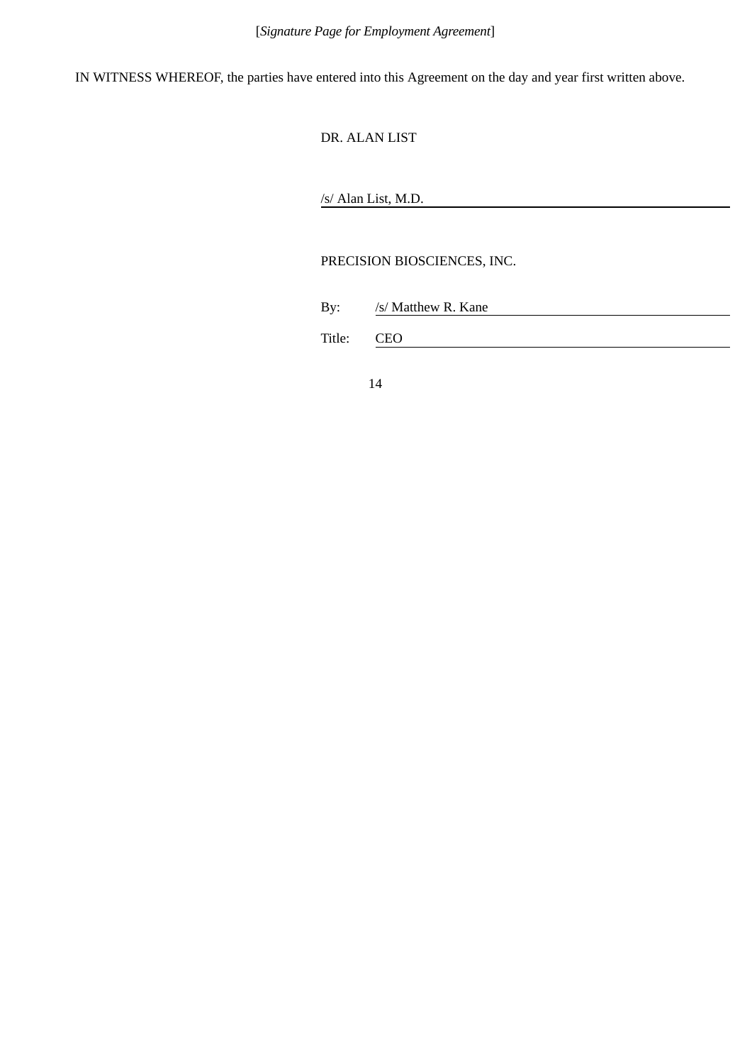IN WITNESS WHEREOF, the parties have entered into this Agreement on the day and year first written above.

DR. ALAN LIST

/s/ Alan List, M.D.

# PRECISION BIOSCIENCES, INC.

| By: | /s/ Matthew R. Kane |
|-----|---------------------|
|     |                     |

Title: CEO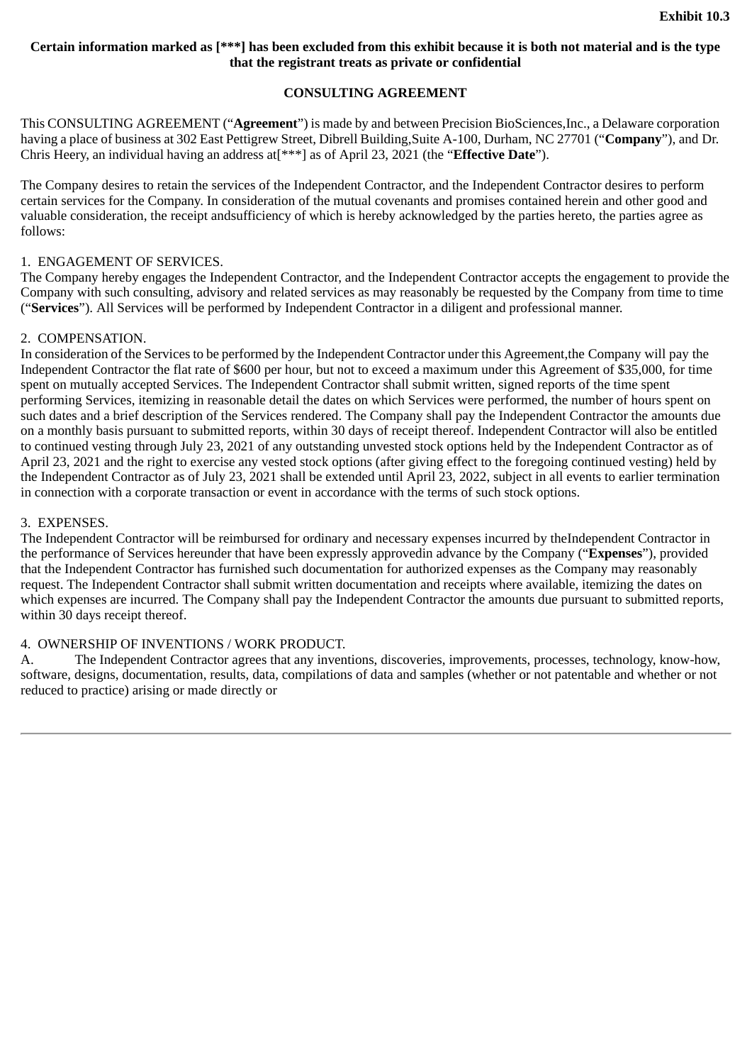# **Certain information marked as [\*\*\*] has been excluded from this exhibit because it is both not material and is the type that the registrant treats as private or confidential**

# **CONSULTING AGREEMENT**

This CONSULTING AGREEMENT ("**Agreement**") is made by and between Precision BioSciences,Inc., a Delaware corporation having a place of business at 302 East Pettigrew Street, Dibrell Building,Suite A-100, Durham, NC 27701 ("**Company**"), and Dr. Chris Heery, an individual having an address at[\*\*\*] as of April 23, 2021 (the "**Effective Date**").

The Company desires to retain the services of the Independent Contractor, and the Independent Contractor desires to perform certain services for the Company. In consideration of the mutual covenants and promises contained herein and other good and valuable consideration, the receipt andsufficiency of which is hereby acknowledged by the parties hereto, the parties agree as follows:

# 1. ENGAGEMENT OF SERVICES.

The Company hereby engages the Independent Contractor, and the Independent Contractor accepts the engagement to provide the Company with such consulting, advisory and related services as may reasonably be requested by the Company from time to time ("**Services**"). All Services will be performed by Independent Contractor in a diligent and professional manner.

# 2. COMPENSATION.

In consideration of the Services to be performed by the Independent Contractor under this Agreement,the Company will pay the Independent Contractor the flat rate of \$600 per hour, but not to exceed a maximum under this Agreement of \$35,000, for time spent on mutually accepted Services. The Independent Contractor shall submit written, signed reports of the time spent performing Services, itemizing in reasonable detail the dates on which Services were performed, the number of hours spent on such dates and a brief description of the Services rendered. The Company shall pay the Independent Contractor the amounts due on a monthly basis pursuant to submitted reports, within 30 days of receipt thereof. Independent Contractor will also be entitled to continued vesting through July 23, 2021 of any outstanding unvested stock options held by the Independent Contractor as of April 23, 2021 and the right to exercise any vested stock options (after giving effect to the foregoing continued vesting) held by the Independent Contractor as of July 23, 2021 shall be extended until April 23, 2022, subject in all events to earlier termination in connection with a corporate transaction or event in accordance with the terms of such stock options.

# 3. EXPENSES.

The Independent Contractor will be reimbursed for ordinary and necessary expenses incurred by theIndependent Contractor in the performance of Services hereunder that have been expressly approvedin advance by the Company ("**Expenses**"), provided that the Independent Contractor has furnished such documentation for authorized expenses as the Company may reasonably request. The Independent Contractor shall submit written documentation and receipts where available, itemizing the dates on which expenses are incurred. The Company shall pay the Independent Contractor the amounts due pursuant to submitted reports, within 30 days receipt thereof.

# 4. OWNERSHIP OF INVENTIONS / WORK PRODUCT.

A. The Independent Contractor agrees that any inventions, discoveries, improvements, processes, technology, know-how, software, designs, documentation, results, data, compilations of data and samples (whether or not patentable and whether or not reduced to practice) arising or made directly or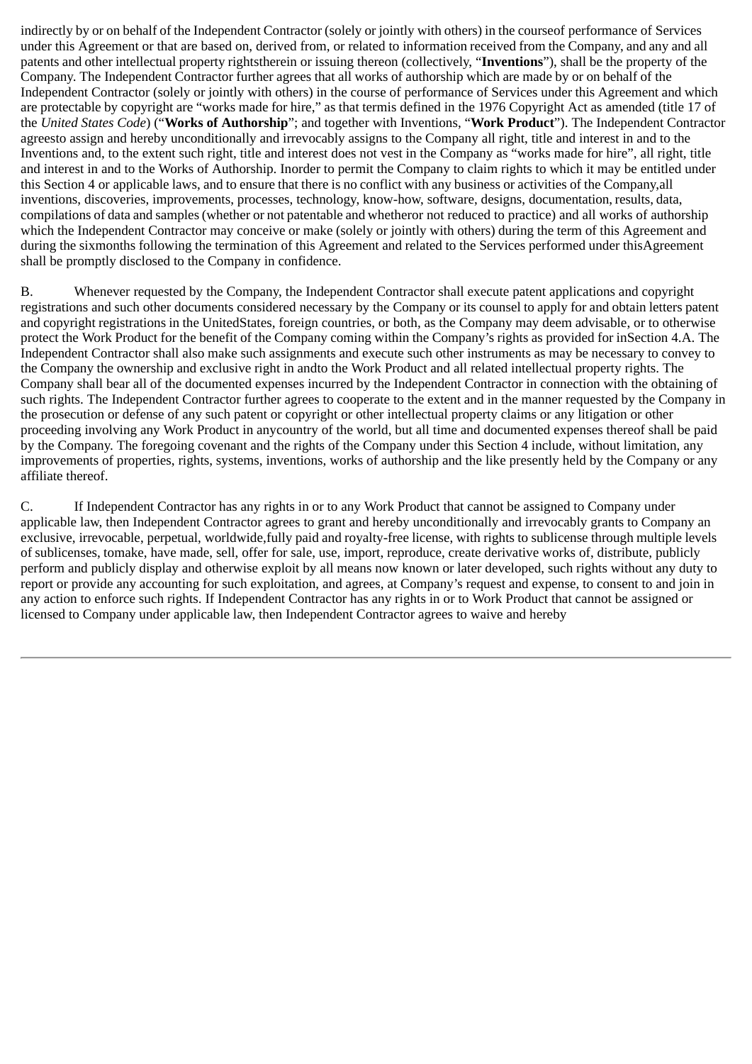indirectly by or on behalf of the Independent Contractor (solely or jointly with others) in the courseof performance of Services under this Agreement or that are based on, derived from, or related to information received from the Company, and any and all patents and other intellectual property rightstherein or issuing thereon (collectively, "**Inventions**"), shall be the property of the Company. The Independent Contractor further agrees that all works of authorship which are made by or on behalf of the Independent Contractor (solely or jointly with others) in the course of performance of Services under this Agreement and which are protectable by copyright are "works made for hire," as that termis defined in the 1976 Copyright Act as amended (title 17 of the *United States Code*) ("**Works of Authorship**"; and together with Inventions, "**Work Product**"). The Independent Contractor agreesto assign and hereby unconditionally and irrevocably assigns to the Company all right, title and interest in and to the Inventions and, to the extent such right, title and interest does not vest in the Company as "works made for hire", all right, title and interest in and to the Works of Authorship. Inorder to permit the Company to claim rights to which it may be entitled under this Section 4 or applicable laws, and to ensure that there is no conflict with any business or activities of the Company,all inventions, discoveries, improvements, processes, technology, know-how, software, designs, documentation, results, data, compilations of data and samples(whether or not patentable and whetheror not reduced to practice) and all works of authorship which the Independent Contractor may conceive or make (solely or jointly with others) during the term of this Agreement and during the sixmonths following the termination of this Agreement and related to the Services performed under thisAgreement shall be promptly disclosed to the Company in confidence.

B. Whenever requested by the Company, the Independent Contractor shall execute patent applications and copyright registrations and such other documents considered necessary by the Company or its counsel to apply for and obtain letters patent and copyright registrations in the UnitedStates, foreign countries, or both, as the Company may deem advisable, or to otherwise protect the Work Product for the benefit of the Company coming within the Company's rights as provided for inSection 4.A. The Independent Contractor shall also make such assignments and execute such other instruments as may be necessary to convey to the Company the ownership and exclusive right in andto the Work Product and all related intellectual property rights. The Company shall bear all of the documented expenses incurred by the Independent Contractor in connection with the obtaining of such rights. The Independent Contractor further agrees to cooperate to the extent and in the manner requested by the Company in the prosecution or defense of any such patent or copyright or other intellectual property claims or any litigation or other proceeding involving any Work Product in anycountry of the world, but all time and documented expenses thereof shall be paid by the Company. The foregoing covenant and the rights of the Company under this Section 4 include, without limitation, any improvements of properties, rights, systems, inventions, works of authorship and the like presently held by the Company or any affiliate thereof.

C. If Independent Contractor has any rights in or to any Work Product that cannot be assigned to Company under applicable law, then Independent Contractor agrees to grant and hereby unconditionally and irrevocably grants to Company an exclusive, irrevocable, perpetual, worldwide,fully paid and royalty-free license, with rights to sublicense through multiple levels of sublicenses, tomake, have made, sell, offer for sale, use, import, reproduce, create derivative works of, distribute, publicly perform and publicly display and otherwise exploit by all means now known or later developed, such rights without any duty to report or provide any accounting for such exploitation, and agrees, at Company's request and expense, to consent to and join in any action to enforce such rights. If Independent Contractor has any rights in or to Work Product that cannot be assigned or licensed to Company under applicable law, then Independent Contractor agrees to waive and hereby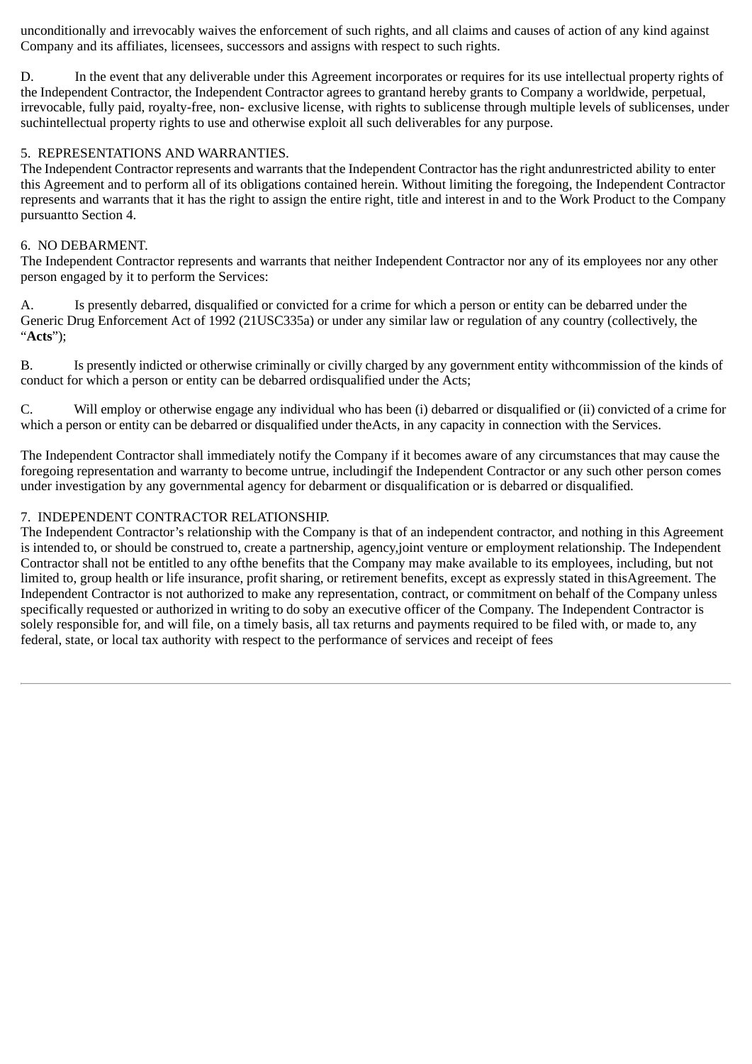unconditionally and irrevocably waives the enforcement of such rights, and all claims and causes of action of any kind against Company and its affiliates, licensees, successors and assigns with respect to such rights.

D. In the event that any deliverable under this Agreement incorporates or requires for its use intellectual property rights of the Independent Contractor, the Independent Contractor agrees to grantand hereby grants to Company a worldwide, perpetual, irrevocable, fully paid, royalty-free, non- exclusive license, with rights to sublicense through multiple levels of sublicenses, under suchintellectual property rights to use and otherwise exploit all such deliverables for any purpose.

## 5. REPRESENTATIONS AND WARRANTIES.

The Independent Contractor represents and warrants that the Independent Contractor has the right andunrestricted ability to enter this Agreement and to perform all of its obligations contained herein. Without limiting the foregoing, the Independent Contractor represents and warrants that it has the right to assign the entire right, title and interest in and to the Work Product to the Company pursuantto Section 4.

## 6. NO DEBARMENT.

The Independent Contractor represents and warrants that neither Independent Contractor nor any of its employees nor any other person engaged by it to perform the Services:

A. Is presently debarred, disqualified or convicted for a crime for which a person or entity can be debarred under the Generic Drug Enforcement Act of 1992 (21USC335a) or under any similar law or regulation of any country (collectively, the "**Acts**");

B. Is presently indicted or otherwise criminally or civilly charged by any government entity withcommission of the kinds of conduct for which a person or entity can be debarred ordisqualified under the Acts;

C. Will employ or otherwise engage any individual who has been (i) debarred or disqualified or (ii) convicted of a crime for which a person or entity can be debarred or disqualified under theActs, in any capacity in connection with the Services.

The Independent Contractor shall immediately notify the Company if it becomes aware of any circumstances that may cause the foregoing representation and warranty to become untrue, includingif the Independent Contractor or any such other person comes under investigation by any governmental agency for debarment or disqualification or is debarred or disqualified.

## 7. INDEPENDENT CONTRACTOR RELATIONSHIP.

The Independent Contractor's relationship with the Company is that of an independent contractor, and nothing in this Agreement is intended to, or should be construed to, create a partnership, agency,joint venture or employment relationship. The Independent Contractor shall not be entitled to any ofthe benefits that the Company may make available to its employees, including, but not limited to, group health or life insurance, profit sharing, or retirement benefits, except as expressly stated in thisAgreement. The Independent Contractor is not authorized to make any representation, contract, or commitment on behalf of the Company unless specifically requested or authorized in writing to do soby an executive officer of the Company. The Independent Contractor is solely responsible for, and will file, on a timely basis, all tax returns and payments required to be filed with, or made to, any federal, state, or local tax authority with respect to the performance of services and receipt of fees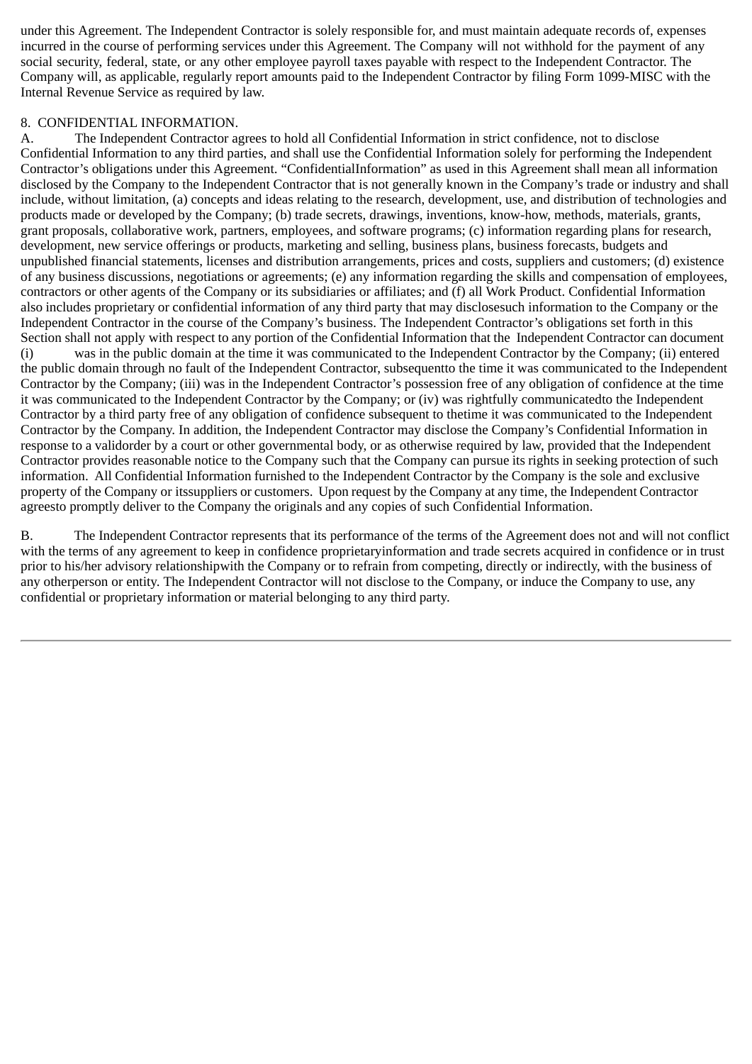under this Agreement. The Independent Contractor is solely responsible for, and must maintain adequate records of, expenses incurred in the course of performing services under this Agreement. The Company will not withhold for the payment of any social security, federal, state, or any other employee payroll taxes payable with respect to the Independent Contractor. The Company will, as applicable, regularly report amounts paid to the Independent Contractor by filing Form 1099-MISC with the Internal Revenue Service as required by law.

## 8. CONFIDENTIAL INFORMATION.

A. The Independent Contractor agrees to hold all Confidential Information in strict confidence, not to disclose Confidential Information to any third parties, and shall use the Confidential Information solely for performing the Independent Contractor's obligations under this Agreement. "ConfidentialInformation" as used in this Agreement shall mean all information disclosed by the Company to the Independent Contractor that is not generally known in the Company's trade or industry and shall include, without limitation, (a) concepts and ideas relating to the research, development, use, and distribution of technologies and products made or developed by the Company; (b) trade secrets, drawings, inventions, know-how, methods, materials, grants, grant proposals, collaborative work, partners, employees, and software programs; (c) information regarding plans for research, development, new service offerings or products, marketing and selling, business plans, business forecasts, budgets and unpublished financial statements, licenses and distribution arrangements, prices and costs, suppliers and customers; (d) existence of any business discussions, negotiations or agreements; (e) any information regarding the skills and compensation of employees, contractors or other agents of the Company or its subsidiaries or affiliates; and (f) all Work Product. Confidential Information also includes proprietary or confidential information of any third party that may disclosesuch information to the Company or the Independent Contractor in the course of the Company's business. The Independent Contractor's obligations set forth in this Section shall not apply with respect to any portion of the Confidential Information that the Independent Contractor can document (i) was in the public domain at the time it was communicated to the Independent Contractor by the Company; (ii) entered the public domain through no fault of the Independent Contractor, subsequentto the time it was communicated to the Independent Contractor by the Company; (iii) was in the Independent Contractor's possession free of any obligation of confidence at the time it was communicated to the Independent Contractor by the Company; or (iv) was rightfully communicatedto the Independent Contractor by a third party free of any obligation of confidence subsequent to thetime it was communicated to the Independent Contractor by the Company. In addition, the Independent Contractor may disclose the Company's Confidential Information in response to a validorder by a court or other governmental body, or as otherwise required by law, provided that the Independent Contractor provides reasonable notice to the Company such that the Company can pursue its rights in seeking protection of such information. All Confidential Information furnished to the Independent Contractor by the Company is the sole and exclusive property of the Company or itssuppliers or customers. Upon request by the Company at any time, the Independent Contractor agreesto promptly deliver to the Company the originals and any copies of such Confidential Information.

B. The Independent Contractor represents that its performance of the terms of the Agreement does not and will not conflict with the terms of any agreement to keep in confidence proprietaryinformation and trade secrets acquired in confidence or in trust prior to his/her advisory relationshipwith the Company or to refrain from competing, directly or indirectly, with the business of any otherperson or entity. The Independent Contractor will not disclose to the Company, or induce the Company to use, any confidential or proprietary information or material belonging to any third party.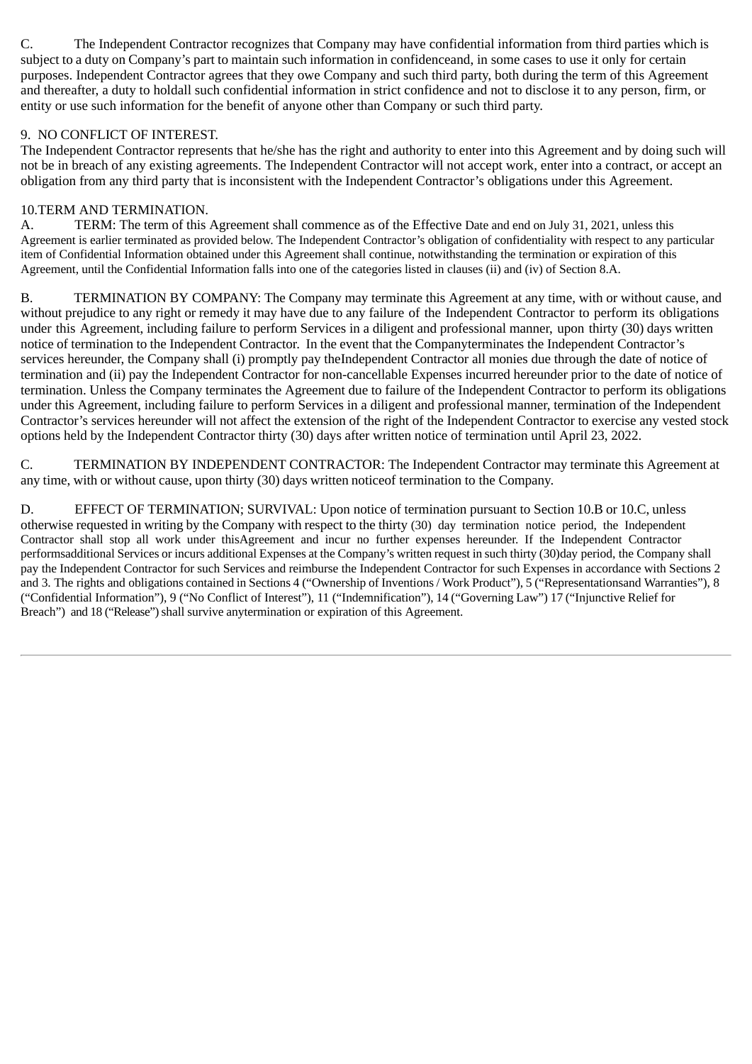C. The Independent Contractor recognizes that Company may have confidential information from third parties which is subject to a duty on Company's part to maintain such information in confidenceand, in some cases to use it only for certain purposes. Independent Contractor agrees that they owe Company and such third party, both during the term of this Agreement and thereafter, a duty to holdall such confidential information in strict confidence and not to disclose it to any person, firm, or entity or use such information for the benefit of anyone other than Company or such third party.

# 9. NO CONFLICT OF INTEREST.

The Independent Contractor represents that he/she has the right and authority to enter into this Agreement and by doing such will not be in breach of any existing agreements. The Independent Contractor will not accept work, enter into a contract, or accept an obligation from any third party that is inconsistent with the Independent Contractor's obligations under this Agreement.

# 10.TERM AND TERMINATION.

A. TERM: The term of this Agreement shall commence as of the Effective Date and end on July 31, 2021, unless this Agreement is earlier terminated as provided below. The Independent Contractor's obligation of confidentiality with respect to any particular item of Confidential Information obtained under this Agreement shall continue, notwithstanding the termination or expiration of this Agreement, until the Confidential Information falls into one of the categories listed in clauses (ii) and (iv) of Section 8.A.

B. TERMINATION BY COMPANY: The Company may terminate this Agreement at any time, with or without cause, and without prejudice to any right or remedy it may have due to any failure of the Independent Contractor to perform its obligations under this Agreement, including failure to perform Services in a diligent and professional manner, upon thirty (30) days written notice of termination to the Independent Contractor. In the event that the Companyterminates the Independent Contractor's services hereunder, the Company shall (i) promptly pay theIndependent Contractor all monies due through the date of notice of termination and (ii) pay the Independent Contractor for non-cancellable Expenses incurred hereunder prior to the date of notice of termination. Unless the Company terminates the Agreement due to failure of the Independent Contractor to perform its obligations under this Agreement, including failure to perform Services in a diligent and professional manner, termination of the Independent Contractor's services hereunder will not affect the extension of the right of the Independent Contractor to exercise any vested stock options held by the Independent Contractor thirty (30) days after written notice of termination until April 23, 2022.

C. TERMINATION BY INDEPENDENT CONTRACTOR: The Independent Contractor may terminate this Agreement at any time, with or without cause, upon thirty (30) days written noticeof termination to the Company.

D. EFFECT OF TERMINATION; SURVIVAL: Upon notice of termination pursuant to Section 10.B or 10.C, unless otherwise requested in writing by the Company with respect to the thirty (30) day termination notice period, the Independent Contractor shall stop all work under thisAgreement and incur no further expenses hereunder. If the Independent Contractor performsadditional Services or incurs additional Expenses at the Company's written request in such thirty (30)day period, the Company shall pay the Independent Contractor for such Services and reimburse the Independent Contractor for such Expenses in accordance with Sections 2 and 3. The rights and obligations contained in Sections 4 ("Ownership of Inventions / Work Product"), 5 ("Representationsand Warranties"), 8 ("Confidential Information"), 9 ("No Conflict of Interest"), 11 ("Indemnification"), 14 ("Governing Law") 17 ("Injunctive Relief for Breach") and 18 ("Release") shall survive anytermination or expiration of this Agreement.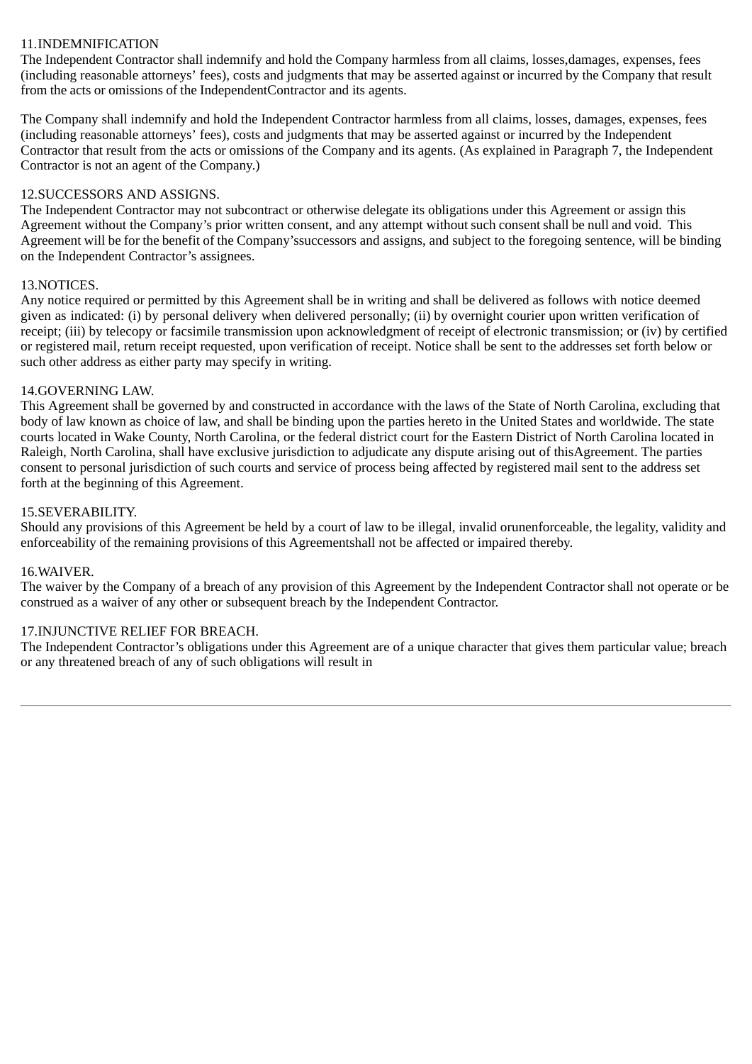# 11.INDEMNIFICATION

The Independent Contractor shall indemnify and hold the Company harmless from all claims, losses,damages, expenses, fees (including reasonable attorneys' fees), costs and judgments that may be asserted against or incurred by the Company that result from the acts or omissions of the IndependentContractor and its agents.

The Company shall indemnify and hold the Independent Contractor harmless from all claims, losses, damages, expenses, fees (including reasonable attorneys' fees), costs and judgments that may be asserted against or incurred by the Independent Contractor that result from the acts or omissions of the Company and its agents. (As explained in Paragraph 7, the Independent Contractor is not an agent of the Company.)

## 12.SUCCESSORS AND ASSIGNS.

The Independent Contractor may not subcontract or otherwise delegate its obligations under this Agreement or assign this Agreement without the Company's prior written consent, and any attempt without such consent shall be null and void. This Agreement will be for the benefit of the Company'ssuccessors and assigns, and subject to the foregoing sentence, will be binding on the Independent Contractor's assignees.

# 13.NOTICES.

Any notice required or permitted by this Agreement shall be in writing and shall be delivered as follows with notice deemed given as indicated: (i) by personal delivery when delivered personally; (ii) by overnight courier upon written verification of receipt; (iii) by telecopy or facsimile transmission upon acknowledgment of receipt of electronic transmission; or (iv) by certified or registered mail, return receipt requested, upon verification of receipt. Notice shall be sent to the addresses set forth below or such other address as either party may specify in writing.

# 14.GOVERNING LAW.

This Agreement shall be governed by and constructed in accordance with the laws of the State of North Carolina, excluding that body of law known as choice of law, and shall be binding upon the parties hereto in the United States and worldwide. The state courts located in Wake County, North Carolina, or the federal district court for the Eastern District of North Carolina located in Raleigh, North Carolina, shall have exclusive jurisdiction to adjudicate any dispute arising out of thisAgreement. The parties consent to personal jurisdiction of such courts and service of process being affected by registered mail sent to the address set forth at the beginning of this Agreement.

# 15.SEVERABILITY.

Should any provisions of this Agreement be held by a court of law to be illegal, invalid orunenforceable, the legality, validity and enforceability of the remaining provisions of this Agreementshall not be affected or impaired thereby.

## 16.WAIVER.

The waiver by the Company of a breach of any provision of this Agreement by the Independent Contractor shall not operate or be construed as a waiver of any other or subsequent breach by the Independent Contractor.

# 17.INJUNCTIVE RELIEF FOR BREACH.

The Independent Contractor's obligations under this Agreement are of a unique character that gives them particular value; breach or any threatened breach of any of such obligations will result in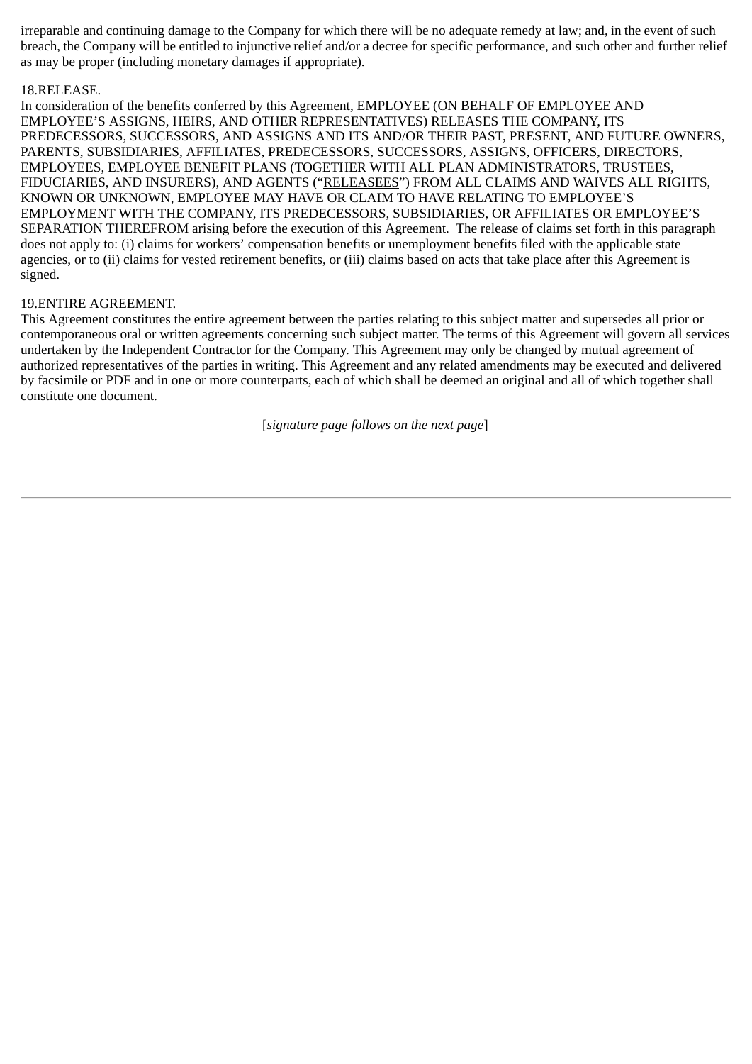irreparable and continuing damage to the Company for which there will be no adequate remedy at law; and, in the event of such breach, the Company will be entitled to injunctive relief and/or a decree for specific performance, and such other and further relief as may be proper (including monetary damages if appropriate).

## 18.RELEASE.

In consideration of the benefits conferred by this Agreement, EMPLOYEE (ON BEHALF OF EMPLOYEE AND EMPLOYEE'S ASSIGNS, HEIRS, AND OTHER REPRESENTATIVES) RELEASES THE COMPANY, ITS PREDECESSORS, SUCCESSORS, AND ASSIGNS AND ITS AND/OR THEIR PAST, PRESENT, AND FUTURE OWNERS, PARENTS, SUBSIDIARIES, AFFILIATES, PREDECESSORS, SUCCESSORS, ASSIGNS, OFFICERS, DIRECTORS, EMPLOYEES, EMPLOYEE BENEFIT PLANS (TOGETHER WITH ALL PLAN ADMINISTRATORS, TRUSTEES, FIDUCIARIES, AND INSURERS), AND AGENTS ("RELEASEES") FROM ALL CLAIMS AND WAIVES ALL RIGHTS, KNOWN OR UNKNOWN, EMPLOYEE MAY HAVE OR CLAIM TO HAVE RELATING TO EMPLOYEE'S EMPLOYMENT WITH THE COMPANY, ITS PREDECESSORS, SUBSIDIARIES, OR AFFILIATES OR EMPLOYEE'S SEPARATION THEREFROM arising before the execution of this Agreement. The release of claims set forth in this paragraph does not apply to: (i) claims for workers' compensation benefits or unemployment benefits filed with the applicable state agencies, or to (ii) claims for vested retirement benefits, or (iii) claims based on acts that take place after this Agreement is signed.

## 19.ENTIRE AGREEMENT.

This Agreement constitutes the entire agreement between the parties relating to this subject matter and supersedes all prior or contemporaneous oral or written agreements concerning such subject matter. The terms of this Agreement will govern all services undertaken by the Independent Contractor for the Company. This Agreement may only be changed by mutual agreement of authorized representatives of the parties in writing. This Agreement and any related amendments may be executed and delivered by facsimile or PDF and in one or more counterparts, each of which shall be deemed an original and all of which together shall constitute one document.

[*signature page follows on the next page*]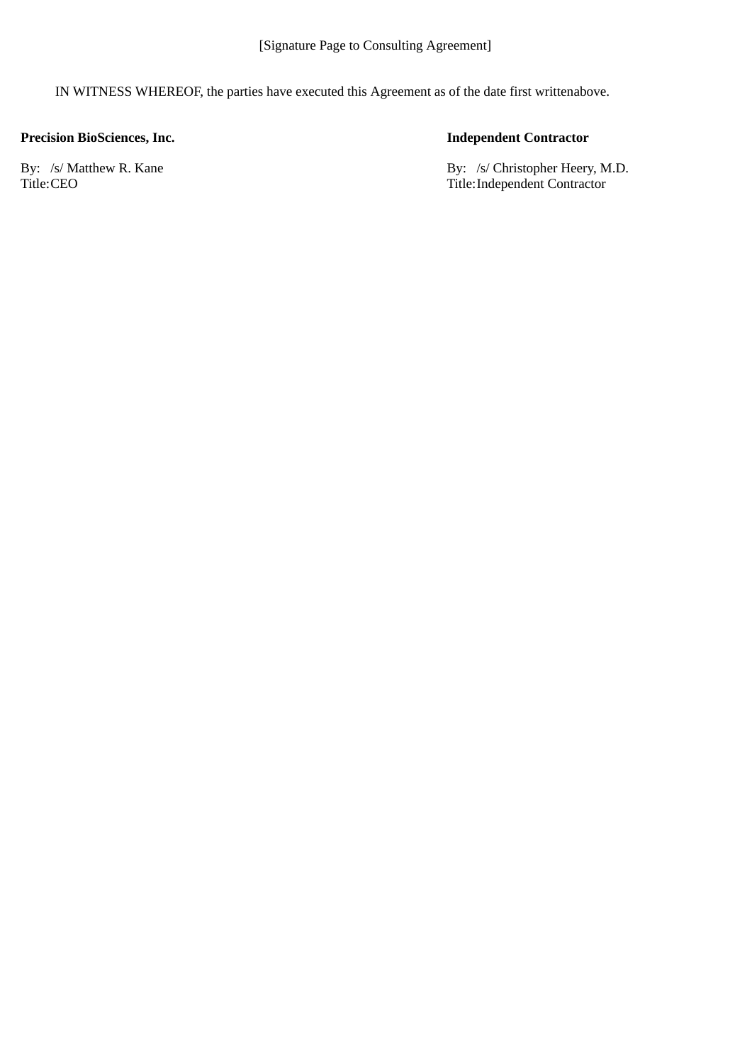IN WITNESS WHEREOF, the parties have executed this Agreement as of the date first writtenabove.

# **Precision BioSciences, Inc. Independent Contractor**

By: /s/ Matthew R. Kane By: /s/ Christopher Heery, M.D. Title: Independent Contractor Title: Independent Contractor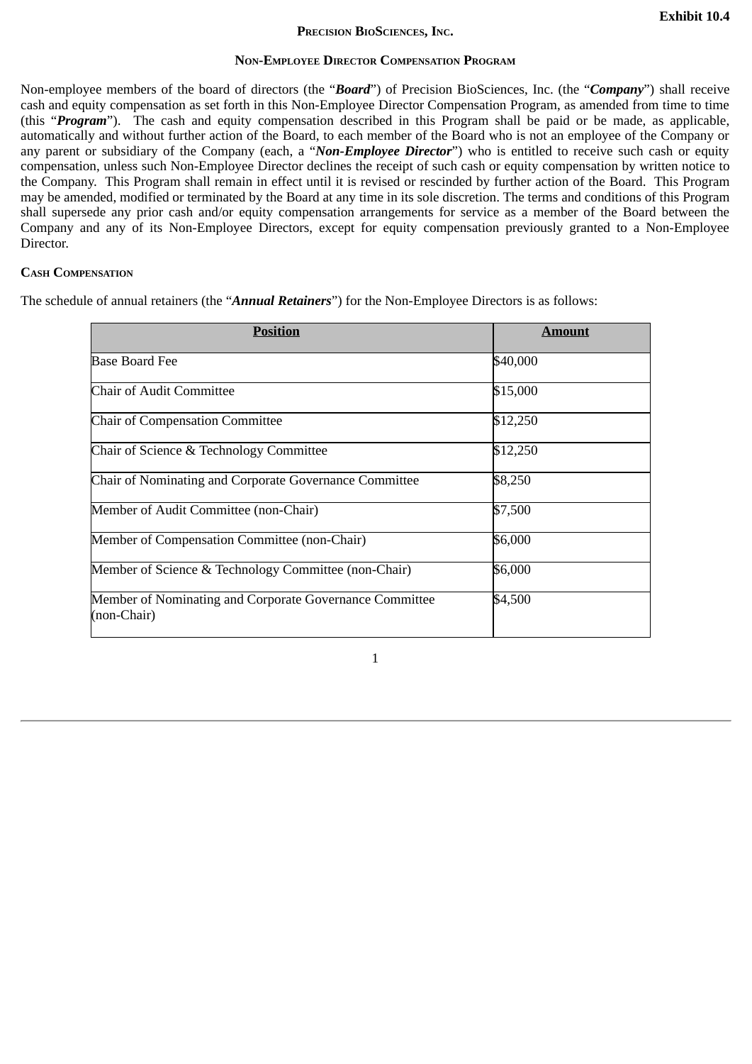### **PRECISION BIOSCIENCES, INC.**

## **NON-EMPLOYEE DIRECTOR COMPENSATION PROGRAM**

Non-employee members of the board of directors (the "*Board*") of Precision BioSciences, Inc. (the "*Company*") shall receive cash and equity compensation as set forth in this Non-Employee Director Compensation Program, as amended from time to time (this "*Program*"). The cash and equity compensation described in this Program shall be paid or be made, as applicable, automatically and without further action of the Board, to each member of the Board who is not an employee of the Company or any parent or subsidiary of the Company (each, a "*Non-Employee Director*") who is entitled to receive such cash or equity compensation, unless such Non-Employee Director declines the receipt of such cash or equity compensation by written notice to the Company. This Program shall remain in effect until it is revised or rescinded by further action of the Board. This Program may be amended, modified or terminated by the Board at any time in its sole discretion. The terms and conditions of this Program shall supersede any prior cash and/or equity compensation arrangements for service as a member of the Board between the Company and any of its Non-Employee Directors, except for equity compensation previously granted to a Non-Employee Director.

#### **CASH COMPENSATION**

The schedule of annual retainers (the "*Annual Retainers*") for the Non-Employee Directors is as follows:

| <b>Position</b>                                                        | Amount   |  |
|------------------------------------------------------------------------|----------|--|
| <b>Base Board Fee</b>                                                  | \$40,000 |  |
| Chair of Audit Committee                                               | \$15,000 |  |
| <b>Chair of Compensation Committee</b>                                 | \$12,250 |  |
| Chair of Science & Technology Committee                                | \$12,250 |  |
| Chair of Nominating and Corporate Governance Committee                 | \$8,250  |  |
| Member of Audit Committee (non-Chair)                                  | \$7,500  |  |
| Member of Compensation Committee (non-Chair)                           | \$6,000  |  |
| Member of Science & Technology Committee (non-Chair)                   | \$6,000  |  |
| Member of Nominating and Corporate Governance Committee<br>(non-Chair) | \$4,500  |  |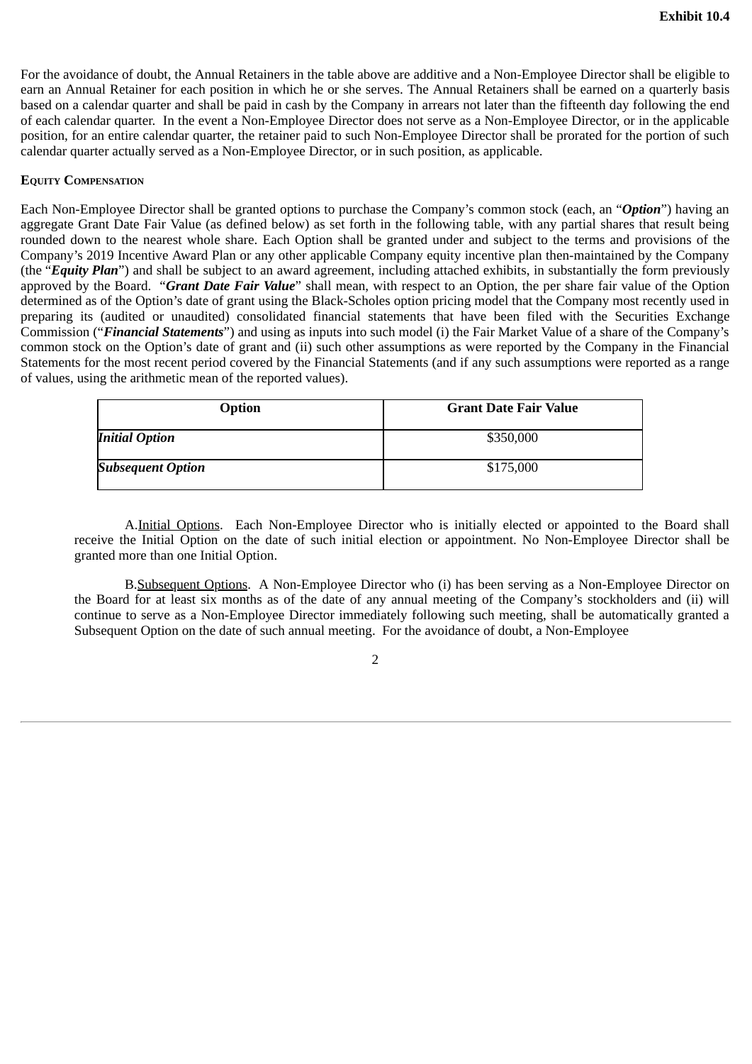For the avoidance of doubt, the Annual Retainers in the table above are additive and a Non-Employee Director shall be eligible to earn an Annual Retainer for each position in which he or she serves. The Annual Retainers shall be earned on a quarterly basis based on a calendar quarter and shall be paid in cash by the Company in arrears not later than the fifteenth day following the end of each calendar quarter. In the event a Non-Employee Director does not serve as a Non-Employee Director, or in the applicable position, for an entire calendar quarter, the retainer paid to such Non-Employee Director shall be prorated for the portion of such calendar quarter actually served as a Non-Employee Director, or in such position, as applicable.

## **EQUITY COMPENSATION**

Each Non-Employee Director shall be granted options to purchase the Company's common stock (each, an "*Option*") having an aggregate Grant Date Fair Value (as defined below) as set forth in the following table, with any partial shares that result being rounded down to the nearest whole share. Each Option shall be granted under and subject to the terms and provisions of the Company's 2019 Incentive Award Plan or any other applicable Company equity incentive plan then-maintained by the Company (the "*Equity Plan*") and shall be subject to an award agreement, including attached exhibits, in substantially the form previously approved by the Board. "*Grant Date Fair Value*" shall mean, with respect to an Option, the per share fair value of the Option determined as of the Option's date of grant using the Black-Scholes option pricing model that the Company most recently used in preparing its (audited or unaudited) consolidated financial statements that have been filed with the Securities Exchange Commission ("*Financial Statements*") and using as inputs into such model (i) the Fair Market Value of a share of the Company's common stock on the Option's date of grant and (ii) such other assumptions as were reported by the Company in the Financial Statements for the most recent period covered by the Financial Statements (and if any such assumptions were reported as a range of values, using the arithmetic mean of the reported values).

| Option                   | <b>Grant Date Fair Value</b> |
|--------------------------|------------------------------|
| <b>Initial Option</b>    | \$350,000                    |
| <b>Subsequent Option</b> | \$175,000                    |

A.Initial Options. Each Non-Employee Director who is initially elected or appointed to the Board shall receive the Initial Option on the date of such initial election or appointment. No Non-Employee Director shall be granted more than one Initial Option.

B.Subsequent Options. A Non-Employee Director who (i) has been serving as a Non-Employee Director on the Board for at least six months as of the date of any annual meeting of the Company's stockholders and (ii) will continue to serve as a Non-Employee Director immediately following such meeting, shall be automatically granted a Subsequent Option on the date of such annual meeting. For the avoidance of doubt, a Non-Employee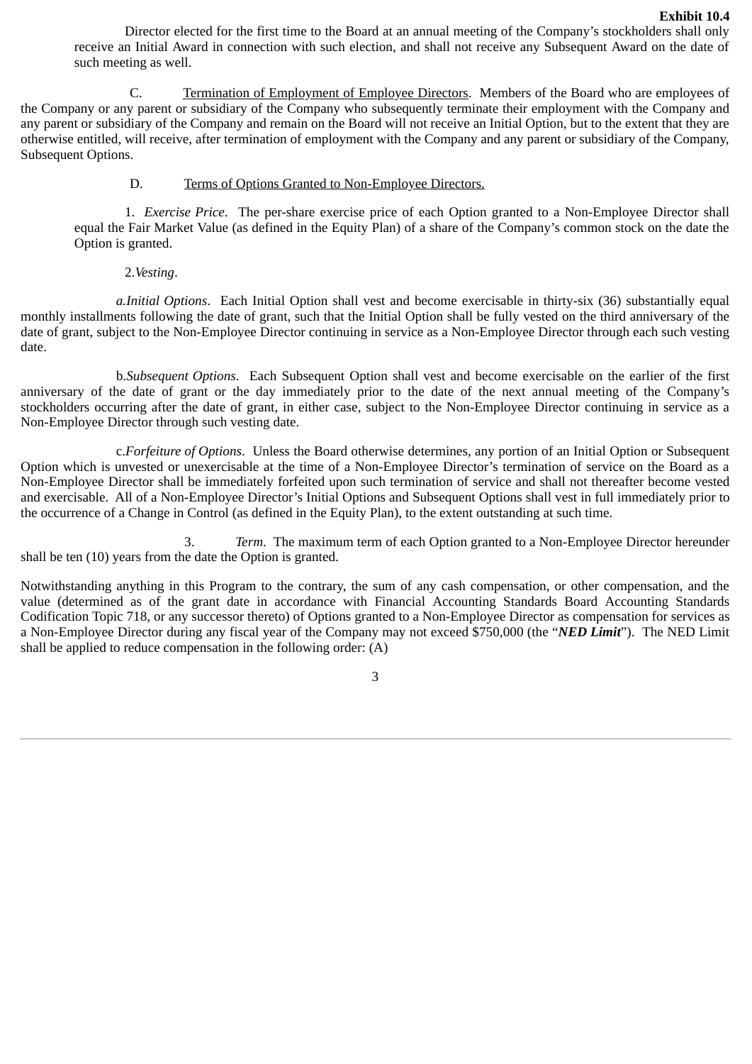Director elected for the first time to the Board at an annual meeting of the Company's stockholders shall only receive an Initial Award in connection with such election, and shall not receive any Subsequent Award on the date of such meeting as well.

C. Termination of Employment of Employee Directors. Members of the Board who are employees of the Company or any parent or subsidiary of the Company who subsequently terminate their employment with the Company and any parent or subsidiary of the Company and remain on the Board will not receive an Initial Option, but to the extent that they are otherwise entitled, will receive, after termination of employment with the Company and any parent or subsidiary of the Company, Subsequent Options.

## D. Terms of Options Granted to Non-Employee Directors.

1. *Exercise Price*. The per-share exercise price of each Option granted to a Non-Employee Director shall equal the Fair Market Value (as defined in the Equity Plan) of a share of the Company's common stock on the date the Option is granted.

2.*Vesting*.

*a.Initial Options*. Each Initial Option shall vest and become exercisable in thirty-six (36) substantially equal monthly installments following the date of grant, such that the Initial Option shall be fully vested on the third anniversary of the date of grant, subject to the Non-Employee Director continuing in service as a Non-Employee Director through each such vesting date.

b.*Subsequent Options*. Each Subsequent Option shall vest and become exercisable on the earlier of the first anniversary of the date of grant or the day immediately prior to the date of the next annual meeting of the Company's stockholders occurring after the date of grant, in either case, subject to the Non-Employee Director continuing in service as a Non-Employee Director through such vesting date.

c.*Forfeiture of Options*. Unless the Board otherwise determines, any portion of an Initial Option or Subsequent Option which is unvested or unexercisable at the time of a Non-Employee Director's termination of service on the Board as a Non-Employee Director shall be immediately forfeited upon such termination of service and shall not thereafter become vested and exercisable. All of a Non-Employee Director's Initial Options and Subsequent Options shall vest in full immediately prior to the occurrence of a Change in Control (as defined in the Equity Plan), to the extent outstanding at such time.

3. *Term*. The maximum term of each Option granted to a Non-Employee Director hereunder shall be ten (10) years from the date the Option is granted.

Notwithstanding anything in this Program to the contrary, the sum of any cash compensation, or other compensation, and the value (determined as of the grant date in accordance with Financial Accounting Standards Board Accounting Standards Codification Topic 718, or any successor thereto) of Options granted to a Non-Employee Director as compensation for services as a Non-Employee Director during any fiscal year of the Company may not exceed \$750,000 (the "*NED Limit*"). The NED Limit shall be applied to reduce compensation in the following order: (A)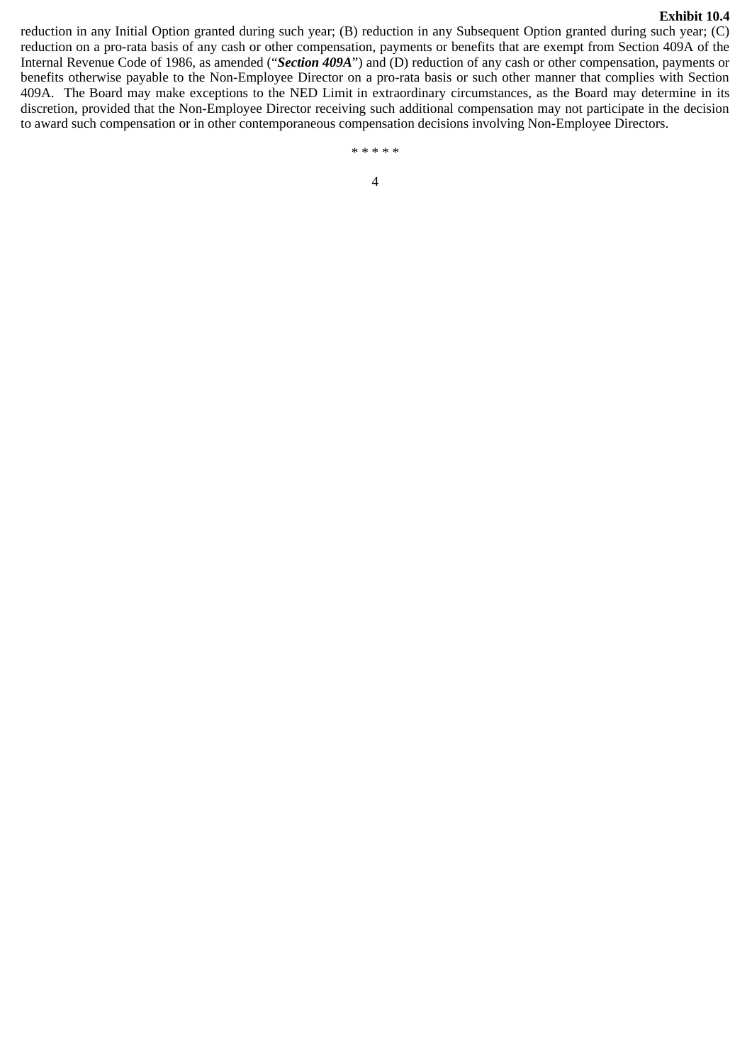#### **Exhibit 10.4**

reduction in any Initial Option granted during such year; (B) reduction in any Subsequent Option granted during such year; (C) reduction on a pro-rata basis of any cash or other compensation, payments or benefits that are exempt from Section 409A of the Internal Revenue Code of 1986, as amended ("*Section 409A*") and (D) reduction of any cash or other compensation, payments or benefits otherwise payable to the Non-Employee Director on a pro-rata basis or such other manner that complies with Section 409A. The Board may make exceptions to the NED Limit in extraordinary circumstances, as the Board may determine in its discretion, provided that the Non-Employee Director receiving such additional compensation may not participate in the decision to award such compensation or in other contemporaneous compensation decisions involving Non-Employee Directors.

\* \* \* \* \*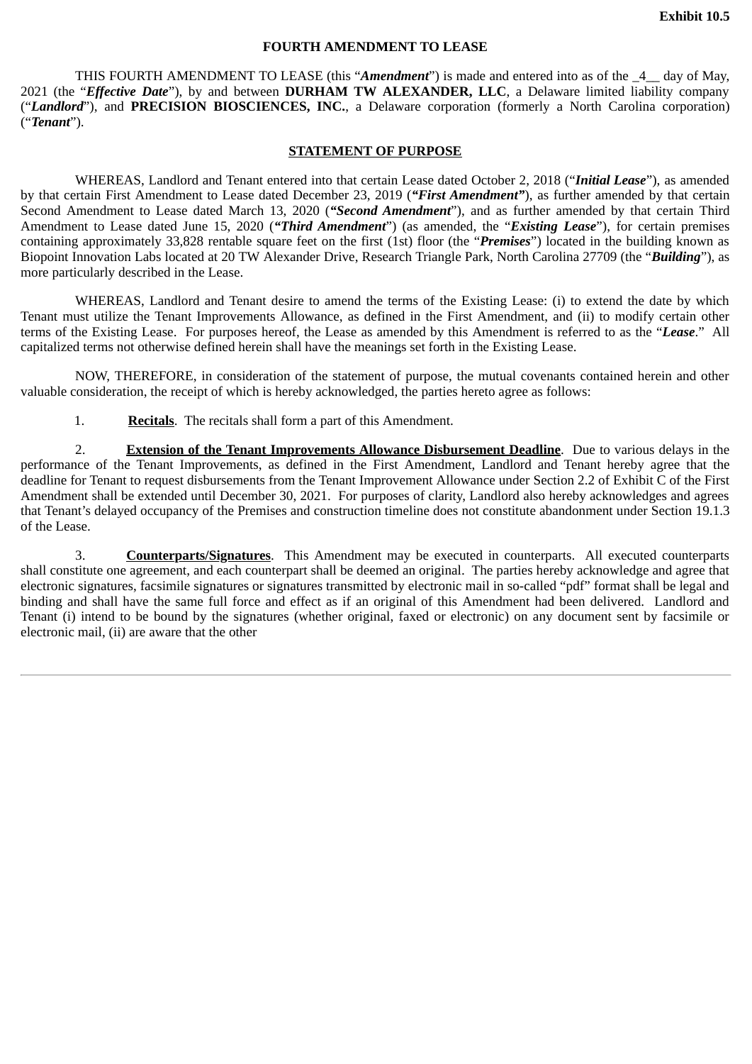#### **FOURTH AMENDMENT TO LEASE**

THIS FOURTH AMENDMENT TO LEASE (this "*Amendment*") is made and entered into as of the \_4\_\_ day of May, 2021 (the "*Effective Date*"), by and between **DURHAM TW ALEXANDER, LLC**, a Delaware limited liability company ("*Landlord*"), and **PRECISION BIOSCIENCES, INC.**, a Delaware corporation (formerly a North Carolina corporation) ("*Tenant*").

#### **STATEMENT OF PURPOSE**

WHEREAS, Landlord and Tenant entered into that certain Lease dated October 2, 2018 ("*Initial Lease*"), as amended by that certain First Amendment to Lease dated December 23, 2019 (*"First Amendment"*), as further amended by that certain Second Amendment to Lease dated March 13, 2020 (*"Second Amendment*"), and as further amended by that certain Third Amendment to Lease dated June 15, 2020 (*"Third Amendment*") (as amended, the "*Existing Lease*"), for certain premises containing approximately 33,828 rentable square feet on the first (1st) floor (the "*Premises*") located in the building known as Biopoint Innovation Labs located at 20 TW Alexander Drive, Research Triangle Park, North Carolina 27709 (the "*Building*"), as more particularly described in the Lease.

WHEREAS, Landlord and Tenant desire to amend the terms of the Existing Lease: (i) to extend the date by which Tenant must utilize the Tenant Improvements Allowance, as defined in the First Amendment, and (ii) to modify certain other terms of the Existing Lease. For purposes hereof, the Lease as amended by this Amendment is referred to as the "*Lease*." All capitalized terms not otherwise defined herein shall have the meanings set forth in the Existing Lease.

NOW, THEREFORE, in consideration of the statement of purpose, the mutual covenants contained herein and other valuable consideration, the receipt of which is hereby acknowledged, the parties hereto agree as follows:

1. **Recitals**. The recitals shall form a part of this Amendment.

2. **Extension of the Tenant Improvements Allowance Disbursement Deadline**. Due to various delays in the performance of the Tenant Improvements, as defined in the First Amendment, Landlord and Tenant hereby agree that the deadline for Tenant to request disbursements from the Tenant Improvement Allowance under Section 2.2 of Exhibit C of the First Amendment shall be extended until December 30, 2021. For purposes of clarity, Landlord also hereby acknowledges and agrees that Tenant's delayed occupancy of the Premises and construction timeline does not constitute abandonment under Section 19.1.3 of the Lease.

3. **Counterparts/Signatures**. This Amendment may be executed in counterparts. All executed counterparts shall constitute one agreement, and each counterpart shall be deemed an original. The parties hereby acknowledge and agree that electronic signatures, facsimile signatures or signatures transmitted by electronic mail in so-called "pdf" format shall be legal and binding and shall have the same full force and effect as if an original of this Amendment had been delivered. Landlord and Tenant (i) intend to be bound by the signatures (whether original, faxed or electronic) on any document sent by facsimile or electronic mail, (ii) are aware that the other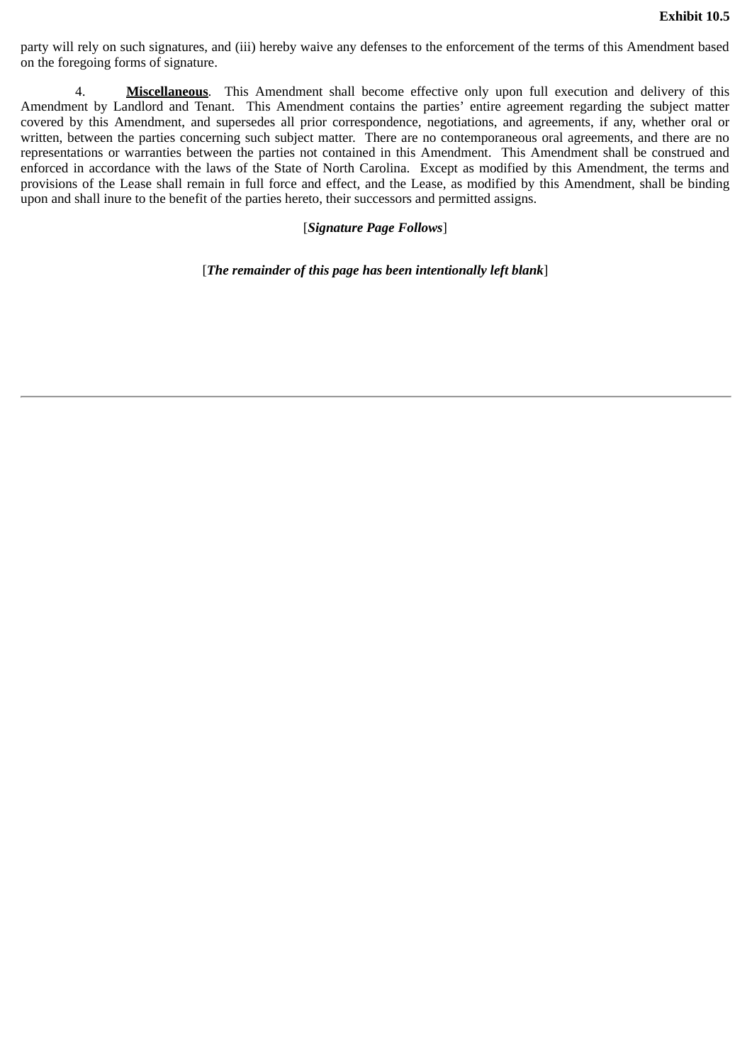party will rely on such signatures, and (iii) hereby waive any defenses to the enforcement of the terms of this Amendment based on the foregoing forms of signature.

4. **Miscellaneous**. This Amendment shall become effective only upon full execution and delivery of this Amendment by Landlord and Tenant. This Amendment contains the parties' entire agreement regarding the subject matter covered by this Amendment, and supersedes all prior correspondence, negotiations, and agreements, if any, whether oral or written, between the parties concerning such subject matter. There are no contemporaneous oral agreements, and there are no representations or warranties between the parties not contained in this Amendment. This Amendment shall be construed and enforced in accordance with the laws of the State of North Carolina. Except as modified by this Amendment, the terms and provisions of the Lease shall remain in full force and effect, and the Lease, as modified by this Amendment, shall be binding upon and shall inure to the benefit of the parties hereto, their successors and permitted assigns.

## [*Signature Page Follows*]

[*The remainder of this page has been intentionally left blank*]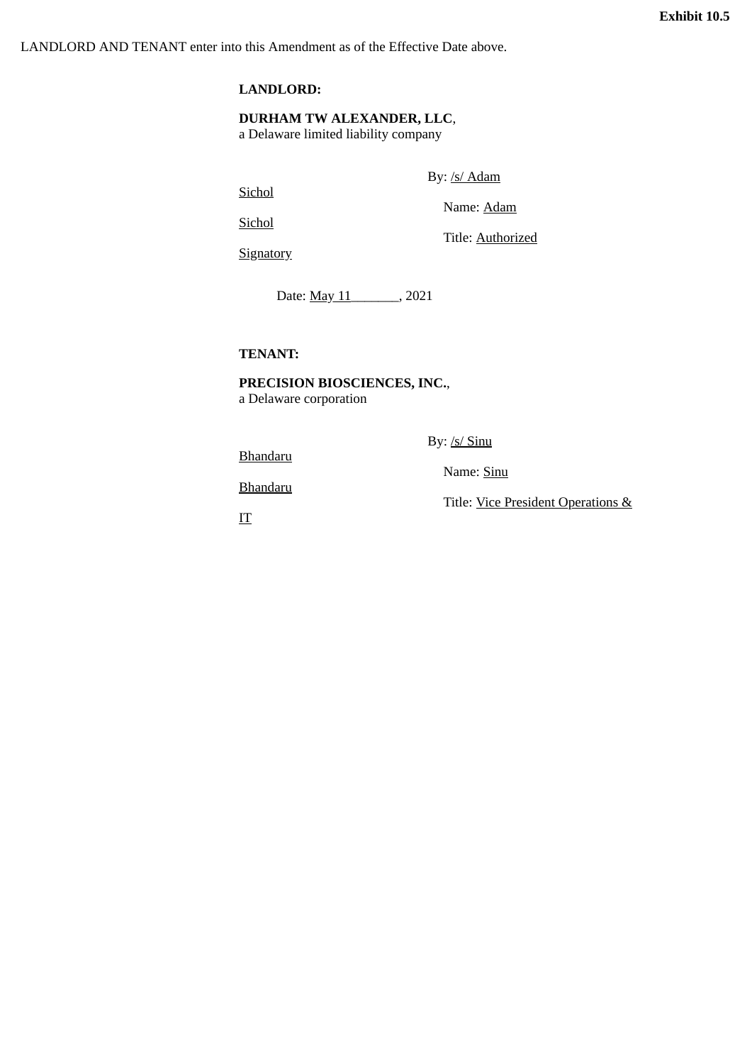LANDLORD AND TENANT enter into this Amendment as of the Effective Date above.

## **LANDLORD:**

# **DURHAM TW ALEXANDER, LLC**,

a Delaware limited liability company

Sichol

By: /s/ Adam

**Sichol** 

Name: Adam

Title: Authorized

**Signatory** 

Date: <u>May 11</u> \_\_\_\_\_\_\_, 2021

**TENANT:**

**PRECISION BIOSCIENCES, INC.**, a Delaware corporation

By: /s/ Sinu

Name: Sinu

Bhandaru

Bhandaru

Title: Vice President Operations &

IT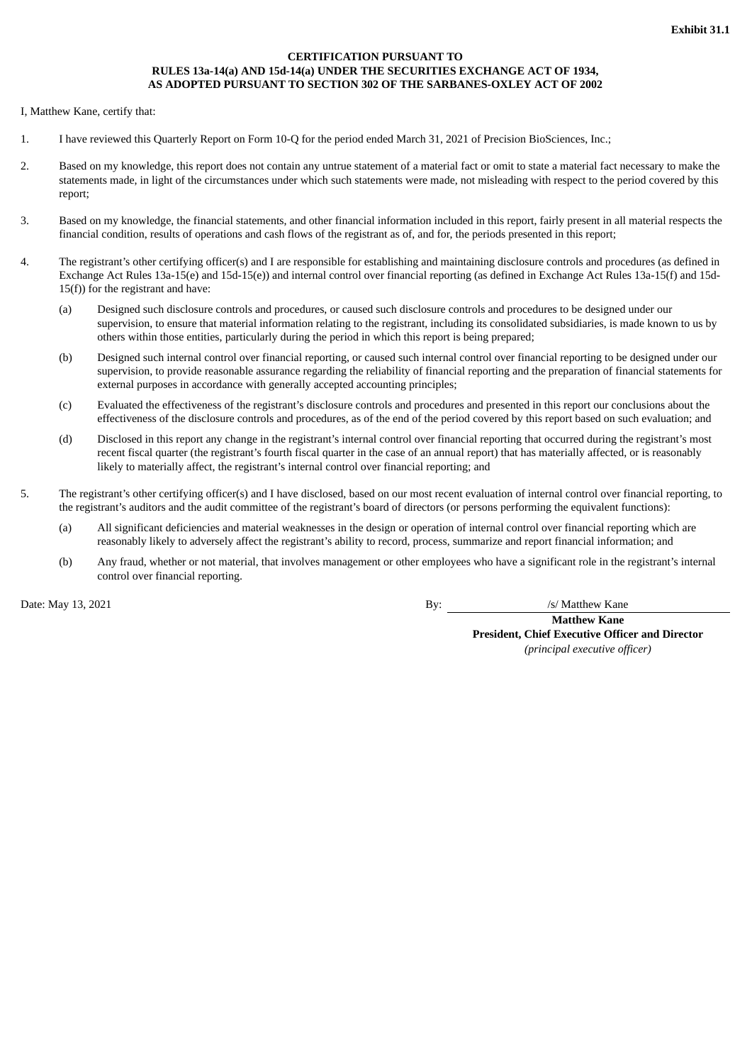#### **CERTIFICATION PURSUANT TO RULES 13a-14(a) AND 15d-14(a) UNDER THE SECURITIES EXCHANGE ACT OF 1934, AS ADOPTED PURSUANT TO SECTION 302 OF THE SARBANES-OXLEY ACT OF 2002**

I, Matthew Kane, certify that:

- 1. I have reviewed this Quarterly Report on Form 10-Q for the period ended March 31, 2021 of Precision BioSciences, Inc.;
- 2. Based on my knowledge, this report does not contain any untrue statement of a material fact or omit to state a material fact necessary to make the statements made, in light of the circumstances under which such statements were made, not misleading with respect to the period covered by this report;
- 3. Based on my knowledge, the financial statements, and other financial information included in this report, fairly present in all material respects the financial condition, results of operations and cash flows of the registrant as of, and for, the periods presented in this report;
- 4. The registrant's other certifying officer(s) and I are responsible for establishing and maintaining disclosure controls and procedures (as defined in Exchange Act Rules 13a-15(e) and 15d-15(e)) and internal control over financial reporting (as defined in Exchange Act Rules 13a-15(f) and 15d-15(f)) for the registrant and have:
	- (a) Designed such disclosure controls and procedures, or caused such disclosure controls and procedures to be designed under our supervision, to ensure that material information relating to the registrant, including its consolidated subsidiaries, is made known to us by others within those entities, particularly during the period in which this report is being prepared;
	- (b) Designed such internal control over financial reporting, or caused such internal control over financial reporting to be designed under our supervision, to provide reasonable assurance regarding the reliability of financial reporting and the preparation of financial statements for external purposes in accordance with generally accepted accounting principles;
	- (c) Evaluated the effectiveness of the registrant's disclosure controls and procedures and presented in this report our conclusions about the effectiveness of the disclosure controls and procedures, as of the end of the period covered by this report based on such evaluation; and
	- (d) Disclosed in this report any change in the registrant's internal control over financial reporting that occurred during the registrant's most recent fiscal quarter (the registrant's fourth fiscal quarter in the case of an annual report) that has materially affected, or is reasonably likely to materially affect, the registrant's internal control over financial reporting; and
- 5. The registrant's other certifying officer(s) and I have disclosed, based on our most recent evaluation of internal control over financial reporting, to the registrant's auditors and the audit committee of the registrant's board of directors (or persons performing the equivalent functions):
	- (a) All significant deficiencies and material weaknesses in the design or operation of internal control over financial reporting which are reasonably likely to adversely affect the registrant's ability to record, process, summarize and report financial information; and
	- (b) Any fraud, whether or not material, that involves management or other employees who have a significant role in the registrant's internal control over financial reporting.

Date: May 13, 2021 **By:** /s/ Matthew Kane

**Matthew Kane**

**President, Chief Executive Officer and Director** *(principal executive officer)*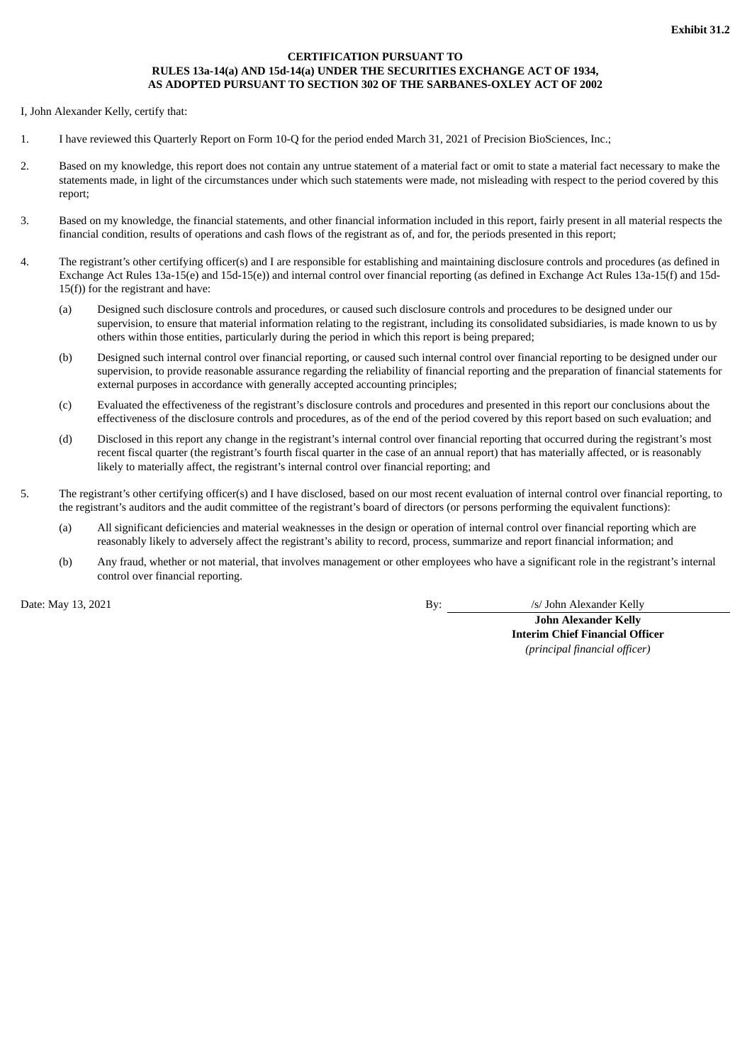#### **CERTIFICATION PURSUANT TO RULES 13a-14(a) AND 15d-14(a) UNDER THE SECURITIES EXCHANGE ACT OF 1934, AS ADOPTED PURSUANT TO SECTION 302 OF THE SARBANES-OXLEY ACT OF 2002**

I, John Alexander Kelly, certify that:

- 1. I have reviewed this Quarterly Report on Form 10-Q for the period ended March 31, 2021 of Precision BioSciences, Inc.;
- 2. Based on my knowledge, this report does not contain any untrue statement of a material fact or omit to state a material fact necessary to make the statements made, in light of the circumstances under which such statements were made, not misleading with respect to the period covered by this report;
- 3. Based on my knowledge, the financial statements, and other financial information included in this report, fairly present in all material respects the financial condition, results of operations and cash flows of the registrant as of, and for, the periods presented in this report;
- 4. The registrant's other certifying officer(s) and I are responsible for establishing and maintaining disclosure controls and procedures (as defined in Exchange Act Rules 13a-15(e) and 15d-15(e)) and internal control over financial reporting (as defined in Exchange Act Rules 13a-15(f) and 15d-15(f)) for the registrant and have:
	- (a) Designed such disclosure controls and procedures, or caused such disclosure controls and procedures to be designed under our supervision, to ensure that material information relating to the registrant, including its consolidated subsidiaries, is made known to us by others within those entities, particularly during the period in which this report is being prepared;
	- (b) Designed such internal control over financial reporting, or caused such internal control over financial reporting to be designed under our supervision, to provide reasonable assurance regarding the reliability of financial reporting and the preparation of financial statements for external purposes in accordance with generally accepted accounting principles;
	- (c) Evaluated the effectiveness of the registrant's disclosure controls and procedures and presented in this report our conclusions about the effectiveness of the disclosure controls and procedures, as of the end of the period covered by this report based on such evaluation; and
	- (d) Disclosed in this report any change in the registrant's internal control over financial reporting that occurred during the registrant's most recent fiscal quarter (the registrant's fourth fiscal quarter in the case of an annual report) that has materially affected, or is reasonably likely to materially affect, the registrant's internal control over financial reporting; and
- 5. The registrant's other certifying officer(s) and I have disclosed, based on our most recent evaluation of internal control over financial reporting, to the registrant's auditors and the audit committee of the registrant's board of directors (or persons performing the equivalent functions):
	- (a) All significant deficiencies and material weaknesses in the design or operation of internal control over financial reporting which are reasonably likely to adversely affect the registrant's ability to record, process, summarize and report financial information; and
	- (b) Any fraud, whether or not material, that involves management or other employees who have a significant role in the registrant's internal control over financial reporting.

Date: May 13, 2021 <br>By: /s/ John Alexander Kelly

**John Alexander Kelly Interim Chief Financial Officer** *(principal financial officer)*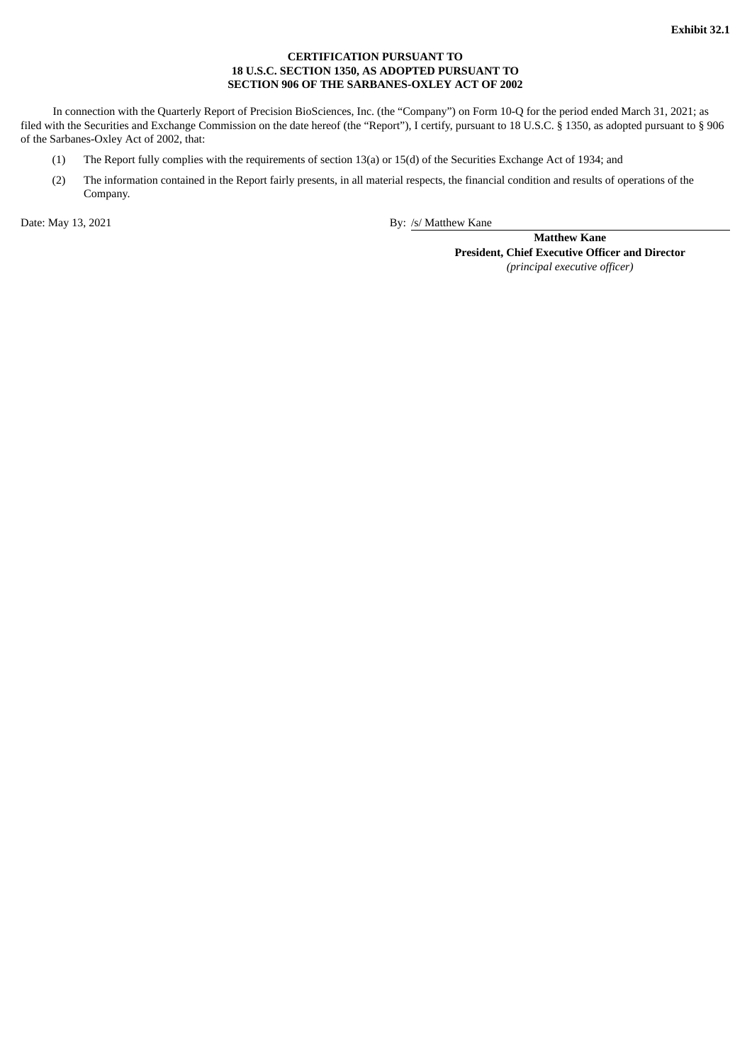#### **CERTIFICATION PURSUANT TO 18 U.S.C. SECTION 1350, AS ADOPTED PURSUANT TO SECTION 906 OF THE SARBANES-OXLEY ACT OF 2002**

In connection with the Quarterly Report of Precision BioSciences, Inc. (the "Company") on Form 10-Q for the period ended March 31, 2021; as filed with the Securities and Exchange Commission on the date hereof (the "Report"), I certify, pursuant to 18 U.S.C. § 1350, as adopted pursuant to § 906 of the Sarbanes-Oxley Act of 2002, that:

- (1) The Report fully complies with the requirements of section 13(a) or 15(d) of the Securities Exchange Act of 1934; and
- (2) The information contained in the Report fairly presents, in all material respects, the financial condition and results of operations of the Company.

Date: May 13, 2021 By: /s/ Matthew Kane

**Matthew Kane President, Chief Executive Officer and Director** *(principal executive officer)*